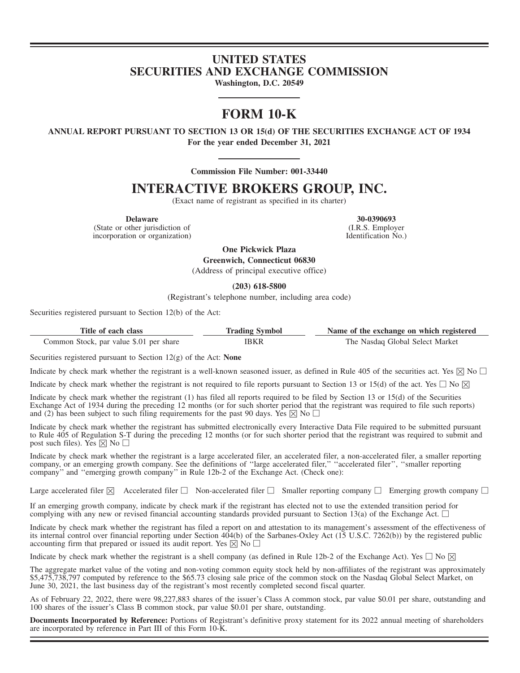# **UNITED STATES SECURITIES AND EXCHANGE COMMISSION**

**Washington, D.C. 20549**

## **FORM 10-K**

**ANNUAL REPORT PURSUANT TO SECTION 13 OR 15(d) OF THE SECURITIES EXCHANGE ACT OF 1934 For the year ended December 31, 2021**

**Commission File Number: 001-33440**

## **INTERACTIVE BROKERS GROUP, INC.**

(Exact name of registrant as specified in its charter)

(State or other jurisdiction of incorporation or organization)

**Delaware 30-0390693**

(I.R.S. Employer Identification No.)

**One Pickwick Plaza**

**Greenwich, Connecticut 06830** (Address of principal executive office)

**(203) 618-5800**

(Registrant's telephone number, including area code)

Securities registered pursuant to Section 12(b) of the Act:

| Title of each class                     | <b>Trading Symbol</b> | Name of the exchange on which registered |
|-----------------------------------------|-----------------------|------------------------------------------|
| Common Stock, par value \$.01 per share | IBKR                  | The Nasdag Global Select Market          |

Securities registered pursuant to Section 12(g) of the Act: **None**

Indicate by check mark whether the registrant is a well-known seasoned issuer, as defined in Rule 405 of the securities act. Yes  $\boxtimes$  No  $\Box$ 

Indicate by check mark whether the registrant is not required to file reports pursuant to Section 13 or 15(d) of the act. Yes  $\Box$  No  $\boxtimes$ 

Indicate by check mark whether the registrant (1) has filed all reports required to be filed by Section 13 or 15(d) of the Securities Exchange Act of 1934 during the preceding 12 months (or for such shorter period that the registrant was required to file such reports) and (2) has been subject to such filing requirements for the past 90 days. Yes  $\boxtimes \boxtimes$  No  $\Box$ 

Indicate by check mark whether the registrant has submitted electronically every Interactive Data File required to be submitted pursuant to Rule 405 of Regulation S-T during the preceding 12 months (or for such shorter period that the registrant was required to submit and post such files). Yes  $\overline{\boxtimes}$  No  $\Box$ 

Indicate by check mark whether the registrant is a large accelerated filer, an accelerated filer, a non-accelerated filer, a smaller reporting company, or an emerging growth company. See the definitions of ''large accelerated filer,'' ''accelerated filer'', ''smaller reporting company'' and ''emerging growth company'' in Rule 12b-2 of the Exchange Act. (Check one):

Large accelerated filer  $\boxtimes$  Accelerated filer  $\Box$  Non-accelerated filer  $\Box$  Smaller reporting company  $\Box$  Emerging growth company  $\Box$ 

If an emerging growth company, indicate by check mark if the registrant has elected not to use the extended transition period for complying with any new or revised financial accounting standards provided pursuant to Section 13(a) of the Exchange Act.  $\square$ 

Indicate by check mark whether the registrant has filed a report on and attestation to its management's assessment of the effectiveness of its internal control over financial reporting under Section 404(b) of the Sarbanes-Oxley Act (15 U.S.C. 7262(b)) by the registered public accounting firm that prepared or issued its audit report. Yes  $\boxtimes$  No  $\Box$ 

Indicate by check mark whether the registrant is a shell company (as defined in Rule 12b-2 of the Exchange Act). Yes  $\Box$  No  $\boxtimes$ 

The aggregate market value of the voting and non-voting common equity stock held by non-affiliates of the registrant was approximately \$5,475,738,797 computed by reference to the \$65.73 closing sale price of the common stock on the Nasdaq Global Select Market, on June 30, 2021, the last business day of the registrant's most recently completed second fiscal quarter.

As of February 22, 2022, there were 98,227,883 shares of the issuer's Class A common stock, par value \$0.01 per share, outstanding and 100 shares of the issuer's Class B common stock, par value \$0.01 per share, outstanding.

**Documents Incorporated by Reference:** Portions of Registrant's definitive proxy statement for its 2022 annual meeting of shareholders are incorporated by reference in Part III of this Form 10-K.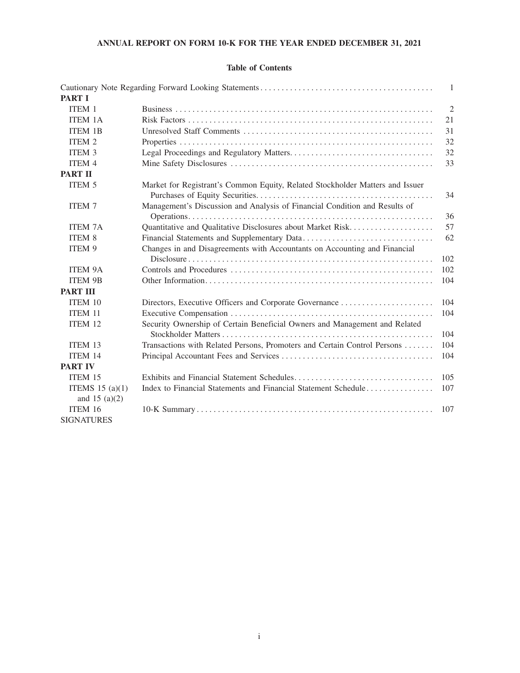## **ANNUAL REPORT ON FORM 10-K FOR THE YEAR ENDED DECEMBER 31, 2021**

## **Table of Contents**

|                                     |                                                                               | $\mathbf{1}$ |
|-------------------------------------|-------------------------------------------------------------------------------|--------------|
| <b>PART I</b>                       |                                                                               |              |
| <b>ITEM 1</b>                       |                                                                               | 2            |
| <b>ITEM 1A</b>                      |                                                                               | 21           |
| <b>ITEM 1B</b>                      |                                                                               | 31           |
| <b>ITEM 2</b>                       |                                                                               | 32           |
| <b>ITEM 3</b>                       |                                                                               | 32           |
| <b>ITEM 4</b>                       |                                                                               | 33           |
| <b>PART II</b>                      |                                                                               |              |
| <b>ITEM 5</b>                       | Market for Registrant's Common Equity, Related Stockholder Matters and Issuer | 34           |
| <b>ITEM7</b>                        | Management's Discussion and Analysis of Financial Condition and Results of    |              |
|                                     |                                                                               | 36           |
| <b>ITEM 7A</b>                      | Quantitative and Qualitative Disclosures about Market Risk                    | 57           |
| <b>ITEM 8</b>                       |                                                                               | 62           |
| <b>ITEM 9</b>                       | Changes in and Disagreements with Accountants on Accounting and Financial     | 102          |
| <b>ITEM 9A</b>                      |                                                                               | 102          |
| <b>ITEM 9B</b>                      |                                                                               | 104          |
| <b>PART III</b>                     |                                                                               |              |
| ITEM 10                             |                                                                               | 104          |
| <b>ITEM 11</b>                      |                                                                               | 104          |
| ITEM 12                             | Security Ownership of Certain Beneficial Owners and Management and Related    |              |
|                                     |                                                                               | 104          |
| <b>ITEM 13</b>                      | Transactions with Related Persons, Promoters and Certain Control Persons      | 104          |
| ITEM 14                             |                                                                               | 104          |
| <b>PART IV</b>                      |                                                                               |              |
| ITEM 15                             |                                                                               | 105          |
| ITEMS $15(a)(1)$<br>and 15 $(a)(2)$ | Index to Financial Statements and Financial Statement Schedule                | 107          |
| ITEM 16                             |                                                                               | 107          |
| <b>SIGNATURES</b>                   |                                                                               |              |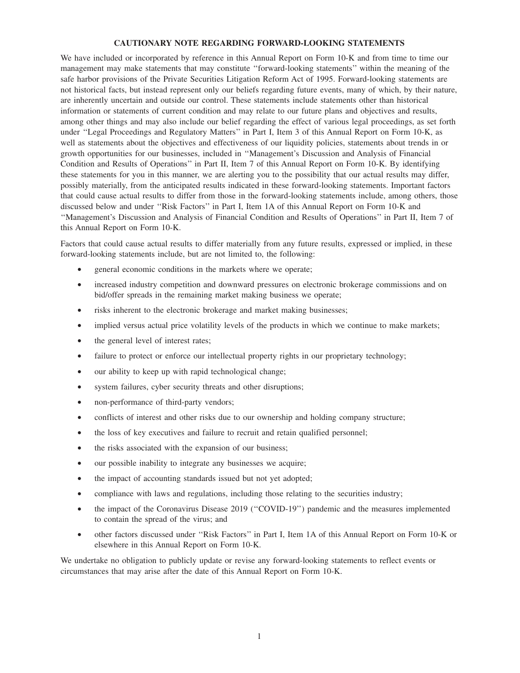#### **CAUTIONARY NOTE REGARDING FORWARD-LOOKING STATEMENTS**

We have included or incorporated by reference in this Annual Report on Form 10-K and from time to time our management may make statements that may constitute ''forward-looking statements'' within the meaning of the safe harbor provisions of the Private Securities Litigation Reform Act of 1995. Forward-looking statements are not historical facts, but instead represent only our beliefs regarding future events, many of which, by their nature, are inherently uncertain and outside our control. These statements include statements other than historical information or statements of current condition and may relate to our future plans and objectives and results, among other things and may also include our belief regarding the effect of various legal proceedings, as set forth under ''Legal Proceedings and Regulatory Matters'' in Part I, Item 3 of this Annual Report on Form 10-K, as well as statements about the objectives and effectiveness of our liquidity policies, statements about trends in or growth opportunities for our businesses, included in ''Management's Discussion and Analysis of Financial Condition and Results of Operations'' in Part II, Item 7 of this Annual Report on Form 10-K. By identifying these statements for you in this manner, we are alerting you to the possibility that our actual results may differ, possibly materially, from the anticipated results indicated in these forward-looking statements. Important factors that could cause actual results to differ from those in the forward-looking statements include, among others, those discussed below and under ''Risk Factors'' in Part I, Item 1A of this Annual Report on Form 10-K and ''Management's Discussion and Analysis of Financial Condition and Results of Operations'' in Part II, Item 7 of this Annual Report on Form 10-K.

Factors that could cause actual results to differ materially from any future results, expressed or implied, in these forward-looking statements include, but are not limited to, the following:

- general economic conditions in the markets where we operate;
- increased industry competition and downward pressures on electronic brokerage commissions and on bid/offer spreads in the remaining market making business we operate;
- risks inherent to the electronic brokerage and market making businesses;
- implied versus actual price volatility levels of the products in which we continue to make markets;
- the general level of interest rates;
- failure to protect or enforce our intellectual property rights in our proprietary technology;
- our ability to keep up with rapid technological change;
- system failures, cyber security threats and other disruptions;
- non-performance of third-party vendors;
- conflicts of interest and other risks due to our ownership and holding company structure;
- the loss of key executives and failure to recruit and retain qualified personnel;
- the risks associated with the expansion of our business;
- our possible inability to integrate any businesses we acquire;
- the impact of accounting standards issued but not yet adopted;
- compliance with laws and regulations, including those relating to the securities industry;
- the impact of the Coronavirus Disease 2019 (''COVID-19'') pandemic and the measures implemented to contain the spread of the virus; and
- other factors discussed under ''Risk Factors'' in Part I, Item 1A of this Annual Report on Form 10-K or elsewhere in this Annual Report on Form 10-K.

We undertake no obligation to publicly update or revise any forward-looking statements to reflect events or circumstances that may arise after the date of this Annual Report on Form 10-K.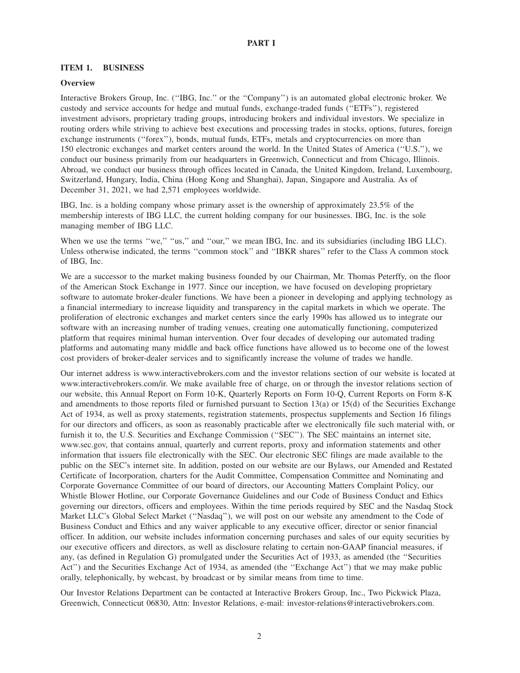#### **PART I**

#### **ITEM 1. BUSINESS**

#### **Overview**

Interactive Brokers Group, Inc. (''IBG, Inc.'' or the ''Company'') is an automated global electronic broker. We custody and service accounts for hedge and mutual funds, exchange-traded funds (''ETFs''), registered investment advisors, proprietary trading groups, introducing brokers and individual investors. We specialize in routing orders while striving to achieve best executions and processing trades in stocks, options, futures, foreign exchange instruments (''forex''), bonds, mutual funds, ETFs, metals and cryptocurrencies on more than 150 electronic exchanges and market centers around the world. In the United States of America (''U.S.''), we conduct our business primarily from our headquarters in Greenwich, Connecticut and from Chicago, Illinois. Abroad, we conduct our business through offices located in Canada, the United Kingdom, Ireland, Luxembourg, Switzerland, Hungary, India, China (Hong Kong and Shanghai), Japan, Singapore and Australia. As of December 31, 2021, we had 2,571 employees worldwide.

IBG, Inc. is a holding company whose primary asset is the ownership of approximately 23.5% of the membership interests of IBG LLC, the current holding company for our businesses. IBG, Inc. is the sole managing member of IBG LLC.

When we use the terms "we," "us," and "our," we mean IBG, Inc. and its subsidiaries (including IBG LLC). Unless otherwise indicated, the terms ''common stock'' and ''IBKR shares'' refer to the Class A common stock of IBG, Inc.

We are a successor to the market making business founded by our Chairman, Mr. Thomas Peterffy, on the floor of the American Stock Exchange in 1977. Since our inception, we have focused on developing proprietary software to automate broker-dealer functions. We have been a pioneer in developing and applying technology as a financial intermediary to increase liquidity and transparency in the capital markets in which we operate. The proliferation of electronic exchanges and market centers since the early 1990s has allowed us to integrate our software with an increasing number of trading venues, creating one automatically functioning, computerized platform that requires minimal human intervention. Over four decades of developing our automated trading platforms and automating many middle and back office functions have allowed us to become one of the lowest cost providers of broker-dealer services and to significantly increase the volume of trades we handle.

Our internet address is www.interactivebrokers.com and the investor relations section of our website is located at www.interactivebrokers.com/ir. We make available free of charge, on or through the investor relations section of our website, this Annual Report on Form 10-K, Quarterly Reports on Form 10-Q, Current Reports on Form 8-K and amendments to those reports filed or furnished pursuant to Section 13(a) or 15(d) of the Securities Exchange Act of 1934, as well as proxy statements, registration statements, prospectus supplements and Section 16 filings for our directors and officers, as soon as reasonably practicable after we electronically file such material with, or furnish it to, the U.S. Securities and Exchange Commission ("SEC"). The SEC maintains an internet site, www.sec.gov, that contains annual, quarterly and current reports, proxy and information statements and other information that issuers file electronically with the SEC. Our electronic SEC filings are made available to the public on the SEC's internet site. In addition, posted on our website are our Bylaws, our Amended and Restated Certificate of Incorporation, charters for the Audit Committee, Compensation Committee and Nominating and Corporate Governance Committee of our board of directors, our Accounting Matters Complaint Policy, our Whistle Blower Hotline, our Corporate Governance Guidelines and our Code of Business Conduct and Ethics governing our directors, officers and employees. Within the time periods required by SEC and the Nasdaq Stock Market LLC's Global Select Market (''Nasdaq''), we will post on our website any amendment to the Code of Business Conduct and Ethics and any waiver applicable to any executive officer, director or senior financial officer. In addition, our website includes information concerning purchases and sales of our equity securities by our executive officers and directors, as well as disclosure relating to certain non-GAAP financial measures, if any, (as defined in Regulation G) promulgated under the Securities Act of 1933, as amended (the ''Securities Act'') and the Securities Exchange Act of 1934, as amended (the ''Exchange Act'') that we may make public orally, telephonically, by webcast, by broadcast or by similar means from time to time.

Our Investor Relations Department can be contacted at Interactive Brokers Group, Inc., Two Pickwick Plaza, Greenwich, Connecticut 06830, Attn: Investor Relations, e-mail: investor-relations@interactivebrokers.com.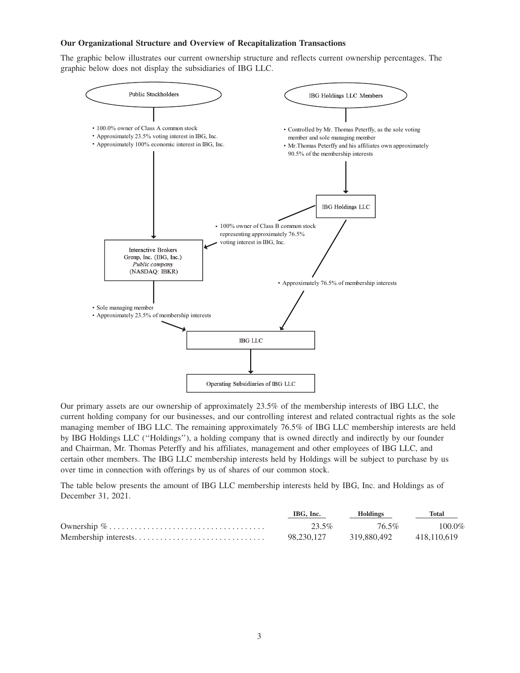#### **Our Organizational Structure and Overview of Recapitalization Transactions**

The graphic below illustrates our current ownership structure and reflects current ownership percentages. The graphic below does not display the subsidiaries of IBG LLC.



Our primary assets are our ownership of approximately 23.5% of the membership interests of IBG LLC, the current holding company for our businesses, and our controlling interest and related contractual rights as the sole managing member of IBG LLC. The remaining approximately 76.5% of IBG LLC membership interests are held by IBG Holdings LLC (''Holdings''), a holding company that is owned directly and indirectly by our founder and Chairman, Mr. Thomas Peterffy and his affiliates, management and other employees of IBG LLC, and certain other members. The IBG LLC membership interests held by Holdings will be subject to purchase by us over time in connection with offerings by us of shares of our common stock.

The table below presents the amount of IBG LLC membership interests held by IBG, Inc. and Holdings as of December 31, 2021.

| IBG, Inc.  | Holdings                | <b>Total</b> |
|------------|-------------------------|--------------|
| $23.5\%$   | 76.5%                   | $100.0\%$    |
| 98.230.127 | 319,880,492 418,110,619 |              |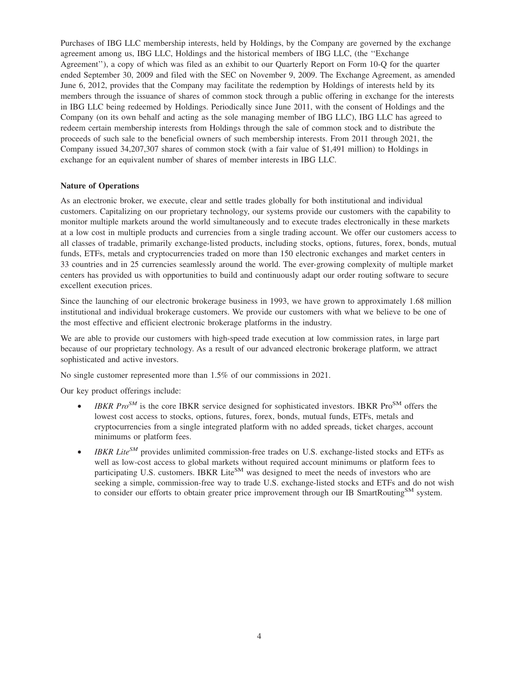Purchases of IBG LLC membership interests, held by Holdings, by the Company are governed by the exchange agreement among us, IBG LLC, Holdings and the historical members of IBG LLC, (the ''Exchange Agreement''), a copy of which was filed as an exhibit to our Quarterly Report on Form 10-Q for the quarter ended September 30, 2009 and filed with the SEC on November 9, 2009. The Exchange Agreement, as amended June 6, 2012, provides that the Company may facilitate the redemption by Holdings of interests held by its members through the issuance of shares of common stock through a public offering in exchange for the interests in IBG LLC being redeemed by Holdings. Periodically since June 2011, with the consent of Holdings and the Company (on its own behalf and acting as the sole managing member of IBG LLC), IBG LLC has agreed to redeem certain membership interests from Holdings through the sale of common stock and to distribute the proceeds of such sale to the beneficial owners of such membership interests. From 2011 through 2021, the Company issued 34,207,307 shares of common stock (with a fair value of \$1,491 million) to Holdings in exchange for an equivalent number of shares of member interests in IBG LLC.

## **Nature of Operations**

As an electronic broker, we execute, clear and settle trades globally for both institutional and individual customers. Capitalizing on our proprietary technology, our systems provide our customers with the capability to monitor multiple markets around the world simultaneously and to execute trades electronically in these markets at a low cost in multiple products and currencies from a single trading account. We offer our customers access to all classes of tradable, primarily exchange-listed products, including stocks, options, futures, forex, bonds, mutual funds, ETFs, metals and cryptocurrencies traded on more than 150 electronic exchanges and market centers in 33 countries and in 25 currencies seamlessly around the world. The ever-growing complexity of multiple market centers has provided us with opportunities to build and continuously adapt our order routing software to secure excellent execution prices.

Since the launching of our electronic brokerage business in 1993, we have grown to approximately 1.68 million institutional and individual brokerage customers. We provide our customers with what we believe to be one of the most effective and efficient electronic brokerage platforms in the industry.

We are able to provide our customers with high-speed trade execution at low commission rates, in large part because of our proprietary technology. As a result of our advanced electronic brokerage platform, we attract sophisticated and active investors.

No single customer represented more than 1.5% of our commissions in 2021.

Our key product offerings include:

- *IBKR Pro*<sup>*SM*</sup> is the core IBKR service designed for sophisticated investors. IBKR Pro<sup>SM</sup> offers the lowest cost access to stocks, options, futures, forex, bonds, mutual funds, ETFs, metals and cryptocurrencies from a single integrated platform with no added spreads, ticket charges, account minimums or platform fees.
- *IBKR LiteSM* provides unlimited commission-free trades on U.S. exchange-listed stocks and ETFs as well as low-cost access to global markets without required account minimums or platform fees to participating U.S. customers. IBKR Lite<sup>SM</sup> was designed to meet the needs of investors who are seeking a simple, commission-free way to trade U.S. exchange-listed stocks and ETFs and do not wish to consider our efforts to obtain greater price improvement through our IB SmartRouting<sup>SM</sup> system.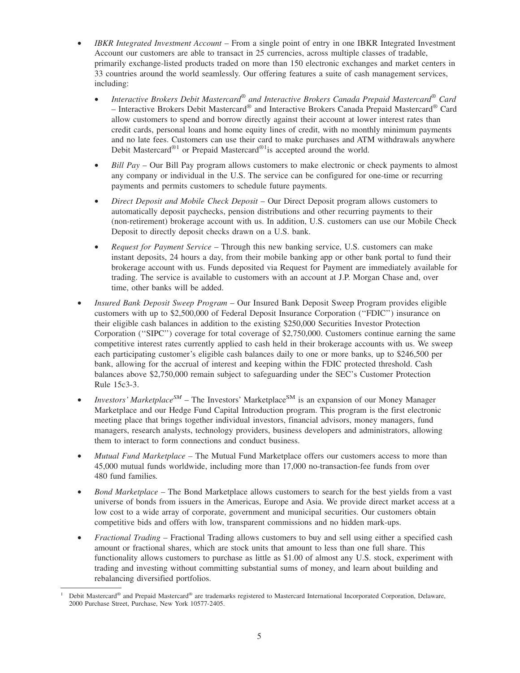- *IBKR Integrated Investment Account* From a single point of entry in one IBKR Integrated Investment Account our customers are able to transact in 25 currencies, across multiple classes of tradable, primarily exchange-listed products traded on more than 150 electronic exchanges and market centers in 33 countries around the world seamlessly. Our offering features a suite of cash management services, including:
	- *Interactive Brokers Debit Mastercard® and Interactive Brokers Canada Prepaid Mastercard® Card* – Interactive Brokers Debit Mastercard® and Interactive Brokers Canada Prepaid Mastercard® Card allow customers to spend and borrow directly against their account at lower interest rates than credit cards, personal loans and home equity lines of credit, with no monthly minimum payments and no late fees. Customers can use their card to make purchases and ATM withdrawals anywhere Debit Mastercard<sup>®1</sup> or Prepaid Mastercard<sup>®1</sup>is accepted around the world.
	- *Bill Pay* Our Bill Pay program allows customers to make electronic or check payments to almost any company or individual in the U.S. The service can be configured for one-time or recurring payments and permits customers to schedule future payments.
	- *Direct Deposit and Mobile Check Deposit* Our Direct Deposit program allows customers to automatically deposit paychecks, pension distributions and other recurring payments to their (non-retirement) brokerage account with us. In addition, U.S. customers can use our Mobile Check Deposit to directly deposit checks drawn on a U.S. bank.
	- *Request for Payment Service* Through this new banking service, U.S. customers can make instant deposits, 24 hours a day, from their mobile banking app or other bank portal to fund their brokerage account with us. Funds deposited via Request for Payment are immediately available for trading. The service is available to customers with an account at J.P. Morgan Chase and, over time, other banks will be added.
- *Insured Bank Deposit Sweep Program* Our Insured Bank Deposit Sweep Program provides eligible customers with up to \$2,500,000 of Federal Deposit Insurance Corporation (''FDIC'') insurance on their eligible cash balances in addition to the existing \$250,000 Securities Investor Protection Corporation (''SIPC'') coverage for total coverage of \$2,750,000. Customers continue earning the same competitive interest rates currently applied to cash held in their brokerage accounts with us. We sweep each participating customer's eligible cash balances daily to one or more banks, up to \$246,500 per bank, allowing for the accrual of interest and keeping within the FDIC protected threshold. Cash balances above \$2,750,000 remain subject to safeguarding under the SEC's Customer Protection Rule 15c3-3.
- *Investors' Marketplace*<sup>*SM*</sup> The Investors' Marketplace<sup>SM</sup> is an expansion of our Money Manager Marketplace and our Hedge Fund Capital Introduction program. This program is the first electronic meeting place that brings together individual investors, financial advisors, money managers, fund managers, research analysts, technology providers, business developers and administrators, allowing them to interact to form connections and conduct business.
- *Mutual Fund Marketplace* The Mutual Fund Marketplace offers our customers access to more than 45,000 mutual funds worldwide, including more than 17,000 no-transaction-fee funds from over 480 fund families*.*
- *Bond Marketplace* The Bond Marketplace allows customers to search for the best yields from a vast universe of bonds from issuers in the Americas, Europe and Asia. We provide direct market access at a low cost to a wide array of corporate, government and municipal securities. Our customers obtain competitive bids and offers with low, transparent commissions and no hidden mark-ups.
- *Fractional Trading* Fractional Trading allows customers to buy and sell using either a specified cash amount or fractional shares, which are stock units that amount to less than one full share. This functionality allows customers to purchase as little as \$1.00 of almost any U.S. stock, experiment with trading and investing without committing substantial sums of money, and learn about building and rebalancing diversified portfolios.

<sup>&</sup>lt;sup>1</sup> Debit Mastercard® and Prepaid Mastercard® are trademarks registered to Mastercard International Incorporated Corporation, Delaware, 2000 Purchase Street, Purchase, New York 10577-2405.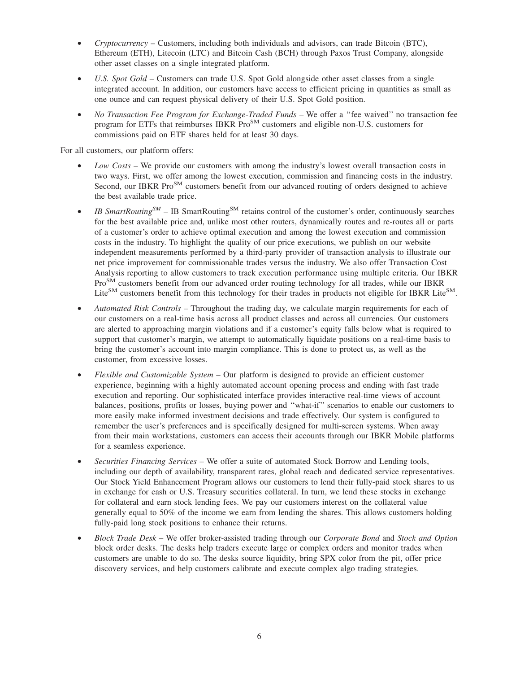- *Cryptocurrency* Customers, including both individuals and advisors, can trade Bitcoin (BTC), Ethereum (ETH), Litecoin (LTC) and Bitcoin Cash (BCH) through Paxos Trust Company, alongside other asset classes on a single integrated platform.
- *U.S. Spot Gold* Customers can trade U.S. Spot Gold alongside other asset classes from a single integrated account. In addition, our customers have access to efficient pricing in quantities as small as one ounce and can request physical delivery of their U.S. Spot Gold position.
- *No Transaction Fee Program for Exchange*-*Traded Funds* We offer a ''fee waived'' no transaction fee program for ETFs that reimburses IBKR Pro<sup>SM</sup> customers and eligible non-U.S. customers for commissions paid on ETF shares held for at least 30 days.

For all customers, our platform offers:

- *Low Costs* We provide our customers with among the industry's lowest overall transaction costs in two ways. First, we offer among the lowest execution, commission and financing costs in the industry. Second, our IBKR Pro<sup>SM</sup> customers benefit from our advanced routing of orders designed to achieve the best available trade price.
- *IB SmartRouting*<sup>SM</sup> IB SmartRouting<sup>SM</sup> retains control of the customer's order, continuously searches for the best available price and, unlike most other routers, dynamically routes and re-routes all or parts of a customer's order to achieve optimal execution and among the lowest execution and commission costs in the industry. To highlight the quality of our price executions, we publish on our website independent measurements performed by a third-party provider of transaction analysis to illustrate our net price improvement for commissionable trades versus the industry. We also offer Transaction Cost Analysis reporting to allow customers to track execution performance using multiple criteria. Our IBKR Pro<sup>SM</sup> customers benefit from our advanced order routing technology for all trades, while our IBKR Lite<sup>SM</sup> customers benefit from this technology for their trades in products not eligible for IBKR Lite<sup>SM</sup>.
- *Automated Risk Controls* Throughout the trading day, we calculate margin requirements for each of our customers on a real-time basis across all product classes and across all currencies. Our customers are alerted to approaching margin violations and if a customer's equity falls below what is required to support that customer's margin, we attempt to automatically liquidate positions on a real-time basis to bring the customer's account into margin compliance. This is done to protect us, as well as the customer, from excessive losses.
- *Flexible and Customizable System* Our platform is designed to provide an efficient customer experience, beginning with a highly automated account opening process and ending with fast trade execution and reporting. Our sophisticated interface provides interactive real-time views of account balances, positions, profits or losses, buying power and ''what-if'' scenarios to enable our customers to more easily make informed investment decisions and trade effectively. Our system is configured to remember the user's preferences and is specifically designed for multi-screen systems. When away from their main workstations, customers can access their accounts through our IBKR Mobile platforms for a seamless experience.
- *Securities Financing Services* We offer a suite of automated Stock Borrow and Lending tools, including our depth of availability, transparent rates, global reach and dedicated service representatives. Our Stock Yield Enhancement Program allows our customers to lend their fully-paid stock shares to us in exchange for cash or U.S. Treasury securities collateral. In turn, we lend these stocks in exchange for collateral and earn stock lending fees. We pay our customers interest on the collateral value generally equal to 50% of the income we earn from lending the shares. This allows customers holding fully-paid long stock positions to enhance their returns.
- *Block Trade Desk* We offer broker-assisted trading through our *Corporate Bond* and *Stock and Option* block order desks. The desks help traders execute large or complex orders and monitor trades when customers are unable to do so. The desks source liquidity, bring SPX color from the pit, offer price discovery services, and help customers calibrate and execute complex algo trading strategies.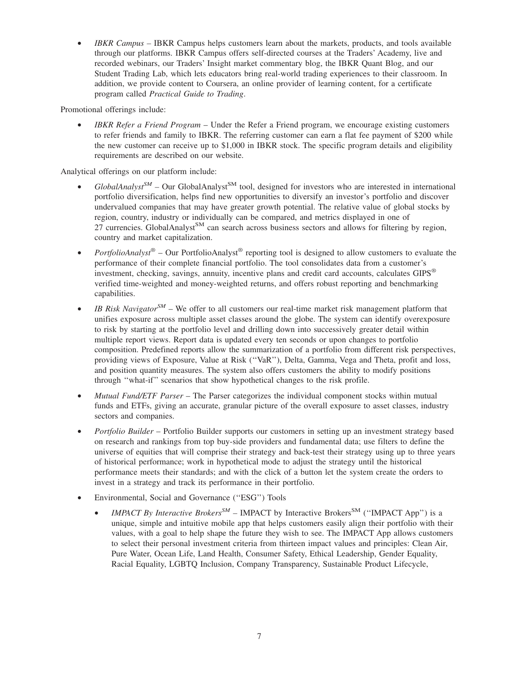• *IBKR Campus –* IBKR Campus helps customers learn about the markets, products, and tools available through our platforms. IBKR Campus offers self-directed courses at the Traders' Academy, live and recorded webinars, our Traders' Insight market commentary blog, the IBKR Quant Blog, and our Student Trading Lab, which lets educators bring real-world trading experiences to their classroom. In addition, we provide content to Coursera, an online provider of learning content, for a certificate program called *Practical Guide to Trading*.

## Promotional offerings include:

• *IBKR Refer a Friend Program* – Under the Refer a Friend program, we encourage existing customers to refer friends and family to IBKR. The referring customer can earn a flat fee payment of \$200 while the new customer can receive up to \$1,000 in IBKR stock. The specific program details and eligibility requirements are described on our website.

Analytical offerings on our platform include:

- *GlobalAnalyst<sup>SM</sup>* Our GlobalAnalyst<sup>SM</sup> tool, designed for investors who are interested in international portfolio diversification, helps find new opportunities to diversify an investor's portfolio and discover undervalued companies that may have greater growth potential. The relative value of global stocks by region, country, industry or individually can be compared, and metrics displayed in one of 27 currencies. GlobalAnalyst<sup>SM</sup> can search across business sectors and allows for filtering by region, country and market capitalization.
- *PortfolioAnalyst®* Our PortfolioAnalyst<sup>®</sup> reporting tool is designed to allow customers to evaluate the performance of their complete financial portfolio. The tool consolidates data from a customer's investment, checking, savings, annuity, incentive plans and credit card accounts, calculates GIPS® verified time-weighted and money-weighted returns, and offers robust reporting and benchmarking capabilities.
- *IB Risk Navigator*<sup>*SM*</sup> We offer to all customers our real-time market risk management platform that unifies exposure across multiple asset classes around the globe. The system can identify overexposure to risk by starting at the portfolio level and drilling down into successively greater detail within multiple report views. Report data is updated every ten seconds or upon changes to portfolio composition. Predefined reports allow the summarization of a portfolio from different risk perspectives, providing views of Exposure, Value at Risk (''VaR''), Delta, Gamma, Vega and Theta, profit and loss, and position quantity measures. The system also offers customers the ability to modify positions through ''what-if'' scenarios that show hypothetical changes to the risk profile.
- *Mutual Fund/ETF Parser* The Parser categorizes the individual component stocks within mutual funds and ETFs, giving an accurate, granular picture of the overall exposure to asset classes, industry sectors and companies.
- *Portfolio Builder* Portfolio Builder supports our customers in setting up an investment strategy based on research and rankings from top buy-side providers and fundamental data; use filters to define the universe of equities that will comprise their strategy and back-test their strategy using up to three years of historical performance; work in hypothetical mode to adjust the strategy until the historical performance meets their standards; and with the click of a button let the system create the orders to invest in a strategy and track its performance in their portfolio.
- Environmental, Social and Governance (''ESG'') Tools
	- *IMPACT By Interactive Brokers*<sup>*SM*</sup> IMPACT by Interactive Brokers<sup>SM</sup> ("IMPACT App") is a unique, simple and intuitive mobile app that helps customers easily align their portfolio with their values, with a goal to help shape the future they wish to see. The IMPACT App allows customers to select their personal investment criteria from thirteen impact values and principles: Clean Air, Pure Water, Ocean Life, Land Health, Consumer Safety, Ethical Leadership, Gender Equality, Racial Equality, LGBTQ Inclusion, Company Transparency, Sustainable Product Lifecycle,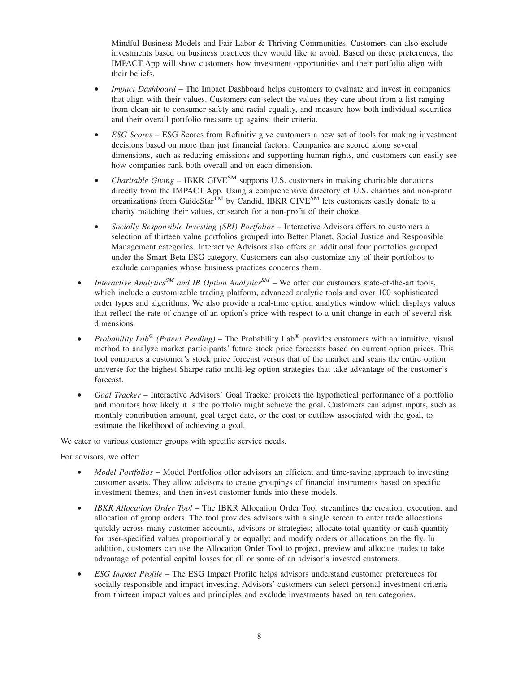Mindful Business Models and Fair Labor & Thriving Communities. Customers can also exclude investments based on business practices they would like to avoid. Based on these preferences, the IMPACT App will show customers how investment opportunities and their portfolio align with their beliefs.

- *Impact Dashboard* The Impact Dashboard helps customers to evaluate and invest in companies that align with their values. Customers can select the values they care about from a list ranging from clean air to consumer safety and racial equality, and measure how both individual securities and their overall portfolio measure up against their criteria.
- *ESG Scores* ESG Scores from Refinitiv give customers a new set of tools for making investment decisions based on more than just financial factors. Companies are scored along several dimensions, such as reducing emissions and supporting human rights, and customers can easily see how companies rank both overall and on each dimension.
- *Charitable Giving –* IBKR GIVE<sup>SM</sup> supports U.S. customers in making charitable donations directly from the IMPACT App. Using a comprehensive directory of U.S. charities and non-profit organizations from GuideStar<sup>TM</sup> by Candid, IBKR GIVE<sup>SM</sup> lets customers easily donate to a charity matching their values, or search for a non-profit of their choice.
- *Socially Responsible Investing (SRI) Portfolios* Interactive Advisors offers to customers a selection of thirteen value portfolios grouped into Better Planet, Social Justice and Responsible Management categories. Interactive Advisors also offers an additional four portfolios grouped under the Smart Beta ESG category. Customers can also customize any of their portfolios to exclude companies whose business practices concerns them.
- *Interactive AnalyticsSM and IB Option AnalyticsSM* We offer our customers state-of-the-art tools, which include a customizable trading platform, advanced analytic tools and over 100 sophisticated order types and algorithms. We also provide a real-time option analytics window which displays values that reflect the rate of change of an option's price with respect to a unit change in each of several risk dimensions.
- *Probability Lab<sup>®</sup> (Patent Pending)* The Probability Lab<sup>®</sup> provides customers with an intuitive, visual method to analyze market participants' future stock price forecasts based on current option prices. This tool compares a customer's stock price forecast versus that of the market and scans the entire option universe for the highest Sharpe ratio multi-leg option strategies that take advantage of the customer's forecast.
- *Goal Tracker* Interactive Advisors' Goal Tracker projects the hypothetical performance of a portfolio and monitors how likely it is the portfolio might achieve the goal. Customers can adjust inputs, such as monthly contribution amount, goal target date, or the cost or outflow associated with the goal, to estimate the likelihood of achieving a goal.

We cater to various customer groups with specific service needs.

For advisors, we offer:

- *Model Portfolios* Model Portfolios offer advisors an efficient and time-saving approach to investing customer assets. They allow advisors to create groupings of financial instruments based on specific investment themes, and then invest customer funds into these models.
- *IBKR Allocation Order Tool* The IBKR Allocation Order Tool streamlines the creation, execution, and allocation of group orders. The tool provides advisors with a single screen to enter trade allocations quickly across many customer accounts, advisors or strategies; allocate total quantity or cash quantity for user-specified values proportionally or equally; and modify orders or allocations on the fly. In addition, customers can use the Allocation Order Tool to project, preview and allocate trades to take advantage of potential capital losses for all or some of an advisor's invested customers.
- *ESG Impact Profile* The ESG Impact Profile helps advisors understand customer preferences for socially responsible and impact investing. Advisors' customers can select personal investment criteria from thirteen impact values and principles and exclude investments based on ten categories.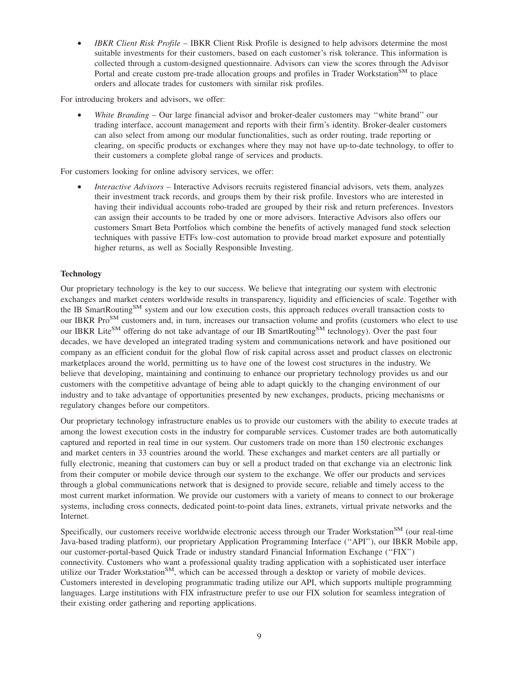• *IBKR Client Risk Profile* – IBKR Client Risk Profile is designed to help advisors determine the most suitable investments for their customers, based on each customer's risk tolerance. This information is collected through a custom-designed questionnaire. Advisors can view the scores through the Advisor Portal and create custom pre-trade allocation groups and profiles in Trader Workstation<sup>SM</sup> to place orders and allocate trades for customers with similar risk profiles.

For introducing brokers and advisors, we offer:

• *White Branding* – Our large financial advisor and broker-dealer customers may ''white brand'' our trading interface, account management and reports with their firm's identity. Broker-dealer customers can also select from among our modular functionalities, such as order routing, trade reporting or clearing, on specific products or exchanges where they may not have up-to-date technology, to offer to their customers a complete global range of services and products.

For customers looking for online advisory services, we offer:

• *Interactive Advisors* – Interactive Advisors recruits registered financial advisors, vets them, analyzes their investment track records, and groups them by their risk profile. Investors who are interested in having their individual accounts robo-traded are grouped by their risk and return preferences. Investors can assign their accounts to be traded by one or more advisors. Interactive Advisors also offers our customers Smart Beta Portfolios which combine the benefits of actively managed fund stock selection techniques with passive ETFs low-cost automation to provide broad market exposure and potentially higher returns, as well as Socially Responsible Investing.

## **Technology**

Our proprietary technology is the key to our success. We believe that integrating our system with electronic exchanges and market centers worldwide results in transparency, liquidity and efficiencies of scale. Together with the IB SmartRoutingSM system and our low execution costs, this approach reduces overall transaction costs to our IBKR Pro<sup>SM</sup> customers and, in turn, increases our transaction volume and profits (customers who elect to use our IBKR Lite<sup>SM</sup> offering do not take advantage of our IB SmartRouting<sup>SM</sup> technology). Over the past four decades, we have developed an integrated trading system and communications network and have positioned our company as an efficient conduit for the global flow of risk capital across asset and product classes on electronic marketplaces around the world, permitting us to have one of the lowest cost structures in the industry. We believe that developing, maintaining and continuing to enhance our proprietary technology provides us and our customers with the competitive advantage of being able to adapt quickly to the changing environment of our industry and to take advantage of opportunities presented by new exchanges, products, pricing mechanisms or regulatory changes before our competitors.

Our proprietary technology infrastructure enables us to provide our customers with the ability to execute trades at among the lowest execution costs in the industry for comparable services. Customer trades are both automatically captured and reported in real time in our system. Our customers trade on more than 150 electronic exchanges and market centers in 33 countries around the world. These exchanges and market centers are all partially or fully electronic, meaning that customers can buy or sell a product traded on that exchange via an electronic link from their computer or mobile device through our system to the exchange. We offer our products and services through a global communications network that is designed to provide secure, reliable and timely access to the most current market information. We provide our customers with a variety of means to connect to our brokerage systems, including cross connects, dedicated point-to-point data lines, extranets, virtual private networks and the Internet.

Specifically, our customers receive worldwide electronic access through our Trader Workstation<sup>SM</sup> (our real-time Java-based trading platform), our proprietary Application Programming Interface (''API''), our IBKR Mobile app, our customer-portal-based Quick Trade or industry standard Financial Information Exchange (''FIX'') connectivity. Customers who want a professional quality trading application with a sophisticated user interface utilize our Trader Workstation<sup>SM</sup>, which can be accessed through a desktop or variety of mobile devices. Customers interested in developing programmatic trading utilize our API, which supports multiple programming languages. Large institutions with FIX infrastructure prefer to use our FIX solution for seamless integration of their existing order gathering and reporting applications.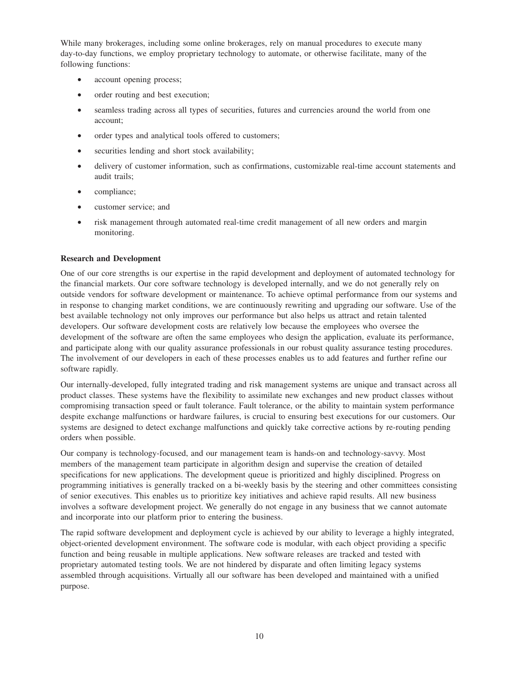While many brokerages, including some online brokerages, rely on manual procedures to execute many day-to-day functions, we employ proprietary technology to automate, or otherwise facilitate, many of the following functions:

- account opening process;
- order routing and best execution;
- seamless trading across all types of securities, futures and currencies around the world from one account;
- order types and analytical tools offered to customers;
- securities lending and short stock availability;
- delivery of customer information, such as confirmations, customizable real-time account statements and audit trails;
- compliance;
- customer service; and
- risk management through automated real-time credit management of all new orders and margin monitoring.

## **Research and Development**

One of our core strengths is our expertise in the rapid development and deployment of automated technology for the financial markets. Our core software technology is developed internally, and we do not generally rely on outside vendors for software development or maintenance. To achieve optimal performance from our systems and in response to changing market conditions, we are continuously rewriting and upgrading our software. Use of the best available technology not only improves our performance but also helps us attract and retain talented developers. Our software development costs are relatively low because the employees who oversee the development of the software are often the same employees who design the application, evaluate its performance, and participate along with our quality assurance professionals in our robust quality assurance testing procedures. The involvement of our developers in each of these processes enables us to add features and further refine our software rapidly.

Our internally-developed, fully integrated trading and risk management systems are unique and transact across all product classes. These systems have the flexibility to assimilate new exchanges and new product classes without compromising transaction speed or fault tolerance. Fault tolerance, or the ability to maintain system performance despite exchange malfunctions or hardware failures, is crucial to ensuring best executions for our customers. Our systems are designed to detect exchange malfunctions and quickly take corrective actions by re-routing pending orders when possible.

Our company is technology-focused, and our management team is hands-on and technology-savvy. Most members of the management team participate in algorithm design and supervise the creation of detailed specifications for new applications. The development queue is prioritized and highly disciplined. Progress on programming initiatives is generally tracked on a bi-weekly basis by the steering and other committees consisting of senior executives. This enables us to prioritize key initiatives and achieve rapid results. All new business involves a software development project. We generally do not engage in any business that we cannot automate and incorporate into our platform prior to entering the business.

The rapid software development and deployment cycle is achieved by our ability to leverage a highly integrated, object-oriented development environment. The software code is modular, with each object providing a specific function and being reusable in multiple applications. New software releases are tracked and tested with proprietary automated testing tools. We are not hindered by disparate and often limiting legacy systems assembled through acquisitions. Virtually all our software has been developed and maintained with a unified purpose.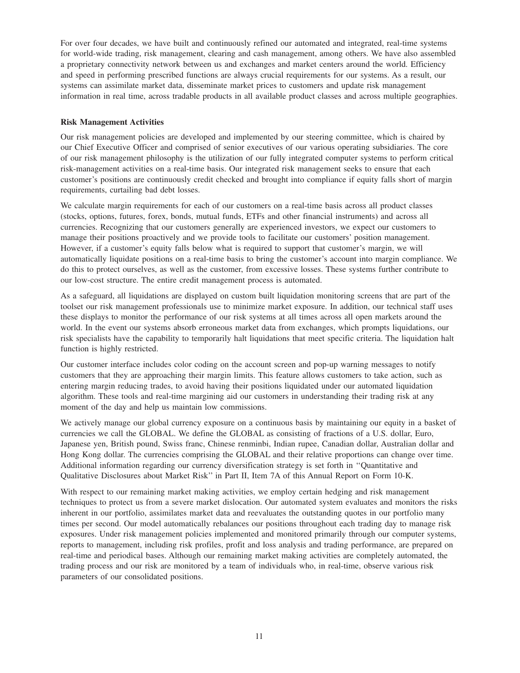For over four decades, we have built and continuously refined our automated and integrated, real-time systems for world-wide trading, risk management, clearing and cash management, among others. We have also assembled a proprietary connectivity network between us and exchanges and market centers around the world. Efficiency and speed in performing prescribed functions are always crucial requirements for our systems. As a result, our systems can assimilate market data, disseminate market prices to customers and update risk management information in real time, across tradable products in all available product classes and across multiple geographies.

#### **Risk Management Activities**

Our risk management policies are developed and implemented by our steering committee, which is chaired by our Chief Executive Officer and comprised of senior executives of our various operating subsidiaries. The core of our risk management philosophy is the utilization of our fully integrated computer systems to perform critical risk-management activities on a real-time basis. Our integrated risk management seeks to ensure that each customer's positions are continuously credit checked and brought into compliance if equity falls short of margin requirements, curtailing bad debt losses.

We calculate margin requirements for each of our customers on a real-time basis across all product classes (stocks, options, futures, forex, bonds, mutual funds, ETFs and other financial instruments) and across all currencies. Recognizing that our customers generally are experienced investors, we expect our customers to manage their positions proactively and we provide tools to facilitate our customers' position management. However, if a customer's equity falls below what is required to support that customer's margin, we will automatically liquidate positions on a real-time basis to bring the customer's account into margin compliance. We do this to protect ourselves, as well as the customer, from excessive losses. These systems further contribute to our low-cost structure. The entire credit management process is automated.

As a safeguard, all liquidations are displayed on custom built liquidation monitoring screens that are part of the toolset our risk management professionals use to minimize market exposure. In addition, our technical staff uses these displays to monitor the performance of our risk systems at all times across all open markets around the world. In the event our systems absorb erroneous market data from exchanges, which prompts liquidations, our risk specialists have the capability to temporarily halt liquidations that meet specific criteria. The liquidation halt function is highly restricted.

Our customer interface includes color coding on the account screen and pop-up warning messages to notify customers that they are approaching their margin limits. This feature allows customers to take action, such as entering margin reducing trades, to avoid having their positions liquidated under our automated liquidation algorithm. These tools and real-time margining aid our customers in understanding their trading risk at any moment of the day and help us maintain low commissions.

We actively manage our global currency exposure on a continuous basis by maintaining our equity in a basket of currencies we call the GLOBAL. We define the GLOBAL as consisting of fractions of a U.S. dollar, Euro, Japanese yen, British pound, Swiss franc, Chinese renminbi, Indian rupee, Canadian dollar, Australian dollar and Hong Kong dollar. The currencies comprising the GLOBAL and their relative proportions can change over time. Additional information regarding our currency diversification strategy is set forth in ''Quantitative and Qualitative Disclosures about Market Risk'' in Part II, Item 7A of this Annual Report on Form 10-K.

With respect to our remaining market making activities, we employ certain hedging and risk management techniques to protect us from a severe market dislocation. Our automated system evaluates and monitors the risks inherent in our portfolio, assimilates market data and reevaluates the outstanding quotes in our portfolio many times per second. Our model automatically rebalances our positions throughout each trading day to manage risk exposures. Under risk management policies implemented and monitored primarily through our computer systems, reports to management, including risk profiles, profit and loss analysis and trading performance, are prepared on real-time and periodical bases. Although our remaining market making activities are completely automated, the trading process and our risk are monitored by a team of individuals who, in real-time, observe various risk parameters of our consolidated positions.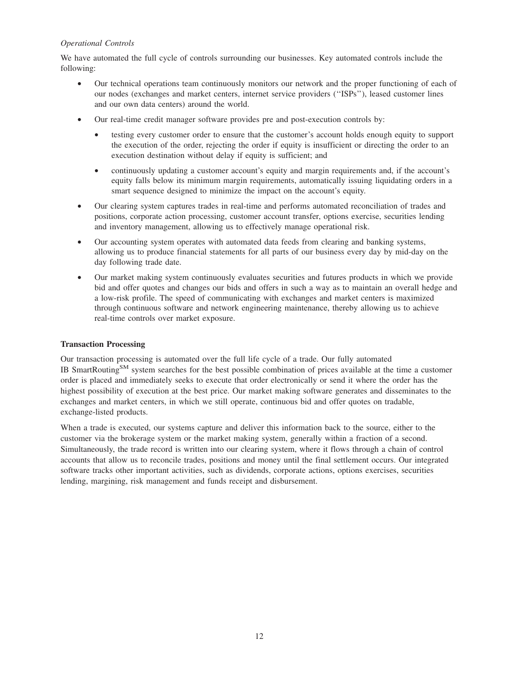## *Operational Controls*

We have automated the full cycle of controls surrounding our businesses. Key automated controls include the following:

- Our technical operations team continuously monitors our network and the proper functioning of each of our nodes (exchanges and market centers, internet service providers (''ISPs''), leased customer lines and our own data centers) around the world.
- Our real-time credit manager software provides pre and post-execution controls by:
	- testing every customer order to ensure that the customer's account holds enough equity to support the execution of the order, rejecting the order if equity is insufficient or directing the order to an execution destination without delay if equity is sufficient; and
	- continuously updating a customer account's equity and margin requirements and, if the account's equity falls below its minimum margin requirements, automatically issuing liquidating orders in a smart sequence designed to minimize the impact on the account's equity.
- Our clearing system captures trades in real-time and performs automated reconciliation of trades and positions, corporate action processing, customer account transfer, options exercise, securities lending and inventory management, allowing us to effectively manage operational risk.
- Our accounting system operates with automated data feeds from clearing and banking systems, allowing us to produce financial statements for all parts of our business every day by mid-day on the day following trade date.
- Our market making system continuously evaluates securities and futures products in which we provide bid and offer quotes and changes our bids and offers in such a way as to maintain an overall hedge and a low-risk profile. The speed of communicating with exchanges and market centers is maximized through continuous software and network engineering maintenance, thereby allowing us to achieve real-time controls over market exposure.

## **Transaction Processing**

Our transaction processing is automated over the full life cycle of a trade. Our fully automated IB SmartRouting<sup>SM</sup> system searches for the best possible combination of prices available at the time a customer order is placed and immediately seeks to execute that order electronically or send it where the order has the highest possibility of execution at the best price. Our market making software generates and disseminates to the exchanges and market centers, in which we still operate, continuous bid and offer quotes on tradable, exchange-listed products.

When a trade is executed, our systems capture and deliver this information back to the source, either to the customer via the brokerage system or the market making system, generally within a fraction of a second. Simultaneously, the trade record is written into our clearing system, where it flows through a chain of control accounts that allow us to reconcile trades, positions and money until the final settlement occurs. Our integrated software tracks other important activities, such as dividends, corporate actions, options exercises, securities lending, margining, risk management and funds receipt and disbursement.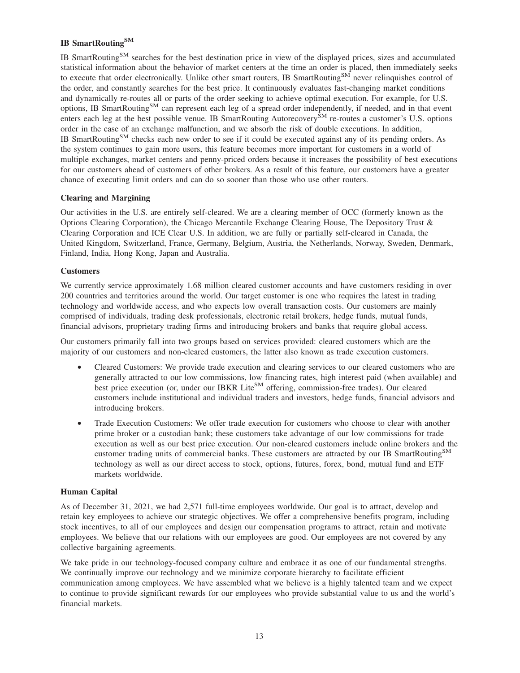## **IB SmartRoutingSM**

IB SmartRoutingSM searches for the best destination price in view of the displayed prices, sizes and accumulated statistical information about the behavior of market centers at the time an order is placed, then immediately seeks to execute that order electronically. Unlike other smart routers, IB SmartRouting $^{SM}$  never relinquishes control of the order, and constantly searches for the best price. It continuously evaluates fast-changing market conditions and dynamically re-routes all or parts of the order seeking to achieve optimal execution. For example, for U.S. options, IB SmartRouting<sup>SM</sup> can represent each leg of a spread order independently, if needed, and in that event enters each leg at the best possible venue. IB SmartRouting Autorecovery<sup>SM</sup> re-routes a customer's U.S. options order in the case of an exchange malfunction, and we absorb the risk of double executions. In addition, IB SmartRouting<sup>SM</sup> checks each new order to see if it could be executed against any of its pending orders. As the system continues to gain more users, this feature becomes more important for customers in a world of multiple exchanges, market centers and penny-priced orders because it increases the possibility of best executions for our customers ahead of customers of other brokers. As a result of this feature, our customers have a greater chance of executing limit orders and can do so sooner than those who use other routers.

## **Clearing and Margining**

Our activities in the U.S. are entirely self-cleared. We are a clearing member of OCC (formerly known as the Options Clearing Corporation), the Chicago Mercantile Exchange Clearing House, The Depository Trust & Clearing Corporation and ICE Clear U.S. In addition, we are fully or partially self-cleared in Canada, the United Kingdom, Switzerland, France, Germany, Belgium, Austria, the Netherlands, Norway, Sweden, Denmark, Finland, India, Hong Kong, Japan and Australia.

## **Customers**

We currently service approximately 1.68 million cleared customer accounts and have customers residing in over 200 countries and territories around the world. Our target customer is one who requires the latest in trading technology and worldwide access, and who expects low overall transaction costs. Our customers are mainly comprised of individuals, trading desk professionals, electronic retail brokers, hedge funds, mutual funds, financial advisors, proprietary trading firms and introducing brokers and banks that require global access.

Our customers primarily fall into two groups based on services provided: cleared customers which are the majority of our customers and non-cleared customers, the latter also known as trade execution customers.

- Cleared Customers: We provide trade execution and clearing services to our cleared customers who are generally attracted to our low commissions, low financing rates, high interest paid (when available) and best price execution (or, under our IBKR Lite<sup>SM</sup> offering, commission-free trades). Our cleared customers include institutional and individual traders and investors, hedge funds, financial advisors and introducing brokers.
- Trade Execution Customers: We offer trade execution for customers who choose to clear with another prime broker or a custodian bank; these customers take advantage of our low commissions for trade execution as well as our best price execution. Our non-cleared customers include online brokers and the customer trading units of commercial banks. These customers are attracted by our IB SmartRouting<sup>SM</sup> technology as well as our direct access to stock, options, futures, forex, bond, mutual fund and ETF markets worldwide.

## **Human Capital**

As of December 31, 2021, we had 2,571 full-time employees worldwide. Our goal is to attract, develop and retain key employees to achieve our strategic objectives. We offer a comprehensive benefits program, including stock incentives, to all of our employees and design our compensation programs to attract, retain and motivate employees. We believe that our relations with our employees are good. Our employees are not covered by any collective bargaining agreements.

We take pride in our technology-focused company culture and embrace it as one of our fundamental strengths. We continually improve our technology and we minimize corporate hierarchy to facilitate efficient communication among employees. We have assembled what we believe is a highly talented team and we expect to continue to provide significant rewards for our employees who provide substantial value to us and the world's financial markets.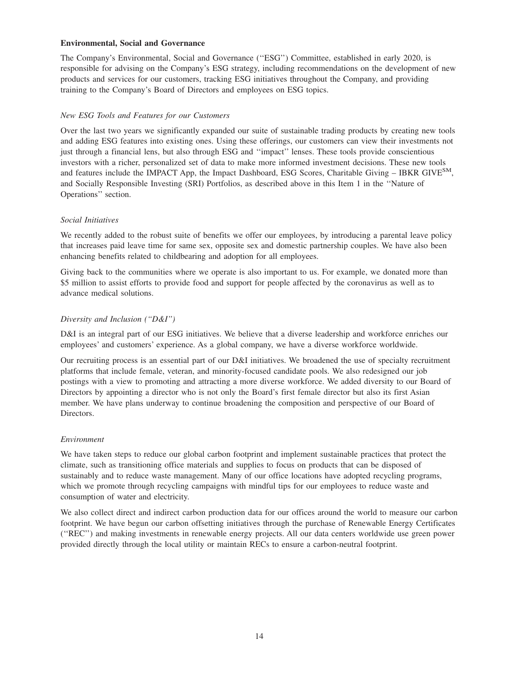## **Environmental, Social and Governance**

The Company's Environmental, Social and Governance (''ESG'') Committee, established in early 2020, is responsible for advising on the Company's ESG strategy, including recommendations on the development of new products and services for our customers, tracking ESG initiatives throughout the Company, and providing training to the Company's Board of Directors and employees on ESG topics.

## *New ESG Tools and Features for our Customers*

Over the last two years we significantly expanded our suite of sustainable trading products by creating new tools and adding ESG features into existing ones. Using these offerings, our customers can view their investments not just through a financial lens, but also through ESG and ''impact'' lenses. These tools provide conscientious investors with a richer, personalized set of data to make more informed investment decisions. These new tools and features include the IMPACT App, the Impact Dashboard, ESG Scores, Charitable Giving – IBKR GIVE<sup>SM</sup>, and Socially Responsible Investing (SRI) Portfolios, as described above in this Item 1 in the ''Nature of Operations'' section.

## *Social Initiatives*

We recently added to the robust suite of benefits we offer our employees, by introducing a parental leave policy that increases paid leave time for same sex, opposite sex and domestic partnership couples. We have also been enhancing benefits related to childbearing and adoption for all employees.

Giving back to the communities where we operate is also important to us. For example, we donated more than \$5 million to assist efforts to provide food and support for people affected by the coronavirus as well as to advance medical solutions.

## *Diversity and Inclusion (''D&I'')*

D&I is an integral part of our ESG initiatives. We believe that a diverse leadership and workforce enriches our employees' and customers' experience. As a global company, we have a diverse workforce worldwide.

Our recruiting process is an essential part of our D&I initiatives. We broadened the use of specialty recruitment platforms that include female, veteran, and minority-focused candidate pools. We also redesigned our job postings with a view to promoting and attracting a more diverse workforce. We added diversity to our Board of Directors by appointing a director who is not only the Board's first female director but also its first Asian member. We have plans underway to continue broadening the composition and perspective of our Board of Directors.

## *Environment*

We have taken steps to reduce our global carbon footprint and implement sustainable practices that protect the climate, such as transitioning office materials and supplies to focus on products that can be disposed of sustainably and to reduce waste management. Many of our office locations have adopted recycling programs, which we promote through recycling campaigns with mindful tips for our employees to reduce waste and consumption of water and electricity.

We also collect direct and indirect carbon production data for our offices around the world to measure our carbon footprint. We have begun our carbon offsetting initiatives through the purchase of Renewable Energy Certificates (''REC'') and making investments in renewable energy projects. All our data centers worldwide use green power provided directly through the local utility or maintain RECs to ensure a carbon-neutral footprint.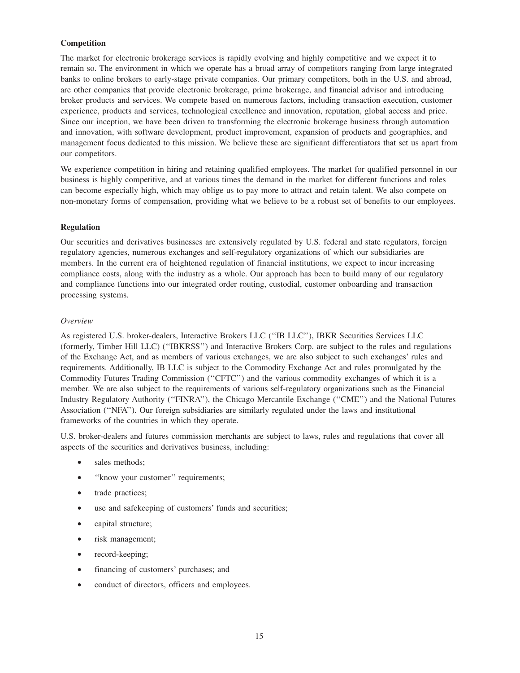## **Competition**

The market for electronic brokerage services is rapidly evolving and highly competitive and we expect it to remain so. The environment in which we operate has a broad array of competitors ranging from large integrated banks to online brokers to early-stage private companies. Our primary competitors, both in the U.S. and abroad, are other companies that provide electronic brokerage, prime brokerage, and financial advisor and introducing broker products and services. We compete based on numerous factors, including transaction execution, customer experience, products and services, technological excellence and innovation, reputation, global access and price. Since our inception, we have been driven to transforming the electronic brokerage business through automation and innovation, with software development, product improvement, expansion of products and geographies, and management focus dedicated to this mission. We believe these are significant differentiators that set us apart from our competitors.

We experience competition in hiring and retaining qualified employees. The market for qualified personnel in our business is highly competitive, and at various times the demand in the market for different functions and roles can become especially high, which may oblige us to pay more to attract and retain talent. We also compete on non-monetary forms of compensation, providing what we believe to be a robust set of benefits to our employees.

## **Regulation**

Our securities and derivatives businesses are extensively regulated by U.S. federal and state regulators, foreign regulatory agencies, numerous exchanges and self-regulatory organizations of which our subsidiaries are members. In the current era of heightened regulation of financial institutions, we expect to incur increasing compliance costs, along with the industry as a whole. Our approach has been to build many of our regulatory and compliance functions into our integrated order routing, custodial, customer onboarding and transaction processing systems.

#### *Overview*

As registered U.S. broker-dealers, Interactive Brokers LLC (''IB LLC''), IBKR Securities Services LLC (formerly, Timber Hill LLC) (''IBKRSS'') and Interactive Brokers Corp. are subject to the rules and regulations of the Exchange Act, and as members of various exchanges, we are also subject to such exchanges' rules and requirements. Additionally, IB LLC is subject to the Commodity Exchange Act and rules promulgated by the Commodity Futures Trading Commission (''CFTC'') and the various commodity exchanges of which it is a member. We are also subject to the requirements of various self-regulatory organizations such as the Financial Industry Regulatory Authority (''FINRA''), the Chicago Mercantile Exchange (''CME'') and the National Futures Association (''NFA''). Our foreign subsidiaries are similarly regulated under the laws and institutional frameworks of the countries in which they operate.

U.S. broker-dealers and futures commission merchants are subject to laws, rules and regulations that cover all aspects of the securities and derivatives business, including:

- sales methods;
- "know your customer" requirements;
- trade practices;
- use and safekeeping of customers' funds and securities;
- capital structure;
- risk management;
- record-keeping;
- financing of customers' purchases; and
- conduct of directors, officers and employees.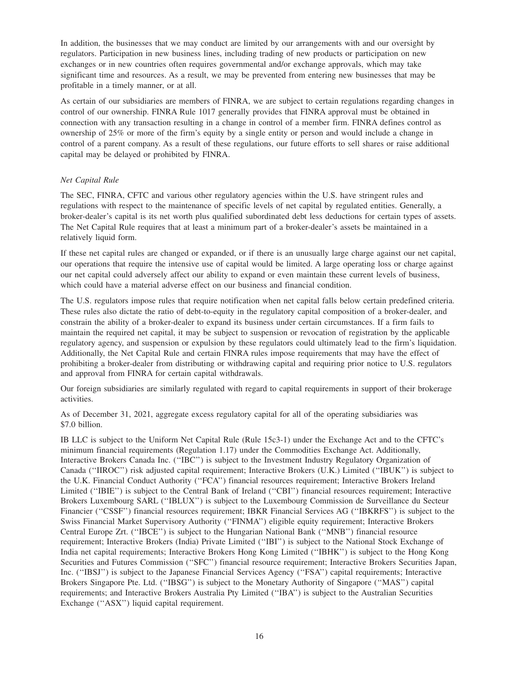In addition, the businesses that we may conduct are limited by our arrangements with and our oversight by regulators. Participation in new business lines, including trading of new products or participation on new exchanges or in new countries often requires governmental and/or exchange approvals, which may take significant time and resources. As a result, we may be prevented from entering new businesses that may be profitable in a timely manner, or at all.

As certain of our subsidiaries are members of FINRA, we are subject to certain regulations regarding changes in control of our ownership. FINRA Rule 1017 generally provides that FINRA approval must be obtained in connection with any transaction resulting in a change in control of a member firm. FINRA defines control as ownership of 25% or more of the firm's equity by a single entity or person and would include a change in control of a parent company. As a result of these regulations, our future efforts to sell shares or raise additional capital may be delayed or prohibited by FINRA.

## *Net Capital Rule*

The SEC, FINRA, CFTC and various other regulatory agencies within the U.S. have stringent rules and regulations with respect to the maintenance of specific levels of net capital by regulated entities. Generally, a broker-dealer's capital is its net worth plus qualified subordinated debt less deductions for certain types of assets. The Net Capital Rule requires that at least a minimum part of a broker-dealer's assets be maintained in a relatively liquid form.

If these net capital rules are changed or expanded, or if there is an unusually large charge against our net capital, our operations that require the intensive use of capital would be limited. A large operating loss or charge against our net capital could adversely affect our ability to expand or even maintain these current levels of business, which could have a material adverse effect on our business and financial condition.

The U.S. regulators impose rules that require notification when net capital falls below certain predefined criteria. These rules also dictate the ratio of debt-to-equity in the regulatory capital composition of a broker-dealer, and constrain the ability of a broker-dealer to expand its business under certain circumstances. If a firm fails to maintain the required net capital, it may be subject to suspension or revocation of registration by the applicable regulatory agency, and suspension or expulsion by these regulators could ultimately lead to the firm's liquidation. Additionally, the Net Capital Rule and certain FINRA rules impose requirements that may have the effect of prohibiting a broker-dealer from distributing or withdrawing capital and requiring prior notice to U.S. regulators and approval from FINRA for certain capital withdrawals.

Our foreign subsidiaries are similarly regulated with regard to capital requirements in support of their brokerage activities.

As of December 31, 2021, aggregate excess regulatory capital for all of the operating subsidiaries was \$7.0 billion.

IB LLC is subject to the Uniform Net Capital Rule (Rule 15c3-1) under the Exchange Act and to the CFTC's minimum financial requirements (Regulation 1.17) under the Commodities Exchange Act. Additionally, Interactive Brokers Canada Inc. (''IBC'') is subject to the Investment Industry Regulatory Organization of Canada (''IIROC'') risk adjusted capital requirement; Interactive Brokers (U.K.) Limited (''IBUK'') is subject to the U.K. Financial Conduct Authority (''FCA'') financial resources requirement; Interactive Brokers Ireland Limited (''IBIE'') is subject to the Central Bank of Ireland (''CBI'') financial resources requirement; Interactive Brokers Luxembourg SARL (''IBLUX'') is subject to the Luxembourg Commission de Surveillance du Secteur Financier ("CSSF") financial resources requirement; IBKR Financial Services AG ("IBKRFS") is subject to the Swiss Financial Market Supervisory Authority (''FINMA'') eligible equity requirement; Interactive Brokers Central Europe Zrt. (''IBCE'') is subject to the Hungarian National Bank (''MNB'') financial resource requirement; Interactive Brokers (India) Private Limited (''IBI'') is subject to the National Stock Exchange of India net capital requirements; Interactive Brokers Hong Kong Limited (''IBHK'') is subject to the Hong Kong Securities and Futures Commission (''SFC'') financial resource requirement; Interactive Brokers Securities Japan, Inc. (''IBSJ'') is subject to the Japanese Financial Services Agency (''FSA'') capital requirements; Interactive Brokers Singapore Pte. Ltd. (''IBSG'') is subject to the Monetary Authority of Singapore (''MAS'') capital requirements; and Interactive Brokers Australia Pty Limited (''IBA'') is subject to the Australian Securities Exchange ("ASX") liquid capital requirement.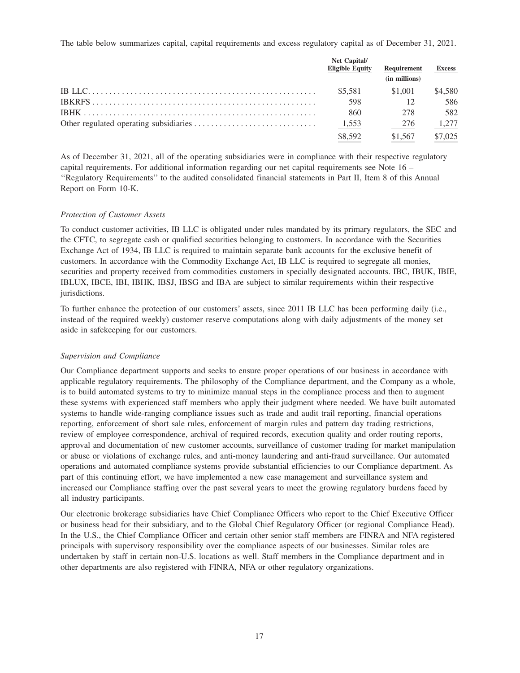The table below summarizes capital, capital requirements and excess regulatory capital as of December 31, 2021.

| Net Capital/<br><b>Eligible Equity</b> | Requirement<br>(in millions) | <b>Excess</b> |
|----------------------------------------|------------------------------|---------------|
| \$5,581                                | \$1,001                      | \$4,580       |
| 598                                    | 12                           | 586           |
| 860                                    | 278                          | 582           |
| 1,553                                  | 276                          | 1,277         |
| S8 592                                 | \$1,567                      | \$7.025       |

As of December 31, 2021, all of the operating subsidiaries were in compliance with their respective regulatory capital requirements. For additional information regarding our net capital requirements see Note 16 – ''Regulatory Requirements'' to the audited consolidated financial statements in Part II, Item 8 of this Annual Report on Form 10-K.

## *Protection of Customer Assets*

To conduct customer activities, IB LLC is obligated under rules mandated by its primary regulators, the SEC and the CFTC, to segregate cash or qualified securities belonging to customers. In accordance with the Securities Exchange Act of 1934, IB LLC is required to maintain separate bank accounts for the exclusive benefit of customers. In accordance with the Commodity Exchange Act, IB LLC is required to segregate all monies, securities and property received from commodities customers in specially designated accounts. IBC, IBUK, IBIE, IBLUX, IBCE, IBI, IBHK, IBSJ, IBSG and IBA are subject to similar requirements within their respective jurisdictions.

To further enhance the protection of our customers' assets, since 2011 IB LLC has been performing daily (i.e., instead of the required weekly) customer reserve computations along with daily adjustments of the money set aside in safekeeping for our customers.

#### *Supervision and Compliance*

Our Compliance department supports and seeks to ensure proper operations of our business in accordance with applicable regulatory requirements. The philosophy of the Compliance department, and the Company as a whole, is to build automated systems to try to minimize manual steps in the compliance process and then to augment these systems with experienced staff members who apply their judgment where needed. We have built automated systems to handle wide-ranging compliance issues such as trade and audit trail reporting, financial operations reporting, enforcement of short sale rules, enforcement of margin rules and pattern day trading restrictions, review of employee correspondence, archival of required records, execution quality and order routing reports, approval and documentation of new customer accounts, surveillance of customer trading for market manipulation or abuse or violations of exchange rules, and anti-money laundering and anti-fraud surveillance. Our automated operations and automated compliance systems provide substantial efficiencies to our Compliance department. As part of this continuing effort, we have implemented a new case management and surveillance system and increased our Compliance staffing over the past several years to meet the growing regulatory burdens faced by all industry participants.

Our electronic brokerage subsidiaries have Chief Compliance Officers who report to the Chief Executive Officer or business head for their subsidiary, and to the Global Chief Regulatory Officer (or regional Compliance Head). In the U.S., the Chief Compliance Officer and certain other senior staff members are FINRA and NFA registered principals with supervisory responsibility over the compliance aspects of our businesses. Similar roles are undertaken by staff in certain non-U.S. locations as well. Staff members in the Compliance department and in other departments are also registered with FINRA, NFA or other regulatory organizations.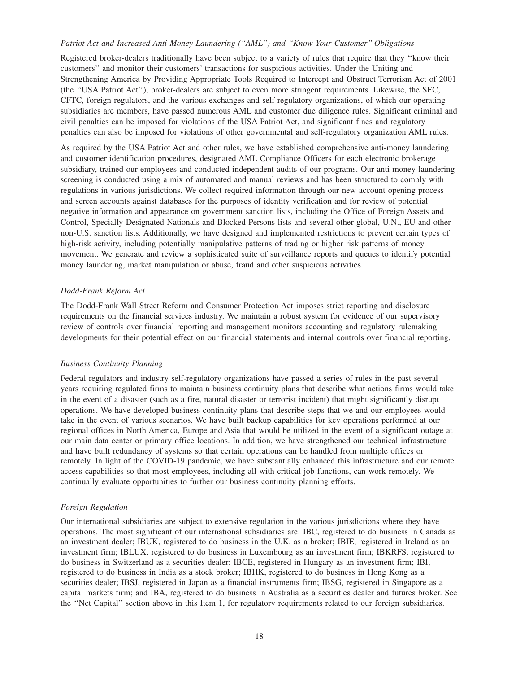## *Patriot Act and Increased Anti-Money Laundering (''AML'') and ''Know Your Customer'' Obligations*

Registered broker-dealers traditionally have been subject to a variety of rules that require that they ''know their customers'' and monitor their customers' transactions for suspicious activities. Under the Uniting and Strengthening America by Providing Appropriate Tools Required to Intercept and Obstruct Terrorism Act of 2001 (the ''USA Patriot Act''), broker-dealers are subject to even more stringent requirements. Likewise, the SEC, CFTC, foreign regulators, and the various exchanges and self-regulatory organizations, of which our operating subsidiaries are members, have passed numerous AML and customer due diligence rules. Significant criminal and civil penalties can be imposed for violations of the USA Patriot Act, and significant fines and regulatory penalties can also be imposed for violations of other governmental and self-regulatory organization AML rules.

As required by the USA Patriot Act and other rules, we have established comprehensive anti-money laundering and customer identification procedures, designated AML Compliance Officers for each electronic brokerage subsidiary, trained our employees and conducted independent audits of our programs. Our anti-money laundering screening is conducted using a mix of automated and manual reviews and has been structured to comply with regulations in various jurisdictions. We collect required information through our new account opening process and screen accounts against databases for the purposes of identity verification and for review of potential negative information and appearance on government sanction lists, including the Office of Foreign Assets and Control, Specially Designated Nationals and Blocked Persons lists and several other global, U.N., EU and other non-U.S. sanction lists. Additionally, we have designed and implemented restrictions to prevent certain types of high-risk activity, including potentially manipulative patterns of trading or higher risk patterns of money movement. We generate and review a sophisticated suite of surveillance reports and queues to identify potential money laundering, market manipulation or abuse, fraud and other suspicious activities.

## *Dodd-Frank Reform Act*

The Dodd-Frank Wall Street Reform and Consumer Protection Act imposes strict reporting and disclosure requirements on the financial services industry. We maintain a robust system for evidence of our supervisory review of controls over financial reporting and management monitors accounting and regulatory rulemaking developments for their potential effect on our financial statements and internal controls over financial reporting.

#### *Business Continuity Planning*

Federal regulators and industry self-regulatory organizations have passed a series of rules in the past several years requiring regulated firms to maintain business continuity plans that describe what actions firms would take in the event of a disaster (such as a fire, natural disaster or terrorist incident) that might significantly disrupt operations. We have developed business continuity plans that describe steps that we and our employees would take in the event of various scenarios. We have built backup capabilities for key operations performed at our regional offices in North America, Europe and Asia that would be utilized in the event of a significant outage at our main data center or primary office locations. In addition, we have strengthened our technical infrastructure and have built redundancy of systems so that certain operations can be handled from multiple offices or remotely. In light of the COVID-19 pandemic, we have substantially enhanced this infrastructure and our remote access capabilities so that most employees, including all with critical job functions, can work remotely. We continually evaluate opportunities to further our business continuity planning efforts.

#### *Foreign Regulation*

Our international subsidiaries are subject to extensive regulation in the various jurisdictions where they have operations. The most significant of our international subsidiaries are: IBC, registered to do business in Canada as an investment dealer; IBUK, registered to do business in the U.K. as a broker; IBIE, registered in Ireland as an investment firm; IBLUX, registered to do business in Luxembourg as an investment firm; IBKRFS, registered to do business in Switzerland as a securities dealer; IBCE, registered in Hungary as an investment firm; IBI, registered to do business in India as a stock broker; IBHK, registered to do business in Hong Kong as a securities dealer; IBSJ, registered in Japan as a financial instruments firm; IBSG, registered in Singapore as a capital markets firm; and IBA, registered to do business in Australia as a securities dealer and futures broker. See the ''Net Capital'' section above in this Item 1, for regulatory requirements related to our foreign subsidiaries.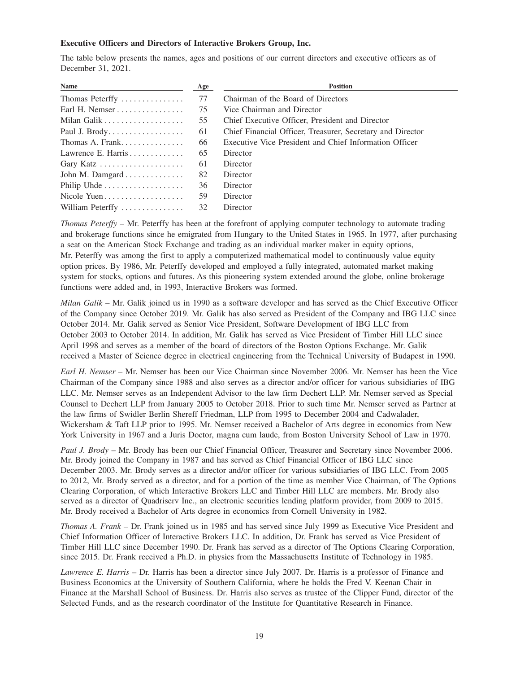#### **Executive Officers and Directors of Interactive Brokers Group, Inc.**

The table below presents the names, ages and positions of our current directors and executive officers as of December 31, 2021.

| Name                                      | Age | <b>Position</b>                                            |
|-------------------------------------------|-----|------------------------------------------------------------|
| Thomas Peterffy                           | 77  | Chairman of the Board of Directors                         |
| Earl H. Nemser                            | 75  | Vice Chairman and Director                                 |
| Milan Galik                               | 55  | Chief Executive Officer, President and Director            |
| Paul J. Brody                             | 61  | Chief Financial Officer, Treasurer, Secretary and Director |
|                                           | 66  | Executive Vice President and Chief Information Officer     |
| Lawrence E. Harris $\ldots$ , $\ldots$    | 65  | Director                                                   |
|                                           | 61  | Director                                                   |
| John M. Damgard $\dots \dots \dots \dots$ | 82  | Director                                                   |
|                                           | 36  | Director                                                   |
|                                           | 59  | Director                                                   |
| William Peterffy                          | 32  | Director                                                   |

*Thomas Peterffy –* Mr. Peterffy has been at the forefront of applying computer technology to automate trading and brokerage functions since he emigrated from Hungary to the United States in 1965. In 1977, after purchasing a seat on the American Stock Exchange and trading as an individual marker maker in equity options, Mr. Peterffy was among the first to apply a computerized mathematical model to continuously value equity option prices. By 1986, Mr. Peterffy developed and employed a fully integrated, automated market making system for stocks, options and futures. As this pioneering system extended around the globe, online brokerage functions were added and, in 1993, Interactive Brokers was formed.

*Milan Galik –* Mr. Galik joined us in 1990 as a software developer and has served as the Chief Executive Officer of the Company since October 2019. Mr. Galik has also served as President of the Company and IBG LLC since October 2014. Mr. Galik served as Senior Vice President, Software Development of IBG LLC from October 2003 to October 2014. In addition, Mr. Galik has served as Vice President of Timber Hill LLC since April 1998 and serves as a member of the board of directors of the Boston Options Exchange. Mr. Galik received a Master of Science degree in electrical engineering from the Technical University of Budapest in 1990.

*Earl H. Nemser –* Mr. Nemser has been our Vice Chairman since November 2006. Mr. Nemser has been the Vice Chairman of the Company since 1988 and also serves as a director and/or officer for various subsidiaries of IBG LLC. Mr. Nemser serves as an Independent Advisor to the law firm Dechert LLP. Mr. Nemser served as Special Counsel to Dechert LLP from January 2005 to October 2018. Prior to such time Mr. Nemser served as Partner at the law firms of Swidler Berlin Shereff Friedman, LLP from 1995 to December 2004 and Cadwalader, Wickersham & Taft LLP prior to 1995. Mr. Nemser received a Bachelor of Arts degree in economics from New York University in 1967 and a Juris Doctor, magna cum laude, from Boston University School of Law in 1970.

*Paul J. Brody –* Mr. Brody has been our Chief Financial Officer, Treasurer and Secretary since November 2006. Mr. Brody joined the Company in 1987 and has served as Chief Financial Officer of IBG LLC since December 2003. Mr. Brody serves as a director and/or officer for various subsidiaries of IBG LLC. From 2005 to 2012, Mr. Brody served as a director, and for a portion of the time as member Vice Chairman, of The Options Clearing Corporation, of which Interactive Brokers LLC and Timber Hill LLC are members. Mr. Brody also served as a director of Quadriserv Inc., an electronic securities lending platform provider, from 2009 to 2015. Mr. Brody received a Bachelor of Arts degree in economics from Cornell University in 1982.

*Thomas A. Frank –* Dr. Frank joined us in 1985 and has served since July 1999 as Executive Vice President and Chief Information Officer of Interactive Brokers LLC. In addition, Dr. Frank has served as Vice President of Timber Hill LLC since December 1990. Dr. Frank has served as a director of The Options Clearing Corporation, since 2015. Dr. Frank received a Ph.D. in physics from the Massachusetts Institute of Technology in 1985.

*Lawrence E. Harris –* Dr. Harris has been a director since July 2007. Dr. Harris is a professor of Finance and Business Economics at the University of Southern California, where he holds the Fred V. Keenan Chair in Finance at the Marshall School of Business. Dr. Harris also serves as trustee of the Clipper Fund, director of the Selected Funds, and as the research coordinator of the Institute for Quantitative Research in Finance.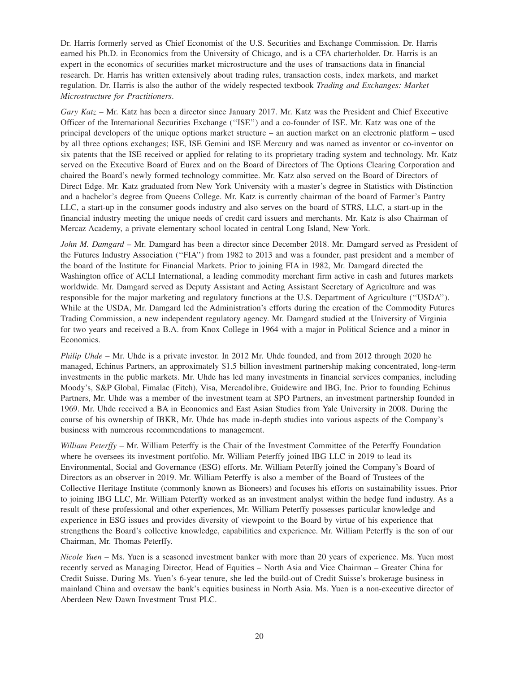Dr. Harris formerly served as Chief Economist of the U.S. Securities and Exchange Commission. Dr. Harris earned his Ph.D. in Economics from the University of Chicago, and is a CFA charterholder. Dr. Harris is an expert in the economics of securities market microstructure and the uses of transactions data in financial research. Dr. Harris has written extensively about trading rules, transaction costs, index markets, and market regulation. Dr. Harris is also the author of the widely respected textbook *Trading and Exchanges: Market Microstructure for Practitioners*.

*Gary Katz* – Mr. Katz has been a director since January 2017. Mr. Katz was the President and Chief Executive Officer of the International Securities Exchange (''ISE'') and a co-founder of ISE. Mr. Katz was one of the principal developers of the unique options market structure – an auction market on an electronic platform – used by all three options exchanges; ISE, ISE Gemini and ISE Mercury and was named as inventor or co-inventor on six patents that the ISE received or applied for relating to its proprietary trading system and technology. Mr. Katz served on the Executive Board of Eurex and on the Board of Directors of The Options Clearing Corporation and chaired the Board's newly formed technology committee. Mr. Katz also served on the Board of Directors of Direct Edge. Mr. Katz graduated from New York University with a master's degree in Statistics with Distinction and a bachelor's degree from Queens College. Mr. Katz is currently chairman of the board of Farmer's Pantry LLC, a start-up in the consumer goods industry and also serves on the board of STRS, LLC, a start-up in the financial industry meeting the unique needs of credit card issuers and merchants. Mr. Katz is also Chairman of Mercaz Academy, a private elementary school located in central Long Island, New York.

*John M. Damgard –* Mr. Damgard has been a director since December 2018. Mr. Damgard served as President of the Futures Industry Association (''FIA'') from 1982 to 2013 and was a founder, past president and a member of the board of the Institute for Financial Markets. Prior to joining FIA in 1982, Mr. Damgard directed the Washington office of ACLI International, a leading commodity merchant firm active in cash and futures markets worldwide. Mr. Damgard served as Deputy Assistant and Acting Assistant Secretary of Agriculture and was responsible for the major marketing and regulatory functions at the U.S. Department of Agriculture (''USDA''). While at the USDA, Mr. Damgard led the Administration's efforts during the creation of the Commodity Futures Trading Commission, a new independent regulatory agency. Mr. Damgard studied at the University of Virginia for two years and received a B.A. from Knox College in 1964 with a major in Political Science and a minor in Economics.

*Philip Uhde –* Mr. Uhde is a private investor. In 2012 Mr. Uhde founded, and from 2012 through 2020 he managed, Echinus Partners, an approximately \$1.5 billion investment partnership making concentrated, long-term investments in the public markets. Mr. Uhde has led many investments in financial services companies, including Moody's, S&P Global, Fimalac (Fitch), Visa, Mercadolibre, Guidewire and IBG, Inc. Prior to founding Echinus Partners, Mr. Uhde was a member of the investment team at SPO Partners, an investment partnership founded in 1969. Mr. Uhde received a BA in Economics and East Asian Studies from Yale University in 2008. During the course of his ownership of IBKR, Mr. Uhde has made in-depth studies into various aspects of the Company's business with numerous recommendations to management.

*William Peterffy –* Mr. William Peterffy is the Chair of the Investment Committee of the Peterffy Foundation where he oversees its investment portfolio. Mr. William Peterffy joined IBG LLC in 2019 to lead its Environmental, Social and Governance (ESG) efforts. Mr. William Peterffy joined the Company's Board of Directors as an observer in 2019. Mr. William Peterffy is also a member of the Board of Trustees of the Collective Heritage Institute (commonly known as Bioneers) and focuses his efforts on sustainability issues. Prior to joining IBG LLC, Mr. William Peterffy worked as an investment analyst within the hedge fund industry. As a result of these professional and other experiences, Mr. William Peterffy possesses particular knowledge and experience in ESG issues and provides diversity of viewpoint to the Board by virtue of his experience that strengthens the Board's collective knowledge, capabilities and experience. Mr. William Peterffy is the son of our Chairman, Mr. Thomas Peterffy.

*Nicole Yuen –* Ms. Yuen is a seasoned investment banker with more than 20 years of experience. Ms. Yuen most recently served as Managing Director, Head of Equities – North Asia and Vice Chairman – Greater China for Credit Suisse. During Ms. Yuen's 6-year tenure, she led the build-out of Credit Suisse's brokerage business in mainland China and oversaw the bank's equities business in North Asia. Ms. Yuen is a non-executive director of Aberdeen New Dawn Investment Trust PLC.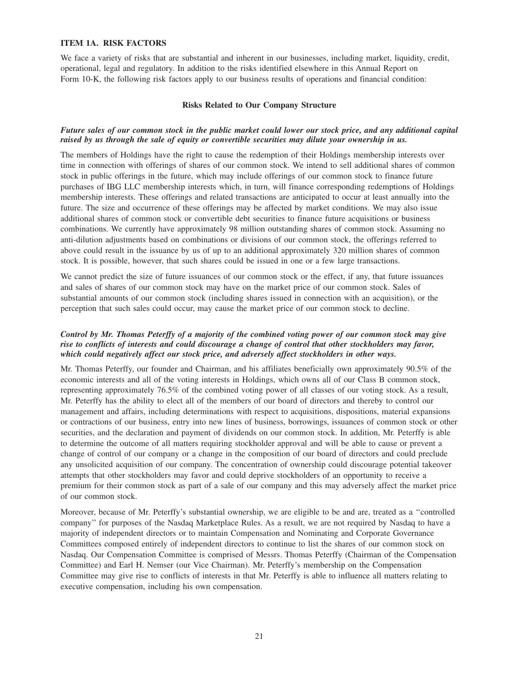## **ITEM 1A. RISK FACTORS**

We face a variety of risks that are substantial and inherent in our businesses, including market, liquidity, credit, operational, legal and regulatory. In addition to the risks identified elsewhere in this Annual Report on Form 10-K, the following risk factors apply to our business results of operations and financial condition:

## **Risks Related to Our Company Structure**

## *Future sales of our common stock in the public market could lower our stock price, and any additional capital raised by us through the sale of equity or convertible securities may dilute your ownership in us.*

The members of Holdings have the right to cause the redemption of their Holdings membership interests over time in connection with offerings of shares of our common stock. We intend to sell additional shares of common stock in public offerings in the future, which may include offerings of our common stock to finance future purchases of IBG LLC membership interests which, in turn, will finance corresponding redemptions of Holdings membership interests. These offerings and related transactions are anticipated to occur at least annually into the future. The size and occurrence of these offerings may be affected by market conditions. We may also issue additional shares of common stock or convertible debt securities to finance future acquisitions or business combinations. We currently have approximately 98 million outstanding shares of common stock. Assuming no anti-dilution adjustments based on combinations or divisions of our common stock, the offerings referred to above could result in the issuance by us of up to an additional approximately 320 million shares of common stock. It is possible, however, that such shares could be issued in one or a few large transactions.

We cannot predict the size of future issuances of our common stock or the effect, if any, that future issuances and sales of shares of our common stock may have on the market price of our common stock. Sales of substantial amounts of our common stock (including shares issued in connection with an acquisition), or the perception that such sales could occur, may cause the market price of our common stock to decline.

## *Control by Mr. Thomas Peterffy of a majority of the combined voting power of our common stock may give rise to conflicts of interests and could discourage a change of control that other stockholders may favor, which could negatively affect our stock price, and adversely affect stockholders in other ways.*

Mr. Thomas Peterffy, our founder and Chairman, and his affiliates beneficially own approximately 90.5% of the economic interests and all of the voting interests in Holdings, which owns all of our Class B common stock, representing approximately 76.5% of the combined voting power of all classes of our voting stock. As a result, Mr. Peterffy has the ability to elect all of the members of our board of directors and thereby to control our management and affairs, including determinations with respect to acquisitions, dispositions, material expansions or contractions of our business, entry into new lines of business, borrowings, issuances of common stock or other securities, and the declaration and payment of dividends on our common stock. In addition, Mr. Peterffy is able to determine the outcome of all matters requiring stockholder approval and will be able to cause or prevent a change of control of our company or a change in the composition of our board of directors and could preclude any unsolicited acquisition of our company. The concentration of ownership could discourage potential takeover attempts that other stockholders may favor and could deprive stockholders of an opportunity to receive a premium for their common stock as part of a sale of our company and this may adversely affect the market price of our common stock.

Moreover, because of Mr. Peterffy's substantial ownership, we are eligible to be and are, treated as a ''controlled company'' for purposes of the Nasdaq Marketplace Rules. As a result, we are not required by Nasdaq to have a majority of independent directors or to maintain Compensation and Nominating and Corporate Governance Committees composed entirely of independent directors to continue to list the shares of our common stock on Nasdaq. Our Compensation Committee is comprised of Messrs. Thomas Peterffy (Chairman of the Compensation Committee) and Earl H. Nemser (our Vice Chairman). Mr. Peterffy's membership on the Compensation Committee may give rise to conflicts of interests in that Mr. Peterffy is able to influence all matters relating to executive compensation, including his own compensation.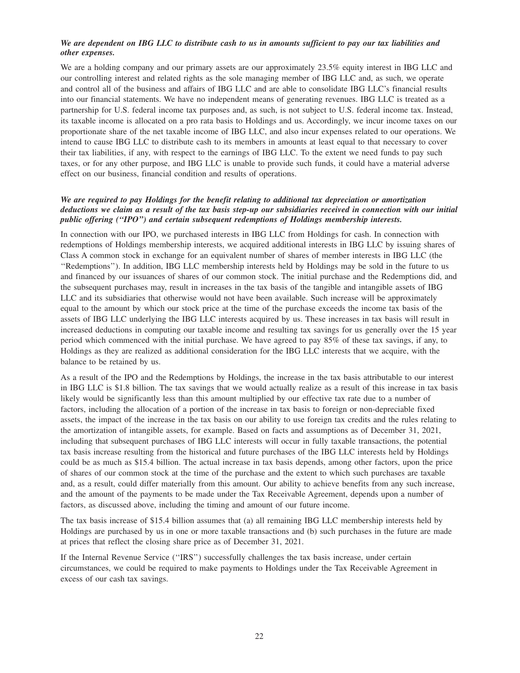## *We are dependent on IBG LLC to distribute cash to us in amounts sufficient to pay our tax liabilities and other expenses.*

We are a holding company and our primary assets are our approximately 23.5% equity interest in IBG LLC and our controlling interest and related rights as the sole managing member of IBG LLC and, as such, we operate and control all of the business and affairs of IBG LLC and are able to consolidate IBG LLC's financial results into our financial statements. We have no independent means of generating revenues. IBG LLC is treated as a partnership for U.S. federal income tax purposes and, as such, is not subject to U.S. federal income tax. Instead, its taxable income is allocated on a pro rata basis to Holdings and us. Accordingly, we incur income taxes on our proportionate share of the net taxable income of IBG LLC, and also incur expenses related to our operations. We intend to cause IBG LLC to distribute cash to its members in amounts at least equal to that necessary to cover their tax liabilities, if any, with respect to the earnings of IBG LLC. To the extent we need funds to pay such taxes, or for any other purpose, and IBG LLC is unable to provide such funds, it could have a material adverse effect on our business, financial condition and results of operations.

## *We are required to pay Holdings for the benefit relating to additional tax depreciation or amortization deductions we claim as a result of the tax basis step-up our subsidiaries received in connection with our initial public offering (''IPO'') and certain subsequent redemptions of Holdings membership interests.*

In connection with our IPO, we purchased interests in IBG LLC from Holdings for cash. In connection with redemptions of Holdings membership interests, we acquired additional interests in IBG LLC by issuing shares of Class A common stock in exchange for an equivalent number of shares of member interests in IBG LLC (the ''Redemptions''). In addition, IBG LLC membership interests held by Holdings may be sold in the future to us and financed by our issuances of shares of our common stock. The initial purchase and the Redemptions did, and the subsequent purchases may, result in increases in the tax basis of the tangible and intangible assets of IBG LLC and its subsidiaries that otherwise would not have been available. Such increase will be approximately equal to the amount by which our stock price at the time of the purchase exceeds the income tax basis of the assets of IBG LLC underlying the IBG LLC interests acquired by us. These increases in tax basis will result in increased deductions in computing our taxable income and resulting tax savings for us generally over the 15 year period which commenced with the initial purchase. We have agreed to pay 85% of these tax savings, if any, to Holdings as they are realized as additional consideration for the IBG LLC interests that we acquire, with the balance to be retained by us.

As a result of the IPO and the Redemptions by Holdings, the increase in the tax basis attributable to our interest in IBG LLC is \$1.8 billion. The tax savings that we would actually realize as a result of this increase in tax basis likely would be significantly less than this amount multiplied by our effective tax rate due to a number of factors, including the allocation of a portion of the increase in tax basis to foreign or non-depreciable fixed assets, the impact of the increase in the tax basis on our ability to use foreign tax credits and the rules relating to the amortization of intangible assets, for example. Based on facts and assumptions as of December 31, 2021, including that subsequent purchases of IBG LLC interests will occur in fully taxable transactions, the potential tax basis increase resulting from the historical and future purchases of the IBG LLC interests held by Holdings could be as much as \$15.4 billion. The actual increase in tax basis depends, among other factors, upon the price of shares of our common stock at the time of the purchase and the extent to which such purchases are taxable and, as a result, could differ materially from this amount. Our ability to achieve benefits from any such increase, and the amount of the payments to be made under the Tax Receivable Agreement, depends upon a number of factors, as discussed above, including the timing and amount of our future income.

The tax basis increase of \$15.4 billion assumes that (a) all remaining IBG LLC membership interests held by Holdings are purchased by us in one or more taxable transactions and (b) such purchases in the future are made at prices that reflect the closing share price as of December 31, 2021.

If the Internal Revenue Service (''IRS'') successfully challenges the tax basis increase, under certain circumstances, we could be required to make payments to Holdings under the Tax Receivable Agreement in excess of our cash tax savings.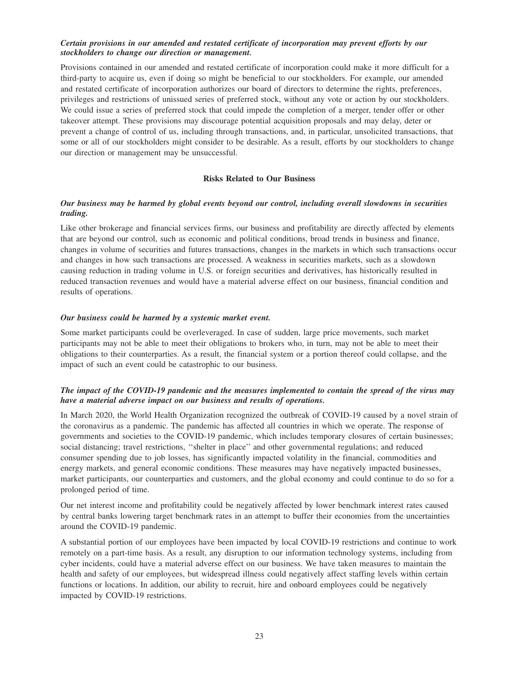## *Certain provisions in our amended and restated certificate of incorporation may prevent efforts by our stockholders to change our direction or management.*

Provisions contained in our amended and restated certificate of incorporation could make it more difficult for a third-party to acquire us, even if doing so might be beneficial to our stockholders. For example, our amended and restated certificate of incorporation authorizes our board of directors to determine the rights, preferences, privileges and restrictions of unissued series of preferred stock, without any vote or action by our stockholders. We could issue a series of preferred stock that could impede the completion of a merger, tender offer or other takeover attempt. These provisions may discourage potential acquisition proposals and may delay, deter or prevent a change of control of us, including through transactions, and, in particular, unsolicited transactions, that some or all of our stockholders might consider to be desirable. As a result, efforts by our stockholders to change our direction or management may be unsuccessful.

#### **Risks Related to Our Business**

## *Our business may be harmed by global events beyond our control, including overall slowdowns in securities trading.*

Like other brokerage and financial services firms, our business and profitability are directly affected by elements that are beyond our control, such as economic and political conditions, broad trends in business and finance, changes in volume of securities and futures transactions, changes in the markets in which such transactions occur and changes in how such transactions are processed. A weakness in securities markets, such as a slowdown causing reduction in trading volume in U.S. or foreign securities and derivatives, has historically resulted in reduced transaction revenues and would have a material adverse effect on our business, financial condition and results of operations.

#### *Our business could be harmed by a systemic market event.*

Some market participants could be overleveraged. In case of sudden, large price movements, such market participants may not be able to meet their obligations to brokers who, in turn, may not be able to meet their obligations to their counterparties. As a result, the financial system or a portion thereof could collapse, and the impact of such an event could be catastrophic to our business.

## *The impact of the COVID-19 pandemic and the measures implemented to contain the spread of the virus may have a material adverse impact on our business and results of operations.*

In March 2020, the World Health Organization recognized the outbreak of COVID-19 caused by a novel strain of the coronavirus as a pandemic. The pandemic has affected all countries in which we operate. The response of governments and societies to the COVID-19 pandemic, which includes temporary closures of certain businesses; social distancing; travel restrictions, ''shelter in place'' and other governmental regulations; and reduced consumer spending due to job losses, has significantly impacted volatility in the financial, commodities and energy markets, and general economic conditions. These measures may have negatively impacted businesses, market participants, our counterparties and customers, and the global economy and could continue to do so for a prolonged period of time.

Our net interest income and profitability could be negatively affected by lower benchmark interest rates caused by central banks lowering target benchmark rates in an attempt to buffer their economies from the uncertainties around the COVID-19 pandemic.

A substantial portion of our employees have been impacted by local COVID-19 restrictions and continue to work remotely on a part-time basis. As a result, any disruption to our information technology systems, including from cyber incidents, could have a material adverse effect on our business. We have taken measures to maintain the health and safety of our employees, but widespread illness could negatively affect staffing levels within certain functions or locations. In addition, our ability to recruit, hire and onboard employees could be negatively impacted by COVID-19 restrictions.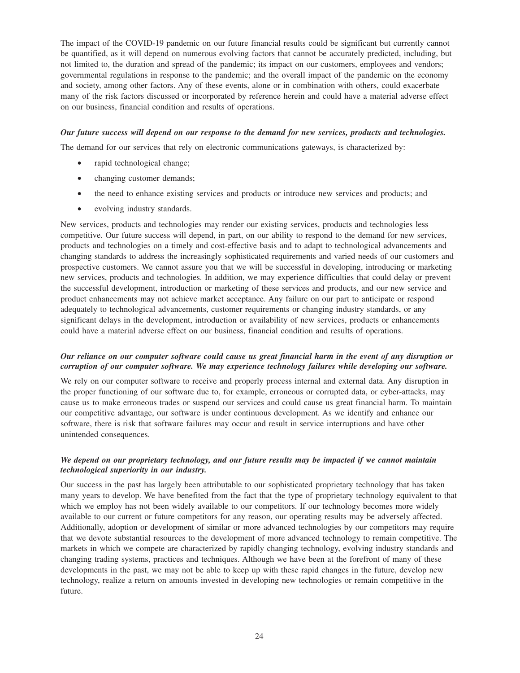The impact of the COVID-19 pandemic on our future financial results could be significant but currently cannot be quantified, as it will depend on numerous evolving factors that cannot be accurately predicted, including, but not limited to, the duration and spread of the pandemic; its impact on our customers, employees and vendors; governmental regulations in response to the pandemic; and the overall impact of the pandemic on the economy and society, among other factors. Any of these events, alone or in combination with others, could exacerbate many of the risk factors discussed or incorporated by reference herein and could have a material adverse effect on our business, financial condition and results of operations.

#### *Our future success will depend on our response to the demand for new services, products and technologies.*

The demand for our services that rely on electronic communications gateways, is characterized by:

- rapid technological change;
- changing customer demands;
- the need to enhance existing services and products or introduce new services and products; and
- evolving industry standards.

New services, products and technologies may render our existing services, products and technologies less competitive. Our future success will depend, in part, on our ability to respond to the demand for new services, products and technologies on a timely and cost-effective basis and to adapt to technological advancements and changing standards to address the increasingly sophisticated requirements and varied needs of our customers and prospective customers. We cannot assure you that we will be successful in developing, introducing or marketing new services, products and technologies. In addition, we may experience difficulties that could delay or prevent the successful development, introduction or marketing of these services and products, and our new service and product enhancements may not achieve market acceptance. Any failure on our part to anticipate or respond adequately to technological advancements, customer requirements or changing industry standards, or any significant delays in the development, introduction or availability of new services, products or enhancements could have a material adverse effect on our business, financial condition and results of operations.

## *Our reliance on our computer software could cause us great financial harm in the event of any disruption or corruption of our computer software. We may experience technology failures while developing our software.*

We rely on our computer software to receive and properly process internal and external data. Any disruption in the proper functioning of our software due to, for example, erroneous or corrupted data, or cyber-attacks, may cause us to make erroneous trades or suspend our services and could cause us great financial harm. To maintain our competitive advantage, our software is under continuous development. As we identify and enhance our software, there is risk that software failures may occur and result in service interruptions and have other unintended consequences.

## *We depend on our proprietary technology, and our future results may be impacted if we cannot maintain technological superiority in our industry.*

Our success in the past has largely been attributable to our sophisticated proprietary technology that has taken many years to develop. We have benefited from the fact that the type of proprietary technology equivalent to that which we employ has not been widely available to our competitors. If our technology becomes more widely available to our current or future competitors for any reason, our operating results may be adversely affected. Additionally, adoption or development of similar or more advanced technologies by our competitors may require that we devote substantial resources to the development of more advanced technology to remain competitive. The markets in which we compete are characterized by rapidly changing technology, evolving industry standards and changing trading systems, practices and techniques. Although we have been at the forefront of many of these developments in the past, we may not be able to keep up with these rapid changes in the future, develop new technology, realize a return on amounts invested in developing new technologies or remain competitive in the future.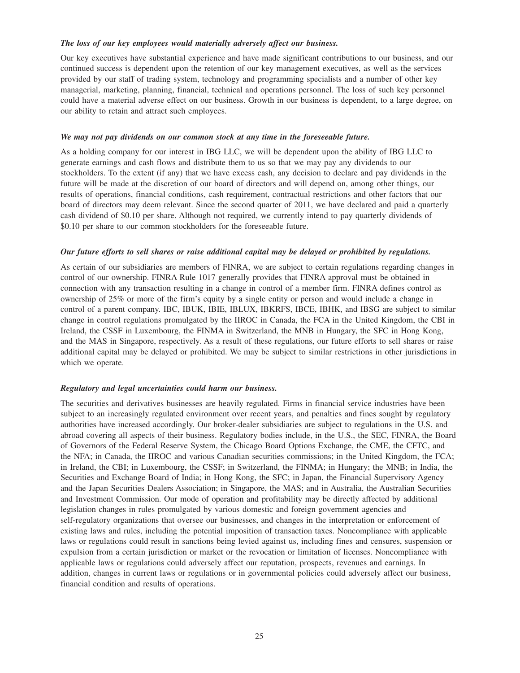## *The loss of our key employees would materially adversely affect our business.*

Our key executives have substantial experience and have made significant contributions to our business, and our continued success is dependent upon the retention of our key management executives, as well as the services provided by our staff of trading system, technology and programming specialists and a number of other key managerial, marketing, planning, financial, technical and operations personnel. The loss of such key personnel could have a material adverse effect on our business. Growth in our business is dependent, to a large degree, on our ability to retain and attract such employees.

#### *We may not pay dividends on our common stock at any time in the foreseeable future.*

As a holding company for our interest in IBG LLC, we will be dependent upon the ability of IBG LLC to generate earnings and cash flows and distribute them to us so that we may pay any dividends to our stockholders. To the extent (if any) that we have excess cash, any decision to declare and pay dividends in the future will be made at the discretion of our board of directors and will depend on, among other things, our results of operations, financial conditions, cash requirement, contractual restrictions and other factors that our board of directors may deem relevant. Since the second quarter of 2011, we have declared and paid a quarterly cash dividend of \$0.10 per share. Although not required, we currently intend to pay quarterly dividends of \$0.10 per share to our common stockholders for the foreseeable future.

#### *Our future efforts to sell shares or raise additional capital may be delayed or prohibited by regulations.*

As certain of our subsidiaries are members of FINRA, we are subject to certain regulations regarding changes in control of our ownership. FINRA Rule 1017 generally provides that FINRA approval must be obtained in connection with any transaction resulting in a change in control of a member firm. FINRA defines control as ownership of 25% or more of the firm's equity by a single entity or person and would include a change in control of a parent company. IBC, IBUK, IBIE, IBLUX, IBKRFS, IBCE, IBHK, and IBSG are subject to similar change in control regulations promulgated by the IIROC in Canada, the FCA in the United Kingdom, the CBI in Ireland, the CSSF in Luxembourg, the FINMA in Switzerland, the MNB in Hungary, the SFC in Hong Kong, and the MAS in Singapore, respectively. As a result of these regulations, our future efforts to sell shares or raise additional capital may be delayed or prohibited. We may be subject to similar restrictions in other jurisdictions in which we operate.

## *Regulatory and legal uncertainties could harm our business.*

The securities and derivatives businesses are heavily regulated. Firms in financial service industries have been subject to an increasingly regulated environment over recent years, and penalties and fines sought by regulatory authorities have increased accordingly. Our broker-dealer subsidiaries are subject to regulations in the U.S. and abroad covering all aspects of their business. Regulatory bodies include, in the U.S., the SEC, FINRA, the Board of Governors of the Federal Reserve System, the Chicago Board Options Exchange, the CME, the CFTC, and the NFA; in Canada, the IIROC and various Canadian securities commissions; in the United Kingdom, the FCA; in Ireland, the CBI; in Luxembourg, the CSSF; in Switzerland, the FINMA; in Hungary; the MNB; in India, the Securities and Exchange Board of India; in Hong Kong, the SFC; in Japan, the Financial Supervisory Agency and the Japan Securities Dealers Association; in Singapore, the MAS; and in Australia, the Australian Securities and Investment Commission. Our mode of operation and profitability may be directly affected by additional legislation changes in rules promulgated by various domestic and foreign government agencies and self-regulatory organizations that oversee our businesses, and changes in the interpretation or enforcement of existing laws and rules, including the potential imposition of transaction taxes. Noncompliance with applicable laws or regulations could result in sanctions being levied against us, including fines and censures, suspension or expulsion from a certain jurisdiction or market or the revocation or limitation of licenses. Noncompliance with applicable laws or regulations could adversely affect our reputation, prospects, revenues and earnings. In addition, changes in current laws or regulations or in governmental policies could adversely affect our business, financial condition and results of operations.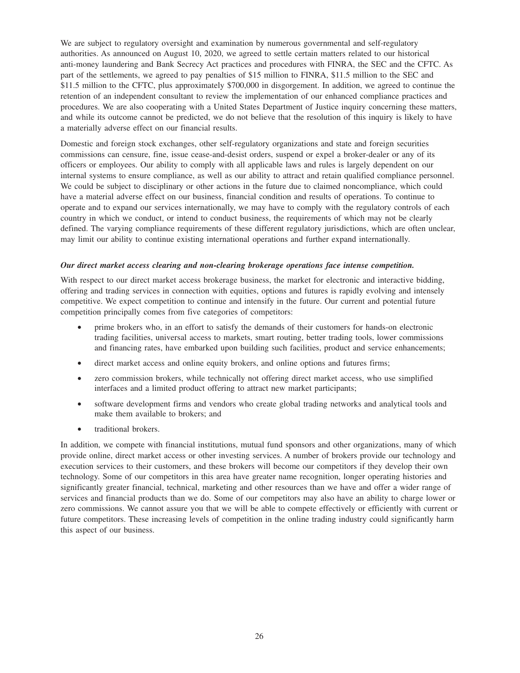We are subject to regulatory oversight and examination by numerous governmental and self-regulatory authorities. As announced on August 10, 2020, we agreed to settle certain matters related to our historical anti-money laundering and Bank Secrecy Act practices and procedures with FINRA, the SEC and the CFTC. As part of the settlements, we agreed to pay penalties of \$15 million to FINRA, \$11.5 million to the SEC and \$11.5 million to the CFTC, plus approximately \$700,000 in disgorgement. In addition, we agreed to continue the retention of an independent consultant to review the implementation of our enhanced compliance practices and procedures. We are also cooperating with a United States Department of Justice inquiry concerning these matters, and while its outcome cannot be predicted, we do not believe that the resolution of this inquiry is likely to have a materially adverse effect on our financial results.

Domestic and foreign stock exchanges, other self-regulatory organizations and state and foreign securities commissions can censure, fine, issue cease-and-desist orders, suspend or expel a broker-dealer or any of its officers or employees. Our ability to comply with all applicable laws and rules is largely dependent on our internal systems to ensure compliance, as well as our ability to attract and retain qualified compliance personnel. We could be subject to disciplinary or other actions in the future due to claimed noncompliance, which could have a material adverse effect on our business, financial condition and results of operations. To continue to operate and to expand our services internationally, we may have to comply with the regulatory controls of each country in which we conduct, or intend to conduct business, the requirements of which may not be clearly defined. The varying compliance requirements of these different regulatory jurisdictions, which are often unclear, may limit our ability to continue existing international operations and further expand internationally.

#### *Our direct market access clearing and non-clearing brokerage operations face intense competition.*

With respect to our direct market access brokerage business, the market for electronic and interactive bidding, offering and trading services in connection with equities, options and futures is rapidly evolving and intensely competitive. We expect competition to continue and intensify in the future. Our current and potential future competition principally comes from five categories of competitors:

- prime brokers who, in an effort to satisfy the demands of their customers for hands-on electronic trading facilities, universal access to markets, smart routing, better trading tools, lower commissions and financing rates, have embarked upon building such facilities, product and service enhancements;
- direct market access and online equity brokers, and online options and futures firms;
- zero commission brokers, while technically not offering direct market access, who use simplified interfaces and a limited product offering to attract new market participants;
- software development firms and vendors who create global trading networks and analytical tools and make them available to brokers; and
- traditional brokers.

In addition, we compete with financial institutions, mutual fund sponsors and other organizations, many of which provide online, direct market access or other investing services. A number of brokers provide our technology and execution services to their customers, and these brokers will become our competitors if they develop their own technology. Some of our competitors in this area have greater name recognition, longer operating histories and significantly greater financial, technical, marketing and other resources than we have and offer a wider range of services and financial products than we do. Some of our competitors may also have an ability to charge lower or zero commissions. We cannot assure you that we will be able to compete effectively or efficiently with current or future competitors. These increasing levels of competition in the online trading industry could significantly harm this aspect of our business.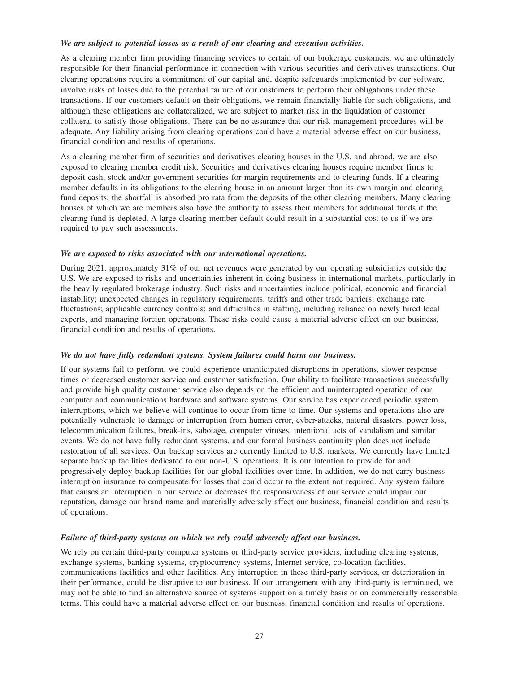## *We are subject to potential losses as a result of our clearing and execution activities.*

As a clearing member firm providing financing services to certain of our brokerage customers, we are ultimately responsible for their financial performance in connection with various securities and derivatives transactions. Our clearing operations require a commitment of our capital and, despite safeguards implemented by our software, involve risks of losses due to the potential failure of our customers to perform their obligations under these transactions. If our customers default on their obligations, we remain financially liable for such obligations, and although these obligations are collateralized, we are subject to market risk in the liquidation of customer collateral to satisfy those obligations. There can be no assurance that our risk management procedures will be adequate. Any liability arising from clearing operations could have a material adverse effect on our business, financial condition and results of operations.

As a clearing member firm of securities and derivatives clearing houses in the U.S. and abroad, we are also exposed to clearing member credit risk. Securities and derivatives clearing houses require member firms to deposit cash, stock and/or government securities for margin requirements and to clearing funds. If a clearing member defaults in its obligations to the clearing house in an amount larger than its own margin and clearing fund deposits, the shortfall is absorbed pro rata from the deposits of the other clearing members. Many clearing houses of which we are members also have the authority to assess their members for additional funds if the clearing fund is depleted. A large clearing member default could result in a substantial cost to us if we are required to pay such assessments.

#### *We are exposed to risks associated with our international operations.*

During 2021, approximately 31% of our net revenues were generated by our operating subsidiaries outside the U.S. We are exposed to risks and uncertainties inherent in doing business in international markets, particularly in the heavily regulated brokerage industry. Such risks and uncertainties include political, economic and financial instability; unexpected changes in regulatory requirements, tariffs and other trade barriers; exchange rate fluctuations; applicable currency controls; and difficulties in staffing, including reliance on newly hired local experts, and managing foreign operations. These risks could cause a material adverse effect on our business, financial condition and results of operations.

#### *We do not have fully redundant systems. System failures could harm our business.*

If our systems fail to perform, we could experience unanticipated disruptions in operations, slower response times or decreased customer service and customer satisfaction. Our ability to facilitate transactions successfully and provide high quality customer service also depends on the efficient and uninterrupted operation of our computer and communications hardware and software systems. Our service has experienced periodic system interruptions, which we believe will continue to occur from time to time. Our systems and operations also are potentially vulnerable to damage or interruption from human error, cyber-attacks, natural disasters, power loss, telecommunication failures, break-ins, sabotage, computer viruses, intentional acts of vandalism and similar events. We do not have fully redundant systems, and our formal business continuity plan does not include restoration of all services. Our backup services are currently limited to U.S. markets. We currently have limited separate backup facilities dedicated to our non-U.S. operations. It is our intention to provide for and progressively deploy backup facilities for our global facilities over time. In addition, we do not carry business interruption insurance to compensate for losses that could occur to the extent not required. Any system failure that causes an interruption in our service or decreases the responsiveness of our service could impair our reputation, damage our brand name and materially adversely affect our business, financial condition and results of operations.

#### *Failure of third-party systems on which we rely could adversely affect our business.*

We rely on certain third-party computer systems or third-party service providers, including clearing systems, exchange systems, banking systems, cryptocurrency systems, Internet service, co-location facilities, communications facilities and other facilities. Any interruption in these third-party services, or deterioration in their performance, could be disruptive to our business. If our arrangement with any third-party is terminated, we may not be able to find an alternative source of systems support on a timely basis or on commercially reasonable terms. This could have a material adverse effect on our business, financial condition and results of operations.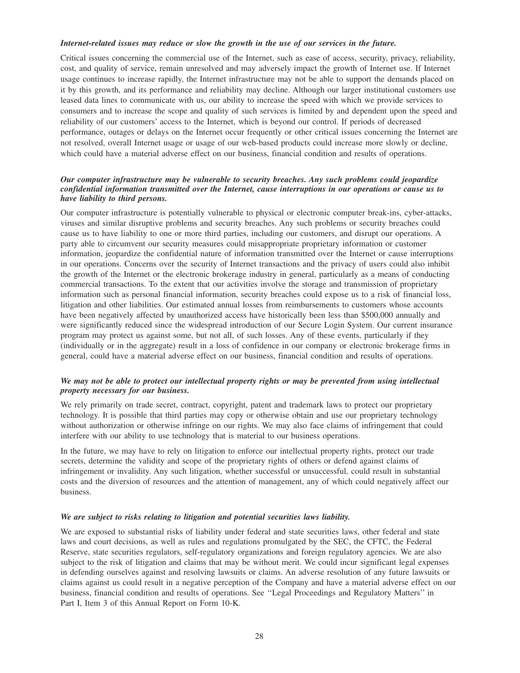#### *Internet-related issues may reduce or slow the growth in the use of our services in the future.*

Critical issues concerning the commercial use of the Internet, such as ease of access, security, privacy, reliability, cost, and quality of service, remain unresolved and may adversely impact the growth of Internet use. If Internet usage continues to increase rapidly, the Internet infrastructure may not be able to support the demands placed on it by this growth, and its performance and reliability may decline. Although our larger institutional customers use leased data lines to communicate with us, our ability to increase the speed with which we provide services to consumers and to increase the scope and quality of such services is limited by and dependent upon the speed and reliability of our customers' access to the Internet, which is beyond our control. If periods of decreased performance, outages or delays on the Internet occur frequently or other critical issues concerning the Internet are not resolved, overall Internet usage or usage of our web-based products could increase more slowly or decline, which could have a material adverse effect on our business, financial condition and results of operations.

## *Our computer infrastructure may be vulnerable to security breaches. Any such problems could jeopardize confidential information transmitted over the Internet, cause interruptions in our operations or cause us to have liability to third persons.*

Our computer infrastructure is potentially vulnerable to physical or electronic computer break-ins, cyber-attacks, viruses and similar disruptive problems and security breaches. Any such problems or security breaches could cause us to have liability to one or more third parties, including our customers, and disrupt our operations. A party able to circumvent our security measures could misappropriate proprietary information or customer information, jeopardize the confidential nature of information transmitted over the Internet or cause interruptions in our operations. Concerns over the security of Internet transactions and the privacy of users could also inhibit the growth of the Internet or the electronic brokerage industry in general, particularly as a means of conducting commercial transactions. To the extent that our activities involve the storage and transmission of proprietary information such as personal financial information, security breaches could expose us to a risk of financial loss, litigation and other liabilities. Our estimated annual losses from reimbursements to customers whose accounts have been negatively affected by unauthorized access have historically been less than \$500,000 annually and were significantly reduced since the widespread introduction of our Secure Login System. Our current insurance program may protect us against some, but not all, of such losses. Any of these events, particularly if they (individually or in the aggregate) result in a loss of confidence in our company or electronic brokerage firms in general, could have a material adverse effect on our business, financial condition and results of operations.

#### *We may not be able to protect our intellectual property rights or may be prevented from using intellectual property necessary for our business.*

We rely primarily on trade secret, contract, copyright, patent and trademark laws to protect our proprietary technology. It is possible that third parties may copy or otherwise obtain and use our proprietary technology without authorization or otherwise infringe on our rights. We may also face claims of infringement that could interfere with our ability to use technology that is material to our business operations.

In the future, we may have to rely on litigation to enforce our intellectual property rights, protect our trade secrets, determine the validity and scope of the proprietary rights of others or defend against claims of infringement or invalidity. Any such litigation, whether successful or unsuccessful, could result in substantial costs and the diversion of resources and the attention of management, any of which could negatively affect our business.

#### *We are subject to risks relating to litigation and potential securities laws liability.*

We are exposed to substantial risks of liability under federal and state securities laws, other federal and state laws and court decisions, as well as rules and regulations promulgated by the SEC, the CFTC, the Federal Reserve, state securities regulators, self-regulatory organizations and foreign regulatory agencies. We are also subject to the risk of litigation and claims that may be without merit. We could incur significant legal expenses in defending ourselves against and resolving lawsuits or claims. An adverse resolution of any future lawsuits or claims against us could result in a negative perception of the Company and have a material adverse effect on our business, financial condition and results of operations. See ''Legal Proceedings and Regulatory Matters'' in Part I, Item 3 of this Annual Report on Form 10-K.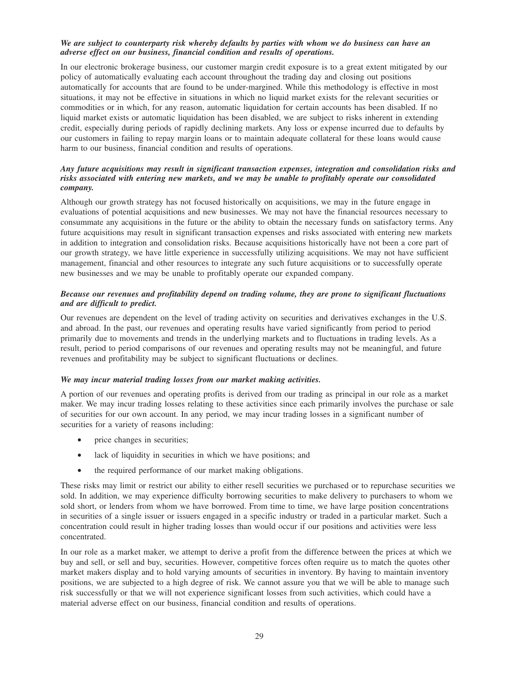#### *We are subject to counterparty risk whereby defaults by parties with whom we do business can have an adverse effect on our business, financial condition and results of operations.*

In our electronic brokerage business, our customer margin credit exposure is to a great extent mitigated by our policy of automatically evaluating each account throughout the trading day and closing out positions automatically for accounts that are found to be under-margined. While this methodology is effective in most situations, it may not be effective in situations in which no liquid market exists for the relevant securities or commodities or in which, for any reason, automatic liquidation for certain accounts has been disabled. If no liquid market exists or automatic liquidation has been disabled, we are subject to risks inherent in extending credit, especially during periods of rapidly declining markets. Any loss or expense incurred due to defaults by our customers in failing to repay margin loans or to maintain adequate collateral for these loans would cause harm to our business, financial condition and results of operations.

## *Any future acquisitions may result in significant transaction expenses, integration and consolidation risks and risks associated with entering new markets, and we may be unable to profitably operate our consolidated company.*

Although our growth strategy has not focused historically on acquisitions, we may in the future engage in evaluations of potential acquisitions and new businesses. We may not have the financial resources necessary to consummate any acquisitions in the future or the ability to obtain the necessary funds on satisfactory terms. Any future acquisitions may result in significant transaction expenses and risks associated with entering new markets in addition to integration and consolidation risks. Because acquisitions historically have not been a core part of our growth strategy, we have little experience in successfully utilizing acquisitions. We may not have sufficient management, financial and other resources to integrate any such future acquisitions or to successfully operate new businesses and we may be unable to profitably operate our expanded company.

## *Because our revenues and profitability depend on trading volume, they are prone to significant fluctuations and are difficult to predict.*

Our revenues are dependent on the level of trading activity on securities and derivatives exchanges in the U.S. and abroad. In the past, our revenues and operating results have varied significantly from period to period primarily due to movements and trends in the underlying markets and to fluctuations in trading levels. As a result, period to period comparisons of our revenues and operating results may not be meaningful, and future revenues and profitability may be subject to significant fluctuations or declines.

## *We may incur material trading losses from our market making activities.*

A portion of our revenues and operating profits is derived from our trading as principal in our role as a market maker. We may incur trading losses relating to these activities since each primarily involves the purchase or sale of securities for our own account. In any period, we may incur trading losses in a significant number of securities for a variety of reasons including:

- price changes in securities;
- lack of liquidity in securities in which we have positions; and
- the required performance of our market making obligations.

These risks may limit or restrict our ability to either resell securities we purchased or to repurchase securities we sold. In addition, we may experience difficulty borrowing securities to make delivery to purchasers to whom we sold short, or lenders from whom we have borrowed. From time to time, we have large position concentrations in securities of a single issuer or issuers engaged in a specific industry or traded in a particular market. Such a concentration could result in higher trading losses than would occur if our positions and activities were less concentrated.

In our role as a market maker, we attempt to derive a profit from the difference between the prices at which we buy and sell, or sell and buy, securities. However, competitive forces often require us to match the quotes other market makers display and to hold varying amounts of securities in inventory. By having to maintain inventory positions, we are subjected to a high degree of risk. We cannot assure you that we will be able to manage such risk successfully or that we will not experience significant losses from such activities, which could have a material adverse effect on our business, financial condition and results of operations.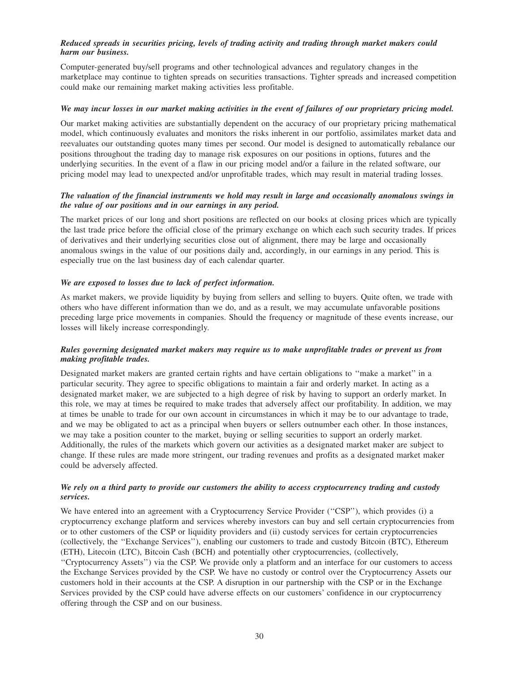## *Reduced spreads in securities pricing, levels of trading activity and trading through market makers could harm our business.*

Computer-generated buy/sell programs and other technological advances and regulatory changes in the marketplace may continue to tighten spreads on securities transactions. Tighter spreads and increased competition could make our remaining market making activities less profitable.

## *We may incur losses in our market making activities in the event of failures of our proprietary pricing model.*

Our market making activities are substantially dependent on the accuracy of our proprietary pricing mathematical model, which continuously evaluates and monitors the risks inherent in our portfolio, assimilates market data and reevaluates our outstanding quotes many times per second. Our model is designed to automatically rebalance our positions throughout the trading day to manage risk exposures on our positions in options, futures and the underlying securities. In the event of a flaw in our pricing model and/or a failure in the related software, our pricing model may lead to unexpected and/or unprofitable trades, which may result in material trading losses.

## *The valuation of the financial instruments we hold may result in large and occasionally anomalous swings in the value of our positions and in our earnings in any period.*

The market prices of our long and short positions are reflected on our books at closing prices which are typically the last trade price before the official close of the primary exchange on which each such security trades. If prices of derivatives and their underlying securities close out of alignment, there may be large and occasionally anomalous swings in the value of our positions daily and, accordingly, in our earnings in any period. This is especially true on the last business day of each calendar quarter.

## *We are exposed to losses due to lack of perfect information.*

As market makers, we provide liquidity by buying from sellers and selling to buyers. Quite often, we trade with others who have different information than we do, and as a result, we may accumulate unfavorable positions preceding large price movements in companies. Should the frequency or magnitude of these events increase, our losses will likely increase correspondingly.

## *Rules governing designated market makers may require us to make unprofitable trades or prevent us from making profitable trades.*

Designated market makers are granted certain rights and have certain obligations to ''make a market'' in a particular security. They agree to specific obligations to maintain a fair and orderly market. In acting as a designated market maker, we are subjected to a high degree of risk by having to support an orderly market. In this role, we may at times be required to make trades that adversely affect our profitability. In addition, we may at times be unable to trade for our own account in circumstances in which it may be to our advantage to trade, and we may be obligated to act as a principal when buyers or sellers outnumber each other. In those instances, we may take a position counter to the market, buying or selling securities to support an orderly market. Additionally, the rules of the markets which govern our activities as a designated market maker are subject to change. If these rules are made more stringent, our trading revenues and profits as a designated market maker could be adversely affected.

## *We rely on a third party to provide our customers the ability to access cryptocurrency trading and custody services.*

We have entered into an agreement with a Cryptocurrency Service Provider ("CSP"), which provides (i) a cryptocurrency exchange platform and services whereby investors can buy and sell certain cryptocurrencies from or to other customers of the CSP or liquidity providers and (ii) custody services for certain cryptocurrencies (collectively, the ''Exchange Services''), enabling our customers to trade and custody Bitcoin (BTC), Ethereum (ETH), Litecoin (LTC), Bitcoin Cash (BCH) and potentially other cryptocurrencies, (collectively, ''Cryptocurrency Assets'') via the CSP. We provide only a platform and an interface for our customers to access the Exchange Services provided by the CSP. We have no custody or control over the Cryptocurrency Assets our customers hold in their accounts at the CSP. A disruption in our partnership with the CSP or in the Exchange Services provided by the CSP could have adverse effects on our customers' confidence in our cryptocurrency offering through the CSP and on our business.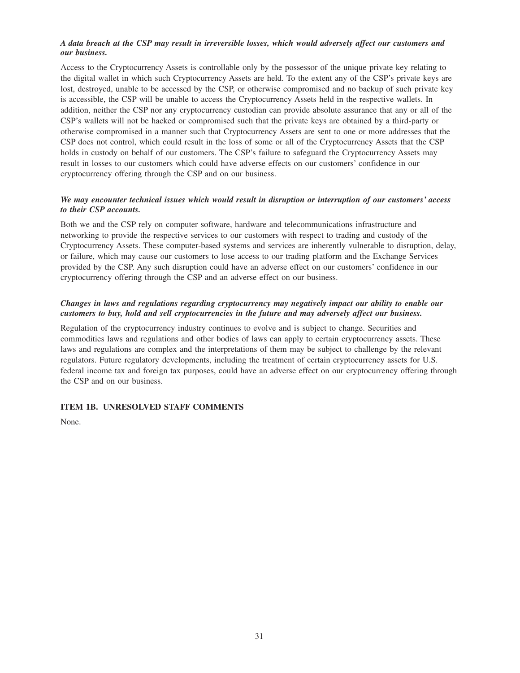## *A data breach at the CSP may result in irreversible losses, which would adversely affect our customers and our business.*

Access to the Cryptocurrency Assets is controllable only by the possessor of the unique private key relating to the digital wallet in which such Cryptocurrency Assets are held. To the extent any of the CSP's private keys are lost, destroyed, unable to be accessed by the CSP, or otherwise compromised and no backup of such private key is accessible, the CSP will be unable to access the Cryptocurrency Assets held in the respective wallets. In addition, neither the CSP nor any cryptocurrency custodian can provide absolute assurance that any or all of the CSP's wallets will not be hacked or compromised such that the private keys are obtained by a third-party or otherwise compromised in a manner such that Cryptocurrency Assets are sent to one or more addresses that the CSP does not control, which could result in the loss of some or all of the Cryptocurrency Assets that the CSP holds in custody on behalf of our customers. The CSP's failure to safeguard the Cryptocurrency Assets may result in losses to our customers which could have adverse effects on our customers' confidence in our cryptocurrency offering through the CSP and on our business.

## *We may encounter technical issues which would result in disruption or interruption of our customers' access to their CSP accounts.*

Both we and the CSP rely on computer software, hardware and telecommunications infrastructure and networking to provide the respective services to our customers with respect to trading and custody of the Cryptocurrency Assets. These computer-based systems and services are inherently vulnerable to disruption, delay, or failure, which may cause our customers to lose access to our trading platform and the Exchange Services provided by the CSP. Any such disruption could have an adverse effect on our customers' confidence in our cryptocurrency offering through the CSP and an adverse effect on our business.

## *Changes in laws and regulations regarding cryptocurrency may negatively impact our ability to enable our customers to buy, hold and sell cryptocurrencies in the future and may adversely affect our business.*

Regulation of the cryptocurrency industry continues to evolve and is subject to change. Securities and commodities laws and regulations and other bodies of laws can apply to certain cryptocurrency assets. These laws and regulations are complex and the interpretations of them may be subject to challenge by the relevant regulators. Future regulatory developments, including the treatment of certain cryptocurrency assets for U.S. federal income tax and foreign tax purposes, could have an adverse effect on our cryptocurrency offering through the CSP and on our business.

## **ITEM 1B. UNRESOLVED STAFF COMMENTS**

None.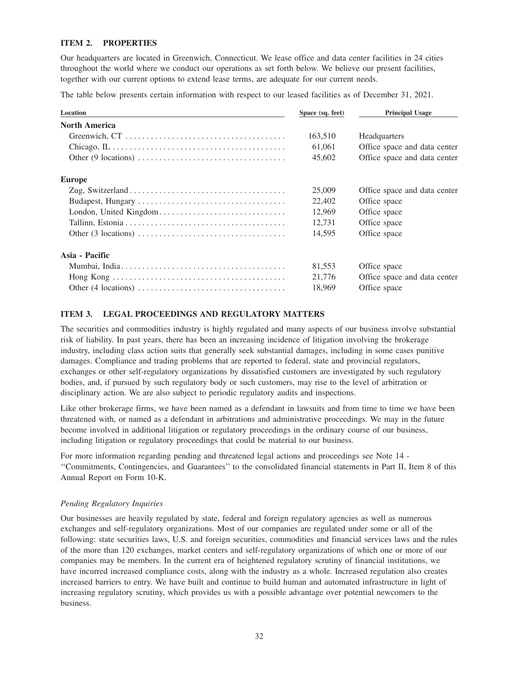## **ITEM 2. PROPERTIES**

Our headquarters are located in Greenwich, Connecticut. We lease office and data center facilities in 24 cities throughout the world where we conduct our operations as set forth below. We believe our present facilities, together with our current options to extend lease terms, are adequate for our current needs.

The table below presents certain information with respect to our leased facilities as of December 31, 2021.

| Location                                                                                                  | Space (sq. feet) | <b>Principal Usage</b>       |
|-----------------------------------------------------------------------------------------------------------|------------------|------------------------------|
| <b>North America</b>                                                                                      |                  |                              |
|                                                                                                           | 163,510          | Headquarters                 |
| $\text{Chicago}, \text{IL} \dots \dots \dots \dots \dots \dots \dots \dots \dots \dots \dots \dots \dots$ | 61,061           | Office space and data center |
| Other $(9 \text{ locations}) \dots \dots \dots \dots \dots \dots \dots \dots \dots \dots$                 | 45,602           | Office space and data center |
| <b>Europe</b>                                                                                             |                  |                              |
|                                                                                                           | 25,009           | Office space and data center |
|                                                                                                           | 22,402           | Office space                 |
|                                                                                                           | 12,969           | Office space                 |
|                                                                                                           | 12,731           | Office space                 |
|                                                                                                           | 14,595           | Office space                 |
| Asia - Pacific                                                                                            |                  |                              |
|                                                                                                           | 81,553           | Office space                 |
|                                                                                                           | 21,776           | Office space and data center |
| Other $(4 \text{ locations}) \dots \dots \dots \dots \dots \dots \dots \dots \dots \dots \dots$           | 18,969           | Office space                 |

## **ITEM 3. LEGAL PROCEEDINGS AND REGULATORY MATTERS**

The securities and commodities industry is highly regulated and many aspects of our business involve substantial risk of liability. In past years, there has been an increasing incidence of litigation involving the brokerage industry, including class action suits that generally seek substantial damages, including in some cases punitive damages. Compliance and trading problems that are reported to federal, state and provincial regulators, exchanges or other self-regulatory organizations by dissatisfied customers are investigated by such regulatory bodies, and, if pursued by such regulatory body or such customers, may rise to the level of arbitration or disciplinary action. We are also subject to periodic regulatory audits and inspections.

Like other brokerage firms, we have been named as a defendant in lawsuits and from time to time we have been threatened with, or named as a defendant in arbitrations and administrative proceedings. We may in the future become involved in additional litigation or regulatory proceedings in the ordinary course of our business, including litigation or regulatory proceedings that could be material to our business.

For more information regarding pending and threatened legal actions and proceedings see Note 14 - ''Commitments, Contingencies, and Guarantees'' to the consolidated financial statements in Part II, Item 8 of this Annual Report on Form 10-K.

#### *Pending Regulatory Inquiries*

Our businesses are heavily regulated by state, federal and foreign regulatory agencies as well as numerous exchanges and self-regulatory organizations. Most of our companies are regulated under some or all of the following: state securities laws, U.S. and foreign securities, commodities and financial services laws and the rules of the more than 120 exchanges, market centers and self-regulatory organizations of which one or more of our companies may be members. In the current era of heightened regulatory scrutiny of financial institutions, we have incurred increased compliance costs, along with the industry as a whole. Increased regulation also creates increased barriers to entry. We have built and continue to build human and automated infrastructure in light of increasing regulatory scrutiny, which provides us with a possible advantage over potential newcomers to the business.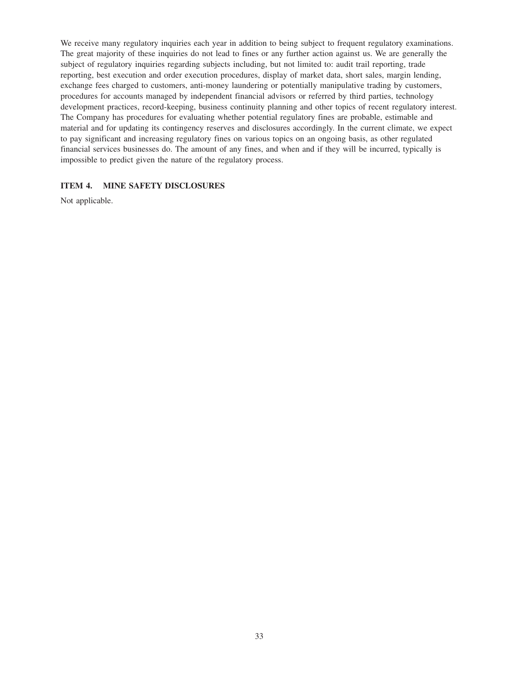We receive many regulatory inquiries each year in addition to being subject to frequent regulatory examinations. The great majority of these inquiries do not lead to fines or any further action against us. We are generally the subject of regulatory inquiries regarding subjects including, but not limited to: audit trail reporting, trade reporting, best execution and order execution procedures, display of market data, short sales, margin lending, exchange fees charged to customers, anti-money laundering or potentially manipulative trading by customers, procedures for accounts managed by independent financial advisors or referred by third parties, technology development practices, record-keeping, business continuity planning and other topics of recent regulatory interest. The Company has procedures for evaluating whether potential regulatory fines are probable, estimable and material and for updating its contingency reserves and disclosures accordingly. In the current climate, we expect to pay significant and increasing regulatory fines on various topics on an ongoing basis, as other regulated financial services businesses do. The amount of any fines, and when and if they will be incurred, typically is impossible to predict given the nature of the regulatory process.

#### **ITEM 4. MINE SAFETY DISCLOSURES**

Not applicable.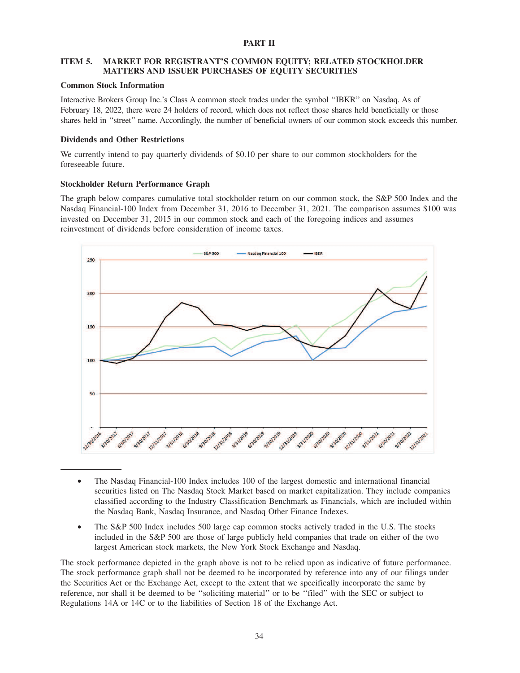#### **PART II**

## **ITEM 5. MARKET FOR REGISTRANT'S COMMON EQUITY; RELATED STOCKHOLDER MATTERS AND ISSUER PURCHASES OF EQUITY SECURITIES**

#### **Common Stock Information**

Interactive Brokers Group Inc.'s Class A common stock trades under the symbol ''IBKR'' on Nasdaq. As of February 18, 2022, there were 24 holders of record, which does not reflect those shares held beneficially or those shares held in ''street'' name. Accordingly, the number of beneficial owners of our common stock exceeds this number.

#### **Dividends and Other Restrictions**

We currently intend to pay quarterly dividends of \$0.10 per share to our common stockholders for the foreseeable future.

## **Stockholder Return Performance Graph**

The graph below compares cumulative total stockholder return on our common stock, the S&P 500 Index and the Nasdaq Financial-100 Index from December 31, 2016 to December 31, 2021. The comparison assumes \$100 was invested on December 31, 2015 in our common stock and each of the foregoing indices and assumes reinvestment of dividends before consideration of income taxes.



- The Nasdaq Financial-100 Index includes 100 of the largest domestic and international financial securities listed on The Nasdaq Stock Market based on market capitalization. They include companies classified according to the Industry Classification Benchmark as Financials, which are included within the Nasdaq Bank, Nasdaq Insurance, and Nasdaq Other Finance Indexes.
- The S&P 500 Index includes 500 large cap common stocks actively traded in the U.S. The stocks included in the S&P 500 are those of large publicly held companies that trade on either of the two largest American stock markets, the New York Stock Exchange and Nasdaq.

The stock performance depicted in the graph above is not to be relied upon as indicative of future performance. The stock performance graph shall not be deemed to be incorporated by reference into any of our filings under the Securities Act or the Exchange Act, except to the extent that we specifically incorporate the same by reference, nor shall it be deemed to be ''soliciting material'' or to be ''filed'' with the SEC or subject to Regulations 14A or 14C or to the liabilities of Section 18 of the Exchange Act.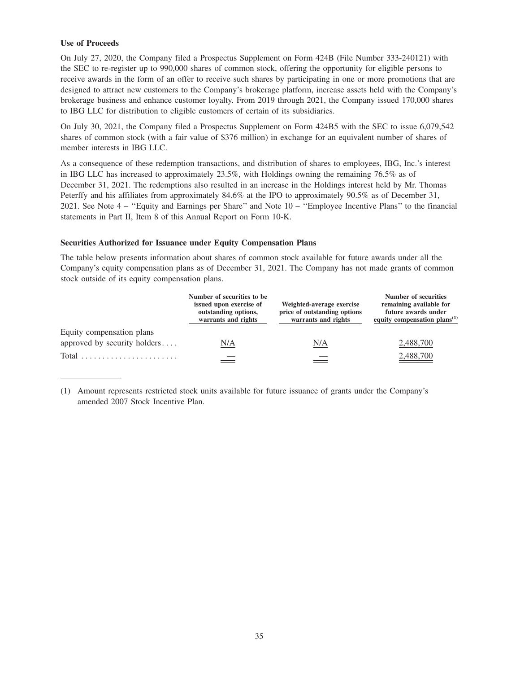### **Use of Proceeds**

On July 27, 2020, the Company filed a Prospectus Supplement on Form 424B (File Number 333-240121) with the SEC to re-register up to 990,000 shares of common stock, offering the opportunity for eligible persons to receive awards in the form of an offer to receive such shares by participating in one or more promotions that are designed to attract new customers to the Company's brokerage platform, increase assets held with the Company's brokerage business and enhance customer loyalty. From 2019 through 2021, the Company issued 170,000 shares to IBG LLC for distribution to eligible customers of certain of its subsidiaries.

On July 30, 2021, the Company filed a Prospectus Supplement on Form 424B5 with the SEC to issue 6,079,542 shares of common stock (with a fair value of \$376 million) in exchange for an equivalent number of shares of member interests in IBG LLC.

As a consequence of these redemption transactions, and distribution of shares to employees, IBG, Inc.'s interest in IBG LLC has increased to approximately 23.5%, with Holdings owning the remaining 76.5% as of December 31, 2021. The redemptions also resulted in an increase in the Holdings interest held by Mr. Thomas Peterffy and his affiliates from approximately 84.6% at the IPO to approximately 90.5% as of December 31, 2021. See Note 4 – ''Equity and Earnings per Share'' and Note 10 – ''Employee Incentive Plans'' to the financial statements in Part II, Item 8 of this Annual Report on Form 10-K.

### **Securities Authorized for Issuance under Equity Compensation Plans**

The table below presents information about shares of common stock available for future awards under all the Company's equity compensation plans as of December 31, 2021. The Company has not made grants of common stock outside of its equity compensation plans.

|                              | Number of securities to be.<br>issued upon exercise of<br>outstanding options,<br>warrants and rights | Weighted-average exercise<br>price of outstanding options<br>warrants and rights | Number of securities<br>remaining available for<br>future awards under<br>equity compensation $plan(1)$ |
|------------------------------|-------------------------------------------------------------------------------------------------------|----------------------------------------------------------------------------------|---------------------------------------------------------------------------------------------------------|
| Equity compensation plans    |                                                                                                       |                                                                                  |                                                                                                         |
| approved by security holders | N/A                                                                                                   | N/A                                                                              | 2,488,700                                                                                               |
|                              |                                                                                                       |                                                                                  | 2,488,700                                                                                               |

(1) Amount represents restricted stock units available for future issuance of grants under the Company's amended 2007 Stock Incentive Plan.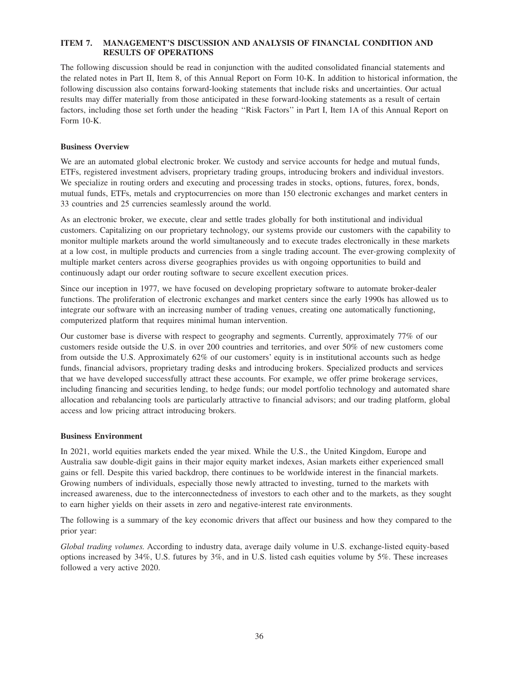#### **ITEM 7. MANAGEMENT'S DISCUSSION AND ANALYSIS OF FINANCIAL CONDITION AND RESULTS OF OPERATIONS**

The following discussion should be read in conjunction with the audited consolidated financial statements and the related notes in Part II, Item 8, of this Annual Report on Form 10-K. In addition to historical information, the following discussion also contains forward-looking statements that include risks and uncertainties. Our actual results may differ materially from those anticipated in these forward-looking statements as a result of certain factors, including those set forth under the heading ''Risk Factors'' in Part I, Item 1A of this Annual Report on Form 10-K.

### **Business Overview**

We are an automated global electronic broker. We custody and service accounts for hedge and mutual funds, ETFs, registered investment advisers, proprietary trading groups, introducing brokers and individual investors. We specialize in routing orders and executing and processing trades in stocks, options, futures, forex, bonds, mutual funds, ETFs, metals and cryptocurrencies on more than 150 electronic exchanges and market centers in 33 countries and 25 currencies seamlessly around the world.

As an electronic broker, we execute, clear and settle trades globally for both institutional and individual customers. Capitalizing on our proprietary technology, our systems provide our customers with the capability to monitor multiple markets around the world simultaneously and to execute trades electronically in these markets at a low cost, in multiple products and currencies from a single trading account. The ever-growing complexity of multiple market centers across diverse geographies provides us with ongoing opportunities to build and continuously adapt our order routing software to secure excellent execution prices.

Since our inception in 1977, we have focused on developing proprietary software to automate broker-dealer functions. The proliferation of electronic exchanges and market centers since the early 1990s has allowed us to integrate our software with an increasing number of trading venues, creating one automatically functioning, computerized platform that requires minimal human intervention.

Our customer base is diverse with respect to geography and segments. Currently, approximately 77% of our customers reside outside the U.S. in over 200 countries and territories, and over 50% of new customers come from outside the U.S. Approximately 62% of our customers' equity is in institutional accounts such as hedge funds, financial advisors, proprietary trading desks and introducing brokers. Specialized products and services that we have developed successfully attract these accounts. For example, we offer prime brokerage services, including financing and securities lending, to hedge funds; our model portfolio technology and automated share allocation and rebalancing tools are particularly attractive to financial advisors; and our trading platform, global access and low pricing attract introducing brokers.

#### **Business Environment**

In 2021, world equities markets ended the year mixed. While the U.S., the United Kingdom, Europe and Australia saw double-digit gains in their major equity market indexes, Asian markets either experienced small gains or fell. Despite this varied backdrop, there continues to be worldwide interest in the financial markets. Growing numbers of individuals, especially those newly attracted to investing, turned to the markets with increased awareness, due to the interconnectedness of investors to each other and to the markets, as they sought to earn higher yields on their assets in zero and negative-interest rate environments.

The following is a summary of the key economic drivers that affect our business and how they compared to the prior year:

*Global trading volumes.* According to industry data, average daily volume in U.S. exchange-listed equity-based options increased by 34%, U.S. futures by 3%, and in U.S. listed cash equities volume by 5%. These increases followed a very active 2020.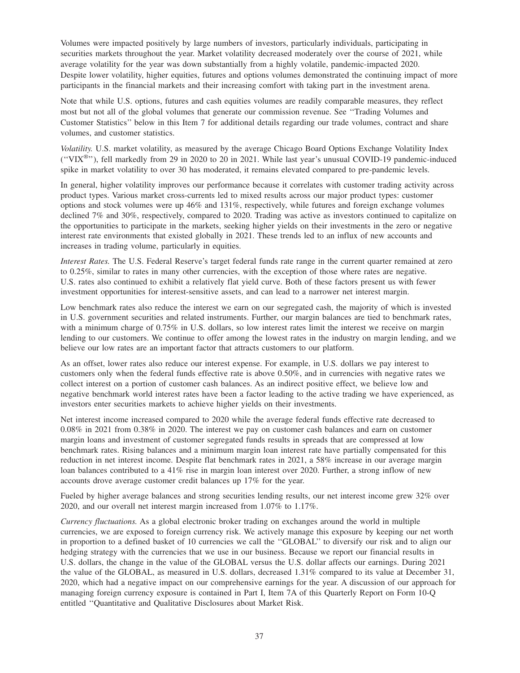Volumes were impacted positively by large numbers of investors, particularly individuals, participating in securities markets throughout the year. Market volatility decreased moderately over the course of 2021, while average volatility for the year was down substantially from a highly volatile, pandemic-impacted 2020. Despite lower volatility, higher equities, futures and options volumes demonstrated the continuing impact of more participants in the financial markets and their increasing comfort with taking part in the investment arena.

Note that while U.S. options, futures and cash equities volumes are readily comparable measures, they reflect most but not all of the global volumes that generate our commission revenue. See ''Trading Volumes and Customer Statistics'' below in this Item 7 for additional details regarding our trade volumes, contract and share volumes, and customer statistics.

*Volatility.* U.S. market volatility, as measured by the average Chicago Board Options Exchange Volatility Index ("VIX<sup>®</sup>"), fell markedly from 29 in 2020 to 20 in 2021. While last year's unusual COVID-19 pandemic-induced spike in market volatility to over 30 has moderated, it remains elevated compared to pre-pandemic levels.

In general, higher volatility improves our performance because it correlates with customer trading activity across product types. Various market cross-currents led to mixed results across our major product types: customer options and stock volumes were up 46% and 131%, respectively, while futures and foreign exchange volumes declined 7% and 30%, respectively, compared to 2020. Trading was active as investors continued to capitalize on the opportunities to participate in the markets, seeking higher yields on their investments in the zero or negative interest rate environments that existed globally in 2021. These trends led to an influx of new accounts and increases in trading volume, particularly in equities.

*Interest Rates.* The U.S. Federal Reserve's target federal funds rate range in the current quarter remained at zero to 0.25%, similar to rates in many other currencies, with the exception of those where rates are negative. U.S. rates also continued to exhibit a relatively flat yield curve. Both of these factors present us with fewer investment opportunities for interest-sensitive assets, and can lead to a narrower net interest margin.

Low benchmark rates also reduce the interest we earn on our segregated cash, the majority of which is invested in U.S. government securities and related instruments. Further, our margin balances are tied to benchmark rates, with a minimum charge of 0.75% in U.S. dollars, so low interest rates limit the interest we receive on margin lending to our customers. We continue to offer among the lowest rates in the industry on margin lending, and we believe our low rates are an important factor that attracts customers to our platform.

As an offset, lower rates also reduce our interest expense. For example, in U.S. dollars we pay interest to customers only when the federal funds effective rate is above 0.50%, and in currencies with negative rates we collect interest on a portion of customer cash balances. As an indirect positive effect, we believe low and negative benchmark world interest rates have been a factor leading to the active trading we have experienced, as investors enter securities markets to achieve higher yields on their investments.

Net interest income increased compared to 2020 while the average federal funds effective rate decreased to 0.08% in 2021 from 0.38% in 2020. The interest we pay on customer cash balances and earn on customer margin loans and investment of customer segregated funds results in spreads that are compressed at low benchmark rates. Rising balances and a minimum margin loan interest rate have partially compensated for this reduction in net interest income. Despite flat benchmark rates in 2021, a 58% increase in our average margin loan balances contributed to a 41% rise in margin loan interest over 2020. Further, a strong inflow of new accounts drove average customer credit balances up 17% for the year.

Fueled by higher average balances and strong securities lending results, our net interest income grew 32% over 2020, and our overall net interest margin increased from 1.07% to 1.17%.

*Currency fluctuations.* As a global electronic broker trading on exchanges around the world in multiple currencies, we are exposed to foreign currency risk. We actively manage this exposure by keeping our net worth in proportion to a defined basket of 10 currencies we call the ''GLOBAL'' to diversify our risk and to align our hedging strategy with the currencies that we use in our business. Because we report our financial results in U.S. dollars, the change in the value of the GLOBAL versus the U.S. dollar affects our earnings. During 2021 the value of the GLOBAL, as measured in U.S. dollars, decreased 1.31% compared to its value at December 31, 2020, which had a negative impact on our comprehensive earnings for the year. A discussion of our approach for managing foreign currency exposure is contained in Part I, Item 7A of this Quarterly Report on Form 10-Q entitled ''Quantitative and Qualitative Disclosures about Market Risk.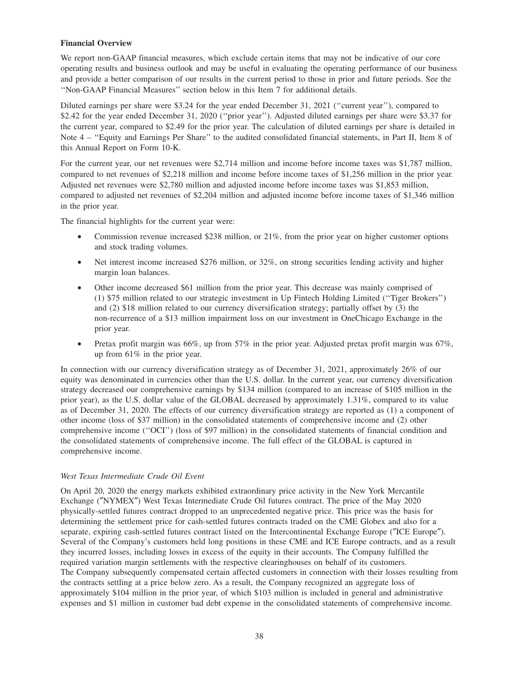### **Financial Overview**

We report non-GAAP financial measures, which exclude certain items that may not be indicative of our core operating results and business outlook and may be useful in evaluating the operating performance of our business and provide a better comparison of our results in the current period to those in prior and future periods. See the ''Non-GAAP Financial Measures'' section below in this Item 7 for additional details.

Diluted earnings per share were \$3.24 for the year ended December 31, 2021 (''current year''), compared to \$2.42 for the year ended December 31, 2020 (''prior year''). Adjusted diluted earnings per share were \$3.37 for the current year, compared to \$2.49 for the prior year. The calculation of diluted earnings per share is detailed in Note 4 – ''Equity and Earnings Per Share'' to the audited consolidated financial statements, in Part II, Item 8 of this Annual Report on Form 10-K.

For the current year, our net revenues were \$2,714 million and income before income taxes was \$1,787 million, compared to net revenues of \$2,218 million and income before income taxes of \$1,256 million in the prior year. Adjusted net revenues were \$2,780 million and adjusted income before income taxes was \$1,853 million, compared to adjusted net revenues of \$2,204 million and adjusted income before income taxes of \$1,346 million in the prior year.

The financial highlights for the current year were:

- Commission revenue increased \$238 million, or 21%, from the prior year on higher customer options and stock trading volumes.
- Net interest income increased \$276 million, or 32%, on strong securities lending activity and higher margin loan balances.
- Other income decreased \$61 million from the prior year. This decrease was mainly comprised of (1) \$75 million related to our strategic investment in Up Fintech Holding Limited (''Tiger Brokers'') and (2) \$18 million related to our currency diversification strategy; partially offset by (3) the non-recurrence of a \$13 million impairment loss on our investment in OneChicago Exchange in the prior year.
- Pretax profit margin was 66%, up from 57% in the prior year. Adjusted pretax profit margin was 67%, up from 61% in the prior year.

In connection with our currency diversification strategy as of December 31, 2021, approximately 26% of our equity was denominated in currencies other than the U.S. dollar. In the current year, our currency diversification strategy decreased our comprehensive earnings by \$134 million (compared to an increase of \$105 million in the prior year), as the U.S. dollar value of the GLOBAL decreased by approximately 1.31%, compared to its value as of December 31, 2020. The effects of our currency diversification strategy are reported as (1) a component of other income (loss of \$37 million) in the consolidated statements of comprehensive income and (2) other comprehensive income (''OCI'') (loss of \$97 million) in the consolidated statements of financial condition and the consolidated statements of comprehensive income. The full effect of the GLOBAL is captured in comprehensive income.

### *West Texas Intermediate Crude Oil Event*

On April 20, 2020 the energy markets exhibited extraordinary price activity in the New York Mercantile Exchange (″NYMEX″) West Texas Intermediate Crude Oil futures contract. The price of the May 2020 physically-settled futures contract dropped to an unprecedented negative price. This price was the basis for determining the settlement price for cash-settled futures contracts traded on the CME Globex and also for a separate, expiring cash-settled futures contract listed on the Intercontinental Exchange Europe ("ICE Europe"). Several of the Company's customers held long positions in these CME and ICE Europe contracts, and as a result they incurred losses, including losses in excess of the equity in their accounts. The Company fulfilled the required variation margin settlements with the respective clearinghouses on behalf of its customers. The Company subsequently compensated certain affected customers in connection with their losses resulting from the contracts settling at a price below zero. As a result, the Company recognized an aggregate loss of approximately \$104 million in the prior year, of which \$103 million is included in general and administrative expenses and \$1 million in customer bad debt expense in the consolidated statements of comprehensive income.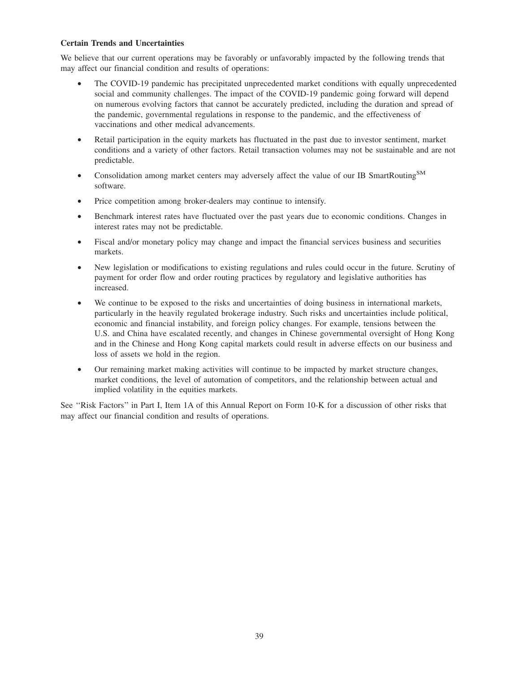### **Certain Trends and Uncertainties**

We believe that our current operations may be favorably or unfavorably impacted by the following trends that may affect our financial condition and results of operations:

- The COVID-19 pandemic has precipitated unprecedented market conditions with equally unprecedented social and community challenges. The impact of the COVID-19 pandemic going forward will depend on numerous evolving factors that cannot be accurately predicted, including the duration and spread of the pandemic, governmental regulations in response to the pandemic, and the effectiveness of vaccinations and other medical advancements.
- Retail participation in the equity markets has fluctuated in the past due to investor sentiment, market conditions and a variety of other factors. Retail transaction volumes may not be sustainable and are not predictable.
- Consolidation among market centers may adversely affect the value of our IB SmartRouting<sup>SM</sup> software.
- Price competition among broker-dealers may continue to intensify.
- Benchmark interest rates have fluctuated over the past years due to economic conditions. Changes in interest rates may not be predictable.
- Fiscal and/or monetary policy may change and impact the financial services business and securities markets.
- New legislation or modifications to existing regulations and rules could occur in the future. Scrutiny of payment for order flow and order routing practices by regulatory and legislative authorities has increased.
- We continue to be exposed to the risks and uncertainties of doing business in international markets, particularly in the heavily regulated brokerage industry. Such risks and uncertainties include political, economic and financial instability, and foreign policy changes. For example, tensions between the U.S. and China have escalated recently, and changes in Chinese governmental oversight of Hong Kong and in the Chinese and Hong Kong capital markets could result in adverse effects on our business and loss of assets we hold in the region.
- Our remaining market making activities will continue to be impacted by market structure changes, market conditions, the level of automation of competitors, and the relationship between actual and implied volatility in the equities markets.

See ''Risk Factors'' in Part I, Item 1A of this Annual Report on Form 10-K for a discussion of other risks that may affect our financial condition and results of operations.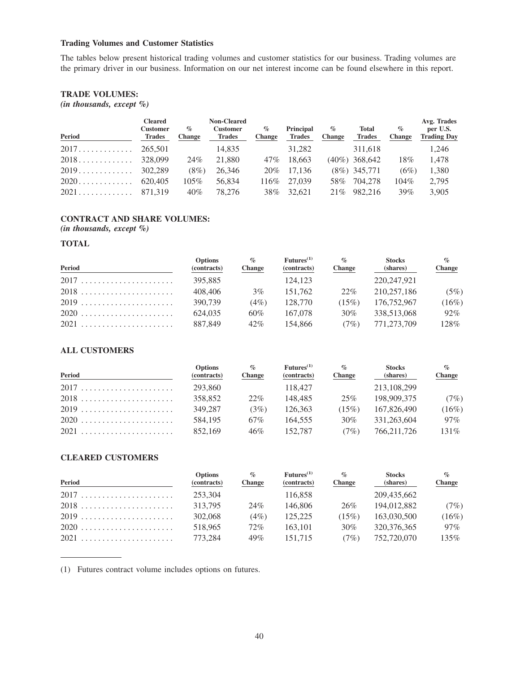# **Trading Volumes and Customer Statistics**

The tables below present historical trading volumes and customer statistics for our business. Trading volumes are the primary driver in our business. Information on our net interest income can be found elsewhere in this report.

## **TRADE VOLUMES:**

# *(in thousands, except %)*

| Period | <b>Cleared</b><br><b>Customer</b><br><b>Trades</b> | $\%$<br><b>Change</b> | <b>Non-Cleared</b><br><b>Customer</b><br><b>Trades</b> | $\%$<br>Change | <b>Principal</b><br><b>Trades</b> | $\%$<br><b>Change</b> | <b>Total</b><br><b>Trades</b> | $\%$<br><b>Change</b> | Avg. Trades<br>per U.S.<br><b>Trading Day</b> |
|--------|----------------------------------------------------|-----------------------|--------------------------------------------------------|----------------|-----------------------------------|-----------------------|-------------------------------|-----------------------|-----------------------------------------------|
| 2017   | 265,501                                            |                       | 14,835                                                 |                | 31,282                            |                       | 311.618                       |                       | 1,246                                         |
| $2018$ | 328,099                                            | 24%                   | 21,880                                                 | 47%            | 18.663                            |                       | (40%) 368,642                 | 18%                   | 1,478                                         |
| $2019$ | 302,289                                            | $(8\%)$               | 26,346                                                 | 20%            | 17.136                            |                       | $(8\%)$ 345,771               | (6%)                  | 1,380                                         |
| $2020$ | 620,405                                            | 105%                  | 56,834                                                 | 116%           | 27,039                            | 58%                   | 704.278                       | 104%                  | 2,795                                         |
| 2021   | 871.319                                            | 40%                   | 78.276                                                 | 38%            | 32.621                            | 21\%                  | 982,216                       | 39%                   | 3.905                                         |

### **CONTRACT AND SHARE VOLUMES:**

*(in thousands, except %)*

### **TOTAL**

| Period | <b>Options</b><br>(contracts) | $\%$<br><b>Change</b> | Futures <sup>(1)</sup><br>(contracts) | $\%$<br><b>Change</b> | <b>Stocks</b><br>(shares) | $\%$<br>Change |
|--------|-------------------------------|-----------------------|---------------------------------------|-----------------------|---------------------------|----------------|
|        | 395,885                       |                       | 124,123                               |                       | 220, 247, 921             |                |
| 2018   | 408,406                       | $3\%$                 | 151.762                               | 22%                   | 210.257.186               | (5%)           |
|        | 390.739                       | $(4\%)$               | 128,770                               | (15%)                 | 176,752,967               | (16%)          |
|        | 624,035                       | 60%                   | 167,078                               | $30\%$                | 338,513,068               | $92\%$         |
|        | 887,849                       | $42\%$                | 154,866                               | (7%)                  | 771.273.709               | 128%           |

# **ALL CUSTOMERS**

| Period | <b>Options</b><br>(contracts) | $\%$<br><b>Change</b> | $Futures^{(1)}$<br>(contracts) | $\mathcal{O}_0$<br><b>Change</b> | <b>Stocks</b><br>(shares) | $\%$<br><b>Change</b> |
|--------|-------------------------------|-----------------------|--------------------------------|----------------------------------|---------------------------|-----------------------|
|        | 293,860                       |                       | 118,427                        |                                  | 213,108,299               |                       |
|        | 358,852                       | 22%                   | 148.485                        | 25%                              | 198,909,375               | (7%)                  |
|        | 349,287                       | (3%)                  | 126.363                        | (15%)                            | 167,826,490               | $(16\%)$              |
|        | 584.195                       | 67%                   | 164.555                        | $30\%$                           | 331,263,604               | $97\%$                |
|        | 852,169                       | $46\%$                | 152.787                        | (7%)                             | 766, 211, 726             | 131\%                 |

### **CLEARED CUSTOMERS**

| Period | <b>Options</b><br>(contracts) | $\%$<br><b>Change</b> | $Futures^{(1)}$<br>(contracts) | $\mathcal{O}_0$<br><b>Change</b> | <b>Stocks</b><br>(shares) | $\%$<br><b>Change</b> |
|--------|-------------------------------|-----------------------|--------------------------------|----------------------------------|---------------------------|-----------------------|
|        | 253,304                       |                       | 116.858                        |                                  | 209,435,662               |                       |
| 2018   | 313.795                       | 24%                   | 146,806                        | 26%                              | 194,012,882               | (7%)                  |
|        | 302,068                       | $(4\%)$               | 125,225                        | (15%)                            | 163,030,500               | $(16\%)$              |
|        | 518,965                       | 72%                   | 163.101                        | 30%                              | 320, 376, 365             | $97\%$                |
|        | 773.284                       | 49%                   | 151.715                        | (7%)                             | 752,720,070               | 135%                  |

(1) Futures contract volume includes options on futures.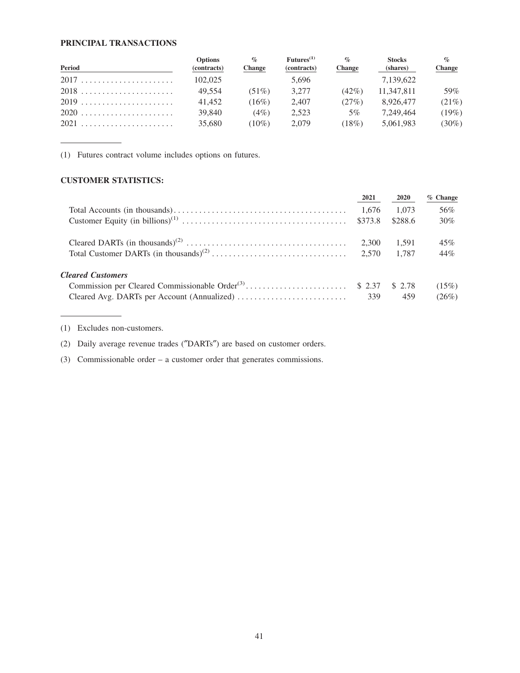### **PRINCIPAL TRANSACTIONS**

| Period | <b>Options</b><br>(contracts) | $\%$<br><b>Change</b> | Futures <sup>(1)</sup><br>(contracts) | $\%$<br><b>Change</b> | <b>Stocks</b><br>(shares) | $\%$<br><b>Change</b> |
|--------|-------------------------------|-----------------------|---------------------------------------|-----------------------|---------------------------|-----------------------|
|        | 102,025                       |                       | 5.696                                 |                       | 7,139,622                 |                       |
| 2018   | 49.554                        | $(51\%)$              | 3.277                                 | $(42\%)$              | 11.347.811                | 59%                   |
|        | 41.452                        | $(16\%)$              | 2.407                                 | (27%)                 | 8.926.477                 | (21%)                 |
|        | 39,840                        | $(4\%)$               | 2.523                                 | $5\%$                 | 7.249.464                 | $(19\%)$              |
|        | 35,680                        | $(10\%)$              | 2.079                                 | $(18\%)$              | 5,061,983                 | $(30\%)$              |

(1) Futures contract volume includes options on futures.

# **CUSTOMER STATISTICS:**

|                          | 2021  | <b>2020</b> | $%$ Change |
|--------------------------|-------|-------------|------------|
|                          | 1.676 | 1.073       | 56%        |
|                          |       | \$288.6     | $30\%$     |
|                          | 2,300 | 1,591       | 45%        |
|                          | 2.570 | 1.787       | 44%        |
| <b>Cleared Customers</b> |       |             |            |
|                          |       | \$ 2.78     | (15%)      |
|                          |       | 459         | (26%)      |

(1) Excludes non-customers.

(2) Daily average revenue trades (″DARTs″) are based on customer orders.

(3) Commissionable order – a customer order that generates commissions.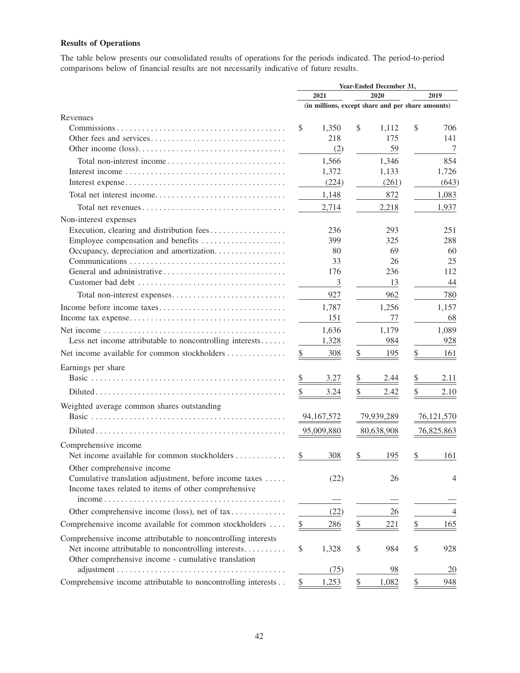# **Results of Operations**

The table below presents our consolidated results of operations for the periods indicated. The period-to-period comparisons below of financial results are not necessarily indicative of future results.

|                                                                                                           | Year-Ended December 31, |              |      |                                                   |        |              |
|-----------------------------------------------------------------------------------------------------------|-------------------------|--------------|------|---------------------------------------------------|--------|--------------|
|                                                                                                           |                         | 2021         |      | 2020                                              |        | 2019         |
|                                                                                                           |                         |              |      | (in millions, except share and per share amounts) |        |              |
| Revenues                                                                                                  |                         |              |      |                                                   |        |              |
|                                                                                                           | \$                      | 1,350        | \$   | 1,112                                             | \$     | 706          |
| Other fees and services                                                                                   |                         | 218          |      | 175                                               |        | 141          |
|                                                                                                           |                         | (2)          |      | 59                                                |        | 7            |
|                                                                                                           |                         | 1,566        |      | 1,346                                             |        | 854          |
|                                                                                                           |                         | 1,372        |      | 1,133                                             |        | 1,726        |
|                                                                                                           |                         | (224)        |      | (261)                                             |        | (643)        |
|                                                                                                           |                         | 1,148        |      | 872                                               |        | 1,083        |
|                                                                                                           |                         | 2,714        |      | 2,218                                             |        | 1,937        |
| Non-interest expenses                                                                                     |                         |              |      |                                                   |        |              |
| Execution, clearing and distribution fees                                                                 |                         | 236          |      | 293                                               |        | 251          |
| Employee compensation and benefits                                                                        |                         | 399          |      | 325                                               |        | 288          |
| Occupancy, depreciation and amortization                                                                  |                         | 80           |      | 69                                                |        | 60           |
|                                                                                                           |                         | 33           |      | 26                                                |        | 25           |
|                                                                                                           |                         | 176          |      | 236                                               |        | 112          |
|                                                                                                           |                         | 3            |      | 13                                                |        | 44           |
|                                                                                                           |                         | 927          |      | 962                                               |        | 780          |
|                                                                                                           |                         | 1,787        |      | 1,256                                             |        | 1,157        |
|                                                                                                           |                         | 151          |      | 77                                                |        | 68           |
|                                                                                                           |                         | 1,636        |      | 1,179                                             |        | 1,089        |
| Less net income attributable to noncontrolling interests                                                  |                         | 1,328        |      | 984                                               |        | 928          |
| Net income available for common stockholders                                                              | \$                      | 308          | \$   | 195                                               | \$     | 161          |
| Earnings per share                                                                                        |                         |              |      |                                                   |        |              |
|                                                                                                           | \$                      | 3.27         | \$   | 2.44                                              | \$     | 2.11         |
| $Diluted \dots \dots \dots \dots \dots \dots \dots \dots \dots \dots \dots \dots \dots \dots \dots \dots$ | S                       | 3.24         | \$   | 2.42                                              | \$     | 2.10         |
| Weighted average common shares outstanding                                                                |                         |              |      |                                                   |        |              |
|                                                                                                           |                         | 94, 167, 572 |      | 79,939,289                                        |        | 76, 121, 570 |
| $Diluted \dots \dots \dots \dots \dots \dots \dots \dots \dots \dots \dots \dots \dots \dots \dots \dots$ |                         | 95,009,880   |      | 80,638,908                                        |        | 76,825,863   |
| Comprehensive income                                                                                      |                         |              |      |                                                   |        |              |
| Net income available for common stockholders                                                              | \$                      | 308          | \$   | 195                                               | \$     | 161          |
| Other comprehensive income                                                                                |                         |              |      |                                                   |        |              |
| Cumulative translation adjustment, before income taxes                                                    |                         | (22)         |      | 26                                                |        | 4            |
| Income taxes related to items of other comprehensive                                                      |                         |              |      |                                                   |        |              |
|                                                                                                           |                         |              |      |                                                   |        |              |
| Other comprehensive income (loss), net of tax                                                             |                         | (22)         |      | 26                                                |        | 4            |
| Comprehensive income available for common stockholders                                                    | \$                      | <u>286</u>   | \$   | 221                                               | \$     | 165          |
| Comprehensive income attributable to noncontrolling interests                                             |                         |              |      |                                                   |        |              |
| Net income attributable to noncontrolling interests                                                       | \$                      | 1,328        | \$   | 984                                               | \$     | 928          |
| Other comprehensive income - cumulative translation                                                       |                         |              |      |                                                   |        |              |
|                                                                                                           |                         | (75)         |      | 98                                                |        | 20           |
| Comprehensive income attributable to noncontrolling interests                                             | \$                      | 1,253        | $\$$ | 1,082                                             | $\$\,$ | 948          |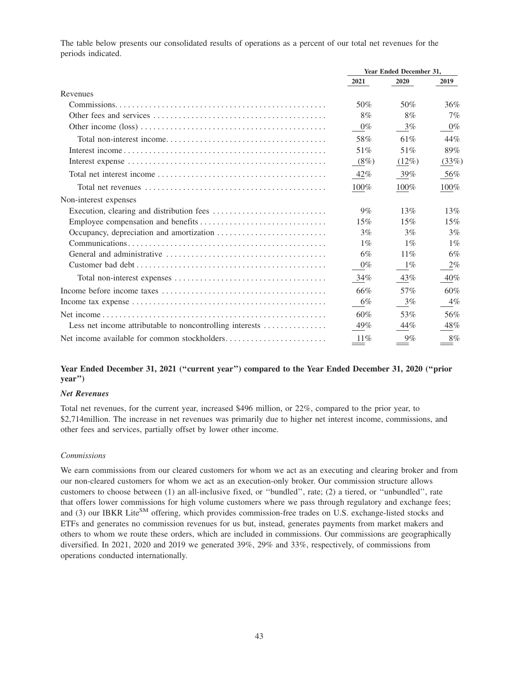The table below presents our consolidated results of operations as a percent of our total net revenues for the periods indicated.

|                                                          | <b>Year Ended December 31,</b> |             |         |
|----------------------------------------------------------|--------------------------------|-------------|---------|
|                                                          | 2021                           | <b>2020</b> | 2019    |
| Revenues                                                 |                                |             |         |
|                                                          | 50%                            | 50%         | 36%     |
|                                                          | 8%                             | 8%          | $7\%$   |
|                                                          | $0\%$                          | $3\%$       | $0\%$   |
|                                                          | 58%                            | 61\%        | 44%     |
|                                                          | 51%                            | 51%         | 89%     |
|                                                          | $(8\%)$                        | $(12\%)$    | (33%)   |
|                                                          | 42%                            | 39%         | 56%     |
|                                                          | 100%                           | $100\%$     | $100\%$ |
| Non-interest expenses                                    |                                |             |         |
|                                                          | $9\%$                          | 13%         | 13%     |
|                                                          | 15%                            | 15%         | 15%     |
|                                                          | 3%                             | 3%          | 3%      |
|                                                          | $1\%$                          | $1\%$       | $1\%$   |
|                                                          | 6%                             | 11%         | 6%      |
|                                                          | $0\%$                          | $1\%$       | $2\%$   |
|                                                          | 34%                            | 43%         | 40%     |
|                                                          | 66%                            | 57%         | 60%     |
|                                                          | 6%                             | 3%          | $4\%$   |
|                                                          | 60%                            | 53%         | 56%     |
| Less net income attributable to noncontrolling interests | 49%                            | 44%         | 48%     |
|                                                          | 11%                            | $9\%$       | 8%      |

## **Year Ended December 31, 2021 (''current year'') compared to the Year Ended December 31, 2020 (''prior year'')**

#### *Net Revenues*

Total net revenues, for the current year, increased \$496 million, or 22%, compared to the prior year, to \$2,714million. The increase in net revenues was primarily due to higher net interest income, commissions, and other fees and services, partially offset by lower other income.

#### *Commissions*

We earn commissions from our cleared customers for whom we act as an executing and clearing broker and from our non-cleared customers for whom we act as an execution-only broker. Our commission structure allows customers to choose between (1) an all-inclusive fixed, or ''bundled'', rate; (2) a tiered, or ''unbundled'', rate that offers lower commissions for high volume customers where we pass through regulatory and exchange fees; and (3) our IBKR Lite<sup>SM</sup> offering, which provides commission-free trades on U.S. exchange-listed stocks and ETFs and generates no commission revenues for us but, instead, generates payments from market makers and others to whom we route these orders, which are included in commissions. Our commissions are geographically diversified. In 2021, 2020 and 2019 we generated 39%, 29% and 33%, respectively, of commissions from operations conducted internationally.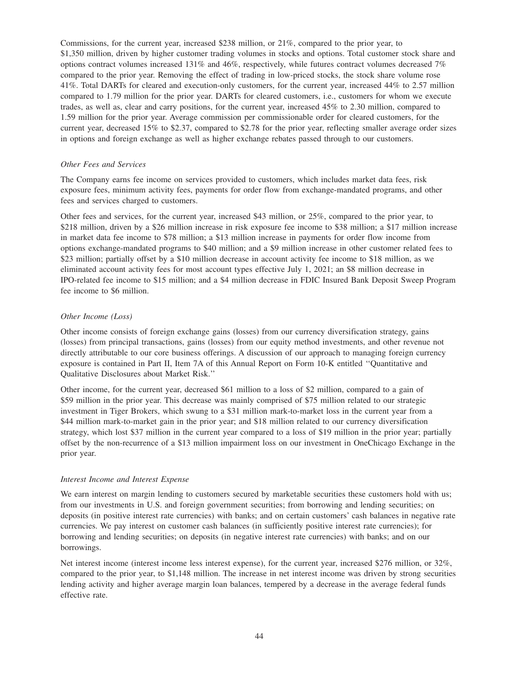Commissions, for the current year, increased \$238 million, or 21%, compared to the prior year, to \$1,350 million, driven by higher customer trading volumes in stocks and options. Total customer stock share and options contract volumes increased 131% and 46%, respectively, while futures contract volumes decreased 7% compared to the prior year. Removing the effect of trading in low-priced stocks, the stock share volume rose 41%. Total DARTs for cleared and execution-only customers, for the current year, increased 44% to 2.57 million compared to 1.79 million for the prior year. DARTs for cleared customers, i.e., customers for whom we execute trades, as well as, clear and carry positions, for the current year, increased 45% to 2.30 million, compared to 1.59 million for the prior year. Average commission per commissionable order for cleared customers, for the current year, decreased 15% to \$2.37, compared to \$2.78 for the prior year, reflecting smaller average order sizes in options and foreign exchange as well as higher exchange rebates passed through to our customers.

#### *Other Fees and Services*

The Company earns fee income on services provided to customers, which includes market data fees, risk exposure fees, minimum activity fees, payments for order flow from exchange-mandated programs, and other fees and services charged to customers.

Other fees and services, for the current year, increased \$43 million, or 25%, compared to the prior year, to \$218 million, driven by a \$26 million increase in risk exposure fee income to \$38 million; a \$17 million increase in market data fee income to \$78 million; a \$13 million increase in payments for order flow income from options exchange-mandated programs to \$40 million; and a \$9 million increase in other customer related fees to \$23 million; partially offset by a \$10 million decrease in account activity fee income to \$18 million, as we eliminated account activity fees for most account types effective July 1, 2021; an \$8 million decrease in IPO-related fee income to \$15 million; and a \$4 million decrease in FDIC Insured Bank Deposit Sweep Program fee income to \$6 million.

### *Other Income (Loss)*

Other income consists of foreign exchange gains (losses) from our currency diversification strategy, gains (losses) from principal transactions, gains (losses) from our equity method investments, and other revenue not directly attributable to our core business offerings. A discussion of our approach to managing foreign currency exposure is contained in Part II, Item 7A of this Annual Report on Form 10-K entitled ''Quantitative and Qualitative Disclosures about Market Risk.''

Other income, for the current year, decreased \$61 million to a loss of \$2 million, compared to a gain of \$59 million in the prior year. This decrease was mainly comprised of \$75 million related to our strategic investment in Tiger Brokers, which swung to a \$31 million mark-to-market loss in the current year from a \$44 million mark-to-market gain in the prior year; and \$18 million related to our currency diversification strategy, which lost \$37 million in the current year compared to a loss of \$19 million in the prior year; partially offset by the non-recurrence of a \$13 million impairment loss on our investment in OneChicago Exchange in the prior year.

### *Interest Income and Interest Expense*

We earn interest on margin lending to customers secured by marketable securities these customers hold with us; from our investments in U.S. and foreign government securities; from borrowing and lending securities; on deposits (in positive interest rate currencies) with banks; and on certain customers' cash balances in negative rate currencies. We pay interest on customer cash balances (in sufficiently positive interest rate currencies); for borrowing and lending securities; on deposits (in negative interest rate currencies) with banks; and on our borrowings.

Net interest income (interest income less interest expense), for the current year, increased \$276 million, or 32%, compared to the prior year, to \$1,148 million. The increase in net interest income was driven by strong securities lending activity and higher average margin loan balances, tempered by a decrease in the average federal funds effective rate.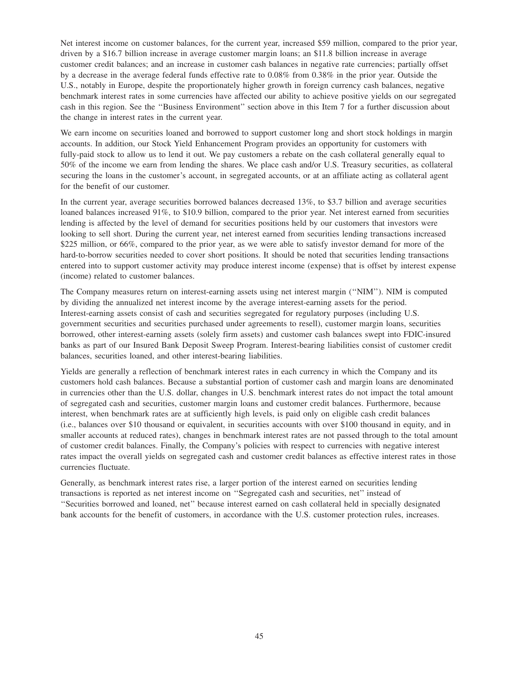Net interest income on customer balances, for the current year, increased \$59 million, compared to the prior year, driven by a \$16.7 billion increase in average customer margin loans; an \$11.8 billion increase in average customer credit balances; and an increase in customer cash balances in negative rate currencies; partially offset by a decrease in the average federal funds effective rate to 0.08% from 0.38% in the prior year. Outside the U.S., notably in Europe, despite the proportionately higher growth in foreign currency cash balances, negative benchmark interest rates in some currencies have affected our ability to achieve positive yields on our segregated cash in this region. See the ''Business Environment'' section above in this Item 7 for a further discussion about the change in interest rates in the current year.

We earn income on securities loaned and borrowed to support customer long and short stock holdings in margin accounts. In addition, our Stock Yield Enhancement Program provides an opportunity for customers with fully-paid stock to allow us to lend it out. We pay customers a rebate on the cash collateral generally equal to 50% of the income we earn from lending the shares. We place cash and/or U.S. Treasury securities, as collateral securing the loans in the customer's account, in segregated accounts, or at an affiliate acting as collateral agent for the benefit of our customer.

In the current year, average securities borrowed balances decreased 13%, to \$3.7 billion and average securities loaned balances increased 91%, to \$10.9 billion, compared to the prior year. Net interest earned from securities lending is affected by the level of demand for securities positions held by our customers that investors were looking to sell short. During the current year, net interest earned from securities lending transactions increased \$225 million, or 66%, compared to the prior year, as we were able to satisfy investor demand for more of the hard-to-borrow securities needed to cover short positions. It should be noted that securities lending transactions entered into to support customer activity may produce interest income (expense) that is offset by interest expense (income) related to customer balances.

The Company measures return on interest-earning assets using net interest margin (''NIM''). NIM is computed by dividing the annualized net interest income by the average interest-earning assets for the period. Interest-earning assets consist of cash and securities segregated for regulatory purposes (including U.S. government securities and securities purchased under agreements to resell), customer margin loans, securities borrowed, other interest-earning assets (solely firm assets) and customer cash balances swept into FDIC-insured banks as part of our Insured Bank Deposit Sweep Program. Interest-bearing liabilities consist of customer credit balances, securities loaned, and other interest-bearing liabilities.

Yields are generally a reflection of benchmark interest rates in each currency in which the Company and its customers hold cash balances. Because a substantial portion of customer cash and margin loans are denominated in currencies other than the U.S. dollar, changes in U.S. benchmark interest rates do not impact the total amount of segregated cash and securities, customer margin loans and customer credit balances. Furthermore, because interest, when benchmark rates are at sufficiently high levels, is paid only on eligible cash credit balances (i.e., balances over \$10 thousand or equivalent, in securities accounts with over \$100 thousand in equity, and in smaller accounts at reduced rates), changes in benchmark interest rates are not passed through to the total amount of customer credit balances. Finally, the Company's policies with respect to currencies with negative interest rates impact the overall yields on segregated cash and customer credit balances as effective interest rates in those currencies fluctuate.

Generally, as benchmark interest rates rise, a larger portion of the interest earned on securities lending transactions is reported as net interest income on ''Segregated cash and securities, net'' instead of ''Securities borrowed and loaned, net'' because interest earned on cash collateral held in specially designated bank accounts for the benefit of customers, in accordance with the U.S. customer protection rules, increases.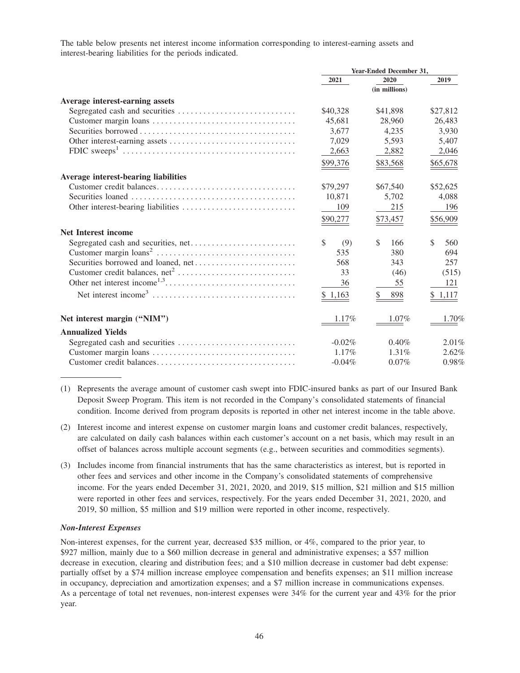The table below presents net interest income information corresponding to interest-earning assets and interest-bearing liabilities for the periods indicated.

|                                      | Year-Ended December 31, |               |           |
|--------------------------------------|-------------------------|---------------|-----------|
|                                      | 2021                    | 2020          | 2019      |
|                                      |                         | (in millions) |           |
| Average interest-earning assets      |                         |               |           |
|                                      | \$40,328                | \$41,898      | \$27,812  |
|                                      | 45,681                  | 28,960        | 26,483    |
|                                      | 3,677                   | 4,235         | 3,930     |
|                                      | 7,029                   | 5,593         | 5,407     |
|                                      | 2,663                   | 2,882         | 2,046     |
|                                      | \$99,376                | \$83,568      | \$65,678  |
| Average interest-bearing liabilities |                         |               |           |
| Customer credit balances             | \$79,297                | \$67,540      | \$52,625  |
|                                      | 10,871                  | 5,702         | 4,088     |
|                                      | 109                     | 215           | 196       |
|                                      | \$90,277                | \$73,457      | \$56,909  |
| <b>Net Interest income</b>           |                         |               |           |
|                                      | S.<br>(9)               | S.<br>166     | S.<br>560 |
|                                      | 535                     | 380           | 694       |
|                                      | 568                     | 343           | 257       |
|                                      | 33                      | (46)          | (515)     |
|                                      | 36                      | 55            | 121       |
|                                      | \$1,163                 | \$<br>898     | \$ 1,117  |
| Net interest margin ("NIM")          | $1.17\%$                | 1.07%         | 1.70%     |
| <b>Annualized Yields</b>             |                         |               |           |
|                                      | $-0.02%$                | 0.40%         | 2.01%     |
|                                      | 1.17%                   | 1.31%         | 2.62%     |
|                                      | $-0.04%$                | 0.07%         | 0.98%     |

(1) Represents the average amount of customer cash swept into FDIC-insured banks as part of our Insured Bank Deposit Sweep Program. This item is not recorded in the Company's consolidated statements of financial condition. Income derived from program deposits is reported in other net interest income in the table above.

- (2) Interest income and interest expense on customer margin loans and customer credit balances, respectively, are calculated on daily cash balances within each customer's account on a net basis, which may result in an offset of balances across multiple account segments (e.g., between securities and commodities segments).
- (3) Includes income from financial instruments that has the same characteristics as interest, but is reported in other fees and services and other income in the Company's consolidated statements of comprehensive income. For the years ended December 31, 2021, 2020, and 2019, \$15 million, \$21 million and \$15 million were reported in other fees and services, respectively. For the years ended December 31, 2021, 2020, and 2019, \$0 million, \$5 million and \$19 million were reported in other income, respectively.

#### *Non-Interest Expenses*

Non-interest expenses, for the current year, decreased \$35 million, or 4%, compared to the prior year, to \$927 million, mainly due to a \$60 million decrease in general and administrative expenses; a \$57 million decrease in execution, clearing and distribution fees; and a \$10 million decrease in customer bad debt expense: partially offset by a \$74 million increase employee compensation and benefits expenses; an \$11 million increase in occupancy, depreciation and amortization expenses; and a \$7 million increase in communications expenses. As a percentage of total net revenues, non-interest expenses were 34% for the current year and 43% for the prior year.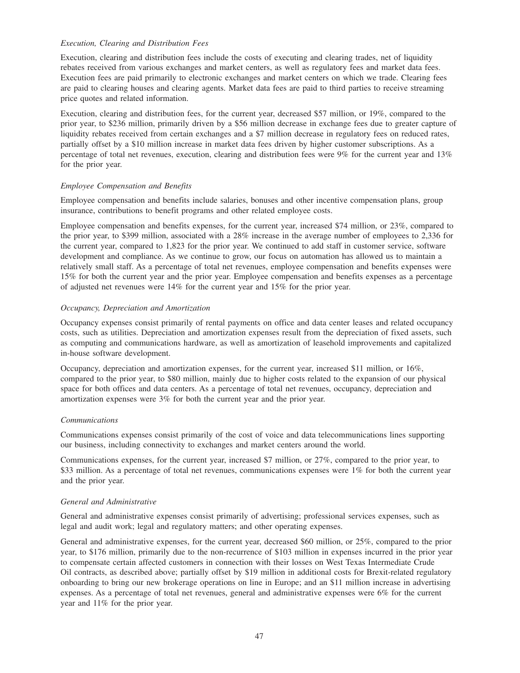### *Execution, Clearing and Distribution Fees*

Execution, clearing and distribution fees include the costs of executing and clearing trades, net of liquidity rebates received from various exchanges and market centers, as well as regulatory fees and market data fees. Execution fees are paid primarily to electronic exchanges and market centers on which we trade. Clearing fees are paid to clearing houses and clearing agents. Market data fees are paid to third parties to receive streaming price quotes and related information.

Execution, clearing and distribution fees, for the current year, decreased \$57 million, or 19%, compared to the prior year, to \$236 million, primarily driven by a \$56 million decrease in exchange fees due to greater capture of liquidity rebates received from certain exchanges and a \$7 million decrease in regulatory fees on reduced rates, partially offset by a \$10 million increase in market data fees driven by higher customer subscriptions. As a percentage of total net revenues, execution, clearing and distribution fees were 9% for the current year and 13% for the prior year.

# *Employee Compensation and Benefits*

Employee compensation and benefits include salaries, bonuses and other incentive compensation plans, group insurance, contributions to benefit programs and other related employee costs.

Employee compensation and benefits expenses, for the current year, increased \$74 million, or 23%, compared to the prior year, to \$399 million, associated with a 28% increase in the average number of employees to 2,336 for the current year, compared to 1,823 for the prior year. We continued to add staff in customer service, software development and compliance. As we continue to grow, our focus on automation has allowed us to maintain a relatively small staff. As a percentage of total net revenues, employee compensation and benefits expenses were 15% for both the current year and the prior year. Employee compensation and benefits expenses as a percentage of adjusted net revenues were 14% for the current year and 15% for the prior year.

### *Occupancy, Depreciation and Amortization*

Occupancy expenses consist primarily of rental payments on office and data center leases and related occupancy costs, such as utilities. Depreciation and amortization expenses result from the depreciation of fixed assets, such as computing and communications hardware, as well as amortization of leasehold improvements and capitalized in-house software development.

Occupancy, depreciation and amortization expenses, for the current year, increased \$11 million, or 16%, compared to the prior year, to \$80 million, mainly due to higher costs related to the expansion of our physical space for both offices and data centers. As a percentage of total net revenues, occupancy, depreciation and amortization expenses were 3% for both the current year and the prior year.

#### *Communications*

Communications expenses consist primarily of the cost of voice and data telecommunications lines supporting our business, including connectivity to exchanges and market centers around the world.

Communications expenses, for the current year, increased \$7 million, or 27%, compared to the prior year, to \$33 million. As a percentage of total net revenues, communications expenses were  $1\%$  for both the current year and the prior year.

#### *General and Administrative*

General and administrative expenses consist primarily of advertising; professional services expenses, such as legal and audit work; legal and regulatory matters; and other operating expenses.

General and administrative expenses, for the current year, decreased \$60 million, or 25%, compared to the prior year, to \$176 million, primarily due to the non-recurrence of \$103 million in expenses incurred in the prior year to compensate certain affected customers in connection with their losses on West Texas Intermediate Crude Oil contracts, as described above; partially offset by \$19 million in additional costs for Brexit-related regulatory onboarding to bring our new brokerage operations on line in Europe; and an \$11 million increase in advertising expenses. As a percentage of total net revenues, general and administrative expenses were 6% for the current year and 11% for the prior year.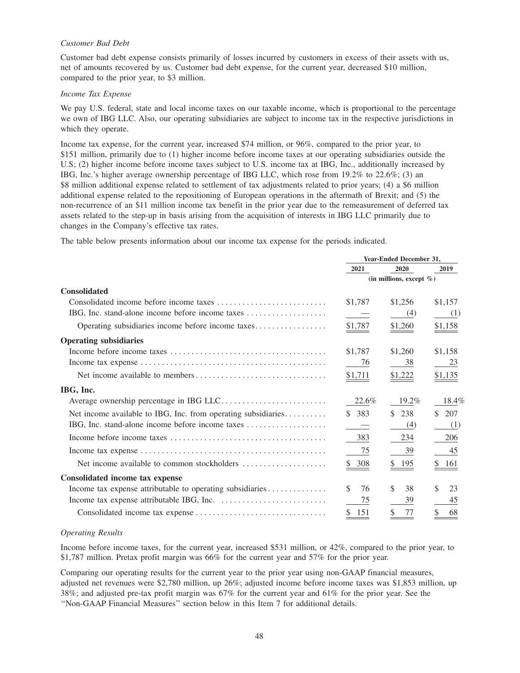### *Customer Bad Debt*

Customer bad debt expense consists primarily of losses incurred by customers in excess of their assets with us, net of amounts recovered by us. Customer bad debt expense, for the current year, decreased \$10 million, compared to the prior year, to \$3 million.

#### *Income Tax Expense*

We pay U.S. federal, state and local income taxes on our taxable income, which is proportional to the percentage we own of IBG LLC. Also, our operating subsidiaries are subject to income tax in the respective jurisdictions in which they operate.

Income tax expense, for the current year, increased \$74 million, or 96%, compared to the prior year, to \$151 million, primarily due to (1) higher income before income taxes at our operating subsidiaries outside the U.S; (2) higher income before income taxes subject to U.S. income tax at IBG, Inc., additionally increased by IBG, Inc.'s higher average ownership percentage of IBG LLC, which rose from 19.2% to 22.6%; (3) an \$8 million additional expense related to settlement of tax adjustments related to prior years; (4) a \$6 million additional expense related to the repositioning of European operations in the aftermath of Brexit; and (5) the non-recurrence of an \$11 million income tax benefit in the prior year due to the remeasurement of deferred tax assets related to the step-up in basis arising from the acquisition of interests in IBG LLC primarily due to changes in the Company's effective tax rates.

The table below presents information about our income tax expense for the periods indicated.

|                                                                                   | Year-Ended December 31,     |          |          |
|-----------------------------------------------------------------------------------|-----------------------------|----------|----------|
|                                                                                   | 2021                        | 2020     | 2019     |
|                                                                                   | (in millions, except $\%$ ) |          |          |
| <b>Consolidated</b>                                                               |                             |          |          |
|                                                                                   | \$1,787                     | \$1,256  | \$1,157  |
|                                                                                   | $\equiv$                    | (4)      | (1)      |
| Operating subsidiaries income before income taxes                                 | \$1,787                     | \$1,260  | \$1,158  |
| <b>Operating subsidiaries</b>                                                     |                             |          |          |
|                                                                                   | \$1,787                     | \$1,260  | \$1,158  |
|                                                                                   | 76                          | 38       | 23       |
|                                                                                   | \$1,711                     | \$1,222  | \$1,135  |
| IBG, Inc.                                                                         |                             |          |          |
|                                                                                   | 22.6%                       | 19.2%    | 18.4%    |
| Net income available to IBG, Inc. from operating subsidiaries                     | \$383                       | \$238    | \$207    |
| IBG, Inc. stand-alone income before income taxes                                  |                             | (4)      | (1)      |
|                                                                                   | 383                         | 234      | 206      |
|                                                                                   | 75                          | 39       | 45       |
| Net income available to common stockholders $\dots \dots \dots \dots \dots \dots$ | \$308                       | \$195    | \$ 161   |
| <b>Consolidated income tax expense</b>                                            |                             |          |          |
| Income tax expense attributable to operating subsidiaries                         | S.<br>76                    | \$<br>38 | 23       |
|                                                                                   | 75                          | 39       | 45       |
|                                                                                   | \$151                       | \$<br>77 | \$<br>68 |

#### *Operating Results*

Income before income taxes, for the current year, increased \$531 million, or 42%, compared to the prior year, to \$1,787 million. Pretax profit margin was 66% for the current year and 57% for the prior year.

Comparing our operating results for the current year to the prior year using non-GAAP financial measures, adjusted net revenues were \$2,780 million, up 26%; adjusted income before income taxes was \$1,853 million, up 38%; and adjusted pre-tax profit margin was 67% for the current year and 61% for the prior year. See the ''Non-GAAP Financial Measures'' section below in this Item 7 for additional details.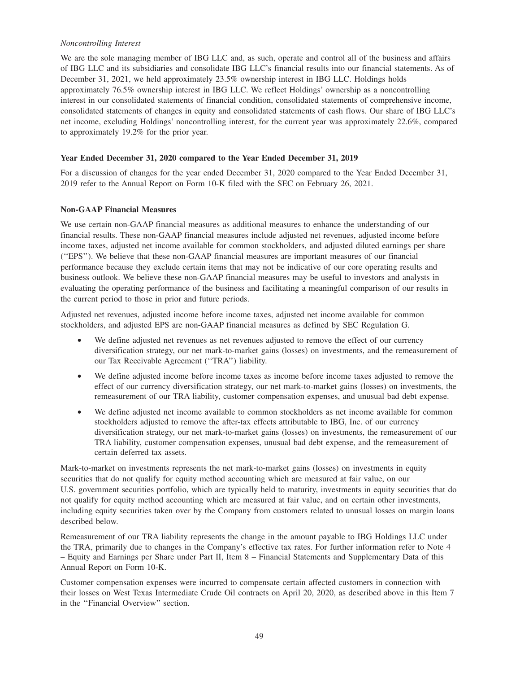### *Noncontrolling Interest*

We are the sole managing member of IBG LLC and, as such, operate and control all of the business and affairs of IBG LLC and its subsidiaries and consolidate IBG LLC's financial results into our financial statements. As of December 31, 2021, we held approximately 23.5% ownership interest in IBG LLC. Holdings holds approximately 76.5% ownership interest in IBG LLC. We reflect Holdings' ownership as a noncontrolling interest in our consolidated statements of financial condition, consolidated statements of comprehensive income, consolidated statements of changes in equity and consolidated statements of cash flows. Our share of IBG LLC's net income, excluding Holdings' noncontrolling interest, for the current year was approximately 22.6%, compared to approximately 19.2% for the prior year.

### **Year Ended December 31, 2020 compared to the Year Ended December 31, 2019**

For a discussion of changes for the year ended December 31, 2020 compared to the Year Ended December 31, 2019 refer to the Annual Report on Form 10-K filed with the SEC on February 26, 2021.

#### **Non-GAAP Financial Measures**

We use certain non-GAAP financial measures as additional measures to enhance the understanding of our financial results. These non-GAAP financial measures include adjusted net revenues, adjusted income before income taxes, adjusted net income available for common stockholders, and adjusted diluted earnings per share (''EPS''). We believe that these non-GAAP financial measures are important measures of our financial performance because they exclude certain items that may not be indicative of our core operating results and business outlook. We believe these non-GAAP financial measures may be useful to investors and analysts in evaluating the operating performance of the business and facilitating a meaningful comparison of our results in the current period to those in prior and future periods.

Adjusted net revenues, adjusted income before income taxes, adjusted net income available for common stockholders, and adjusted EPS are non-GAAP financial measures as defined by SEC Regulation G.

- We define adjusted net revenues as net revenues adjusted to remove the effect of our currency diversification strategy, our net mark-to-market gains (losses) on investments, and the remeasurement of our Tax Receivable Agreement (''TRA'') liability.
- We define adjusted income before income taxes as income before income taxes adjusted to remove the effect of our currency diversification strategy, our net mark-to-market gains (losses) on investments, the remeasurement of our TRA liability, customer compensation expenses, and unusual bad debt expense.
- We define adjusted net income available to common stockholders as net income available for common stockholders adjusted to remove the after-tax effects attributable to IBG, Inc. of our currency diversification strategy, our net mark-to-market gains (losses) on investments, the remeasurement of our TRA liability, customer compensation expenses, unusual bad debt expense, and the remeasurement of certain deferred tax assets.

Mark-to-market on investments represents the net mark-to-market gains (losses) on investments in equity securities that do not qualify for equity method accounting which are measured at fair value, on our U.S. government securities portfolio, which are typically held to maturity, investments in equity securities that do not qualify for equity method accounting which are measured at fair value, and on certain other investments, including equity securities taken over by the Company from customers related to unusual losses on margin loans described below.

Remeasurement of our TRA liability represents the change in the amount payable to IBG Holdings LLC under the TRA, primarily due to changes in the Company's effective tax rates. For further information refer to Note 4 – Equity and Earnings per Share under Part II, Item 8 – Financial Statements and Supplementary Data of this Annual Report on Form 10-K.

Customer compensation expenses were incurred to compensate certain affected customers in connection with their losses on West Texas Intermediate Crude Oil contracts on April 20, 2020, as described above in this Item 7 in the ''Financial Overview'' section.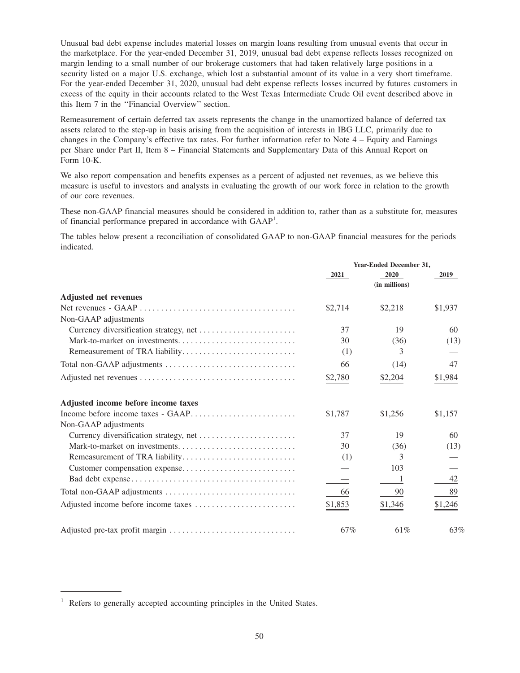Unusual bad debt expense includes material losses on margin loans resulting from unusual events that occur in the marketplace. For the year-ended December 31, 2019, unusual bad debt expense reflects losses recognized on margin lending to a small number of our brokerage customers that had taken relatively large positions in a security listed on a major U.S. exchange, which lost a substantial amount of its value in a very short timeframe. For the year-ended December 31, 2020, unusual bad debt expense reflects losses incurred by futures customers in excess of the equity in their accounts related to the West Texas Intermediate Crude Oil event described above in this Item 7 in the ''Financial Overview'' section.

Remeasurement of certain deferred tax assets represents the change in the unamortized balance of deferred tax assets related to the step-up in basis arising from the acquisition of interests in IBG LLC, primarily due to changes in the Company's effective tax rates. For further information refer to Note 4 – Equity and Earnings per Share under Part II, Item 8 – Financial Statements and Supplementary Data of this Annual Report on Form 10-K.

We also report compensation and benefits expenses as a percent of adjusted net revenues, as we believe this measure is useful to investors and analysts in evaluating the growth of our work force in relation to the growth of our core revenues.

These non-GAAP financial measures should be considered in addition to, rather than as a substitute for, measures of financial performance prepared in accordance with GAAP<sup>1</sup>.

The tables below present a reconciliation of consolidated GAAP to non-GAAP financial measures for the periods indicated.

|                                     | Year-Ended December 31, |               |         |
|-------------------------------------|-------------------------|---------------|---------|
|                                     | 2021                    | 2020          | 2019    |
|                                     |                         | (in millions) |         |
| <b>Adjusted net revenues</b>        |                         |               |         |
|                                     | \$2,714                 | \$2,218       | \$1,937 |
| Non-GAAP adjustments                |                         |               |         |
|                                     | 37                      | 19            | 60      |
| Mark-to-market on investments       | 30                      | (36)          | (13)    |
| Remeasurement of TRA liability      | (1)                     | 3             |         |
|                                     | 66                      | (14)          | 47      |
|                                     | \$2,780                 | \$2,204       | \$1,984 |
| Adjusted income before income taxes |                         |               |         |
|                                     | \$1,787                 | \$1,256       | \$1,157 |
| Non-GAAP adjustments                |                         |               |         |
|                                     | 37                      | 19            | 60      |
|                                     | 30                      | (36)          | (13)    |
|                                     | (1)                     | 3             |         |
| Customer compensation expense       |                         | 103           |         |
|                                     |                         |               | 42      |
|                                     | 66                      | 90            | 89      |
|                                     | \$1,853                 | \$1,346       | \$1,246 |
|                                     | 67%                     | 61%           | 63%     |

<sup>&</sup>lt;sup>1</sup> Refers to generally accepted accounting principles in the United States.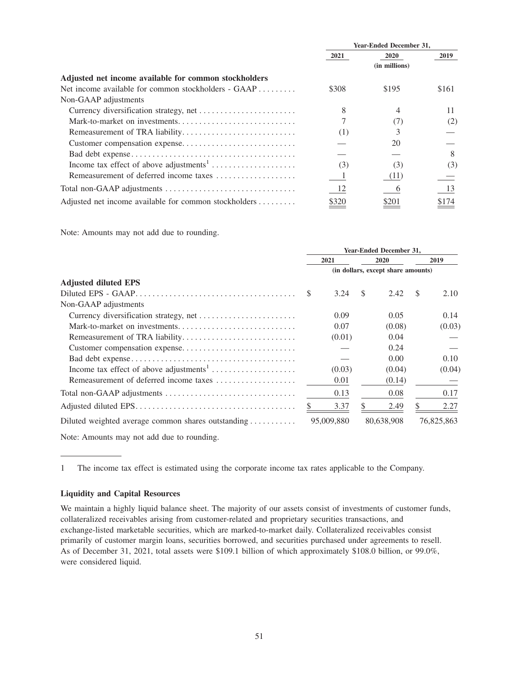|                                                       | <b>Year-Ended December 31,</b> |               |       |  |
|-------------------------------------------------------|--------------------------------|---------------|-------|--|
|                                                       | 2021                           | <b>2020</b>   | 2019  |  |
|                                                       |                                | (in millions) |       |  |
| Adjusted net income available for common stockholders |                                |               |       |  |
| Net income available for common stockholders - $GAAP$ | \$308                          | \$195         | \$161 |  |
| Non-GAAP adjustments                                  |                                |               |       |  |
|                                                       | 8                              | 4             |       |  |
| Mark-to-market on investments                         |                                | (7)           | (2)   |  |
|                                                       | (1)                            |               |       |  |
|                                                       |                                | 20            |       |  |
|                                                       |                                |               | 8     |  |
|                                                       | (3)                            | (3)           | (3)   |  |
| Remeasurement of deferred income taxes                |                                | (11)          |       |  |
|                                                       | - 12                           | $\sigma$      | 13    |  |
| Adjusted net income available for common stockholders | \$320                          | \$201         | \$174 |  |

Note: Amounts may not add due to rounding.

|                                                                      | Year-Ended December 31, |                                    |                       |  |  |
|----------------------------------------------------------------------|-------------------------|------------------------------------|-----------------------|--|--|
|                                                                      | 2021                    | 2020                               |                       |  |  |
|                                                                      |                         | (in dollars, except share amounts) |                       |  |  |
| <b>Adjusted diluted EPS</b>                                          |                         |                                    |                       |  |  |
|                                                                      | -S<br>3.24              | -S<br>2.42                         | <sup>\$</sup><br>2.10 |  |  |
| Non-GAAP adjustments                                                 |                         |                                    |                       |  |  |
|                                                                      | 0.09                    | 0.05                               | 0.14                  |  |  |
| Mark-to-market on investments                                        | 0.07                    | (0.08)                             | (0.03)                |  |  |
|                                                                      | (0.01)                  | 0.04                               |                       |  |  |
|                                                                      |                         | 0.24                               |                       |  |  |
|                                                                      |                         | 0.00                               | 0.10                  |  |  |
|                                                                      | (0.03)                  | (0.04)                             | (0.04)                |  |  |
| Remeasurement of deferred income taxes                               | 0.01                    | (0.14)                             |                       |  |  |
|                                                                      | 0.13                    | 0.08                               | 0.17                  |  |  |
|                                                                      | 3.37                    | 2.49                               | 2.27                  |  |  |
| Diluted weighted average common shares outstanding $\dots\dots\dots$ | 95,009,880              | 80,638,908                         | 76,825,863            |  |  |

Note: Amounts may not add due to rounding.

1 The income tax effect is estimated using the corporate income tax rates applicable to the Company.

### **Liquidity and Capital Resources**

We maintain a highly liquid balance sheet. The majority of our assets consist of investments of customer funds, collateralized receivables arising from customer-related and proprietary securities transactions, and exchange-listed marketable securities, which are marked-to-market daily. Collateralized receivables consist primarily of customer margin loans, securities borrowed, and securities purchased under agreements to resell. As of December 31, 2021, total assets were \$109.1 billion of which approximately \$108.0 billion, or 99.0%, were considered liquid.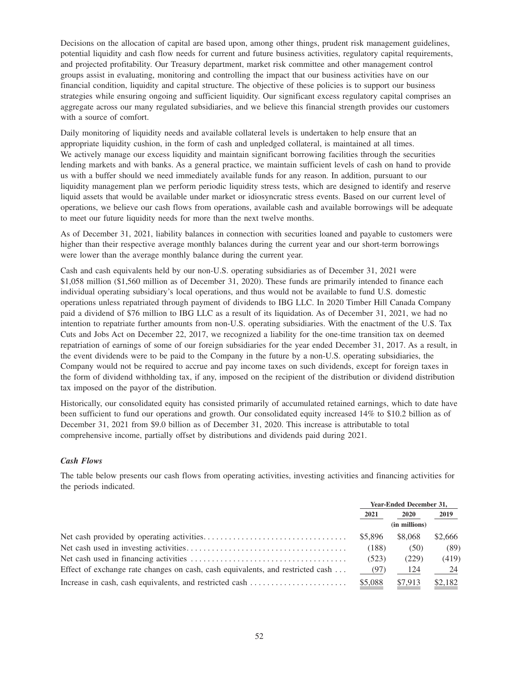Decisions on the allocation of capital are based upon, among other things, prudent risk management guidelines, potential liquidity and cash flow needs for current and future business activities, regulatory capital requirements, and projected profitability. Our Treasury department, market risk committee and other management control groups assist in evaluating, monitoring and controlling the impact that our business activities have on our financial condition, liquidity and capital structure. The objective of these policies is to support our business strategies while ensuring ongoing and sufficient liquidity. Our significant excess regulatory capital comprises an aggregate across our many regulated subsidiaries, and we believe this financial strength provides our customers with a source of comfort.

Daily monitoring of liquidity needs and available collateral levels is undertaken to help ensure that an appropriate liquidity cushion, in the form of cash and unpledged collateral, is maintained at all times. We actively manage our excess liquidity and maintain significant borrowing facilities through the securities lending markets and with banks. As a general practice, we maintain sufficient levels of cash on hand to provide us with a buffer should we need immediately available funds for any reason. In addition, pursuant to our liquidity management plan we perform periodic liquidity stress tests, which are designed to identify and reserve liquid assets that would be available under market or idiosyncratic stress events. Based on our current level of operations, we believe our cash flows from operations, available cash and available borrowings will be adequate to meet our future liquidity needs for more than the next twelve months.

As of December 31, 2021, liability balances in connection with securities loaned and payable to customers were higher than their respective average monthly balances during the current year and our short-term borrowings were lower than the average monthly balance during the current year.

Cash and cash equivalents held by our non-U.S. operating subsidiaries as of December 31, 2021 were \$1,058 million (\$1,560 million as of December 31, 2020). These funds are primarily intended to finance each individual operating subsidiary's local operations, and thus would not be available to fund U.S. domestic operations unless repatriated through payment of dividends to IBG LLC. In 2020 Timber Hill Canada Company paid a dividend of \$76 million to IBG LLC as a result of its liquidation. As of December 31, 2021, we had no intention to repatriate further amounts from non-U.S. operating subsidiaries. With the enactment of the U.S. Tax Cuts and Jobs Act on December 22, 2017, we recognized a liability for the one-time transition tax on deemed repatriation of earnings of some of our foreign subsidiaries for the year ended December 31, 2017. As a result, in the event dividends were to be paid to the Company in the future by a non-U.S. operating subsidiaries, the Company would not be required to accrue and pay income taxes on such dividends, except for foreign taxes in the form of dividend withholding tax, if any, imposed on the recipient of the distribution or dividend distribution tax imposed on the payor of the distribution.

Historically, our consolidated equity has consisted primarily of accumulated retained earnings, which to date have been sufficient to fund our operations and growth. Our consolidated equity increased 14% to \$10.2 billion as of December 31, 2021 from \$9.0 billion as of December 31, 2020. This increase is attributable to total comprehensive income, partially offset by distributions and dividends paid during 2021.

#### *Cash Flows*

The table below presents our cash flows from operating activities, investing activities and financing activities for the periods indicated.

|                                                                                |         | <b>Year-Ended December 31,</b> |         |
|--------------------------------------------------------------------------------|---------|--------------------------------|---------|
|                                                                                | 2021    | <b>2020</b><br>(in millions)   | 2019    |
|                                                                                | \$5,896 | \$8,068                        | \$2,666 |
|                                                                                | (188)   | (50)                           | (89)    |
|                                                                                | (523)   | (229)                          | (419)   |
| Effect of exchange rate changes on cash, cash equivalents, and restricted cash | (97)    | -124                           | 24      |
| Increase in cash, cash equivalents, and restricted cash                        | \$5,088 | \$7,913                        | \$2,182 |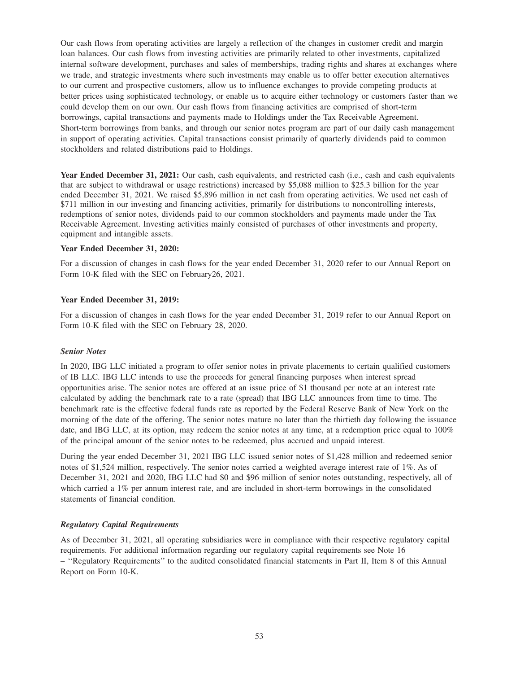Our cash flows from operating activities are largely a reflection of the changes in customer credit and margin loan balances. Our cash flows from investing activities are primarily related to other investments, capitalized internal software development, purchases and sales of memberships, trading rights and shares at exchanges where we trade, and strategic investments where such investments may enable us to offer better execution alternatives to our current and prospective customers, allow us to influence exchanges to provide competing products at better prices using sophisticated technology, or enable us to acquire either technology or customers faster than we could develop them on our own. Our cash flows from financing activities are comprised of short-term borrowings, capital transactions and payments made to Holdings under the Tax Receivable Agreement. Short-term borrowings from banks, and through our senior notes program are part of our daily cash management in support of operating activities. Capital transactions consist primarily of quarterly dividends paid to common stockholders and related distributions paid to Holdings.

Year Ended December 31, 2021: Our cash, cash equivalents, and restricted cash (i.e., cash and cash equivalents that are subject to withdrawal or usage restrictions) increased by \$5,088 million to \$25.3 billion for the year ended December 31, 2021. We raised \$5,896 million in net cash from operating activities. We used net cash of \$711 million in our investing and financing activities, primarily for distributions to noncontrolling interests, redemptions of senior notes, dividends paid to our common stockholders and payments made under the Tax Receivable Agreement. Investing activities mainly consisted of purchases of other investments and property, equipment and intangible assets.

#### **Year Ended December 31, 2020:**

For a discussion of changes in cash flows for the year ended December 31, 2020 refer to our Annual Report on Form 10-K filed with the SEC on February26, 2021.

#### **Year Ended December 31, 2019:**

For a discussion of changes in cash flows for the year ended December 31, 2019 refer to our Annual Report on Form 10-K filed with the SEC on February 28, 2020.

#### *Senior Notes*

In 2020, IBG LLC initiated a program to offer senior notes in private placements to certain qualified customers of IB LLC. IBG LLC intends to use the proceeds for general financing purposes when interest spread opportunities arise. The senior notes are offered at an issue price of \$1 thousand per note at an interest rate calculated by adding the benchmark rate to a rate (spread) that IBG LLC announces from time to time. The benchmark rate is the effective federal funds rate as reported by the Federal Reserve Bank of New York on the morning of the date of the offering. The senior notes mature no later than the thirtieth day following the issuance date, and IBG LLC, at its option, may redeem the senior notes at any time, at a redemption price equal to  $100\%$ of the principal amount of the senior notes to be redeemed, plus accrued and unpaid interest.

During the year ended December 31, 2021 IBG LLC issued senior notes of \$1,428 million and redeemed senior notes of \$1,524 million, respectively. The senior notes carried a weighted average interest rate of 1%. As of December 31, 2021 and 2020, IBG LLC had \$0 and \$96 million of senior notes outstanding, respectively, all of which carried a 1% per annum interest rate, and are included in short-term borrowings in the consolidated statements of financial condition.

#### *Regulatory Capital Requirements*

As of December 31, 2021, all operating subsidiaries were in compliance with their respective regulatory capital requirements. For additional information regarding our regulatory capital requirements see Note 16 – ''Regulatory Requirements'' to the audited consolidated financial statements in Part II, Item 8 of this Annual Report on Form 10-K.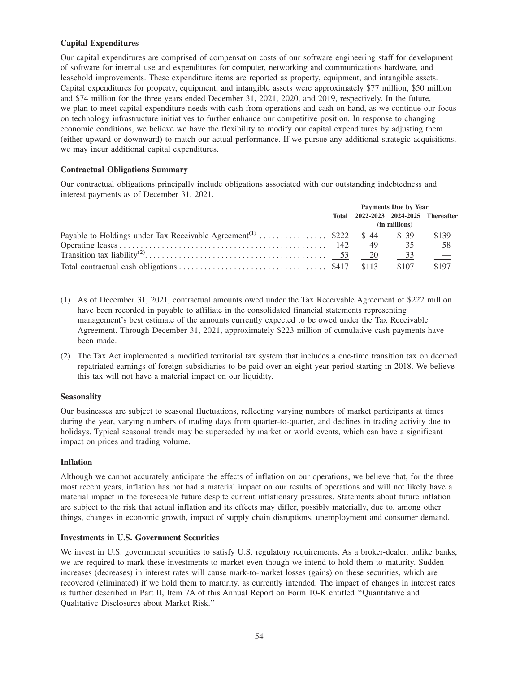### **Capital Expenditures**

Our capital expenditures are comprised of compensation costs of our software engineering staff for development of software for internal use and expenditures for computer, networking and communications hardware, and leasehold improvements. These expenditure items are reported as property, equipment, and intangible assets. Capital expenditures for property, equipment, and intangible assets were approximately \$77 million, \$50 million and \$74 million for the three years ended December 31, 2021, 2020, and 2019, respectively. In the future, we plan to meet capital expenditure needs with cash from operations and cash on hand, as we continue our focus on technology infrastructure initiatives to further enhance our competitive position. In response to changing economic conditions, we believe we have the flexibility to modify our capital expenditures by adjusting them (either upward or downward) to match our actual performance. If we pursue any additional strategic acquisitions, we may incur additional capital expenditures.

#### **Contractual Obligations Summary**

Our contractual obligations principally include obligations associated with our outstanding indebtedness and interest payments as of December 31, 2021.

| <b>Payments Due by Year</b> |       |                                |                           |  |
|-----------------------------|-------|--------------------------------|---------------------------|--|
| Total                       |       | 2022-2023 2024-2025 Thereafter |                           |  |
|                             |       | (in millions)                  |                           |  |
|                             |       |                                | \$139                     |  |
|                             | 49    | 35                             | -58                       |  |
|                             | 20    | 33                             | $\frac{1}{1-\frac{1}{2}}$ |  |
|                             | \$113 | \$107                          | \$197                     |  |

- (1) As of December 31, 2021, contractual amounts owed under the Tax Receivable Agreement of \$222 million have been recorded in payable to affiliate in the consolidated financial statements representing management's best estimate of the amounts currently expected to be owed under the Tax Receivable Agreement. Through December 31, 2021, approximately \$223 million of cumulative cash payments have been made.
- (2) The Tax Act implemented a modified territorial tax system that includes a one-time transition tax on deemed repatriated earnings of foreign subsidiaries to be paid over an eight-year period starting in 2018. We believe this tax will not have a material impact on our liquidity.

#### **Seasonality**

Our businesses are subject to seasonal fluctuations, reflecting varying numbers of market participants at times during the year, varying numbers of trading days from quarter-to-quarter, and declines in trading activity due to holidays. Typical seasonal trends may be superseded by market or world events, which can have a significant impact on prices and trading volume.

### **Inflation**

Although we cannot accurately anticipate the effects of inflation on our operations, we believe that, for the three most recent years, inflation has not had a material impact on our results of operations and will not likely have a material impact in the foreseeable future despite current inflationary pressures. Statements about future inflation are subject to the risk that actual inflation and its effects may differ, possibly materially, due to, among other things, changes in economic growth, impact of supply chain disruptions, unemployment and consumer demand.

#### **Investments in U.S. Government Securities**

We invest in U.S. government securities to satisfy U.S. regulatory requirements. As a broker-dealer, unlike banks, we are required to mark these investments to market even though we intend to hold them to maturity. Sudden increases (decreases) in interest rates will cause mark-to-market losses (gains) on these securities, which are recovered (eliminated) if we hold them to maturity, as currently intended. The impact of changes in interest rates is further described in Part II, Item 7A of this Annual Report on Form 10-K entitled ''Quantitative and Qualitative Disclosures about Market Risk.''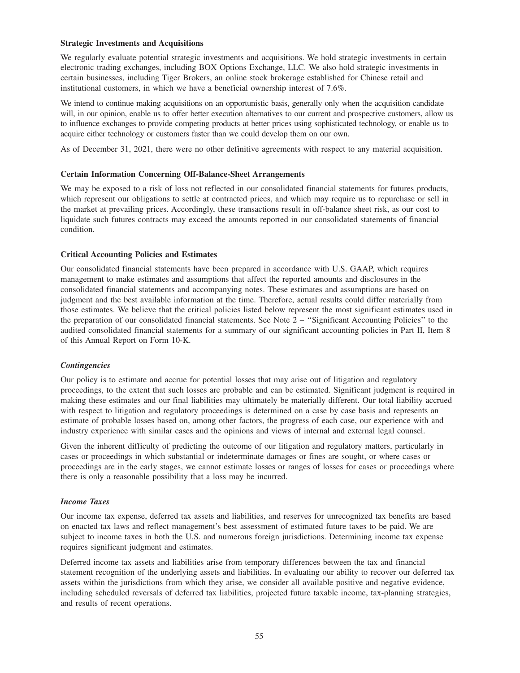#### **Strategic Investments and Acquisitions**

We regularly evaluate potential strategic investments and acquisitions. We hold strategic investments in certain electronic trading exchanges, including BOX Options Exchange, LLC. We also hold strategic investments in certain businesses, including Tiger Brokers, an online stock brokerage established for Chinese retail and institutional customers, in which we have a beneficial ownership interest of 7.6%.

We intend to continue making acquisitions on an opportunistic basis, generally only when the acquisition candidate will, in our opinion, enable us to offer better execution alternatives to our current and prospective customers, allow us to influence exchanges to provide competing products at better prices using sophisticated technology, or enable us to acquire either technology or customers faster than we could develop them on our own.

As of December 31, 2021, there were no other definitive agreements with respect to any material acquisition.

### **Certain Information Concerning Off-Balance-Sheet Arrangements**

We may be exposed to a risk of loss not reflected in our consolidated financial statements for futures products, which represent our obligations to settle at contracted prices, and which may require us to repurchase or sell in the market at prevailing prices. Accordingly, these transactions result in off-balance sheet risk, as our cost to liquidate such futures contracts may exceed the amounts reported in our consolidated statements of financial condition.

### **Critical Accounting Policies and Estimates**

Our consolidated financial statements have been prepared in accordance with U.S. GAAP, which requires management to make estimates and assumptions that affect the reported amounts and disclosures in the consolidated financial statements and accompanying notes. These estimates and assumptions are based on judgment and the best available information at the time. Therefore, actual results could differ materially from those estimates. We believe that the critical policies listed below represent the most significant estimates used in the preparation of our consolidated financial statements. See Note 2 – ''Significant Accounting Policies'' to the audited consolidated financial statements for a summary of our significant accounting policies in Part II, Item 8 of this Annual Report on Form 10-K.

### *Contingencies*

Our policy is to estimate and accrue for potential losses that may arise out of litigation and regulatory proceedings, to the extent that such losses are probable and can be estimated. Significant judgment is required in making these estimates and our final liabilities may ultimately be materially different. Our total liability accrued with respect to litigation and regulatory proceedings is determined on a case by case basis and represents an estimate of probable losses based on, among other factors, the progress of each case, our experience with and industry experience with similar cases and the opinions and views of internal and external legal counsel.

Given the inherent difficulty of predicting the outcome of our litigation and regulatory matters, particularly in cases or proceedings in which substantial or indeterminate damages or fines are sought, or where cases or proceedings are in the early stages, we cannot estimate losses or ranges of losses for cases or proceedings where there is only a reasonable possibility that a loss may be incurred.

### *Income Taxes*

Our income tax expense, deferred tax assets and liabilities, and reserves for unrecognized tax benefits are based on enacted tax laws and reflect management's best assessment of estimated future taxes to be paid. We are subject to income taxes in both the U.S. and numerous foreign jurisdictions. Determining income tax expense requires significant judgment and estimates.

Deferred income tax assets and liabilities arise from temporary differences between the tax and financial statement recognition of the underlying assets and liabilities. In evaluating our ability to recover our deferred tax assets within the jurisdictions from which they arise, we consider all available positive and negative evidence, including scheduled reversals of deferred tax liabilities, projected future taxable income, tax-planning strategies, and results of recent operations.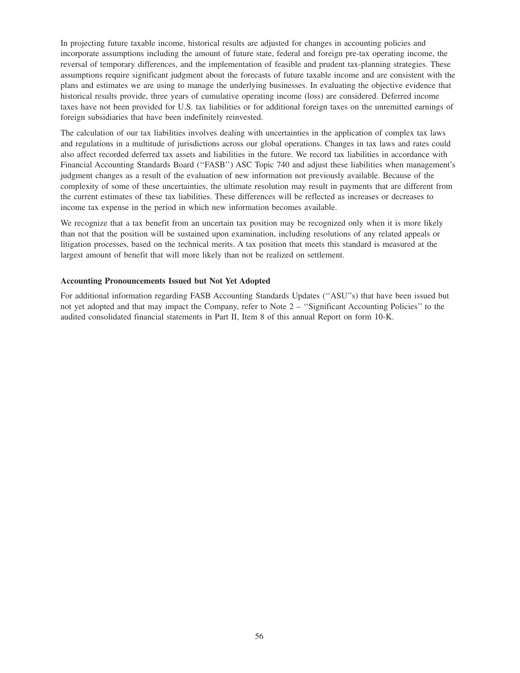In projecting future taxable income, historical results are adjusted for changes in accounting policies and incorporate assumptions including the amount of future state, federal and foreign pre-tax operating income, the reversal of temporary differences, and the implementation of feasible and prudent tax-planning strategies. These assumptions require significant judgment about the forecasts of future taxable income and are consistent with the plans and estimates we are using to manage the underlying businesses. In evaluating the objective evidence that historical results provide, three years of cumulative operating income (loss) are considered. Deferred income taxes have not been provided for U.S. tax liabilities or for additional foreign taxes on the unremitted earnings of foreign subsidiaries that have been indefinitely reinvested.

The calculation of our tax liabilities involves dealing with uncertainties in the application of complex tax laws and regulations in a multitude of jurisdictions across our global operations. Changes in tax laws and rates could also affect recorded deferred tax assets and liabilities in the future. We record tax liabilities in accordance with Financial Accounting Standards Board (''FASB'') ASC Topic 740 and adjust these liabilities when management's judgment changes as a result of the evaluation of new information not previously available. Because of the complexity of some of these uncertainties, the ultimate resolution may result in payments that are different from the current estimates of these tax liabilities. These differences will be reflected as increases or decreases to income tax expense in the period in which new information becomes available.

We recognize that a tax benefit from an uncertain tax position may be recognized only when it is more likely than not that the position will be sustained upon examination, including resolutions of any related appeals or litigation processes, based on the technical merits. A tax position that meets this standard is measured at the largest amount of benefit that will more likely than not be realized on settlement.

#### **Accounting Pronouncements Issued but Not Yet Adopted**

For additional information regarding FASB Accounting Standards Updates (''ASU''s) that have been issued but not yet adopted and that may impact the Company, refer to Note 2 – ''Significant Accounting Policies'' to the audited consolidated financial statements in Part II, Item 8 of this annual Report on form 10-K.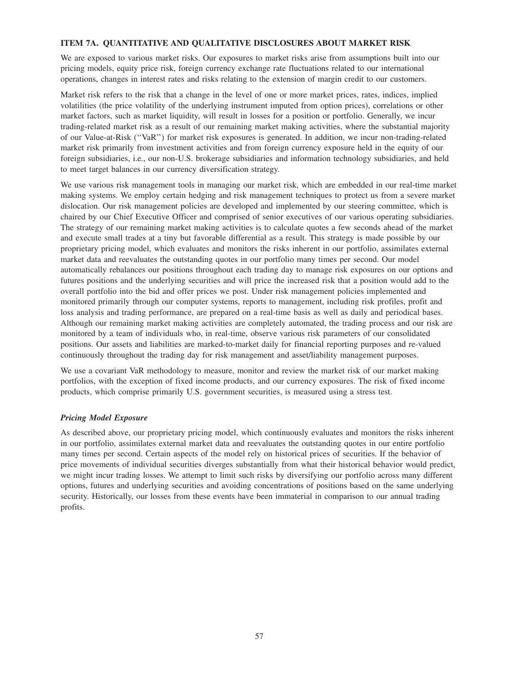### **ITEM 7A. QUANTITATIVE AND QUALITATIVE DISCLOSURES ABOUT MARKET RISK**

We are exposed to various market risks. Our exposures to market risks arise from assumptions built into our pricing models, equity price risk, foreign currency exchange rate fluctuations related to our international operations, changes in interest rates and risks relating to the extension of margin credit to our customers.

Market risk refers to the risk that a change in the level of one or more market prices, rates, indices, implied volatilities (the price volatility of the underlying instrument imputed from option prices), correlations or other market factors, such as market liquidity, will result in losses for a position or portfolio. Generally, we incur trading-related market risk as a result of our remaining market making activities, where the substantial majority of our Value-at-Risk (''VaR'') for market risk exposures is generated. In addition, we incur non-trading-related market risk primarily from investment activities and from foreign currency exposure held in the equity of our foreign subsidiaries, i.e., our non-U.S. brokerage subsidiaries and information technology subsidiaries, and held to meet target balances in our currency diversification strategy.

We use various risk management tools in managing our market risk, which are embedded in our real-time market making systems. We employ certain hedging and risk management techniques to protect us from a severe market dislocation. Our risk management policies are developed and implemented by our steering committee, which is chaired by our Chief Executive Officer and comprised of senior executives of our various operating subsidiaries. The strategy of our remaining market making activities is to calculate quotes a few seconds ahead of the market and execute small trades at a tiny but favorable differential as a result. This strategy is made possible by our proprietary pricing model, which evaluates and monitors the risks inherent in our portfolio, assimilates external market data and reevaluates the outstanding quotes in our portfolio many times per second. Our model automatically rebalances our positions throughout each trading day to manage risk exposures on our options and futures positions and the underlying securities and will price the increased risk that a position would add to the overall portfolio into the bid and offer prices we post. Under risk management policies implemented and monitored primarily through our computer systems, reports to management, including risk profiles, profit and loss analysis and trading performance, are prepared on a real-time basis as well as daily and periodical bases. Although our remaining market making activities are completely automated, the trading process and our risk are monitored by a team of individuals who, in real-time, observe various risk parameters of our consolidated positions. Our assets and liabilities are marked-to-market daily for financial reporting purposes and re-valued continuously throughout the trading day for risk management and asset/liability management purposes.

We use a covariant VaR methodology to measure, monitor and review the market risk of our market making portfolios, with the exception of fixed income products, and our currency exposures. The risk of fixed income products, which comprise primarily U.S. government securities, is measured using a stress test.

### *Pricing Model Exposure*

As described above, our proprietary pricing model, which continuously evaluates and monitors the risks inherent in our portfolio, assimilates external market data and reevaluates the outstanding quotes in our entire portfolio many times per second. Certain aspects of the model rely on historical prices of securities. If the behavior of price movements of individual securities diverges substantially from what their historical behavior would predict, we might incur trading losses. We attempt to limit such risks by diversifying our portfolio across many different options, futures and underlying securities and avoiding concentrations of positions based on the same underlying security. Historically, our losses from these events have been immaterial in comparison to our annual trading profits.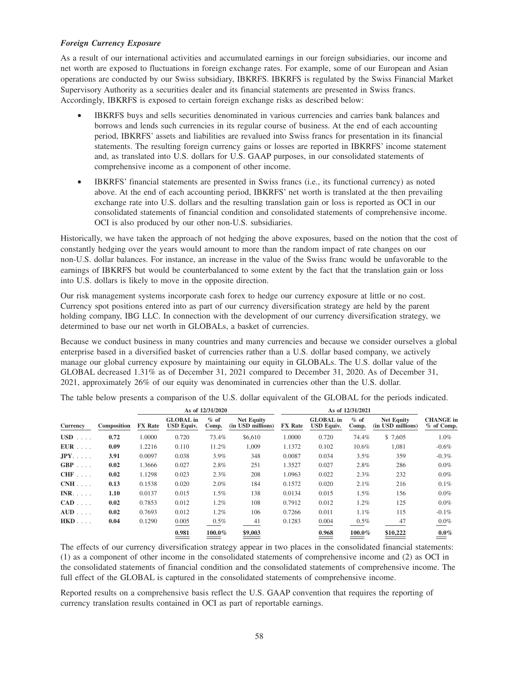### *Foreign Currency Exposure*

As a result of our international activities and accumulated earnings in our foreign subsidiaries, our income and net worth are exposed to fluctuations in foreign exchange rates. For example, some of our European and Asian operations are conducted by our Swiss subsidiary, IBKRFS. IBKRFS is regulated by the Swiss Financial Market Supervisory Authority as a securities dealer and its financial statements are presented in Swiss francs. Accordingly, IBKRFS is exposed to certain foreign exchange risks as described below:

- IBKRFS buys and sells securities denominated in various currencies and carries bank balances and borrows and lends such currencies in its regular course of business. At the end of each accounting period, IBKRFS' assets and liabilities are revalued into Swiss francs for presentation in its financial statements. The resulting foreign currency gains or losses are reported in IBKRFS' income statement and, as translated into U.S. dollars for U.S. GAAP purposes, in our consolidated statements of comprehensive income as a component of other income.
- IBKRFS' financial statements are presented in Swiss francs (i.e., its functional currency) as noted above. At the end of each accounting period, IBKRFS' net worth is translated at the then prevailing exchange rate into U.S. dollars and the resulting translation gain or loss is reported as OCI in our consolidated statements of financial condition and consolidated statements of comprehensive income. OCI is also produced by our other non-U.S. subsidiaries.

Historically, we have taken the approach of not hedging the above exposures, based on the notion that the cost of constantly hedging over the years would amount to more than the random impact of rate changes on our non-U.S. dollar balances. For instance, an increase in the value of the Swiss franc would be unfavorable to the earnings of IBKRFS but would be counterbalanced to some extent by the fact that the translation gain or loss into U.S. dollars is likely to move in the opposite direction.

Our risk management systems incorporate cash forex to hedge our currency exposure at little or no cost. Currency spot positions entered into as part of our currency diversification strategy are held by the parent holding company, IBG LLC. In connection with the development of our currency diversification strategy, we determined to base our net worth in GLOBALs, a basket of currencies.

Because we conduct business in many countries and many currencies and because we consider ourselves a global enterprise based in a diversified basket of currencies rather than a U.S. dollar based company, we actively manage our global currency exposure by maintaining our equity in GLOBALs. The U.S. dollar value of the GLOBAL decreased 1.31% as of December 31, 2021 compared to December 31, 2020. As of December 31, 2021, approximately 26% of our equity was denominated in currencies other than the U.S. dollar.

|                 |             |                | As of 12/31/2020                      |                 |                                        |                |                                       |                 |                                        |                                  |
|-----------------|-------------|----------------|---------------------------------------|-----------------|----------------------------------------|----------------|---------------------------------------|-----------------|----------------------------------------|----------------------------------|
| <b>Currency</b> | Composition | <b>FX</b> Rate | <b>GLOBAL</b> in<br><b>USD Equiv.</b> | $%$ of<br>Comp. | <b>Net Equity</b><br>(in USD millions) | <b>FX</b> Rate | <b>GLOBAL</b> in<br><b>USD Equiv.</b> | $%$ of<br>Comp. | <b>Net Equity</b><br>(in USD millions) | <b>CHANGE</b> in<br>$%$ of Comp. |
| $USD \dots$     | 0.72        | 1.0000         | 0.720                                 | 73.4%           | \$6,610                                | 1.0000         | 0.720                                 | 74.4%           | \$ 7,605                               | 1.0%                             |
| $EUR$           | 0.09        | 1.2216         | 0.110                                 | 11.2%           | 1,009                                  | 1.1372         | 0.102                                 | $10.6\%$        | 1,081                                  | $-0.6%$                          |
| $JPY$ .         | 3.91        | 0.0097         | 0.038                                 | $3.9\%$         | 348                                    | 0.0087         | 0.034                                 | $3.5\%$         | 359                                    | $-0.3\%$                         |
| $GBP$           | 0.02        | 1.3666         | 0.027                                 | 2.8%            | 251                                    | 1.3527         | 0.027                                 | 2.8%            | 286                                    | $0.0\%$                          |
| $CHF$           | 0.02        | 1.1298         | 0.023                                 | 2.3%            | 208                                    | 1.0963         | 0.022                                 | $2.3\%$         | 232                                    | $0.0\%$                          |
| $CNH$           | 0.13        | 0.1538         | 0.020                                 | $2.0\%$         | 184                                    | 0.1572         | 0.020                                 | $2.1\%$         | 216                                    | 0.1%                             |
| $INR. \ldots$ . | 1.10        | 0.0137         | 0.015                                 | $1.5\%$         | 138                                    | 0.0134         | 0.015                                 | $1.5\%$         | 156                                    | $0.0\%$                          |
| $CAD \ldots$    | 0.02        | 0.7853         | 0.012                                 | 1.2%            | 108                                    | 0.7912         | 0.012                                 | $1.2\%$         | 125                                    | $0.0\%$                          |
| $AUD$           | 0.02        | 0.7693         | 0.012                                 | 1.2%            | 106                                    | 0.7266         | 0.011                                 | 1.1%            | 115                                    | $-0.1\%$                         |
| $HKD$           | 0.04        | 0.1290         | 0.005                                 | $0.5\%$         | 41                                     | 0.1283         | 0.004                                 | $0.5\%$         | 47                                     | $0.0\%$                          |
|                 |             |                | 0.981                                 | 100.0%          | \$9,003                                |                | 0.968                                 | $100.0\%$       | \$10,222                               | $0.0\%$                          |

The table below presents a comparison of the U.S. dollar equivalent of the GLOBAL for the periods indicated.

The effects of our currency diversification strategy appear in two places in the consolidated financial statements: (1) as a component of other income in the consolidated statements of comprehensive income and (2) as OCI in the consolidated statements of financial condition and the consolidated statements of comprehensive income. The full effect of the GLOBAL is captured in the consolidated statements of comprehensive income.

Reported results on a comprehensive basis reflect the U.S. GAAP convention that requires the reporting of currency translation results contained in OCI as part of reportable earnings.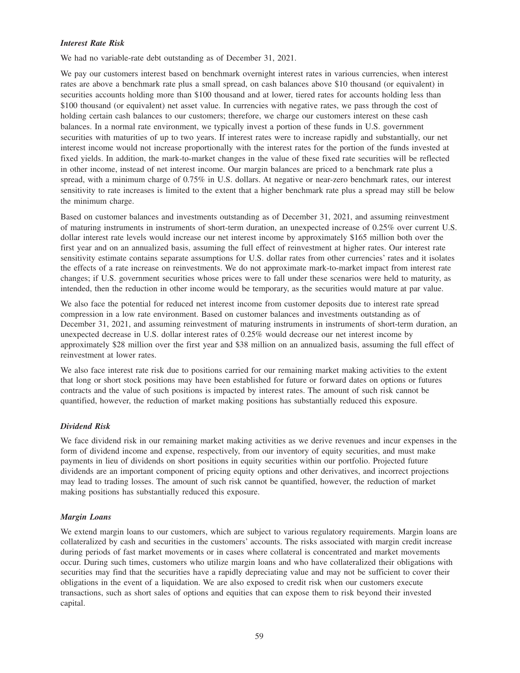### *Interest Rate Risk*

We had no variable-rate debt outstanding as of December 31, 2021.

We pay our customers interest based on benchmark overnight interest rates in various currencies, when interest rates are above a benchmark rate plus a small spread, on cash balances above \$10 thousand (or equivalent) in securities accounts holding more than \$100 thousand and at lower, tiered rates for accounts holding less than \$100 thousand (or equivalent) net asset value. In currencies with negative rates, we pass through the cost of holding certain cash balances to our customers; therefore, we charge our customers interest on these cash balances. In a normal rate environment, we typically invest a portion of these funds in U.S. government securities with maturities of up to two years. If interest rates were to increase rapidly and substantially, our net interest income would not increase proportionally with the interest rates for the portion of the funds invested at fixed yields. In addition, the mark-to-market changes in the value of these fixed rate securities will be reflected in other income, instead of net interest income. Our margin balances are priced to a benchmark rate plus a spread, with a minimum charge of 0.75% in U.S. dollars. At negative or near-zero benchmark rates, our interest sensitivity to rate increases is limited to the extent that a higher benchmark rate plus a spread may still be below the minimum charge.

Based on customer balances and investments outstanding as of December 31, 2021, and assuming reinvestment of maturing instruments in instruments of short-term duration, an unexpected increase of 0.25% over current U.S. dollar interest rate levels would increase our net interest income by approximately \$165 million both over the first year and on an annualized basis, assuming the full effect of reinvestment at higher rates. Our interest rate sensitivity estimate contains separate assumptions for U.S. dollar rates from other currencies' rates and it isolates the effects of a rate increase on reinvestments. We do not approximate mark-to-market impact from interest rate changes; if U.S. government securities whose prices were to fall under these scenarios were held to maturity, as intended, then the reduction in other income would be temporary, as the securities would mature at par value.

We also face the potential for reduced net interest income from customer deposits due to interest rate spread compression in a low rate environment. Based on customer balances and investments outstanding as of December 31, 2021, and assuming reinvestment of maturing instruments in instruments of short-term duration, an unexpected decrease in U.S. dollar interest rates of 0.25% would decrease our net interest income by approximately \$28 million over the first year and \$38 million on an annualized basis, assuming the full effect of reinvestment at lower rates.

We also face interest rate risk due to positions carried for our remaining market making activities to the extent that long or short stock positions may have been established for future or forward dates on options or futures contracts and the value of such positions is impacted by interest rates. The amount of such risk cannot be quantified, however, the reduction of market making positions has substantially reduced this exposure.

### *Dividend Risk*

We face dividend risk in our remaining market making activities as we derive revenues and incur expenses in the form of dividend income and expense, respectively, from our inventory of equity securities, and must make payments in lieu of dividends on short positions in equity securities within our portfolio. Projected future dividends are an important component of pricing equity options and other derivatives, and incorrect projections may lead to trading losses. The amount of such risk cannot be quantified, however, the reduction of market making positions has substantially reduced this exposure.

### *Margin Loans*

We extend margin loans to our customers, which are subject to various regulatory requirements. Margin loans are collateralized by cash and securities in the customers' accounts. The risks associated with margin credit increase during periods of fast market movements or in cases where collateral is concentrated and market movements occur. During such times, customers who utilize margin loans and who have collateralized their obligations with securities may find that the securities have a rapidly depreciating value and may not be sufficient to cover their obligations in the event of a liquidation. We are also exposed to credit risk when our customers execute transactions, such as short sales of options and equities that can expose them to risk beyond their invested capital.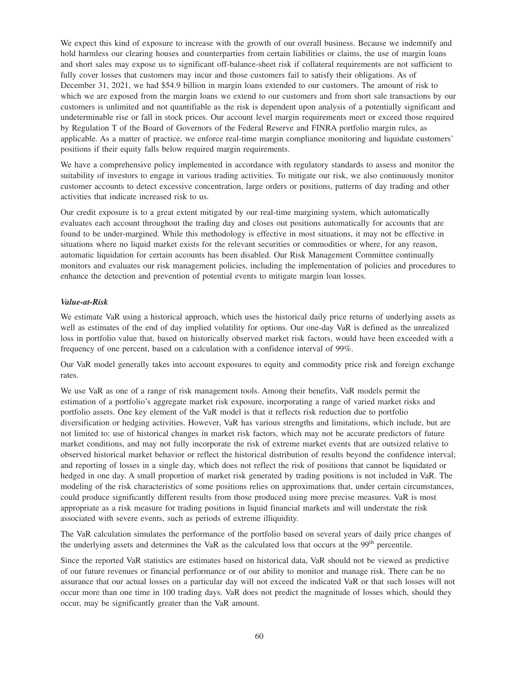We expect this kind of exposure to increase with the growth of our overall business. Because we indemnify and hold harmless our clearing houses and counterparties from certain liabilities or claims, the use of margin loans and short sales may expose us to significant off-balance-sheet risk if collateral requirements are not sufficient to fully cover losses that customers may incur and those customers fail to satisfy their obligations. As of December 31, 2021, we had \$54.9 billion in margin loans extended to our customers. The amount of risk to which we are exposed from the margin loans we extend to our customers and from short sale transactions by our customers is unlimited and not quantifiable as the risk is dependent upon analysis of a potentially significant and undeterminable rise or fall in stock prices. Our account level margin requirements meet or exceed those required by Regulation T of the Board of Governors of the Federal Reserve and FINRA portfolio margin rules, as applicable. As a matter of practice, we enforce real-time margin compliance monitoring and liquidate customers' positions if their equity falls below required margin requirements.

We have a comprehensive policy implemented in accordance with regulatory standards to assess and monitor the suitability of investors to engage in various trading activities. To mitigate our risk, we also continuously monitor customer accounts to detect excessive concentration, large orders or positions, patterns of day trading and other activities that indicate increased risk to us.

Our credit exposure is to a great extent mitigated by our real-time margining system, which automatically evaluates each account throughout the trading day and closes out positions automatically for accounts that are found to be under-margined. While this methodology is effective in most situations, it may not be effective in situations where no liquid market exists for the relevant securities or commodities or where, for any reason, automatic liquidation for certain accounts has been disabled. Our Risk Management Committee continually monitors and evaluates our risk management policies, including the implementation of policies and procedures to enhance the detection and prevention of potential events to mitigate margin loan losses.

#### *Value-at-Risk*

We estimate VaR using a historical approach, which uses the historical daily price returns of underlying assets as well as estimates of the end of day implied volatility for options. Our one-day VaR is defined as the unrealized loss in portfolio value that, based on historically observed market risk factors, would have been exceeded with a frequency of one percent, based on a calculation with a confidence interval of 99%.

Our VaR model generally takes into account exposures to equity and commodity price risk and foreign exchange rates.

We use VaR as one of a range of risk management tools. Among their benefits, VaR models permit the estimation of a portfolio's aggregate market risk exposure, incorporating a range of varied market risks and portfolio assets. One key element of the VaR model is that it reflects risk reduction due to portfolio diversification or hedging activities. However, VaR has various strengths and limitations, which include, but are not limited to: use of historical changes in market risk factors, which may not be accurate predictors of future market conditions, and may not fully incorporate the risk of extreme market events that are outsized relative to observed historical market behavior or reflect the historical distribution of results beyond the confidence interval; and reporting of losses in a single day, which does not reflect the risk of positions that cannot be liquidated or hedged in one day. A small proportion of market risk generated by trading positions is not included in VaR. The modeling of the risk characteristics of some positions relies on approximations that, under certain circumstances, could produce significantly different results from those produced using more precise measures. VaR is most appropriate as a risk measure for trading positions in liquid financial markets and will understate the risk associated with severe events, such as periods of extreme illiquidity.

The VaR calculation simulates the performance of the portfolio based on several years of daily price changes of the underlying assets and determines the VaR as the calculated loss that occurs at the 99<sup>th</sup> percentile.

Since the reported VaR statistics are estimates based on historical data, VaR should not be viewed as predictive of our future revenues or financial performance or of our ability to monitor and manage risk. There can be no assurance that our actual losses on a particular day will not exceed the indicated VaR or that such losses will not occur more than one time in 100 trading days. VaR does not predict the magnitude of losses which, should they occur, may be significantly greater than the VaR amount.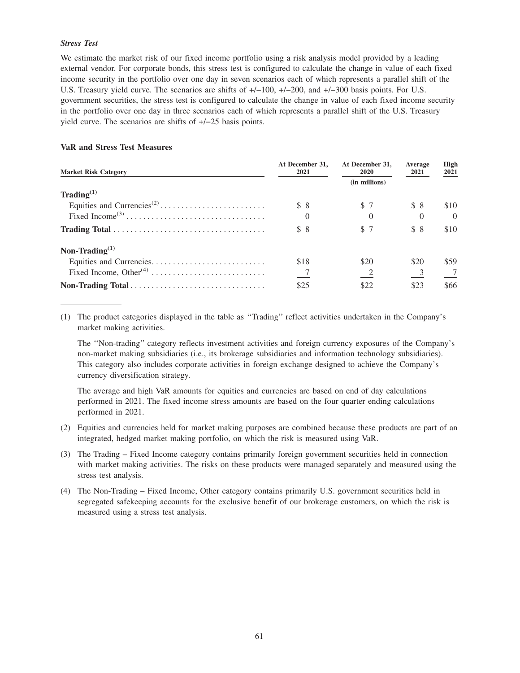### *Stress Test*

We estimate the market risk of our fixed income portfolio using a risk analysis model provided by a leading external vendor. For corporate bonds, this stress test is configured to calculate the change in value of each fixed income security in the portfolio over one day in seven scenarios each of which represents a parallel shift of the U.S. Treasury yield curve. The scenarios are shifts of +/−100, +/−200, and +/−300 basis points. For U.S. government securities, the stress test is configured to calculate the change in value of each fixed income security in the portfolio over one day in three scenarios each of which represents a parallel shift of the U.S. Treasury yield curve. The scenarios are shifts of +/−25 basis points.

#### **VaR and Stress Test Measures**

| <b>Market Risk Category</b> | At December 31.<br>2021 | At December 31.<br><b>2020</b> | Average<br>2021 | High<br>2021   |
|-----------------------------|-------------------------|--------------------------------|-----------------|----------------|
|                             |                         | (in millions)                  |                 |                |
| $\text{Trading}^{(1)}$      |                         |                                |                 |                |
|                             | \$8                     | S <sub>7</sub>                 | \$8             | \$10           |
|                             | $\frac{0}{1}$           | $\equiv$ 0                     | $\frac{0}{1}$   | $\overline{0}$ |
|                             | \$8                     | \$7                            | \$8             | \$10           |
| Non-Trading $^{(1)}$        |                         |                                |                 |                |
|                             | \$18                    | \$20                           | \$20            | \$59           |
|                             |                         | $\overline{\phantom{a}}$       |                 | $\overline{7}$ |
| Non-Trading Total           | \$25                    | \$22                           | \$23            | \$66           |

(1) The product categories displayed in the table as ''Trading'' reflect activities undertaken in the Company's market making activities.

The ''Non-trading'' category reflects investment activities and foreign currency exposures of the Company's non-market making subsidiaries (i.e., its brokerage subsidiaries and information technology subsidiaries). This category also includes corporate activities in foreign exchange designed to achieve the Company's currency diversification strategy.

The average and high VaR amounts for equities and currencies are based on end of day calculations performed in 2021. The fixed income stress amounts are based on the four quarter ending calculations performed in 2021.

- (2) Equities and currencies held for market making purposes are combined because these products are part of an integrated, hedged market making portfolio, on which the risk is measured using VaR.
- (3) The Trading Fixed Income category contains primarily foreign government securities held in connection with market making activities. The risks on these products were managed separately and measured using the stress test analysis.
- (4) The Non-Trading Fixed Income, Other category contains primarily U.S. government securities held in segregated safekeeping accounts for the exclusive benefit of our brokerage customers, on which the risk is measured using a stress test analysis.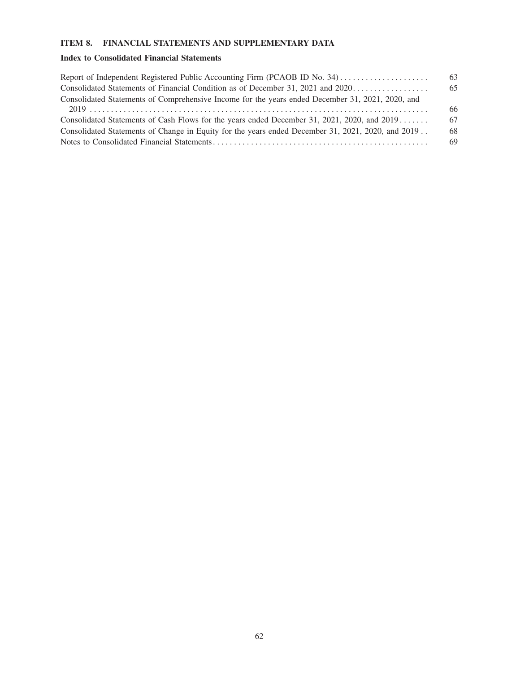# **ITEM 8. FINANCIAL STATEMENTS AND SUPPLEMENTARY DATA**

# **Index to Consolidated Financial Statements**

| 63 |
|----|
| 65 |
|    |
| 66 |
| 67 |
| 68 |
| 69 |
|    |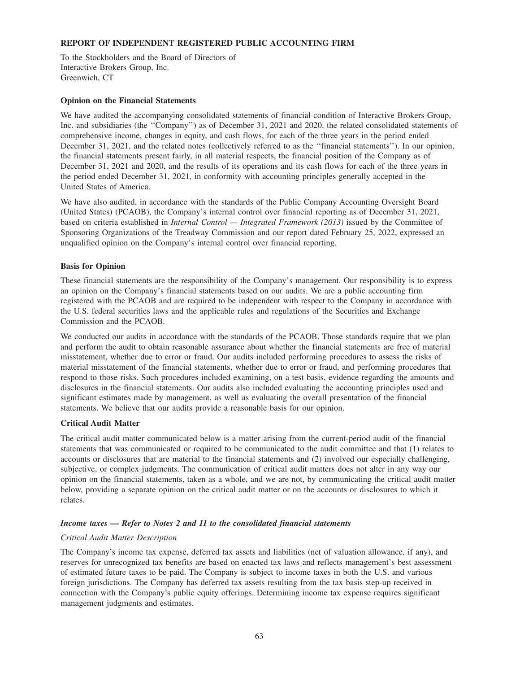### **REPORT OF INDEPENDENT REGISTERED PUBLIC ACCOUNTING FIRM**

To the Stockholders and the Board of Directors of Interactive Brokers Group, Inc. Greenwich, CT

### **Opinion on the Financial Statements**

We have audited the accompanying consolidated statements of financial condition of Interactive Brokers Group, Inc. and subsidiaries (the ''Company'') as of December 31, 2021 and 2020, the related consolidated statements of comprehensive income, changes in equity, and cash flows, for each of the three years in the period ended December 31, 2021, and the related notes (collectively referred to as the ''financial statements''). In our opinion, the financial statements present fairly, in all material respects, the financial position of the Company as of December 31, 2021 and 2020, and the results of its operations and its cash flows for each of the three years in the period ended December 31, 2021, in conformity with accounting principles generally accepted in the United States of America.

We have also audited, in accordance with the standards of the Public Company Accounting Oversight Board (United States) (PCAOB), the Company's internal control over financial reporting as of December 31, 2021, based on criteria established in *Internal Control — Integrated Framework (2013)* issued by the Committee of Sponsoring Organizations of the Treadway Commission and our report dated February 25, 2022, expressed an unqualified opinion on the Company's internal control over financial reporting.

### **Basis for Opinion**

These financial statements are the responsibility of the Company's management. Our responsibility is to express an opinion on the Company's financial statements based on our audits. We are a public accounting firm registered with the PCAOB and are required to be independent with respect to the Company in accordance with the U.S. federal securities laws and the applicable rules and regulations of the Securities and Exchange Commission and the PCAOB.

We conducted our audits in accordance with the standards of the PCAOB. Those standards require that we plan and perform the audit to obtain reasonable assurance about whether the financial statements are free of material misstatement, whether due to error or fraud. Our audits included performing procedures to assess the risks of material misstatement of the financial statements, whether due to error or fraud, and performing procedures that respond to those risks. Such procedures included examining, on a test basis, evidence regarding the amounts and disclosures in the financial statements. Our audits also included evaluating the accounting principles used and significant estimates made by management, as well as evaluating the overall presentation of the financial statements. We believe that our audits provide a reasonable basis for our opinion.

### **Critical Audit Matter**

The critical audit matter communicated below is a matter arising from the current-period audit of the financial statements that was communicated or required to be communicated to the audit committee and that (1) relates to accounts or disclosures that are material to the financial statements and (2) involved our especially challenging, subjective, or complex judgments. The communication of critical audit matters does not alter in any way our opinion on the financial statements, taken as a whole, and we are not, by communicating the critical audit matter below, providing a separate opinion on the critical audit matter or on the accounts or disclosures to which it relates.

### *Income taxes — Refer to Notes 2 and 11 to the consolidated financial statements*

### *Critical Audit Matter Description*

The Company's income tax expense, deferred tax assets and liabilities (net of valuation allowance, if any), and reserves for unrecognized tax benefits are based on enacted tax laws and reflects management's best assessment of estimated future taxes to be paid. The Company is subject to income taxes in both the U.S. and various foreign jurisdictions. The Company has deferred tax assets resulting from the tax basis step-up received in connection with the Company's public equity offerings. Determining income tax expense requires significant management judgments and estimates.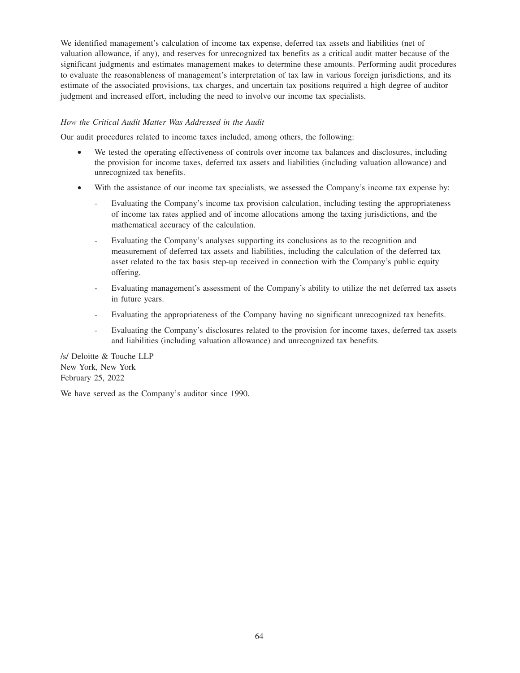We identified management's calculation of income tax expense, deferred tax assets and liabilities (net of valuation allowance, if any), and reserves for unrecognized tax benefits as a critical audit matter because of the significant judgments and estimates management makes to determine these amounts. Performing audit procedures to evaluate the reasonableness of management's interpretation of tax law in various foreign jurisdictions, and its estimate of the associated provisions, tax charges, and uncertain tax positions required a high degree of auditor judgment and increased effort, including the need to involve our income tax specialists.

### *How the Critical Audit Matter Was Addressed in the Audit*

Our audit procedures related to income taxes included, among others, the following:

- We tested the operating effectiveness of controls over income tax balances and disclosures, including the provision for income taxes, deferred tax assets and liabilities (including valuation allowance) and unrecognized tax benefits.
- With the assistance of our income tax specialists, we assessed the Company's income tax expense by:
	- Evaluating the Company's income tax provision calculation, including testing the appropriateness of income tax rates applied and of income allocations among the taxing jurisdictions, and the mathematical accuracy of the calculation.
	- Evaluating the Company's analyses supporting its conclusions as to the recognition and measurement of deferred tax assets and liabilities, including the calculation of the deferred tax asset related to the tax basis step-up received in connection with the Company's public equity offering.
	- Evaluating management's assessment of the Company's ability to utilize the net deferred tax assets in future years.
	- Evaluating the appropriateness of the Company having no significant unrecognized tax benefits.
	- Evaluating the Company's disclosures related to the provision for income taxes, deferred tax assets and liabilities (including valuation allowance) and unrecognized tax benefits.

/s/ Deloitte & Touche LLP New York, New York February 25, 2022

We have served as the Company's auditor since 1990.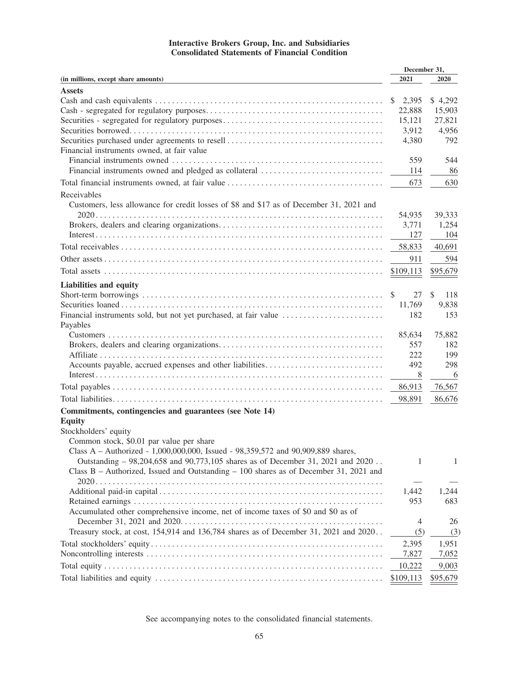#### **Interactive Brokers Group, Inc. and Subsidiaries Consolidated Statements of Financial Condition**

|                                                                                         | December 31, |           |  |
|-----------------------------------------------------------------------------------------|--------------|-----------|--|
| (in millions, except share amounts)                                                     | 2021         | 2020      |  |
| <b>Assets</b>                                                                           |              |           |  |
|                                                                                         | 2,395<br>\$  | \$4,292   |  |
|                                                                                         | 22,888       | 15,903    |  |
|                                                                                         | 15,121       | 27,821    |  |
|                                                                                         | 3,912        | 4,956     |  |
|                                                                                         | 4,380        | 792       |  |
| Financial instruments owned, at fair value                                              |              |           |  |
|                                                                                         | 559          | 544       |  |
|                                                                                         | 114          | 86        |  |
|                                                                                         | 673          | 630       |  |
| Receivables                                                                             |              |           |  |
| Customers, less allowance for credit losses of \$8 and \$17 as of December 31, 2021 and |              |           |  |
|                                                                                         | 54,935       | 39,333    |  |
|                                                                                         | 3,771        | 1,254     |  |
|                                                                                         | 127          | 104       |  |
|                                                                                         | 58,833       | 40,691    |  |
|                                                                                         | 911          | 594       |  |
|                                                                                         | \$109,113    | \$95,679  |  |
| Liabilities and equity                                                                  |              |           |  |
|                                                                                         | \$<br>27     | \$<br>118 |  |
|                                                                                         | 11,769       | 9,838     |  |
| Financial instruments sold, but not yet purchased, at fair value<br>Payables            | 182          | 153       |  |
|                                                                                         | 85,634       | 75,882    |  |
|                                                                                         | 557          | 182       |  |
|                                                                                         | 222          | 199       |  |
|                                                                                         | 492          | 298       |  |
|                                                                                         | 8            | -6        |  |
|                                                                                         | 86,913       | 76,567    |  |
|                                                                                         | 98,891       | 86,676    |  |
| Commitments, contingencies and guarantees (see Note 14)                                 |              |           |  |
| <b>Equity</b>                                                                           |              |           |  |
| Stockholders' equity                                                                    |              |           |  |
| Common stock, \$0.01 par value per share                                                |              |           |  |
| Class A – Authorized - 1,000,000,000, Issued - 98,359,572 and 90,909,889 shares,        |              |           |  |
| Outstanding – 98,204,658 and 90,773,105 shares as of December 31, 2021 and 2020         | 1            | 1         |  |
| Class B – Authorized, Issued and Outstanding – 100 shares as of December 31, 2021 and   |              |           |  |
|                                                                                         | 1,442        | 1,244     |  |
|                                                                                         | 953          | 683       |  |
| Accumulated other comprehensive income, net of income taxes of \$0 and \$0 as of        |              |           |  |
|                                                                                         | 4            | 26        |  |
| Treasury stock, at cost, 154,914 and 136,784 shares as of December 31, 2021 and 2020    | (5)          | (3)       |  |
|                                                                                         | 2,395        | 1,951     |  |
|                                                                                         | 7,827        | 7,052     |  |
|                                                                                         |              |           |  |
|                                                                                         | 10,222       | 9,003     |  |
|                                                                                         | \$109,113    | \$95,679  |  |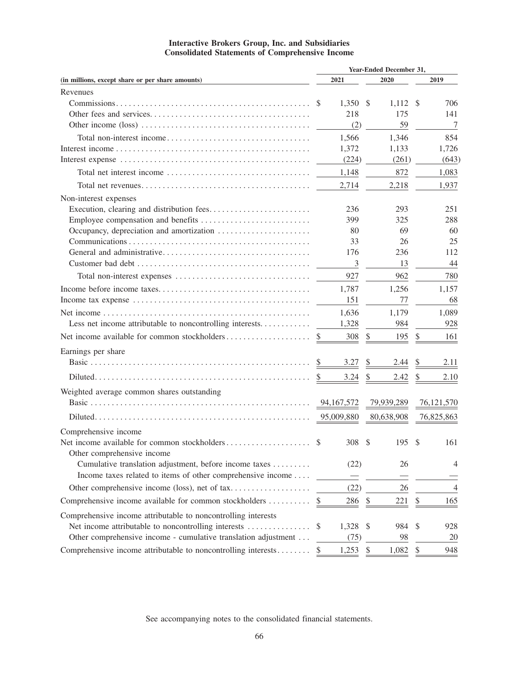|                                                                                                                       |                      | Year-Ended December 31, |                |  |
|-----------------------------------------------------------------------------------------------------------------------|----------------------|-------------------------|----------------|--|
| (in millions, except share or per share amounts)                                                                      | 2021                 | 2020                    | 2019           |  |
| Revenues                                                                                                              |                      |                         |                |  |
|                                                                                                                       | $1,350$ \$<br>S      | 1,112                   | 706<br>-S      |  |
|                                                                                                                       | 218                  | 175                     | 141            |  |
|                                                                                                                       | (2)                  | 59                      | 7              |  |
|                                                                                                                       | 1,566                | 1,346                   | 854            |  |
|                                                                                                                       | 1,372                | 1,133                   | 1,726          |  |
|                                                                                                                       | (224)                | (261)                   | (643)          |  |
|                                                                                                                       | 1,148                | 872                     | 1,083          |  |
|                                                                                                                       | 2,714                | 2,218                   | 1,937          |  |
| Non-interest expenses                                                                                                 |                      |                         |                |  |
|                                                                                                                       | 236                  | 293                     | 251            |  |
|                                                                                                                       | 399                  | 325                     | 288            |  |
|                                                                                                                       | 80                   | 69                      | 60             |  |
|                                                                                                                       | 33                   | 26                      | 25             |  |
|                                                                                                                       | 176                  | 236                     | 112            |  |
|                                                                                                                       | 3                    | 13                      | 44             |  |
|                                                                                                                       | 927                  | 962                     | 780            |  |
|                                                                                                                       | 1,787                | 1,256                   | 1,157          |  |
|                                                                                                                       | 151                  | 77                      | 68             |  |
|                                                                                                                       | 1,636                | 1,179                   | 1,089          |  |
| Less net income attributable to noncontrolling interests                                                              | 1,328                | 984                     | 928            |  |
|                                                                                                                       | 308<br>\$            | \$<br>195               | 161            |  |
| Earnings per share                                                                                                    |                      |                         |                |  |
|                                                                                                                       | \$<br>3.27           | \$<br>2.44              | 2.11           |  |
|                                                                                                                       |                      | $\mathbb{S}$            |                |  |
|                                                                                                                       | \$<br>3.24           | 2.42                    | 2.10           |  |
| Weighted average common shares outstanding                                                                            |                      |                         |                |  |
|                                                                                                                       | 94, 167, 572         | 79,939,289              | 76, 121, 570   |  |
|                                                                                                                       | 95,009,880           | 80,638,908              | 76,825,863     |  |
| Comprehensive income                                                                                                  |                      |                         |                |  |
|                                                                                                                       | 308<br>S             | 195<br>S                | S<br>161       |  |
| Other comprehensive income                                                                                            |                      |                         |                |  |
| Cumulative translation adjustment, before income taxes<br>Income taxes related to items of other comprehensive income | (22)                 | 26                      | 4              |  |
|                                                                                                                       |                      |                         |                |  |
|                                                                                                                       | (22)                 | 26                      | $\overline{4}$ |  |
| Comprehensive income available for common stockholders                                                                | $\frac{1}{2}$<br>286 | 221<br>$\frac{1}{2}$    | 165            |  |
| Comprehensive income attributable to noncontrolling interests                                                         |                      |                         |                |  |
| Net income attributable to noncontrolling interests                                                                   | 1,328<br>\$          | 984<br>$\mathcal{S}$    | \$<br>928      |  |
| Other comprehensive income - cumulative translation adjustment                                                        | (75)                 | 98                      | 20             |  |
| Comprehensive income attributable to noncontrolling interests                                                         | 1,253<br>\$          | \$<br>1,082             | 948            |  |

#### **Interactive Brokers Group, Inc. and Subsidiaries Consolidated Statements of Comprehensive Income**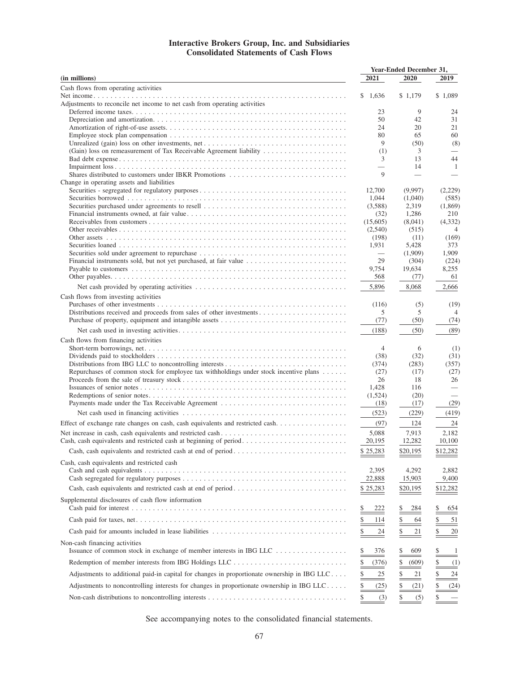#### **Interactive Brokers Group, Inc. and Subsidiaries Consolidated Statements of Cash Flows**

|                                                                                             |                          | Year-Ended December 31, |                               |
|---------------------------------------------------------------------------------------------|--------------------------|-------------------------|-------------------------------|
| (in millions)                                                                               | 2021                     | 2020                    | 2019                          |
| Cash flows from operating activities                                                        |                          |                         |                               |
|                                                                                             | \$1,636                  | \$1,179                 | \$1,089                       |
| Adjustments to reconcile net income to net cash from operating activities                   |                          |                         |                               |
|                                                                                             | 23                       | 9                       | 24                            |
|                                                                                             | 50                       | 42                      | 31                            |
|                                                                                             | 24                       | 20                      | 21                            |
|                                                                                             | 80<br>9                  | 65<br>(50)              | 60<br>(8)                     |
| (Gain) loss on remeasurement of Tax Receivable Agreement liability                          | (1)                      | 3                       |                               |
|                                                                                             | 3                        | 13                      | 44                            |
|                                                                                             |                          | 14                      | -1                            |
| Shares distributed to customers under IBKR Promotions                                       | 9                        |                         |                               |
| Change in operating assets and liabilities                                                  |                          |                         |                               |
|                                                                                             | 12,700                   | (9,997)                 | (2,229)                       |
|                                                                                             | 1,044                    | (1,040)                 | (585)                         |
|                                                                                             | (3,588)                  | 2,319                   | (1,869)                       |
|                                                                                             | (32)                     | 1,286                   | 210                           |
|                                                                                             | (15,605)                 | (8,041)                 | (4, 332)                      |
|                                                                                             | (2,540)                  | (515)                   | $\overline{4}$                |
|                                                                                             | (198)<br>1,931           | (11)<br>5,428           | (169)<br>373                  |
|                                                                                             | $\overline{\phantom{0}}$ | (1,909)                 | 1,909                         |
|                                                                                             | 29                       | (304)                   | (224)                         |
|                                                                                             | 9,754                    | 19,634                  | 8,255                         |
|                                                                                             | 568                      | (77)                    | 61                            |
|                                                                                             | 5,896                    | 8,068                   | 2,666                         |
|                                                                                             |                          |                         |                               |
| Cash flows from investing activities                                                        |                          |                         |                               |
|                                                                                             | (116)<br>5               | (5)<br>5                | (19)<br>$\overline{4}$        |
|                                                                                             | (77)                     | (50)                    | (74)                          |
|                                                                                             |                          |                         |                               |
|                                                                                             | (188)                    | (50)                    | (89)                          |
| Cash flows from financing activities                                                        |                          |                         |                               |
|                                                                                             | $\overline{4}$           | 6                       | (1)                           |
|                                                                                             | (38)                     | (32)                    | (31)                          |
| Repurchases of common stock for employee tax withholdings under stock incentive plans       | (374)<br>(27)            | (283)                   | (357)<br>(27)                 |
|                                                                                             | 26                       | (17)<br>18              | 26                            |
|                                                                                             | 1,428                    | 116                     |                               |
|                                                                                             | (1,524)                  | (20)                    |                               |
| Payments made under the Tax Receivable Agreement                                            | (18)                     | (17)                    | (29)                          |
|                                                                                             | (523)                    | (229)                   | (419)                         |
|                                                                                             |                          |                         |                               |
| Effect of exchange rate changes on cash, cash equivalents and restricted cash               | (97)                     | 124                     | 24                            |
| Net increase in cash, cash equivalents and restricted cash                                  | 5,088                    | 7,913                   | 2,182                         |
|                                                                                             | 20,195                   | 12,282                  | 10,100                        |
| Cash, cash equivalents and restricted cash at end of period                                 | \$25,283                 | \$20,195                | \$12,282                      |
| Cash, cash equivalents and restricted cash                                                  |                          |                         |                               |
|                                                                                             | 2,395                    | 4,292                   | 2,882                         |
|                                                                                             | 22,888                   | 15,903                  | 9,400                         |
|                                                                                             | \$25,283                 | \$20,195                | $\frac{$12,282}{}$            |
|                                                                                             |                          |                         |                               |
| Supplemental disclosures of cash flow information                                           |                          |                         |                               |
|                                                                                             | 222                      | 284                     | 654<br>S                      |
|                                                                                             | \$<br>114                | \$<br>64                | $\frac{1}{2}$<br>51           |
| Cash paid for amounts included in lease liabilities                                         | \$<br>24                 | \$<br>21                | \$<br>20                      |
|                                                                                             |                          |                         |                               |
| Non-cash financing activities                                                               |                          |                         |                               |
| Issuance of common stock in exchange of member interests in IBG LLC                         | \$<br>376                | 609<br>\$               | $\frac{1}{2}$<br>$\mathbf{I}$ |
|                                                                                             | \$<br>(376)              | \$<br>(609)             | \$<br>(1)                     |
| Adjustments to additional paid-in capital for changes in proportionate ownership in IBG LLC | \$<br>25                 | \$<br>21                | \$<br>24                      |
|                                                                                             |                          |                         |                               |
| Adjustments to noncontrolling interests for changes in proportionate ownership in IBG LLC   | \$<br>(25)               | \$<br>(21)              | \$<br>(24)                    |
|                                                                                             | \$<br>(3)                | \$<br>(5)               | \$                            |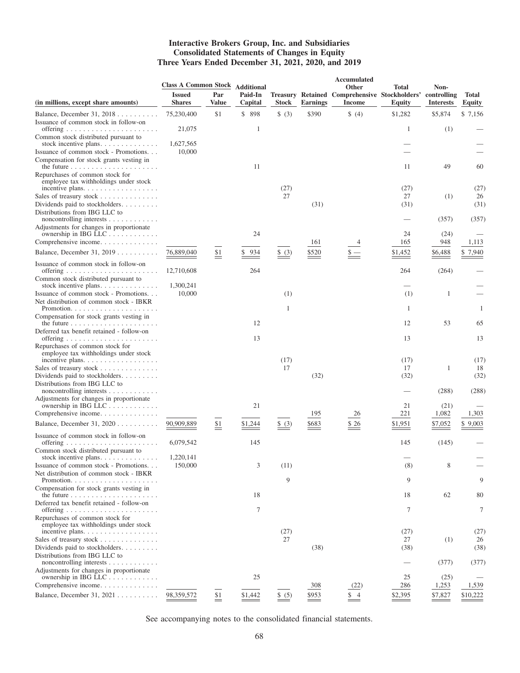### **Interactive Brokers Group, Inc. and Subsidiaries Consolidated Statements of Changes in Equity Three Years Ended December 31, 2021, 2020, and 2019**

|                                                                                                                                          | <b>Class A Common Stock</b> |                    |                              |              |                 | Accumulated                                            |            |                     |               |
|------------------------------------------------------------------------------------------------------------------------------------------|-----------------------------|--------------------|------------------------------|--------------|-----------------|--------------------------------------------------------|------------|---------------------|---------------|
|                                                                                                                                          | <b>Issued</b>               | Par                | <b>Additional</b><br>Paid-In |              |                 | Other<br>Treasury Retained Comprehensive Stockholders' | Total      | Non-<br>controlling | <b>Total</b>  |
| (in millions, except share amounts)                                                                                                      | <b>Shares</b>               | Value              | Capital                      | <b>Stock</b> | <b>Earnings</b> | <b>Income</b>                                          | Equity     | <b>Interests</b>    | <b>Equity</b> |
| Balance, December 31, 2018<br>Issuance of common stock in follow-on                                                                      | 75,230,400                  | \$1                | \$ 898                       | \$ (3)       | \$390           | \$(4)                                                  | \$1,282    | \$5,874             | \$7,156       |
| Common stock distributed pursuant to                                                                                                     | 21,075                      |                    | 1                            |              |                 |                                                        | 1          | (1)                 |               |
|                                                                                                                                          | 1,627,565                   |                    |                              |              |                 |                                                        |            |                     |               |
| Issuance of common stock - Promotions                                                                                                    | 10,000                      |                    |                              |              |                 |                                                        |            |                     |               |
| Compensation for stock grants vesting in<br>the future $\ldots \ldots \ldots \ldots \ldots \ldots \ldots$                                |                             |                    | 11                           |              |                 |                                                        | 11         | 49                  | 60            |
| Repurchases of common stock for<br>employee tax withholdings under stock<br>incentive plans. $\ldots$ . $\ldots$ . $\ldots$ . $\ldots$ . |                             |                    |                              | (27)         |                 |                                                        | (27)       |                     | (27)          |
| Sales of treasury stock                                                                                                                  |                             |                    |                              | 27           |                 |                                                        | 27         | (1)                 | 26            |
| Dividends paid to stockholders.                                                                                                          |                             |                    |                              |              | (31)            |                                                        | (31)       |                     | (31)          |
| Distributions from IBG LLC to<br>noncontrolling interests $\ldots \ldots \ldots$                                                         |                             |                    |                              |              |                 |                                                        |            | (357)               | (357)         |
| Adjustments for changes in proportionate<br>ownership in IBG LLC                                                                         |                             |                    | 24                           |              |                 |                                                        | 24         | (24)                |               |
| Comprehensive income                                                                                                                     |                             |                    |                              |              | 161             |                                                        | 165        | 948                 | 1,113         |
| Balance, December 31, 2019                                                                                                               | 76,889,040                  | \$1                | 934<br>\$                    | \$ (3)       | \$520           |                                                        | \$1,452    | \$6,488             | \$7,940       |
| Issuance of common stock in follow-on                                                                                                    |                             |                    |                              |              |                 |                                                        |            |                     |               |
| Common stock distributed pursuant to                                                                                                     | 12,710,608                  |                    | 264                          |              |                 |                                                        | 264        | (264)               |               |
| stock incentive plans. $\dots \dots \dots \dots$                                                                                         | 1,300,241                   |                    |                              |              |                 |                                                        |            |                     |               |
| Issuance of common stock - Promotions.<br>Net distribution of common stock - IBKR                                                        | 10,000                      |                    |                              | (1)          |                 |                                                        | (1)        | 1                   |               |
|                                                                                                                                          |                             |                    |                              | 1            |                 |                                                        | 1          |                     | 1             |
| Compensation for stock grants vesting in<br>the future $\ldots \ldots \ldots \ldots \ldots \ldots \ldots$                                |                             |                    | 12                           |              |                 |                                                        | 12         | 53                  | 65            |
| Deferred tax benefit retained - follow-on                                                                                                |                             |                    | 13                           |              |                 |                                                        | 13         |                     | 13            |
| Repurchases of common stock for<br>employee tax withholdings under stock<br>incentive plans                                              |                             |                    |                              | (17)         |                 |                                                        | (17)       |                     | (17)          |
| Sales of treasury stock                                                                                                                  |                             |                    |                              | 17           |                 |                                                        | 17         | 1                   | 18            |
| Dividends paid to stockholders.<br>Distributions from IBG LLC to<br>noncontrolling interests                                             |                             |                    |                              |              | (32)            |                                                        | (32)       | (288)               | (32)<br>(288) |
| Adjustments for changes in proportionate<br>ownership in IBG LLC $\ldots \ldots \ldots$                                                  |                             |                    | 21                           |              |                 |                                                        | 21         | (21)                |               |
| Comprehensive income                                                                                                                     |                             |                    |                              |              | 195             | 26                                                     | 221        | 1,082               | 1,303         |
| Balance, December 31, 2020                                                                                                               | 90,909,889                  | $\stackrel{$1}{=}$ | \$1,244                      | \$ (3)       | \$683           | \$ 26                                                  | \$1,951    | \$7,052             | 9,003<br>S    |
| Issuance of common stock in follow-on                                                                                                    |                             |                    |                              |              |                 |                                                        |            |                     |               |
| Common stock distributed pursuant to                                                                                                     | 6,079,542                   |                    | 145                          |              |                 |                                                        | 145        | (145)               |               |
| stock incentive plans.<br>Issuance of common stock - Promotions                                                                          | 1,220,141<br>150,000        |                    | 3                            | (11)         |                 |                                                        | (8)        | 8                   |               |
| Net distribution of common stock - IBKR                                                                                                  |                             |                    |                              | 9            |                 |                                                        | 9          |                     | 9             |
| Compensation for stock grants vesting in<br>the future $\ldots \ldots \ldots \ldots \ldots \ldots \ldots$                                |                             |                    | 18                           |              |                 |                                                        | 18         | 62                  | 80            |
| Deferred tax benefit retained - follow-on                                                                                                |                             |                    | 7                            |              |                 |                                                        | 7          |                     | 7             |
| Repurchases of common stock for<br>employee tax withholdings under stock                                                                 |                             |                    |                              |              |                 |                                                        |            |                     |               |
| incentive plans.<br>Sales of treasury stock                                                                                              |                             |                    |                              | (27)<br>27   |                 |                                                        | (27)<br>27 |                     | (27)<br>26    |
| Dividends paid to stockholders.                                                                                                          |                             |                    |                              |              | (38)            |                                                        | (38)       | (1)                 | (38)          |
| Distributions from IBG LLC to                                                                                                            |                             |                    |                              |              |                 |                                                        |            |                     |               |
| noncontrolling interests $\ldots \ldots \ldots$                                                                                          |                             |                    |                              |              |                 |                                                        |            | (377)               | (377)         |
| Adjustments for changes in proportionate<br>ownership in IBG LLC                                                                         |                             |                    | 25                           |              |                 |                                                        | 25         | (25)                |               |
| Comprehensive income                                                                                                                     |                             |                    |                              |              | 308             | (22)                                                   | 286        | 1,253               | 1,539         |
| Balance, December 31, 2021                                                                                                               | 98,359,572                  | \$1                | \$1,442                      | \$ (5)       | \$953           | -4                                                     | \$2,395    | \$7,827             | \$10,222      |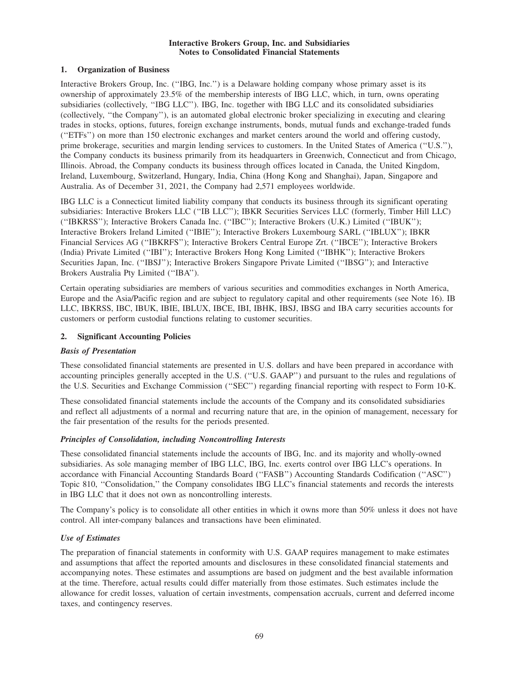### **Interactive Brokers Group, Inc. and Subsidiaries Notes to Consolidated Financial Statements**

## **1. Organization of Business**

Interactive Brokers Group, Inc. (''IBG, Inc.'') is a Delaware holding company whose primary asset is its ownership of approximately 23.5% of the membership interests of IBG LLC, which, in turn, owns operating subsidiaries (collectively, ''IBG LLC''). IBG, Inc. together with IBG LLC and its consolidated subsidiaries (collectively, ''the Company''), is an automated global electronic broker specializing in executing and clearing trades in stocks, options, futures, foreign exchange instruments, bonds, mutual funds and exchange-traded funds (''ETFs'') on more than 150 electronic exchanges and market centers around the world and offering custody, prime brokerage, securities and margin lending services to customers. In the United States of America (''U.S.''), the Company conducts its business primarily from its headquarters in Greenwich, Connecticut and from Chicago, Illinois. Abroad, the Company conducts its business through offices located in Canada, the United Kingdom, Ireland, Luxembourg, Switzerland, Hungary, India, China (Hong Kong and Shanghai), Japan, Singapore and Australia. As of December 31, 2021, the Company had 2,571 employees worldwide.

IBG LLC is a Connecticut limited liability company that conducts its business through its significant operating subsidiaries: Interactive Brokers LLC (''IB LLC''); IBKR Securities Services LLC (formerly, Timber Hill LLC) (''IBKRSS''); Interactive Brokers Canada Inc. (''IBC''); Interactive Brokers (U.K.) Limited (''IBUK''); Interactive Brokers Ireland Limited (''IBIE''); Interactive Brokers Luxembourg SARL (''IBLUX''); IBKR Financial Services AG (''IBKRFS''); Interactive Brokers Central Europe Zrt. (''IBCE''); Interactive Brokers (India) Private Limited (''IBI''); Interactive Brokers Hong Kong Limited (''IBHK''); Interactive Brokers Securities Japan, Inc. (''IBSJ''); Interactive Brokers Singapore Private Limited (''IBSG''); and Interactive Brokers Australia Pty Limited (''IBA'').

Certain operating subsidiaries are members of various securities and commodities exchanges in North America, Europe and the Asia/Pacific region and are subject to regulatory capital and other requirements (see Note 16). IB LLC, IBKRSS, IBC, IBUK, IBIE, IBLUX, IBCE, IBI, IBHK, IBSJ, IBSG and IBA carry securities accounts for customers or perform custodial functions relating to customer securities.

# **2. Significant Accounting Policies**

### *Basis of Presentation*

These consolidated financial statements are presented in U.S. dollars and have been prepared in accordance with accounting principles generally accepted in the U.S. (''U.S. GAAP'') and pursuant to the rules and regulations of the U.S. Securities and Exchange Commission (''SEC'') regarding financial reporting with respect to Form 10-K.

These consolidated financial statements include the accounts of the Company and its consolidated subsidiaries and reflect all adjustments of a normal and recurring nature that are, in the opinion of management, necessary for the fair presentation of the results for the periods presented.

# *Principles of Consolidation, including Noncontrolling Interests*

These consolidated financial statements include the accounts of IBG, Inc. and its majority and wholly-owned subsidiaries. As sole managing member of IBG LLC, IBG, Inc. exerts control over IBG LLC's operations. In accordance with Financial Accounting Standards Board (''FASB'') Accounting Standards Codification (''ASC'') Topic 810, ''Consolidation,'' the Company consolidates IBG LLC's financial statements and records the interests in IBG LLC that it does not own as noncontrolling interests.

The Company's policy is to consolidate all other entities in which it owns more than 50% unless it does not have control. All inter-company balances and transactions have been eliminated.

### *Use of Estimates*

The preparation of financial statements in conformity with U.S. GAAP requires management to make estimates and assumptions that affect the reported amounts and disclosures in these consolidated financial statements and accompanying notes. These estimates and assumptions are based on judgment and the best available information at the time. Therefore, actual results could differ materially from those estimates. Such estimates include the allowance for credit losses, valuation of certain investments, compensation accruals, current and deferred income taxes, and contingency reserves.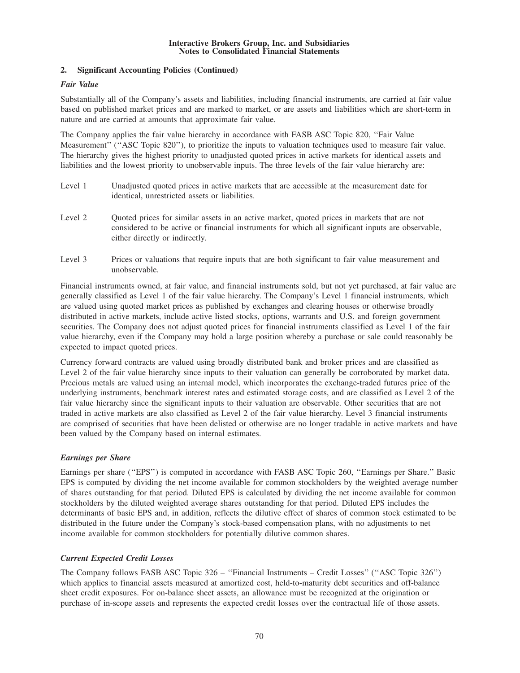#### **Interactive Brokers Group, Inc. and Subsidiaries Notes to Consolidated Financial Statements**

# **2. Significant Accounting Policies (Continued)**

## *Fair Value*

Substantially all of the Company's assets and liabilities, including financial instruments, are carried at fair value based on published market prices and are marked to market, or are assets and liabilities which are short-term in nature and are carried at amounts that approximate fair value.

The Company applies the fair value hierarchy in accordance with FASB ASC Topic 820, ''Fair Value Measurement'' (''ASC Topic 820''), to prioritize the inputs to valuation techniques used to measure fair value. The hierarchy gives the highest priority to unadjusted quoted prices in active markets for identical assets and liabilities and the lowest priority to unobservable inputs. The three levels of the fair value hierarchy are:

- Level 1 Unadjusted quoted prices in active markets that are accessible at the measurement date for identical, unrestricted assets or liabilities.
- Level 2 Quoted prices for similar assets in an active market, quoted prices in markets that are not considered to be active or financial instruments for which all significant inputs are observable, either directly or indirectly.
- Level 3 Prices or valuations that require inputs that are both significant to fair value measurement and unobservable.

Financial instruments owned, at fair value, and financial instruments sold, but not yet purchased, at fair value are generally classified as Level 1 of the fair value hierarchy. The Company's Level 1 financial instruments, which are valued using quoted market prices as published by exchanges and clearing houses or otherwise broadly distributed in active markets, include active listed stocks, options, warrants and U.S. and foreign government securities. The Company does not adjust quoted prices for financial instruments classified as Level 1 of the fair value hierarchy, even if the Company may hold a large position whereby a purchase or sale could reasonably be expected to impact quoted prices.

Currency forward contracts are valued using broadly distributed bank and broker prices and are classified as Level 2 of the fair value hierarchy since inputs to their valuation can generally be corroborated by market data. Precious metals are valued using an internal model, which incorporates the exchange-traded futures price of the underlying instruments, benchmark interest rates and estimated storage costs, and are classified as Level 2 of the fair value hierarchy since the significant inputs to their valuation are observable. Other securities that are not traded in active markets are also classified as Level 2 of the fair value hierarchy. Level 3 financial instruments are comprised of securities that have been delisted or otherwise are no longer tradable in active markets and have been valued by the Company based on internal estimates.

### *Earnings per Share*

Earnings per share (''EPS'') is computed in accordance with FASB ASC Topic 260, ''Earnings per Share.'' Basic EPS is computed by dividing the net income available for common stockholders by the weighted average number of shares outstanding for that period. Diluted EPS is calculated by dividing the net income available for common stockholders by the diluted weighted average shares outstanding for that period. Diluted EPS includes the determinants of basic EPS and, in addition, reflects the dilutive effect of shares of common stock estimated to be distributed in the future under the Company's stock-based compensation plans, with no adjustments to net income available for common stockholders for potentially dilutive common shares.

# *Current Expected Credit Losses*

The Company follows FASB ASC Topic 326 – ''Financial Instruments – Credit Losses'' (''ASC Topic 326'') which applies to financial assets measured at amortized cost, held-to-maturity debt securities and off-balance sheet credit exposures. For on-balance sheet assets, an allowance must be recognized at the origination or purchase of in-scope assets and represents the expected credit losses over the contractual life of those assets.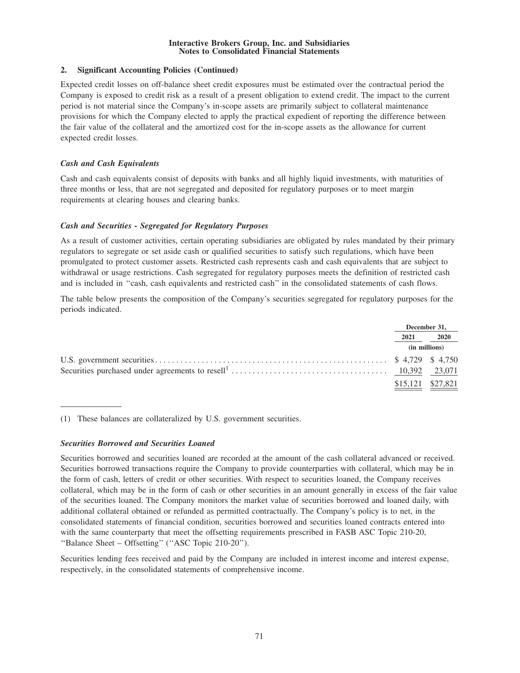# **2. Significant Accounting Policies (Continued)**

Expected credit losses on off-balance sheet credit exposures must be estimated over the contractual period the Company is exposed to credit risk as a result of a present obligation to extend credit. The impact to the current period is not material since the Company's in-scope assets are primarily subject to collateral maintenance provisions for which the Company elected to apply the practical expedient of reporting the difference between the fair value of the collateral and the amortized cost for the in-scope assets as the allowance for current expected credit losses.

# *Cash and Cash Equivalents*

Cash and cash equivalents consist of deposits with banks and all highly liquid investments, with maturities of three months or less, that are not segregated and deposited for regulatory purposes or to meet margin requirements at clearing houses and clearing banks.

## *Cash and Securities - Segregated for Regulatory Purposes*

As a result of customer activities, certain operating subsidiaries are obligated by rules mandated by their primary regulators to segregate or set aside cash or qualified securities to satisfy such regulations, which have been promulgated to protect customer assets. Restricted cash represents cash and cash equivalents that are subject to withdrawal or usage restrictions. Cash segregated for regulatory purposes meets the definition of restricted cash and is included in ''cash, cash equivalents and restricted cash'' in the consolidated statements of cash flows.

The table below presents the composition of the Company's securities segregated for regulatory purposes for the periods indicated.

|      | December 31,      |
|------|-------------------|
| 2021 | 2020              |
|      | (in millions)     |
|      |                   |
|      |                   |
|      | \$15,121 \$27,821 |

(1) These balances are collateralized by U.S. government securities.

## *Securities Borrowed and Securities Loaned*

Securities borrowed and securities loaned are recorded at the amount of the cash collateral advanced or received. Securities borrowed transactions require the Company to provide counterparties with collateral, which may be in the form of cash, letters of credit or other securities. With respect to securities loaned, the Company receives collateral, which may be in the form of cash or other securities in an amount generally in excess of the fair value of the securities loaned. The Company monitors the market value of securities borrowed and loaned daily, with additional collateral obtained or refunded as permitted contractually. The Company's policy is to net, in the consolidated statements of financial condition, securities borrowed and securities loaned contracts entered into with the same counterparty that meet the offsetting requirements prescribed in FASB ASC Topic 210-20, ''Balance Sheet – Offsetting'' (''ASC Topic 210-20'').

Securities lending fees received and paid by the Company are included in interest income and interest expense, respectively, in the consolidated statements of comprehensive income.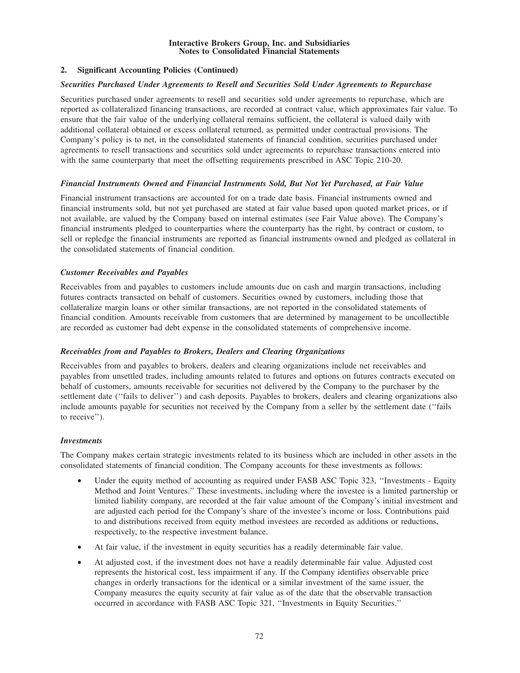# **2. Significant Accounting Policies (Continued)**

#### *Securities Purchased Under Agreements to Resell and Securities Sold Under Agreements to Repurchase*

Securities purchased under agreements to resell and securities sold under agreements to repurchase, which are reported as collateralized financing transactions, are recorded at contract value, which approximates fair value. To ensure that the fair value of the underlying collateral remains sufficient, the collateral is valued daily with additional collateral obtained or excess collateral returned, as permitted under contractual provisions. The Company's policy is to net, in the consolidated statements of financial condition, securities purchased under agreements to resell transactions and securities sold under agreements to repurchase transactions entered into with the same counterparty that meet the offsetting requirements prescribed in ASC Topic 210-20.

#### *Financial Instruments Owned and Financial Instruments Sold, But Not Yet Purchased, at Fair Value*

Financial instrument transactions are accounted for on a trade date basis. Financial instruments owned and financial instruments sold, but not yet purchased are stated at fair value based upon quoted market prices, or if not available, are valued by the Company based on internal estimates (see Fair Value above). The Company's financial instruments pledged to counterparties where the counterparty has the right, by contract or custom, to sell or repledge the financial instruments are reported as financial instruments owned and pledged as collateral in the consolidated statements of financial condition.

#### *Customer Receivables and Payables*

Receivables from and payables to customers include amounts due on cash and margin transactions, including futures contracts transacted on behalf of customers. Securities owned by customers, including those that collateralize margin loans or other similar transactions, are not reported in the consolidated statements of financial condition. Amounts receivable from customers that are determined by management to be uncollectible are recorded as customer bad debt expense in the consolidated statements of comprehensive income.

#### *Receivables from and Payables to Brokers, Dealers and Clearing Organizations*

Receivables from and payables to brokers, dealers and clearing organizations include net receivables and payables from unsettled trades, including amounts related to futures and options on futures contracts executed on behalf of customers, amounts receivable for securities not delivered by the Company to the purchaser by the settlement date ("fails to deliver") and cash deposits. Payables to brokers, dealers and clearing organizations also include amounts payable for securities not received by the Company from a seller by the settlement date (''fails to receive'').

#### *Investments*

The Company makes certain strategic investments related to its business which are included in other assets in the consolidated statements of financial condition. The Company accounts for these investments as follows:

- Under the equity method of accounting as required under FASB ASC Topic 323, "Investments Equity Method and Joint Ventures.'' These investments, including where the investee is a limited partnership or limited liability company, are recorded at the fair value amount of the Company's initial investment and are adjusted each period for the Company's share of the investee's income or loss. Contributions paid to and distributions received from equity method investees are recorded as additions or reductions, respectively, to the respective investment balance.
- At fair value, if the investment in equity securities has a readily determinable fair value.
- At adjusted cost, if the investment does not have a readily determinable fair value. Adjusted cost represents the historical cost, less impairment if any. If the Company identifies observable price changes in orderly transactions for the identical or a similar investment of the same issuer, the Company measures the equity security at fair value as of the date that the observable transaction occurred in accordance with FASB ASC Topic 321, ''Investments in Equity Securities.''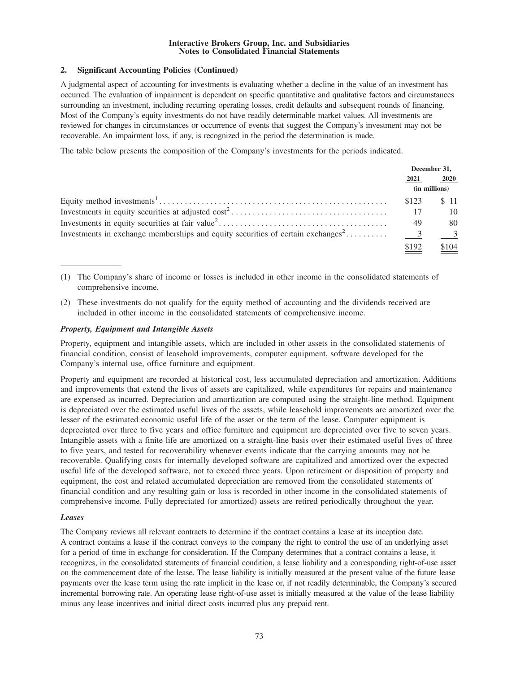## **2. Significant Accounting Policies (Continued)**

A judgmental aspect of accounting for investments is evaluating whether a decline in the value of an investment has occurred. The evaluation of impairment is dependent on specific quantitative and qualitative factors and circumstances surrounding an investment, including recurring operating losses, credit defaults and subsequent rounds of financing. Most of the Company's equity investments do not have readily determinable market values. All investments are reviewed for changes in circumstances or occurrence of events that suggest the Company's investment may not be recoverable. An impairment loss, if any, is recognized in the period the determination is made.

The table below presents the composition of the Company's investments for the periods indicated.

| December 31, |                     |
|--------------|---------------------|
| 2021         | 2020                |
|              | (in millions)       |
| \$123        | \$11                |
|              | 10                  |
| 49           | 80                  |
|              | $\frac{3}{2}$       |
| 8192         | $\underline{\$104}$ |

- (1) The Company's share of income or losses is included in other income in the consolidated statements of comprehensive income.
- (2) These investments do not qualify for the equity method of accounting and the dividends received are included in other income in the consolidated statements of comprehensive income.

# *Property, Equipment and Intangible Assets*

Property, equipment and intangible assets, which are included in other assets in the consolidated statements of financial condition, consist of leasehold improvements, computer equipment, software developed for the Company's internal use, office furniture and equipment.

Property and equipment are recorded at historical cost, less accumulated depreciation and amortization. Additions and improvements that extend the lives of assets are capitalized, while expenditures for repairs and maintenance are expensed as incurred. Depreciation and amortization are computed using the straight-line method. Equipment is depreciated over the estimated useful lives of the assets, while leasehold improvements are amortized over the lesser of the estimated economic useful life of the asset or the term of the lease. Computer equipment is depreciated over three to five years and office furniture and equipment are depreciated over five to seven years. Intangible assets with a finite life are amortized on a straight-line basis over their estimated useful lives of three to five years, and tested for recoverability whenever events indicate that the carrying amounts may not be recoverable. Qualifying costs for internally developed software are capitalized and amortized over the expected useful life of the developed software, not to exceed three years. Upon retirement or disposition of property and equipment, the cost and related accumulated depreciation are removed from the consolidated statements of financial condition and any resulting gain or loss is recorded in other income in the consolidated statements of comprehensive income. Fully depreciated (or amortized) assets are retired periodically throughout the year.

## *Leases*

The Company reviews all relevant contracts to determine if the contract contains a lease at its inception date. A contract contains a lease if the contract conveys to the company the right to control the use of an underlying asset for a period of time in exchange for consideration. If the Company determines that a contract contains a lease, it recognizes, in the consolidated statements of financial condition, a lease liability and a corresponding right-of-use asset on the commencement date of the lease. The lease liability is initially measured at the present value of the future lease payments over the lease term using the rate implicit in the lease or, if not readily determinable, the Company's secured incremental borrowing rate. An operating lease right-of-use asset is initially measured at the value of the lease liability minus any lease incentives and initial direct costs incurred plus any prepaid rent.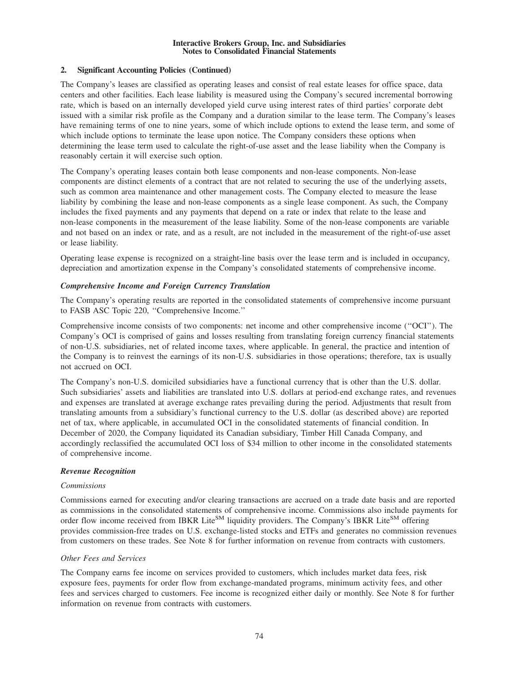## **2. Significant Accounting Policies (Continued)**

The Company's leases are classified as operating leases and consist of real estate leases for office space, data centers and other facilities. Each lease liability is measured using the Company's secured incremental borrowing rate, which is based on an internally developed yield curve using interest rates of third parties' corporate debt issued with a similar risk profile as the Company and a duration similar to the lease term. The Company's leases have remaining terms of one to nine years, some of which include options to extend the lease term, and some of which include options to terminate the lease upon notice. The Company considers these options when determining the lease term used to calculate the right-of-use asset and the lease liability when the Company is reasonably certain it will exercise such option.

The Company's operating leases contain both lease components and non-lease components. Non-lease components are distinct elements of a contract that are not related to securing the use of the underlying assets, such as common area maintenance and other management costs. The Company elected to measure the lease liability by combining the lease and non-lease components as a single lease component. As such, the Company includes the fixed payments and any payments that depend on a rate or index that relate to the lease and non-lease components in the measurement of the lease liability. Some of the non-lease components are variable and not based on an index or rate, and as a result, are not included in the measurement of the right-of-use asset or lease liability.

Operating lease expense is recognized on a straight-line basis over the lease term and is included in occupancy, depreciation and amortization expense in the Company's consolidated statements of comprehensive income.

#### *Comprehensive Income and Foreign Currency Translation*

The Company's operating results are reported in the consolidated statements of comprehensive income pursuant to FASB ASC Topic 220, ''Comprehensive Income.''

Comprehensive income consists of two components: net income and other comprehensive income (''OCI''). The Company's OCI is comprised of gains and losses resulting from translating foreign currency financial statements of non-U.S. subsidiaries, net of related income taxes, where applicable. In general, the practice and intention of the Company is to reinvest the earnings of its non-U.S. subsidiaries in those operations; therefore, tax is usually not accrued on OCI.

The Company's non-U.S. domiciled subsidiaries have a functional currency that is other than the U.S. dollar. Such subsidiaries' assets and liabilities are translated into U.S. dollars at period-end exchange rates, and revenues and expenses are translated at average exchange rates prevailing during the period. Adjustments that result from translating amounts from a subsidiary's functional currency to the U.S. dollar (as described above) are reported net of tax, where applicable, in accumulated OCI in the consolidated statements of financial condition. In December of 2020, the Company liquidated its Canadian subsidiary, Timber Hill Canada Company, and accordingly reclassified the accumulated OCI loss of \$34 million to other income in the consolidated statements of comprehensive income.

#### *Revenue Recognition*

#### *Commissions*

Commissions earned for executing and/or clearing transactions are accrued on a trade date basis and are reported as commissions in the consolidated statements of comprehensive income. Commissions also include payments for order flow income received from IBKR Lite<sup>SM</sup> liquidity providers. The Company's IBKR Lite<sup>SM</sup> offering provides commission-free trades on U.S. exchange-listed stocks and ETFs and generates no commission revenues from customers on these trades. See Note 8 for further information on revenue from contracts with customers.

#### *Other Fees and Services*

The Company earns fee income on services provided to customers, which includes market data fees, risk exposure fees, payments for order flow from exchange-mandated programs, minimum activity fees, and other fees and services charged to customers. Fee income is recognized either daily or monthly. See Note 8 for further information on revenue from contracts with customers.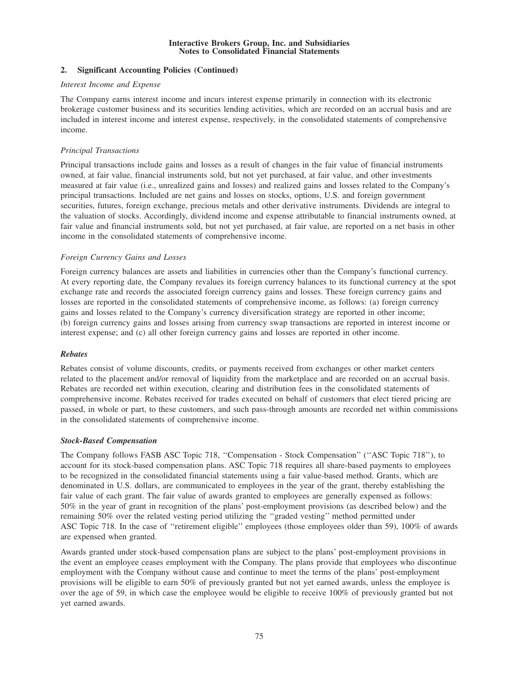# **2. Significant Accounting Policies (Continued)**

#### *Interest Income and Expense*

The Company earns interest income and incurs interest expense primarily in connection with its electronic brokerage customer business and its securities lending activities, which are recorded on an accrual basis and are included in interest income and interest expense, respectively, in the consolidated statements of comprehensive income.

## *Principal Transactions*

Principal transactions include gains and losses as a result of changes in the fair value of financial instruments owned, at fair value, financial instruments sold, but not yet purchased, at fair value, and other investments measured at fair value (i.e., unrealized gains and losses) and realized gains and losses related to the Company's principal transactions. Included are net gains and losses on stocks, options, U.S. and foreign government securities, futures, foreign exchange, precious metals and other derivative instruments. Dividends are integral to the valuation of stocks. Accordingly, dividend income and expense attributable to financial instruments owned, at fair value and financial instruments sold, but not yet purchased, at fair value, are reported on a net basis in other income in the consolidated statements of comprehensive income.

## *Foreign Currency Gains and Losses*

Foreign currency balances are assets and liabilities in currencies other than the Company's functional currency. At every reporting date, the Company revalues its foreign currency balances to its functional currency at the spot exchange rate and records the associated foreign currency gains and losses. These foreign currency gains and losses are reported in the consolidated statements of comprehensive income, as follows: (a) foreign currency gains and losses related to the Company's currency diversification strategy are reported in other income; (b) foreign currency gains and losses arising from currency swap transactions are reported in interest income or interest expense; and (c) all other foreign currency gains and losses are reported in other income.

## *Rebates*

Rebates consist of volume discounts, credits, or payments received from exchanges or other market centers related to the placement and/or removal of liquidity from the marketplace and are recorded on an accrual basis. Rebates are recorded net within execution, clearing and distribution fees in the consolidated statements of comprehensive income. Rebates received for trades executed on behalf of customers that elect tiered pricing are passed, in whole or part, to these customers, and such pass-through amounts are recorded net within commissions in the consolidated statements of comprehensive income.

## *Stock-Based Compensation*

The Company follows FASB ASC Topic 718, ''Compensation - Stock Compensation'' (''ASC Topic 718''), to account for its stock-based compensation plans. ASC Topic 718 requires all share-based payments to employees to be recognized in the consolidated financial statements using a fair value-based method. Grants, which are denominated in U.S. dollars, are communicated to employees in the year of the grant, thereby establishing the fair value of each grant. The fair value of awards granted to employees are generally expensed as follows: 50% in the year of grant in recognition of the plans' post-employment provisions (as described below) and the remaining 50% over the related vesting period utilizing the ''graded vesting'' method permitted under ASC Topic 718. In the case of ''retirement eligible'' employees (those employees older than 59), 100% of awards are expensed when granted.

Awards granted under stock-based compensation plans are subject to the plans' post-employment provisions in the event an employee ceases employment with the Company. The plans provide that employees who discontinue employment with the Company without cause and continue to meet the terms of the plans' post-employment provisions will be eligible to earn 50% of previously granted but not yet earned awards, unless the employee is over the age of 59, in which case the employee would be eligible to receive 100% of previously granted but not yet earned awards.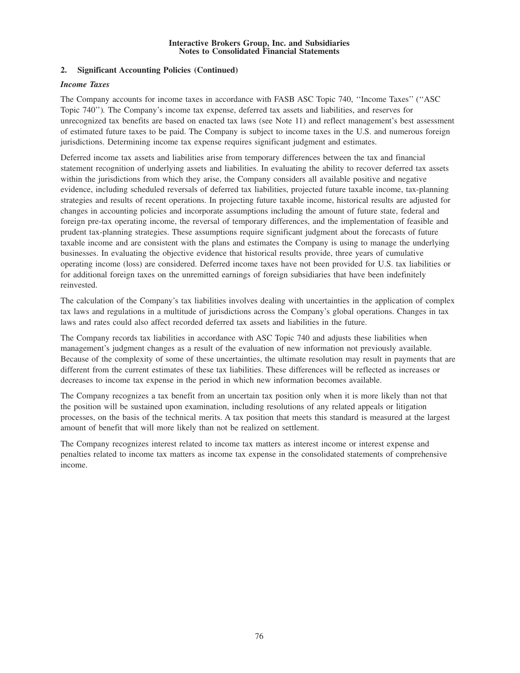# **2. Significant Accounting Policies (Continued)**

## *Income Taxes*

The Company accounts for income taxes in accordance with FASB ASC Topic 740, ''Income Taxes'' (''ASC Topic 740'')*.* The Company's income tax expense, deferred tax assets and liabilities, and reserves for unrecognized tax benefits are based on enacted tax laws (see Note 11) and reflect management's best assessment of estimated future taxes to be paid. The Company is subject to income taxes in the U.S. and numerous foreign jurisdictions. Determining income tax expense requires significant judgment and estimates.

Deferred income tax assets and liabilities arise from temporary differences between the tax and financial statement recognition of underlying assets and liabilities. In evaluating the ability to recover deferred tax assets within the jurisdictions from which they arise, the Company considers all available positive and negative evidence, including scheduled reversals of deferred tax liabilities, projected future taxable income, tax-planning strategies and results of recent operations. In projecting future taxable income, historical results are adjusted for changes in accounting policies and incorporate assumptions including the amount of future state, federal and foreign pre-tax operating income, the reversal of temporary differences, and the implementation of feasible and prudent tax-planning strategies. These assumptions require significant judgment about the forecasts of future taxable income and are consistent with the plans and estimates the Company is using to manage the underlying businesses. In evaluating the objective evidence that historical results provide, three years of cumulative operating income (loss) are considered. Deferred income taxes have not been provided for U.S. tax liabilities or for additional foreign taxes on the unremitted earnings of foreign subsidiaries that have been indefinitely reinvested.

The calculation of the Company's tax liabilities involves dealing with uncertainties in the application of complex tax laws and regulations in a multitude of jurisdictions across the Company's global operations. Changes in tax laws and rates could also affect recorded deferred tax assets and liabilities in the future.

The Company records tax liabilities in accordance with ASC Topic 740 and adjusts these liabilities when management's judgment changes as a result of the evaluation of new information not previously available. Because of the complexity of some of these uncertainties, the ultimate resolution may result in payments that are different from the current estimates of these tax liabilities. These differences will be reflected as increases or decreases to income tax expense in the period in which new information becomes available.

The Company recognizes a tax benefit from an uncertain tax position only when it is more likely than not that the position will be sustained upon examination, including resolutions of any related appeals or litigation processes, on the basis of the technical merits. A tax position that meets this standard is measured at the largest amount of benefit that will more likely than not be realized on settlement.

The Company recognizes interest related to income tax matters as interest income or interest expense and penalties related to income tax matters as income tax expense in the consolidated statements of comprehensive income.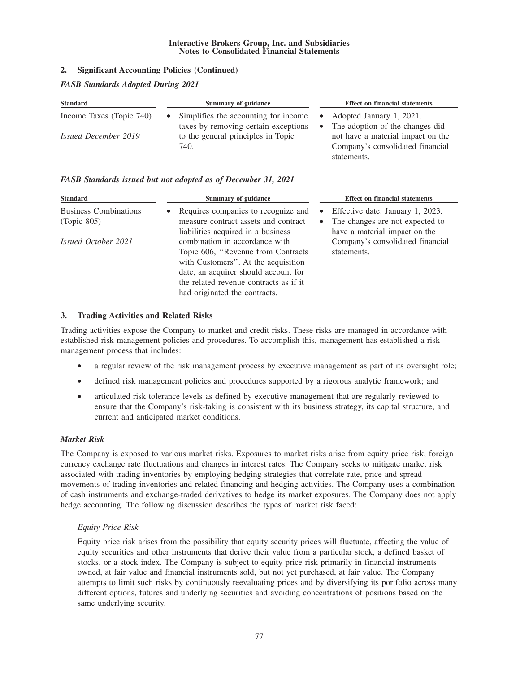# **2. Significant Accounting Policies (Continued)**

# *FASB Standards Adopted During 2021*

| <b>Standard</b>             | Summary of guidance                                | <b>Effect on financial statements</b> |
|-----------------------------|----------------------------------------------------|---------------------------------------|
| Income Taxes (Topic 740)    | Simplifies the accounting for income.<br>$\bullet$ | • Adopted January 1, 2021.            |
|                             | taxes by removing certain exceptions               | • The adoption of the changes did     |
| <i>Issued December 2019</i> | to the general principles in Topic                 | not have a material impact on the     |
|                             | 740.                                               | Company's consolidated financial      |
|                             |                                                    | statements.                           |

# *FASB Standards issued but not adopted as of December 31, 2021*

| <b>Standard</b>                             | <b>Summary of guidance</b>                                                                                                                         | <b>Effect on financial statements</b>                                                                                          |
|---------------------------------------------|----------------------------------------------------------------------------------------------------------------------------------------------------|--------------------------------------------------------------------------------------------------------------------------------|
| <b>Business Combinations</b><br>(Topic 805) | Requires companies to recognize and<br>$\bullet$<br>measure contract assets and contract                                                           | Effective date: January 1, 2023.<br>$\bullet$<br>The changes are not expected to<br>$\bullet$<br>have a material impact on the |
| <i>Issued October 2021</i>                  | liabilities acquired in a business<br>combination in accordance with<br>Topic 606, "Revenue from Contracts"<br>with Customers". At the acquisition | Company's consolidated financial<br>statements.                                                                                |
|                                             | date, an acquirer should account for<br>the related revenue contracts as if it<br>had originated the contracts.                                    |                                                                                                                                |

## **3. Trading Activities and Related Risks**

Trading activities expose the Company to market and credit risks. These risks are managed in accordance with established risk management policies and procedures. To accomplish this, management has established a risk management process that includes:

- a regular review of the risk management process by executive management as part of its oversight role;
- defined risk management policies and procedures supported by a rigorous analytic framework; and
- articulated risk tolerance levels as defined by executive management that are regularly reviewed to ensure that the Company's risk-taking is consistent with its business strategy, its capital structure, and current and anticipated market conditions.

# *Market Risk*

The Company is exposed to various market risks. Exposures to market risks arise from equity price risk, foreign currency exchange rate fluctuations and changes in interest rates. The Company seeks to mitigate market risk associated with trading inventories by employing hedging strategies that correlate rate, price and spread movements of trading inventories and related financing and hedging activities. The Company uses a combination of cash instruments and exchange-traded derivatives to hedge its market exposures. The Company does not apply hedge accounting. The following discussion describes the types of market risk faced:

## *Equity Price Risk*

Equity price risk arises from the possibility that equity security prices will fluctuate, affecting the value of equity securities and other instruments that derive their value from a particular stock, a defined basket of stocks, or a stock index. The Company is subject to equity price risk primarily in financial instruments owned, at fair value and financial instruments sold, but not yet purchased, at fair value. The Company attempts to limit such risks by continuously reevaluating prices and by diversifying its portfolio across many different options, futures and underlying securities and avoiding concentrations of positions based on the same underlying security.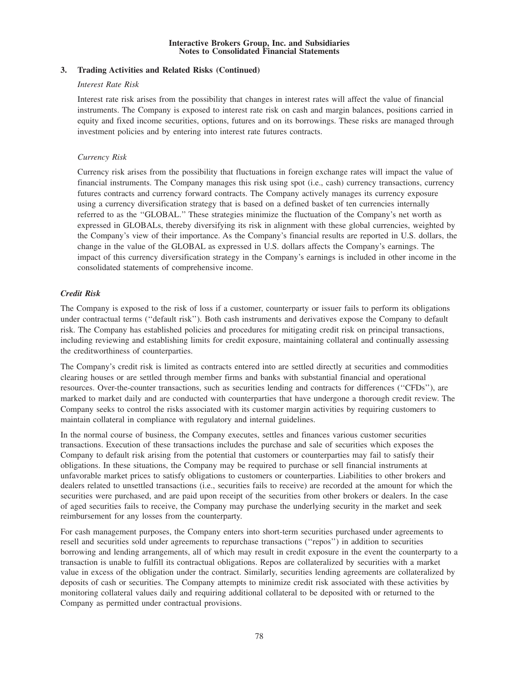## **3. Trading Activities and Related Risks (Continued)**

### *Interest Rate Risk*

Interest rate risk arises from the possibility that changes in interest rates will affect the value of financial instruments. The Company is exposed to interest rate risk on cash and margin balances, positions carried in equity and fixed income securities, options, futures and on its borrowings. These risks are managed through investment policies and by entering into interest rate futures contracts.

### *Currency Risk*

Currency risk arises from the possibility that fluctuations in foreign exchange rates will impact the value of financial instruments. The Company manages this risk using spot (i.e., cash) currency transactions, currency futures contracts and currency forward contracts. The Company actively manages its currency exposure using a currency diversification strategy that is based on a defined basket of ten currencies internally referred to as the ''GLOBAL.'' These strategies minimize the fluctuation of the Company's net worth as expressed in GLOBALs, thereby diversifying its risk in alignment with these global currencies, weighted by the Company's view of their importance. As the Company's financial results are reported in U.S. dollars, the change in the value of the GLOBAL as expressed in U.S. dollars affects the Company's earnings. The impact of this currency diversification strategy in the Company's earnings is included in other income in the consolidated statements of comprehensive income.

## *Credit Risk*

The Company is exposed to the risk of loss if a customer, counterparty or issuer fails to perform its obligations under contractual terms (''default risk''). Both cash instruments and derivatives expose the Company to default risk. The Company has established policies and procedures for mitigating credit risk on principal transactions, including reviewing and establishing limits for credit exposure, maintaining collateral and continually assessing the creditworthiness of counterparties.

The Company's credit risk is limited as contracts entered into are settled directly at securities and commodities clearing houses or are settled through member firms and banks with substantial financial and operational resources. Over-the-counter transactions, such as securities lending and contracts for differences (''CFDs''), are marked to market daily and are conducted with counterparties that have undergone a thorough credit review. The Company seeks to control the risks associated with its customer margin activities by requiring customers to maintain collateral in compliance with regulatory and internal guidelines.

In the normal course of business, the Company executes, settles and finances various customer securities transactions. Execution of these transactions includes the purchase and sale of securities which exposes the Company to default risk arising from the potential that customers or counterparties may fail to satisfy their obligations. In these situations, the Company may be required to purchase or sell financial instruments at unfavorable market prices to satisfy obligations to customers or counterparties. Liabilities to other brokers and dealers related to unsettled transactions (i.e., securities fails to receive) are recorded at the amount for which the securities were purchased, and are paid upon receipt of the securities from other brokers or dealers. In the case of aged securities fails to receive, the Company may purchase the underlying security in the market and seek reimbursement for any losses from the counterparty.

For cash management purposes, the Company enters into short-term securities purchased under agreements to resell and securities sold under agreements to repurchase transactions (''repos'') in addition to securities borrowing and lending arrangements, all of which may result in credit exposure in the event the counterparty to a transaction is unable to fulfill its contractual obligations. Repos are collateralized by securities with a market value in excess of the obligation under the contract. Similarly, securities lending agreements are collateralized by deposits of cash or securities. The Company attempts to minimize credit risk associated with these activities by monitoring collateral values daily and requiring additional collateral to be deposited with or returned to the Company as permitted under contractual provisions.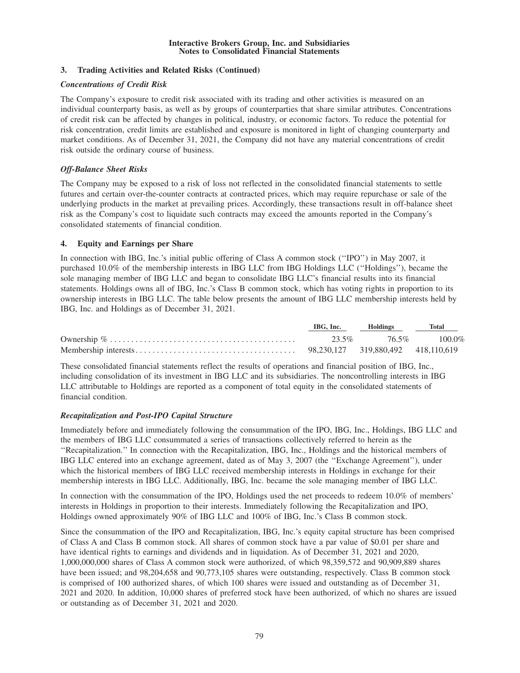# **3. Trading Activities and Related Risks (Continued)**

### *Concentrations of Credit Risk*

The Company's exposure to credit risk associated with its trading and other activities is measured on an individual counterparty basis, as well as by groups of counterparties that share similar attributes. Concentrations of credit risk can be affected by changes in political, industry, or economic factors. To reduce the potential for risk concentration, credit limits are established and exposure is monitored in light of changing counterparty and market conditions. As of December 31, 2021, the Company did not have any material concentrations of credit risk outside the ordinary course of business.

## *Off-Balance Sheet Risks*

The Company may be exposed to a risk of loss not reflected in the consolidated financial statements to settle futures and certain over-the-counter contracts at contracted prices, which may require repurchase or sale of the underlying products in the market at prevailing prices. Accordingly, these transactions result in off-balance sheet risk as the Company's cost to liquidate such contracts may exceed the amounts reported in the Company's consolidated statements of financial condition.

## **4. Equity and Earnings per Share**

In connection with IBG, Inc.'s initial public offering of Class A common stock (''IPO'') in May 2007, it purchased 10.0% of the membership interests in IBG LLC from IBG Holdings LLC (''Holdings''), became the sole managing member of IBG LLC and began to consolidate IBG LLC's financial results into its financial statements. Holdings owns all of IBG, Inc.'s Class B common stock, which has voting rights in proportion to its ownership interests in IBG LLC. The table below presents the amount of IBG LLC membership interests held by IBG, Inc. and Holdings as of December 31, 2021.

|  | IBG, Inc. Holdings Total |  |
|--|--------------------------|--|
|  | $23.5\%$ 76.5% 100.0%    |  |
|  |                          |  |

These consolidated financial statements reflect the results of operations and financial position of IBG, Inc., including consolidation of its investment in IBG LLC and its subsidiaries. The noncontrolling interests in IBG LLC attributable to Holdings are reported as a component of total equity in the consolidated statements of financial condition.

#### *Recapitalization and Post-IPO Capital Structure*

Immediately before and immediately following the consummation of the IPO, IBG, Inc., Holdings, IBG LLC and the members of IBG LLC consummated a series of transactions collectively referred to herein as the ''Recapitalization.'' In connection with the Recapitalization, IBG, Inc., Holdings and the historical members of IBG LLC entered into an exchange agreement, dated as of May 3, 2007 (the ''Exchange Agreement''), under which the historical members of IBG LLC received membership interests in Holdings in exchange for their membership interests in IBG LLC. Additionally, IBG, Inc. became the sole managing member of IBG LLC.

In connection with the consummation of the IPO, Holdings used the net proceeds to redeem 10.0% of members' interests in Holdings in proportion to their interests. Immediately following the Recapitalization and IPO, Holdings owned approximately 90% of IBG LLC and 100% of IBG, Inc.'s Class B common stock.

Since the consummation of the IPO and Recapitalization, IBG, Inc.'s equity capital structure has been comprised of Class A and Class B common stock. All shares of common stock have a par value of \$0.01 per share and have identical rights to earnings and dividends and in liquidation. As of December 31, 2021 and 2020, 1,000,000,000 shares of Class A common stock were authorized, of which 98,359,572 and 90,909,889 shares have been issued; and 98,204,658 and 90,773,105 shares were outstanding, respectively. Class B common stock is comprised of 100 authorized shares, of which 100 shares were issued and outstanding as of December 31, 2021 and 2020. In addition, 10,000 shares of preferred stock have been authorized, of which no shares are issued or outstanding as of December 31, 2021 and 2020.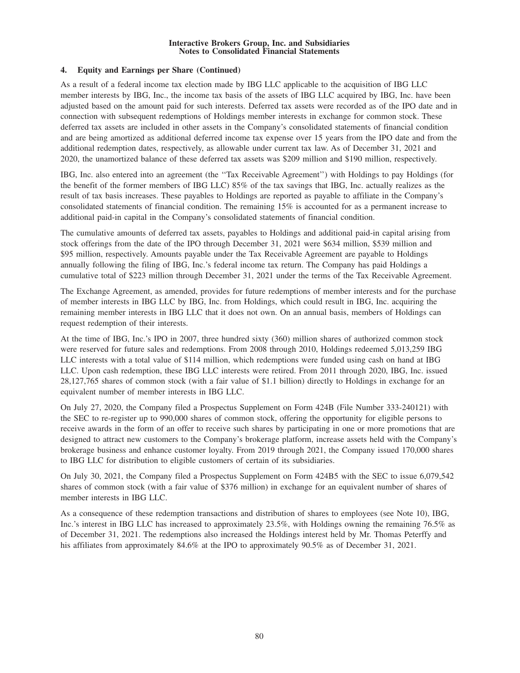## **4. Equity and Earnings per Share (Continued)**

As a result of a federal income tax election made by IBG LLC applicable to the acquisition of IBG LLC member interests by IBG, Inc., the income tax basis of the assets of IBG LLC acquired by IBG, Inc. have been adjusted based on the amount paid for such interests. Deferred tax assets were recorded as of the IPO date and in connection with subsequent redemptions of Holdings member interests in exchange for common stock. These deferred tax assets are included in other assets in the Company's consolidated statements of financial condition and are being amortized as additional deferred income tax expense over 15 years from the IPO date and from the additional redemption dates, respectively, as allowable under current tax law. As of December 31, 2021 and 2020, the unamortized balance of these deferred tax assets was \$209 million and \$190 million, respectively.

IBG, Inc. also entered into an agreement (the ''Tax Receivable Agreement'') with Holdings to pay Holdings (for the benefit of the former members of IBG LLC) 85% of the tax savings that IBG, Inc. actually realizes as the result of tax basis increases. These payables to Holdings are reported as payable to affiliate in the Company's consolidated statements of financial condition. The remaining 15% is accounted for as a permanent increase to additional paid-in capital in the Company's consolidated statements of financial condition.

The cumulative amounts of deferred tax assets, payables to Holdings and additional paid-in capital arising from stock offerings from the date of the IPO through December 31, 2021 were \$634 million, \$539 million and \$95 million, respectively. Amounts payable under the Tax Receivable Agreement are payable to Holdings annually following the filing of IBG, Inc.'s federal income tax return. The Company has paid Holdings a cumulative total of \$223 million through December 31, 2021 under the terms of the Tax Receivable Agreement.

The Exchange Agreement, as amended, provides for future redemptions of member interests and for the purchase of member interests in IBG LLC by IBG, Inc. from Holdings, which could result in IBG, Inc. acquiring the remaining member interests in IBG LLC that it does not own. On an annual basis, members of Holdings can request redemption of their interests.

At the time of IBG, Inc.'s IPO in 2007, three hundred sixty (360) million shares of authorized common stock were reserved for future sales and redemptions. From 2008 through 2010, Holdings redeemed 5,013,259 IBG LLC interests with a total value of \$114 million, which redemptions were funded using cash on hand at IBG LLC. Upon cash redemption, these IBG LLC interests were retired. From 2011 through 2020, IBG, Inc. issued 28,127,765 shares of common stock (with a fair value of \$1.1 billion) directly to Holdings in exchange for an equivalent number of member interests in IBG LLC.

On July 27, 2020, the Company filed a Prospectus Supplement on Form 424B (File Number 333-240121) with the SEC to re-register up to 990,000 shares of common stock, offering the opportunity for eligible persons to receive awards in the form of an offer to receive such shares by participating in one or more promotions that are designed to attract new customers to the Company's brokerage platform, increase assets held with the Company's brokerage business and enhance customer loyalty. From 2019 through 2021, the Company issued 170,000 shares to IBG LLC for distribution to eligible customers of certain of its subsidiaries.

On July 30, 2021, the Company filed a Prospectus Supplement on Form 424B5 with the SEC to issue 6,079,542 shares of common stock (with a fair value of \$376 million) in exchange for an equivalent number of shares of member interests in IBG LLC.

As a consequence of these redemption transactions and distribution of shares to employees (see Note 10), IBG, Inc.'s interest in IBG LLC has increased to approximately 23.5%, with Holdings owning the remaining 76.5% as of December 31, 2021. The redemptions also increased the Holdings interest held by Mr. Thomas Peterffy and his affiliates from approximately 84.6% at the IPO to approximately 90.5% as of December 31, 2021.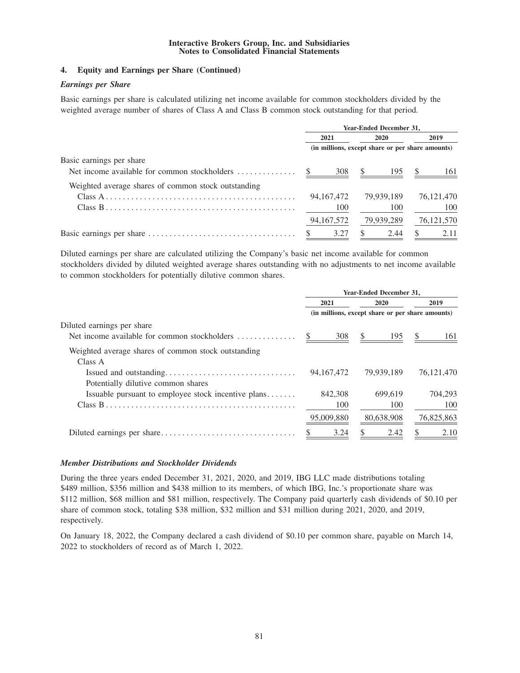# **4. Equity and Earnings per Share (Continued)**

# *Earnings per Share*

Basic earnings per share is calculated utilizing net income available for common stockholders divided by the weighted average number of shares of Class A and Class B common stock outstanding for that period.

|                                                                                                                      | Year-Ended December 31,                          |            |              |  |  |
|----------------------------------------------------------------------------------------------------------------------|--------------------------------------------------|------------|--------------|--|--|
|                                                                                                                      | 2021                                             | 2020       | 2019         |  |  |
|                                                                                                                      | (in millions, except share or per share amounts) |            |              |  |  |
| Basic earnings per share                                                                                             |                                                  |            |              |  |  |
| Net income available for common stockholders                                                                         | 308                                              | 195        | 161          |  |  |
| Weighted average shares of common stock outstanding                                                                  |                                                  |            |              |  |  |
| Class A. $\ldots$ $\ldots$ $\ldots$ $\ldots$ $\ldots$ $\ldots$ $\ldots$ $\ldots$ $\ldots$ $\ldots$ $\ldots$ $\ldots$ | 94,167,472                                       | 79.939.189 | 76, 121, 470 |  |  |
|                                                                                                                      | 100                                              | 100        | 100          |  |  |
|                                                                                                                      | 94, 167, 572                                     | 79,939,289 | 76, 121, 570 |  |  |
|                                                                                                                      | 3.27                                             | 2.44       | 2.11         |  |  |

Diluted earnings per share are calculated utilizing the Company's basic net income available for common stockholders divided by diluted weighted average shares outstanding with no adjustments to net income available to common stockholders for potentially dilutive common shares.

|                                                                | <b>Year-Ended December 31.</b> |                                                  |            |  |
|----------------------------------------------------------------|--------------------------------|--------------------------------------------------|------------|--|
|                                                                | 2021                           | 2020                                             | 2019       |  |
|                                                                |                                | (in millions, except share or per share amounts) |            |  |
| Diluted earnings per share                                     |                                |                                                  |            |  |
| Net income available for common stockholders                   | 308                            | \$<br>195                                        | 161        |  |
| Weighted average shares of common stock outstanding<br>Class A |                                |                                                  |            |  |
| Potentially dilutive common shares                             | 94, 167, 472                   | 79.939.189                                       | 76,121,470 |  |
| Issuable pursuant to employee stock incentive plans            | 842,308                        | 699,619                                          | 704.293    |  |
|                                                                | 100                            | 100                                              | 100        |  |
|                                                                | 95,009,880                     | 80,638,908                                       | 76,825,863 |  |
|                                                                | 3.24                           | 2.42                                             | 2.10       |  |

## *Member Distributions and Stockholder Dividends*

During the three years ended December 31, 2021, 2020, and 2019, IBG LLC made distributions totaling \$489 million, \$356 million and \$438 million to its members, of which IBG, Inc.'s proportionate share was \$112 million, \$68 million and \$81 million, respectively. The Company paid quarterly cash dividends of \$0.10 per share of common stock, totaling \$38 million, \$32 million and \$31 million during 2021, 2020, and 2019, respectively.

On January 18, 2022, the Company declared a cash dividend of \$0.10 per common share, payable on March 14, 2022 to stockholders of record as of March 1, 2022.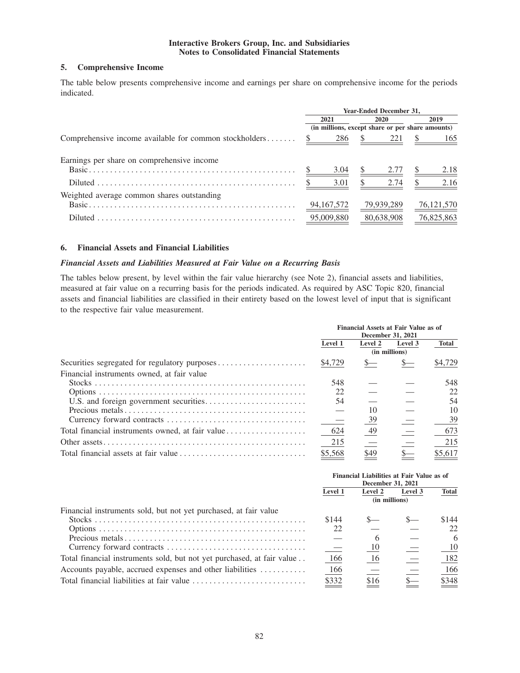## **5. Comprehensive Income**

The table below presents comprehensive income and earnings per share on comprehensive income for the periods indicated.

|                                                                                                     | <b>Year-Ended December 31.</b> |                     |                                                  |  |              |
|-----------------------------------------------------------------------------------------------------|--------------------------------|---------------------|--------------------------------------------------|--|--------------|
|                                                                                                     | 2021                           |                     | <b>2020</b>                                      |  | 2019         |
|                                                                                                     |                                |                     | (in millions, except share or per share amounts) |  |              |
| Comprehensive income available for common stockholders                                              |                                | 286<br><sup>S</sup> | 221                                              |  | 165          |
| Earnings per share on comprehensive income                                                          |                                |                     |                                                  |  |              |
|                                                                                                     | 3.04                           |                     | 2.77                                             |  | 2.18         |
| $Diluted \dots \dots \dots \dots \dots \dots \dots \dots \dots \dots \dots \dots \dots \dots \dots$ | 3.01                           |                     | 2.74                                             |  | 2.16         |
| Weighted average common shares outstanding                                                          |                                |                     |                                                  |  |              |
|                                                                                                     | 94, 167, 572                   |                     | 79,939,289                                       |  | 76, 121, 570 |
| Diluted.                                                                                            | 95,009,880                     |                     | 80,638,908                                       |  | 76,825,863   |

## **6. Financial Assets and Financial Liabilities**

## *Financial Assets and Liabilities Measured at Fair Value on a Recurring Basis*

The tables below present, by level within the fair value hierarchy (see Note 2), financial assets and liabilities, measured at fair value on a recurring basis for the periods indicated. As required by ASC Topic 820, financial assets and financial liabilities are classified in their entirety based on the lowest level of input that is significant to the respective fair value measurement.

|                                                  | Financial Assets at Fair Value as of |                          |         |              |
|--------------------------------------------------|--------------------------------------|--------------------------|---------|--------------|
|                                                  | December 31, 2021                    |                          |         |              |
|                                                  | Level 1                              | Level 2                  | Level 3 | <b>Total</b> |
|                                                  |                                      |                          |         |              |
|                                                  | \$4,729                              |                          |         | \$4.729      |
| Financial instruments owned, at fair value       |                                      |                          |         |              |
|                                                  | 548                                  |                          |         | 548          |
|                                                  | 22                                   |                          |         | 22           |
|                                                  | 54                                   |                          |         | 54           |
|                                                  |                                      | 10                       |         | 10           |
|                                                  |                                      | $\frac{39}{2}$           |         | 39           |
| Total financial instruments owned, at fair value | 624                                  | $\frac{49}{5}$           |         | 673          |
|                                                  | 215                                  | $\overline{\phantom{a}}$ |         | 215          |
|                                                  | \$5,568                              | \$49                     |         | \$5,617      |

|                                                                        | Financial Liabilities at Fair Value as of<br>December 31, 2021 |      |         |              |
|------------------------------------------------------------------------|----------------------------------------------------------------|------|---------|--------------|
|                                                                        | Level 2<br><b>Level 1</b>                                      |      | Level 3 | <b>Total</b> |
|                                                                        | (in millions)                                                  |      |         |              |
| Financial instruments sold, but not yet purchased, at fair value       |                                                                |      |         |              |
|                                                                        | \$144                                                          |      |         | \$144        |
|                                                                        | 22                                                             |      |         | 22           |
|                                                                        |                                                                | 6    |         | 6            |
|                                                                        |                                                                | -10  |         | 10           |
| Total financial instruments sold, but not yet purchased, at fair value | 166                                                            | -16  |         | 182          |
| Accounts payable, accrued expenses and other liabilities               | 166                                                            |      |         | 166          |
| Total financial liabilities at fair value                              | \$332                                                          | \$16 |         | \$348        |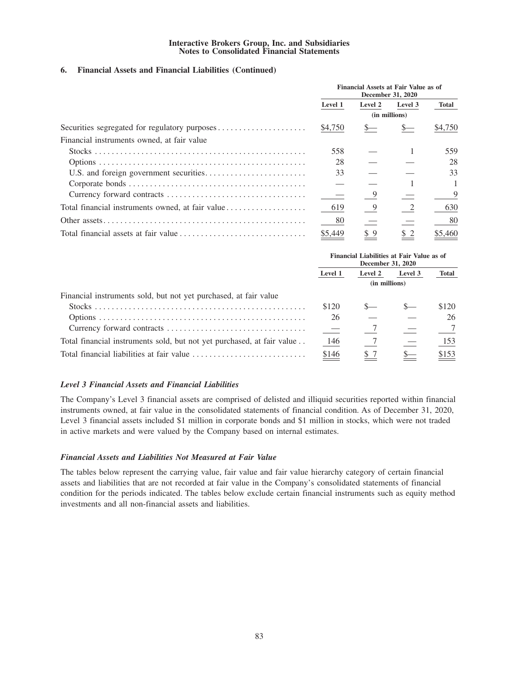## **6. Financial Assets and Financial Liabilities (Continued)**

|                                                  | <b>Financial Assets at Fair Value as of</b><br>December 31, 2020 |                    |     |              |
|--------------------------------------------------|------------------------------------------------------------------|--------------------|-----|--------------|
|                                                  | Level 1                                                          | Level 2<br>Level 3 |     | <b>Total</b> |
|                                                  | (in millions)                                                    |                    |     |              |
|                                                  | \$4,750                                                          | $S-$               |     | \$4,750      |
| Financial instruments owned, at fair value       |                                                                  |                    |     |              |
|                                                  | 558                                                              |                    |     | 559          |
|                                                  | 28                                                               |                    |     | 28           |
|                                                  | 33                                                               |                    |     | 33           |
|                                                  |                                                                  |                    |     |              |
|                                                  |                                                                  |                    |     | 9            |
| Total financial instruments owned, at fair value | 619                                                              | $\overline{9}$     |     | 630          |
|                                                  | 80                                                               |                    |     | 80           |
|                                                  | \$5,449                                                          | \$9                | \$2 | \$5,460      |

|                                                                        | Financial Liabilities at Fair Value as of<br>December 31, 2020 |         |         |                                 |
|------------------------------------------------------------------------|----------------------------------------------------------------|---------|---------|---------------------------------|
|                                                                        | Level 1                                                        | Level 2 | Level 3 | <b>Total</b>                    |
|                                                                        | (in millions)                                                  |         |         |                                 |
| Financial instruments sold, but not yet purchased, at fair value       |                                                                |         |         |                                 |
|                                                                        | \$120                                                          |         |         | \$120                           |
|                                                                        | 26                                                             |         |         | 26                              |
|                                                                        |                                                                |         |         |                                 |
| Total financial instruments sold, but not yet purchased, at fair value | 146                                                            |         |         | 153                             |
|                                                                        | \$146                                                          | \$7     |         | $\underline{\underline{\$153}}$ |

# *Level 3 Financial Assets and Financial Liabilities*

The Company's Level 3 financial assets are comprised of delisted and illiquid securities reported within financial instruments owned, at fair value in the consolidated statements of financial condition. As of December 31, 2020, Level 3 financial assets included \$1 million in corporate bonds and \$1 million in stocks, which were not traded in active markets and were valued by the Company based on internal estimates.

#### *Financial Assets and Liabilities Not Measured at Fair Value*

The tables below represent the carrying value, fair value and fair value hierarchy category of certain financial assets and liabilities that are not recorded at fair value in the Company's consolidated statements of financial condition for the periods indicated. The tables below exclude certain financial instruments such as equity method investments and all non-financial assets and liabilities.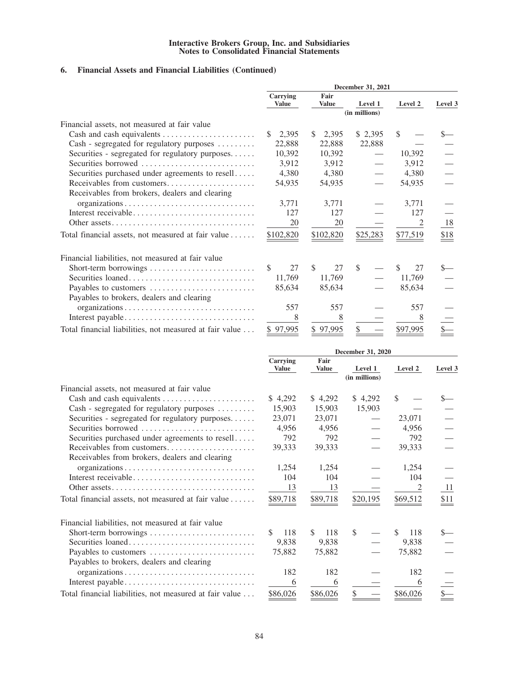# **6. Financial Assets and Financial Liabilities (Continued)**

|                                                         | December 31, 2021   |                     |               |                     |                 |
|---------------------------------------------------------|---------------------|---------------------|---------------|---------------------|-----------------|
|                                                         | Carrying            | Fair                |               |                     |                 |
|                                                         | <b>Value</b>        | <b>Value</b>        | Level 1       | Level 2             | Level 3         |
|                                                         |                     |                     | (in millions) |                     |                 |
| Financial assets, not measured at fair value            |                     |                     |               |                     |                 |
|                                                         | 2,395               | 2,395<br>S.         | \$2,395       | <sup>\$</sup>       |                 |
| Cash - segregated for regulatory purposes               | 22,888              | 22,888              | 22,888        |                     |                 |
| Securities - segregated for regulatory purposes         | 10,392              | 10,392              |               | 10,392              |                 |
| Securities borrowed                                     | 3,912               | 3,912               |               | 3,912               |                 |
| Securities purchased under agreements to resell         | 4,380               | 4,380               |               | 4,380               |                 |
| Receivables from customers                              | 54,935              | 54,935              |               | 54,935              |                 |
| Receivables from brokers, dealers and clearing          |                     |                     |               |                     |                 |
|                                                         | 3,771               | 3,771               |               | 3,771               |                 |
| Interest receivable                                     | 127                 | 127                 |               | 127                 |                 |
|                                                         | 20                  | 20                  |               |                     | 18              |
| Total financial assets, not measured at fair value      | \$102,820           | \$102,820           | \$25,283      | \$77,519            | $\frac{$18}{2}$ |
| Financial liabilities, not measured at fair value       |                     |                     |               |                     |                 |
| Short-term borrowings                                   | <sup>\$</sup><br>27 | <sup>\$</sup><br>27 | $\mathbb{S}$  | $\mathcal{S}$<br>27 |                 |
| Securities loaned                                       | 11,769              | 11,769              |               | 11,769              |                 |
|                                                         | 85,634              | 85,634              |               | 85,634              |                 |
| Payables to brokers, dealers and clearing               |                     |                     |               |                     |                 |
|                                                         | 557                 | 557                 |               | 557                 |                 |
| Interest payable                                        | 8                   | 8                   |               | 8                   |                 |
| Total financial liabilities, not measured at fair value | \$97,995            | 97,995<br>\$.       | \$            | \$97,995            |                 |

|                                                         |                          |                      | December 31, 2020 |           |                             |
|---------------------------------------------------------|--------------------------|----------------------|-------------------|-----------|-----------------------------|
|                                                         | Carrying<br><b>Value</b> | Fair<br><b>Value</b> | Level 1           | Level 2   | Level 3                     |
|                                                         |                          |                      | (in millions)     |           |                             |
| Financial assets, not measured at fair value            |                          |                      |                   |           |                             |
| Cash and cash equivalents                               | \$4,292                  | \$4,292              | \$4,292           | \$.       |                             |
| Cash - segregated for regulatory purposes               | 15,903                   | 15,903               | 15,903            |           |                             |
| Securities - segregated for regulatory purposes         | 23,071                   | 23,071               |                   | 23,071    |                             |
| Securities borrowed                                     | 4,956                    | 4,956                |                   | 4,956     |                             |
| Securities purchased under agreements to resell         | 792                      | 792                  |                   | 792       |                             |
| Receivables from customers                              | 39,333                   | 39,333               |                   | 39,333    |                             |
| Receivables from brokers, dealers and clearing          |                          |                      |                   |           |                             |
|                                                         | 1,254                    | 1,254                |                   | 1,254     |                             |
| Interest receivable                                     | 104                      | 104                  |                   | 104       |                             |
|                                                         | 13                       | 13                   |                   | 2         | 11                          |
| Total financial assets, not measured at fair value      | \$89,718                 | \$89,718             | \$20,195          | \$69,512  | $\underline{\frac{$11}}{2}$ |
| Financial liabilities, not measured at fair value       |                          |                      |                   |           |                             |
| Short-term borrowings                                   | 118<br>S.                | $\mathcal{S}$<br>118 | \$                | S.<br>118 |                             |
| Securities loaned                                       | 9,838                    | 9,838                |                   | 9,838     |                             |
| Payables to customers                                   | 75,882                   | 75,882               |                   | 75,882    |                             |
| Payables to brokers, dealers and clearing               |                          |                      |                   |           |                             |
|                                                         | 182                      | 182                  |                   | 182       |                             |
| Interest payable                                        | 6                        | 6                    |                   | 6         |                             |
| Total financial liabilities, not measured at fair value | \$86,026                 | \$86,026             | \$                | \$86,026  |                             |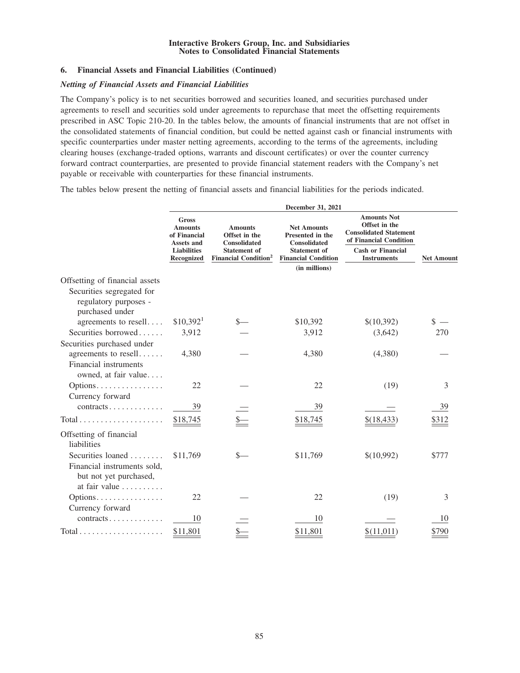### **6. Financial Assets and Financial Liabilities (Continued)**

#### *Netting of Financial Assets and Financial Liabilities*

The Company's policy is to net securities borrowed and securities loaned, and securities purchased under agreements to resell and securities sold under agreements to repurchase that meet the offsetting requirements prescribed in ASC Topic 210-20. In the tables below, the amounts of financial instruments that are not offset in the consolidated statements of financial condition, but could be netted against cash or financial instruments with specific counterparties under master netting agreements, according to the terms of the agreements, including clearing houses (exchange-traded options, warrants and discount certificates) or over the counter currency forward contract counterparties, are presented to provide financial statement readers with the Company's net payable or receivable with counterparties for these financial instruments.

The tables below present the netting of financial assets and financial liabilities for the periods indicated.

|                                                                        |                                                                                                  |                                                                                                                         | December 31, 2021                                                                                                                   |                                                                                                                                                  |                   |
|------------------------------------------------------------------------|--------------------------------------------------------------------------------------------------|-------------------------------------------------------------------------------------------------------------------------|-------------------------------------------------------------------------------------------------------------------------------------|--------------------------------------------------------------------------------------------------------------------------------------------------|-------------------|
|                                                                        | Gross<br><b>Amounts</b><br>of Financial<br><b>Assets and</b><br><b>Liabilities</b><br>Recognized | <b>Amounts</b><br>Offset in the<br><b>Consolidated</b><br><b>Statement</b> of<br><b>Financial Condition<sup>2</sup></b> | <b>Net Amounts</b><br>Presented in the<br><b>Consolidated</b><br><b>Statement</b> of<br><b>Financial Condition</b><br>(in millions) | <b>Amounts Not</b><br>Offset in the<br><b>Consolidated Statement</b><br>of Financial Condition<br><b>Cash or Financial</b><br><b>Instruments</b> | <b>Net Amount</b> |
| Offsetting of financial assets                                         |                                                                                                  |                                                                                                                         |                                                                                                                                     |                                                                                                                                                  |                   |
| Securities segregated for<br>regulatory purposes -<br>purchased under  |                                                                                                  |                                                                                                                         |                                                                                                                                     |                                                                                                                                                  |                   |
| agreements to resell                                                   | $$10,392$ <sup>1</sup>                                                                           |                                                                                                                         | \$10,392                                                                                                                            | \$(10,392)                                                                                                                                       | $s =$             |
| Securities borrowed                                                    | 3,912                                                                                            |                                                                                                                         | 3,912                                                                                                                               | (3,642)                                                                                                                                          | 270               |
| Securities purchased under                                             |                                                                                                  |                                                                                                                         |                                                                                                                                     |                                                                                                                                                  |                   |
| agreements to resell                                                   | 4,380                                                                                            |                                                                                                                         | 4,380                                                                                                                               | (4,380)                                                                                                                                          |                   |
| Financial instruments<br>owned, at fair value                          |                                                                                                  |                                                                                                                         |                                                                                                                                     |                                                                                                                                                  |                   |
| Options                                                                | 22                                                                                               |                                                                                                                         | 22                                                                                                                                  | (19)                                                                                                                                             | 3                 |
| Currency forward                                                       |                                                                                                  |                                                                                                                         |                                                                                                                                     |                                                                                                                                                  |                   |
| $contracts \ldots \ldots \ldots$                                       | 39                                                                                               |                                                                                                                         | 39                                                                                                                                  |                                                                                                                                                  | 39                |
| $Total \dots \dots \dots \dots \dots \dots \dots$                      | \$18,745                                                                                         |                                                                                                                         | \$18,745                                                                                                                            | \$(18,433)                                                                                                                                       | \$312             |
| Offsetting of financial<br>liabilities                                 |                                                                                                  |                                                                                                                         |                                                                                                                                     |                                                                                                                                                  |                   |
| Securities loaned                                                      | \$11,769                                                                                         |                                                                                                                         | \$11,769                                                                                                                            | \$(10,992)                                                                                                                                       | \$777             |
| Financial instruments sold,<br>but not yet purchased,<br>at fair value |                                                                                                  |                                                                                                                         |                                                                                                                                     |                                                                                                                                                  |                   |
| Options                                                                | 22                                                                                               |                                                                                                                         | 22                                                                                                                                  | (19)                                                                                                                                             | 3                 |
| Currency forward                                                       |                                                                                                  |                                                                                                                         |                                                                                                                                     |                                                                                                                                                  |                   |
| $contracts \ldots \ldots \ldots$                                       | 10                                                                                               |                                                                                                                         | 10                                                                                                                                  |                                                                                                                                                  | 10                |
| $Total \dots \dots \dots \dots \dots \dots \dots$                      | \$11,801                                                                                         |                                                                                                                         | \$11,801                                                                                                                            | \$(11,011)                                                                                                                                       | \$790             |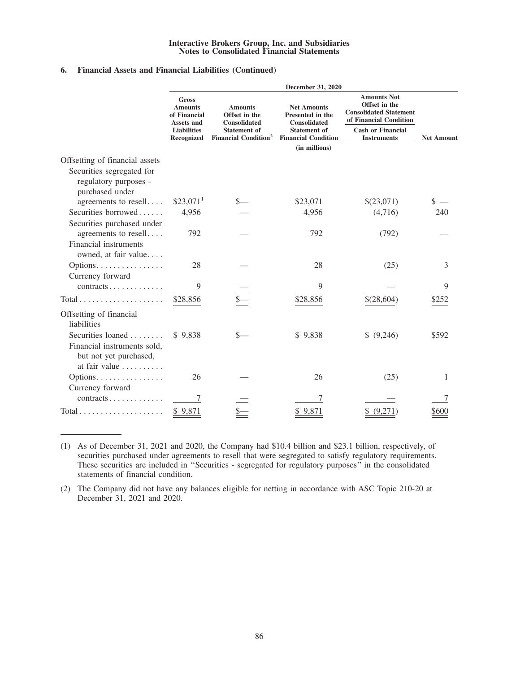#### **6. Financial Assets and Financial Liabilities (Continued)**

|                                                                        |                                                                                    |                                                                               | December 31, 2020                                                                    |                                                                                                                            |            |
|------------------------------------------------------------------------|------------------------------------------------------------------------------------|-------------------------------------------------------------------------------|--------------------------------------------------------------------------------------|----------------------------------------------------------------------------------------------------------------------------|------------|
|                                                                        | Gross<br><b>Amounts</b><br>of Financial<br><b>Assets and</b><br><b>Liabilities</b> | <b>Amounts</b><br>Offset in the<br><b>Consolidated</b><br><b>Statement of</b> | <b>Net Amounts</b><br>Presented in the<br><b>Consolidated</b><br><b>Statement of</b> | <b>Amounts Not</b><br>Offset in the<br><b>Consolidated Statement</b><br>of Financial Condition<br><b>Cash or Financial</b> |            |
|                                                                        | Recognized                                                                         | <b>Financial Condition<sup>2</sup></b>                                        | <b>Financial Condition</b><br>(in millions)                                          | <b>Instruments</b>                                                                                                         | Net Amount |
| Offsetting of financial assets                                         |                                                                                    |                                                                               |                                                                                      |                                                                                                                            |            |
| Securities segregated for<br>regulatory purposes -<br>purchased under  |                                                                                    |                                                                               |                                                                                      |                                                                                                                            |            |
| agreements to resell                                                   | $$23,071$ <sup>1</sup>                                                             |                                                                               | \$23,071                                                                             | \$(23,071)                                                                                                                 |            |
| Securities borrowed                                                    | 4,956                                                                              |                                                                               | 4,956                                                                                | (4,716)                                                                                                                    | 240        |
| Securities purchased under<br>agreements to resell                     | 792                                                                                |                                                                               | 792                                                                                  | (792)                                                                                                                      |            |
| Financial instruments<br>owned, at fair value                          |                                                                                    |                                                                               |                                                                                      |                                                                                                                            |            |
| Options                                                                | 28                                                                                 |                                                                               | 28                                                                                   | (25)                                                                                                                       | 3          |
| Currency forward                                                       |                                                                                    |                                                                               |                                                                                      |                                                                                                                            |            |
| $contracts \ldots \ldots \ldots$                                       | 9                                                                                  |                                                                               | 9                                                                                    |                                                                                                                            | 9          |
| $Total \dots \dots \dots \dots \dots \dots \dots$                      | \$28,856                                                                           |                                                                               | \$28,856                                                                             | \$(28,604)                                                                                                                 | \$252      |
| Offsetting of financial<br>liabilities                                 |                                                                                    |                                                                               |                                                                                      |                                                                                                                            |            |
| Securities loaned                                                      | \$9,838                                                                            |                                                                               | \$9,838                                                                              | \$ (9,246)                                                                                                                 | \$592      |
| Financial instruments sold,<br>but not yet purchased,<br>at fair value |                                                                                    |                                                                               |                                                                                      |                                                                                                                            |            |
| Options                                                                | 26                                                                                 |                                                                               | 26                                                                                   | (25)                                                                                                                       | 1          |
| Currency forward                                                       |                                                                                    |                                                                               |                                                                                      |                                                                                                                            |            |
| $contracts \ldots \ldots \ldots$                                       | 7                                                                                  |                                                                               | $\boldsymbol{7}$                                                                     |                                                                                                                            |            |
| $Total \dots \dots \dots \dots \dots \dots \dots$                      | \$9,871                                                                            |                                                                               | \$9,871                                                                              | (9,271)<br>\$                                                                                                              | \$600      |

(1) As of December 31, 2021 and 2020, the Company had \$10.4 billion and \$23.1 billion, respectively, of securities purchased under agreements to resell that were segregated to satisfy regulatory requirements. These securities are included in ''Securities - segregated for regulatory purposes'' in the consolidated statements of financial condition.

(2) The Company did not have any balances eligible for netting in accordance with ASC Topic 210-20 at December 31, 2021 and 2020.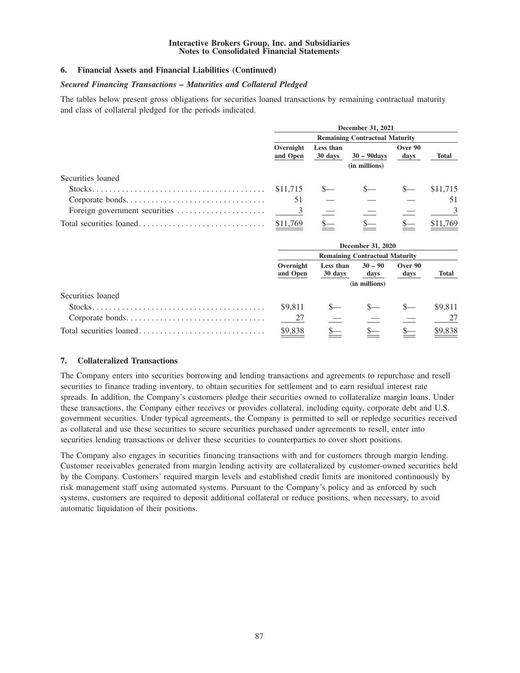### **6. Financial Assets and Financial Liabilities (Continued)**

### *Secured Financing Transactions – Maturities and Collateral Pledged*

The tables below present gross obligations for securities loaned transactions by remaining contractual maturity and class of collateral pledged for the periods indicated.

|                         | December 31, 2021                     |                      |                                        |                 |          |  |
|-------------------------|---------------------------------------|----------------------|----------------------------------------|-----------------|----------|--|
|                         | <b>Remaining Contractual Maturity</b> |                      |                                        |                 |          |  |
|                         | Overnight<br>and Open                 | Less than<br>30 days | $30 - 90 \text{days}$<br>(in millions) | Over 90<br>days | Total    |  |
| Securities loaned       |                                       |                      |                                        |                 |          |  |
|                         | \$11.715                              |                      |                                        |                 | \$11,715 |  |
|                         | 51                                    |                      |                                        |                 |          |  |
|                         |                                       |                      |                                        |                 |          |  |
| Total securities loaned | \$11,769                              |                      |                                        |                 | 1.769    |  |

|                         | December 31, 2020<br><b>Remaining Contractual Maturity</b> |                      |                   |                 |              |  |
|-------------------------|------------------------------------------------------------|----------------------|-------------------|-----------------|--------------|--|
|                         |                                                            |                      |                   |                 |              |  |
|                         | Overnight<br>and Open                                      | Less than<br>30 days | $30 - 90$<br>days | Over 90<br>days | <b>Total</b> |  |
|                         | (in millions)                                              |                      |                   |                 |              |  |
| Securities loaned       |                                                            |                      |                   |                 |              |  |
|                         | \$9,811                                                    |                      |                   |                 | \$9,811      |  |
|                         | 27                                                         |                      |                   |                 |              |  |
| Total securities loaned | \$9,838                                                    |                      |                   |                 | \$9,838      |  |

#### **7. Collateralized Transactions**

The Company enters into securities borrowing and lending transactions and agreements to repurchase and resell securities to finance trading inventory, to obtain securities for settlement and to earn residual interest rate spreads. In addition, the Company's customers pledge their securities owned to collateralize margin loans. Under these transactions, the Company either receives or provides collateral, including equity, corporate debt and U.S. government securities. Under typical agreements, the Company is permitted to sell or repledge securities received as collateral and use these securities to secure securities purchased under agreements to resell, enter into securities lending transactions or deliver these securities to counterparties to cover short positions.

The Company also engages in securities financing transactions with and for customers through margin lending. Customer receivables generated from margin lending activity are collateralized by customer-owned securities held by the Company. Customers' required margin levels and established credit limits are monitored continuously by risk management staff using automated systems. Pursuant to the Company's policy and as enforced by such systems, customers are required to deposit additional collateral or reduce positions, when necessary, to avoid automatic liquidation of their positions.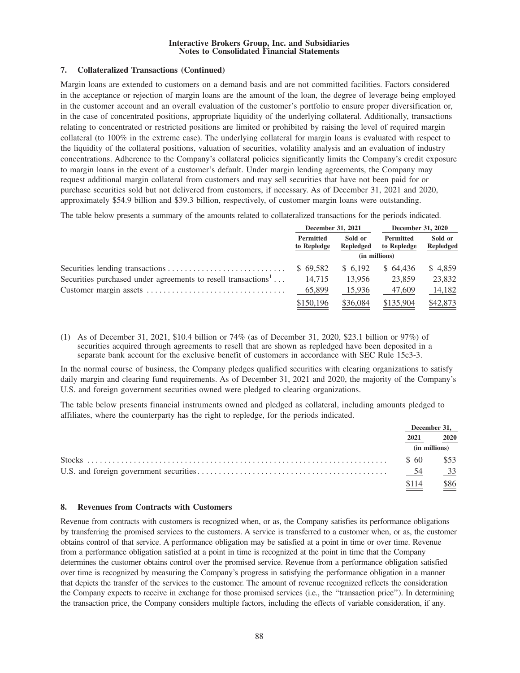### **7. Collateralized Transactions (Continued)**

Margin loans are extended to customers on a demand basis and are not committed facilities. Factors considered in the acceptance or rejection of margin loans are the amount of the loan, the degree of leverage being employed in the customer account and an overall evaluation of the customer's portfolio to ensure proper diversification or, in the case of concentrated positions, appropriate liquidity of the underlying collateral. Additionally, transactions relating to concentrated or restricted positions are limited or prohibited by raising the level of required margin collateral (to 100% in the extreme case). The underlying collateral for margin loans is evaluated with respect to the liquidity of the collateral positions, valuation of securities, volatility analysis and an evaluation of industry concentrations. Adherence to the Company's collateral policies significantly limits the Company's credit exposure to margin loans in the event of a customer's default. Under margin lending agreements, the Company may request additional margin collateral from customers and may sell securities that have not been paid for or purchase securities sold but not delivered from customers, if necessary. As of December 31, 2021 and 2020, approximately \$54.9 billion and \$39.3 billion, respectively, of customer margin loans were outstanding.

The table below presents a summary of the amounts related to collateralized transactions for the periods indicated.

|                                                                           | December 31, 2021               |                                                                | December 31, 2020 |                             |  |  |
|---------------------------------------------------------------------------|---------------------------------|----------------------------------------------------------------|-------------------|-----------------------------|--|--|
|                                                                           | <b>Permitted</b><br>to Repledge | Sold or<br><b>Permitted</b><br><b>Repledged</b><br>to Repledge |                   | Sold or<br><b>Repledged</b> |  |  |
|                                                                           | (in millions)                   |                                                                |                   |                             |  |  |
|                                                                           | \$69.582                        | \$6.192                                                        | \$64,436          | \$4,859                     |  |  |
| Securities purchased under agreements to resell transactions <sup>1</sup> | 14.715                          | 13.956                                                         | 23,859            | 23,832                      |  |  |
|                                                                           | 65,899                          | 15,936                                                         | 47,609            | 14,182                      |  |  |
|                                                                           | \$150,196                       | \$36,084                                                       | \$135,904         | \$42,873                    |  |  |

<sup>(1)</sup> As of December 31, 2021, \$10.4 billion or 74% (as of December 31, 2020, \$23.1 billion or 97%) of securities acquired through agreements to resell that are shown as repledged have been deposited in a separate bank account for the exclusive benefit of customers in accordance with SEC Rule 15c3-3.

In the normal course of business, the Company pledges qualified securities with clearing organizations to satisfy daily margin and clearing fund requirements. As of December 31, 2021 and 2020, the majority of the Company's U.S. and foreign government securities owned were pledged to clearing organizations.

The table below presents financial instruments owned and pledged as collateral, including amounts pledged to affiliates, where the counterparty has the right to repledge, for the periods indicated.

|      | December 31,  |
|------|---------------|
| 2021 | 2020          |
|      | (in millions) |
| \$60 | \$53          |
| 54   |               |
|      |               |

#### **8. Revenues from Contracts with Customers**

Revenue from contracts with customers is recognized when, or as, the Company satisfies its performance obligations by transferring the promised services to the customers. A service is transferred to a customer when, or as, the customer obtains control of that service. A performance obligation may be satisfied at a point in time or over time. Revenue from a performance obligation satisfied at a point in time is recognized at the point in time that the Company determines the customer obtains control over the promised service. Revenue from a performance obligation satisfied over time is recognized by measuring the Company's progress in satisfying the performance obligation in a manner that depicts the transfer of the services to the customer. The amount of revenue recognized reflects the consideration the Company expects to receive in exchange for those promised services (i.e., the ''transaction price''). In determining the transaction price, the Company considers multiple factors, including the effects of variable consideration, if any.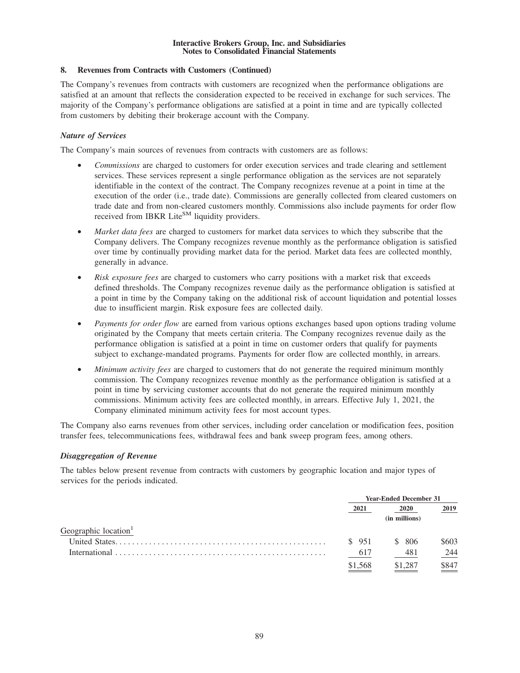### **8. Revenues from Contracts with Customers (Continued)**

The Company's revenues from contracts with customers are recognized when the performance obligations are satisfied at an amount that reflects the consideration expected to be received in exchange for such services. The majority of the Company's performance obligations are satisfied at a point in time and are typically collected from customers by debiting their brokerage account with the Company.

## *Nature of Services*

The Company's main sources of revenues from contracts with customers are as follows:

- *Commissions* are charged to customers for order execution services and trade clearing and settlement services. These services represent a single performance obligation as the services are not separately identifiable in the context of the contract. The Company recognizes revenue at a point in time at the execution of the order (i.e., trade date). Commissions are generally collected from cleared customers on trade date and from non-cleared customers monthly. Commissions also include payments for order flow received from IBKR Lite<sup>SM</sup> liquidity providers.
- *Market data fees* are charged to customers for market data services to which they subscribe that the Company delivers. The Company recognizes revenue monthly as the performance obligation is satisfied over time by continually providing market data for the period. Market data fees are collected monthly, generally in advance.
- *Risk exposure fees* are charged to customers who carry positions with a market risk that exceeds defined thresholds. The Company recognizes revenue daily as the performance obligation is satisfied at a point in time by the Company taking on the additional risk of account liquidation and potential losses due to insufficient margin. Risk exposure fees are collected daily.
- *Payments for order flow* are earned from various options exchanges based upon options trading volume originated by the Company that meets certain criteria. The Company recognizes revenue daily as the performance obligation is satisfied at a point in time on customer orders that qualify for payments subject to exchange-mandated programs. Payments for order flow are collected monthly, in arrears.
- *Minimum activity fees* are charged to customers that do not generate the required minimum monthly commission. The Company recognizes revenue monthly as the performance obligation is satisfied at a point in time by servicing customer accounts that do not generate the required minimum monthly commissions. Minimum activity fees are collected monthly, in arrears. Effective July 1, 2021, the Company eliminated minimum activity fees for most account types.

The Company also earns revenues from other services, including order cancelation or modification fees, position transfer fees, telecommunications fees, withdrawal fees and bank sweep program fees, among others.

#### *Disaggregation of Revenue*

The tables below present revenue from contracts with customers by geographic location and major types of services for the periods indicated.

|                                  | <b>Year-Ended December 31</b> |                       |       |
|----------------------------------|-------------------------------|-----------------------|-------|
|                                  | 2021                          | 2020<br>(in millions) | 2019  |
| Geographic location <sup>1</sup> |                               |                       |       |
|                                  | \$951                         | \$806                 | \$603 |
|                                  | 617                           | 481                   | 244   |
|                                  |                               |                       |       |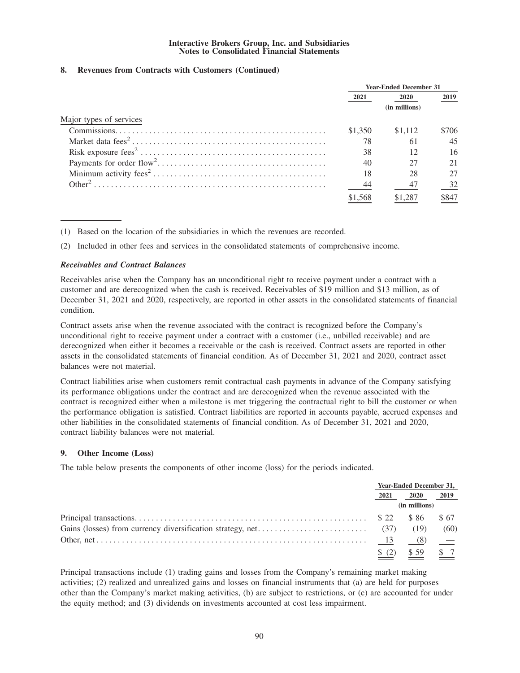## **8. Revenues from Contracts with Customers (Continued)**

|                         | <b>Year-Ended December 31</b> |               |       |  |
|-------------------------|-------------------------------|---------------|-------|--|
|                         | 2021                          | 2020          |       |  |
|                         |                               | (in millions) |       |  |
| Major types of services |                               |               |       |  |
|                         | \$1,350                       | \$1,112       | \$706 |  |
|                         | 78                            | 61            | 45    |  |
|                         | 38                            | 12            | 16    |  |
|                         | 40                            |               |       |  |
|                         | 18                            | 28            |       |  |
|                         |                               |               | 32    |  |
|                         |                               |               |       |  |

(1) Based on the location of the subsidiaries in which the revenues are recorded.

(2) Included in other fees and services in the consolidated statements of comprehensive income.

# *Receivables and Contract Balances*

Receivables arise when the Company has an unconditional right to receive payment under a contract with a customer and are derecognized when the cash is received. Receivables of \$19 million and \$13 million, as of December 31, 2021 and 2020, respectively, are reported in other assets in the consolidated statements of financial condition.

Contract assets arise when the revenue associated with the contract is recognized before the Company's unconditional right to receive payment under a contract with a customer (i.e., unbilled receivable) and are derecognized when either it becomes a receivable or the cash is received. Contract assets are reported in other assets in the consolidated statements of financial condition. As of December 31, 2021 and 2020, contract asset balances were not material.

Contract liabilities arise when customers remit contractual cash payments in advance of the Company satisfying its performance obligations under the contract and are derecognized when the revenue associated with the contract is recognized either when a milestone is met triggering the contractual right to bill the customer or when the performance obligation is satisfied. Contract liabilities are reported in accounts payable, accrued expenses and other liabilities in the consolidated statements of financial condition. As of December 31, 2021 and 2020, contract liability balances were not material.

## **9. Other Income (Loss)**

The table below presents the components of other income (loss) for the periods indicated.

| Year-Ended December 31, |               |               |
|-------------------------|---------------|---------------|
| 2021                    | 2020          | 2019          |
|                         | (in millions) |               |
|                         | \$86          | S 67          |
|                         |               | (60)          |
|                         | (8)           |               |
|                         | \$ 59         | $\frac{1}{2}$ |

Principal transactions include (1) trading gains and losses from the Company's remaining market making activities; (2) realized and unrealized gains and losses on financial instruments that (a) are held for purposes other than the Company's market making activities, (b) are subject to restrictions, or (c) are accounted for under the equity method; and (3) dividends on investments accounted at cost less impairment.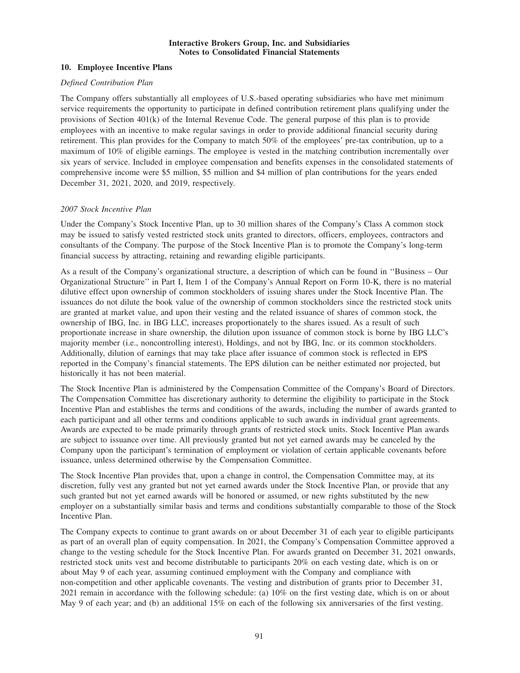### **10. Employee Incentive Plans**

#### *Defined Contribution Plan*

The Company offers substantially all employees of U.S.-based operating subsidiaries who have met minimum service requirements the opportunity to participate in defined contribution retirement plans qualifying under the provisions of Section 401(k) of the Internal Revenue Code. The general purpose of this plan is to provide employees with an incentive to make regular savings in order to provide additional financial security during retirement. This plan provides for the Company to match 50% of the employees' pre-tax contribution, up to a maximum of 10% of eligible earnings. The employee is vested in the matching contribution incrementally over six years of service. Included in employee compensation and benefits expenses in the consolidated statements of comprehensive income were \$5 million, \$5 million and \$4 million of plan contributions for the years ended December 31, 2021, 2020, and 2019, respectively.

#### *2007 Stock Incentive Plan*

Under the Company's Stock Incentive Plan, up to 30 million shares of the Company's Class A common stock may be issued to satisfy vested restricted stock units granted to directors, officers, employees, contractors and consultants of the Company. The purpose of the Stock Incentive Plan is to promote the Company's long-term financial success by attracting, retaining and rewarding eligible participants.

As a result of the Company's organizational structure, a description of which can be found in ''Business – Our Organizational Structure'' in Part I, Item 1 of the Company's Annual Report on Form 10-K, there is no material dilutive effect upon ownership of common stockholders of issuing shares under the Stock Incentive Plan. The issuances do not dilute the book value of the ownership of common stockholders since the restricted stock units are granted at market value, and upon their vesting and the related issuance of shares of common stock, the ownership of IBG, Inc. in IBG LLC, increases proportionately to the shares issued. As a result of such proportionate increase in share ownership, the dilution upon issuance of common stock is borne by IBG LLC's majority member (i.e., noncontrolling interest), Holdings, and not by IBG, Inc. or its common stockholders. Additionally, dilution of earnings that may take place after issuance of common stock is reflected in EPS reported in the Company's financial statements. The EPS dilution can be neither estimated nor projected, but historically it has not been material.

The Stock Incentive Plan is administered by the Compensation Committee of the Company's Board of Directors. The Compensation Committee has discretionary authority to determine the eligibility to participate in the Stock Incentive Plan and establishes the terms and conditions of the awards, including the number of awards granted to each participant and all other terms and conditions applicable to such awards in individual grant agreements. Awards are expected to be made primarily through grants of restricted stock units. Stock Incentive Plan awards are subject to issuance over time. All previously granted but not yet earned awards may be canceled by the Company upon the participant's termination of employment or violation of certain applicable covenants before issuance, unless determined otherwise by the Compensation Committee.

The Stock Incentive Plan provides that, upon a change in control, the Compensation Committee may, at its discretion, fully vest any granted but not yet earned awards under the Stock Incentive Plan, or provide that any such granted but not yet earned awards will be honored or assumed, or new rights substituted by the new employer on a substantially similar basis and terms and conditions substantially comparable to those of the Stock Incentive Plan.

The Company expects to continue to grant awards on or about December 31 of each year to eligible participants as part of an overall plan of equity compensation. In 2021, the Company's Compensation Committee approved a change to the vesting schedule for the Stock Incentive Plan. For awards granted on December 31, 2021 onwards, restricted stock units vest and become distributable to participants 20% on each vesting date, which is on or about May 9 of each year, assuming continued employment with the Company and compliance with non-competition and other applicable covenants. The vesting and distribution of grants prior to December 31, 2021 remain in accordance with the following schedule: (a) 10% on the first vesting date, which is on or about May 9 of each year; and (b) an additional 15% on each of the following six anniversaries of the first vesting.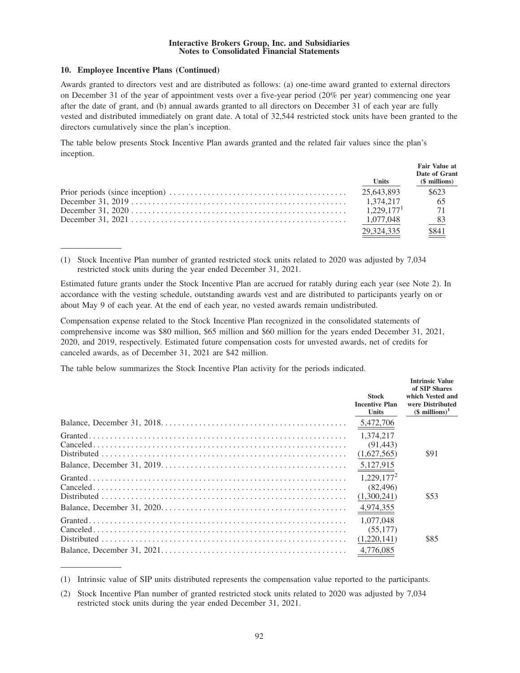### **10. Employee Incentive Plans (Continued)**

Awards granted to directors vest and are distributed as follows: (a) one-time award granted to external directors on December 31 of the year of appointment vests over a five-year period (20% per year) commencing one year after the date of grant, and (b) annual awards granted to all directors on December 31 of each year are fully vested and distributed immediately on grant date. A total of 32,544 restricted stock units have been granted to the directors cumulatively since the plan's inception.

The table below presents Stock Incentive Plan awards granted and the related fair values since the plan's inception.

| <b>Units</b>             | <b>Fair Value at</b><br>Date of Grant<br>(\$ millions) |
|--------------------------|--------------------------------------------------------|
|                          | \$623                                                  |
|                          | - 65                                                   |
| $1.229.177$ <sup>1</sup> | 71                                                     |
| 1,077,048                | $-83$                                                  |
| 29.324.335               | \$841                                                  |

(1) Stock Incentive Plan number of granted restricted stock units related to 2020 was adjusted by 7,034 restricted stock units during the year ended December 31, 2021.

Estimated future grants under the Stock Incentive Plan are accrued for ratably during each year (see Note 2). In accordance with the vesting schedule, outstanding awards vest and are distributed to participants yearly on or about May 9 of each year. At the end of each year, no vested awards remain undistributed.

Compensation expense related to the Stock Incentive Plan recognized in the consolidated statements of comprehensive income was \$80 million, \$65 million and \$60 million for the years ended December 31, 2021, 2020, and 2019, respectively. Estimated future compensation costs for unvested awards, net of credits for canceled awards, as of December 31, 2021 are \$42 million.

The table below summarizes the Stock Incentive Plan activity for the periods indicated.

| <b>Stock</b><br><b>Incentive Plan</b><br><b>Units</b> | <b>Intrinsic Value</b><br>of SIP Shares<br>which Vested and<br>were Distributed<br>$($$ millions) <sup>1</sup> |
|-------------------------------------------------------|----------------------------------------------------------------------------------------------------------------|
| 5,472,706                                             |                                                                                                                |
| 1.374.217<br>(91, 443)<br>(1,627,565)                 | \$91                                                                                                           |
| 5,127,915                                             |                                                                                                                |
| $1,229,177^2$<br>(82, 496)<br>(1,300,241)             | \$53                                                                                                           |
| 4,974,355                                             |                                                                                                                |
| 1,077,048<br>(55, 177)<br>(1,220,141)                 | \$85                                                                                                           |
| 4,776,085                                             |                                                                                                                |

(1) Intrinsic value of SIP units distributed represents the compensation value reported to the participants.

<sup>(2)</sup> Stock Incentive Plan number of granted restricted stock units related to 2020 was adjusted by 7,034 restricted stock units during the year ended December 31, 2021.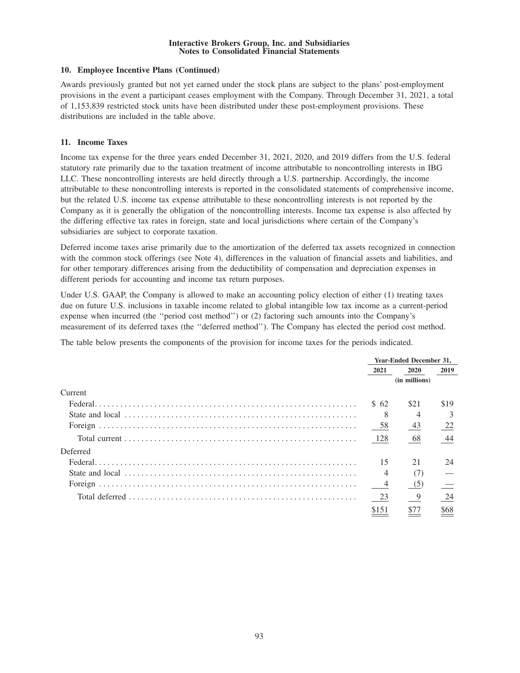# **10. Employee Incentive Plans (Continued)**

Awards previously granted but not yet earned under the stock plans are subject to the plans' post-employment provisions in the event a participant ceases employment with the Company. Through December 31, 2021, a total of 1,153,839 restricted stock units have been distributed under these post-employment provisions. These distributions are included in the table above.

# **11. Income Taxes**

Income tax expense for the three years ended December 31, 2021, 2020, and 2019 differs from the U.S. federal statutory rate primarily due to the taxation treatment of income attributable to noncontrolling interests in IBG LLC. These noncontrolling interests are held directly through a U.S. partnership. Accordingly, the income attributable to these noncontrolling interests is reported in the consolidated statements of comprehensive income, but the related U.S. income tax expense attributable to these noncontrolling interests is not reported by the Company as it is generally the obligation of the noncontrolling interests. Income tax expense is also affected by the differing effective tax rates in foreign, state and local jurisdictions where certain of the Company's subsidiaries are subject to corporate taxation.

Deferred income taxes arise primarily due to the amortization of the deferred tax assets recognized in connection with the common stock offerings (see Note 4), differences in the valuation of financial assets and liabilities, and for other temporary differences arising from the deductibility of compensation and depreciation expenses in different periods for accounting and income tax return purposes.

Under U.S. GAAP, the Company is allowed to make an accounting policy election of either (1) treating taxes due on future U.S. inclusions in taxable income related to global intangible low tax income as a current-period expense when incurred (the ''period cost method'') or (2) factoring such amounts into the Company's measurement of its deferred taxes (the ''deferred method''). The Company has elected the period cost method.

The table below presents the components of the provision for income taxes for the periods indicated.

|          | Year-Ended December 31, |               |      |
|----------|-------------------------|---------------|------|
|          | 2021                    | 2020          | 2019 |
|          |                         | (in millions) |      |
| Current  |                         |               |      |
|          | \$ 62                   | \$21          | \$19 |
|          | 8                       |               |      |
|          | 58                      | 43            |      |
|          | 128                     | 68            | -44  |
| Deferred |                         |               |      |
|          | 15                      | 21            | 24   |
|          |                         | (7)           |      |
|          | $-4$                    | (5)           |      |
|          | 23                      |               | 24   |
|          | \$151                   |               |      |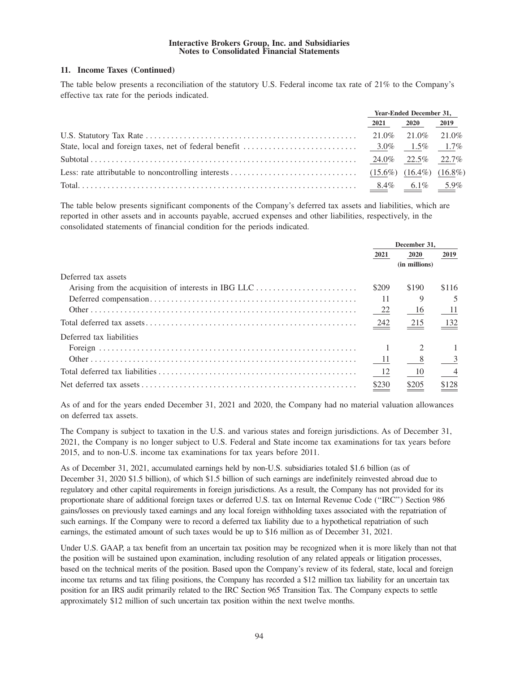## **11. Income Taxes (Continued)**

The table below presents a reconciliation of the statutory U.S. Federal income tax rate of 21% to the Company's effective tax rate for the periods indicated.

| <b>Year-Ended December 31,</b> |                |  |
|--------------------------------|----------------|--|
|                                | 2021 2020 2019 |  |
|                                |                |  |
|                                |                |  |
|                                |                |  |
|                                |                |  |
|                                |                |  |

The table below presents significant components of the Company's deferred tax assets and liabilities, which are reported in other assets and in accounts payable, accrued expenses and other liabilities, respectively, in the consolidated statements of financial condition for the periods indicated.

|                                                      | December 31.   |               |                          |
|------------------------------------------------------|----------------|---------------|--------------------------|
|                                                      | 2021           | <b>2020</b>   | 2019                     |
|                                                      |                | (in millions) |                          |
| Deferred tax assets                                  |                |               |                          |
| Arising from the acquisition of interests in IBG LLC | \$209          | \$190         | \$116                    |
|                                                      |                | 9             | $\overline{\mathcal{L}}$ |
|                                                      | 22             | - 16          | -11                      |
|                                                      | 242            | 215           | 132                      |
| Deferred tax liabilities                             |                |               |                          |
|                                                      |                |               |                          |
|                                                      |                |               | $\overline{\mathbf{3}}$  |
|                                                      | $\frac{12}{2}$ | - 10          | $\overline{4}$           |
|                                                      | \$230          | \$205         | \$128                    |

As of and for the years ended December 31, 2021 and 2020, the Company had no material valuation allowances on deferred tax assets.

The Company is subject to taxation in the U.S. and various states and foreign jurisdictions. As of December 31, 2021, the Company is no longer subject to U.S. Federal and State income tax examinations for tax years before 2015, and to non-U.S. income tax examinations for tax years before 2011.

As of December 31, 2021, accumulated earnings held by non-U.S. subsidiaries totaled \$1.6 billion (as of December 31, 2020 \$1.5 billion), of which \$1.5 billion of such earnings are indefinitely reinvested abroad due to regulatory and other capital requirements in foreign jurisdictions. As a result, the Company has not provided for its proportionate share of additional foreign taxes or deferred U.S. tax on Internal Revenue Code (''IRC'') Section 986 gains/losses on previously taxed earnings and any local foreign withholding taxes associated with the repatriation of such earnings. If the Company were to record a deferred tax liability due to a hypothetical repatriation of such earnings, the estimated amount of such taxes would be up to \$16 million as of December 31, 2021.

Under U.S. GAAP, a tax benefit from an uncertain tax position may be recognized when it is more likely than not that the position will be sustained upon examination, including resolution of any related appeals or litigation processes, based on the technical merits of the position. Based upon the Company's review of its federal, state, local and foreign income tax returns and tax filing positions, the Company has recorded a \$12 million tax liability for an uncertain tax position for an IRS audit primarily related to the IRC Section 965 Transition Tax. The Company expects to settle approximately \$12 million of such uncertain tax position within the next twelve months.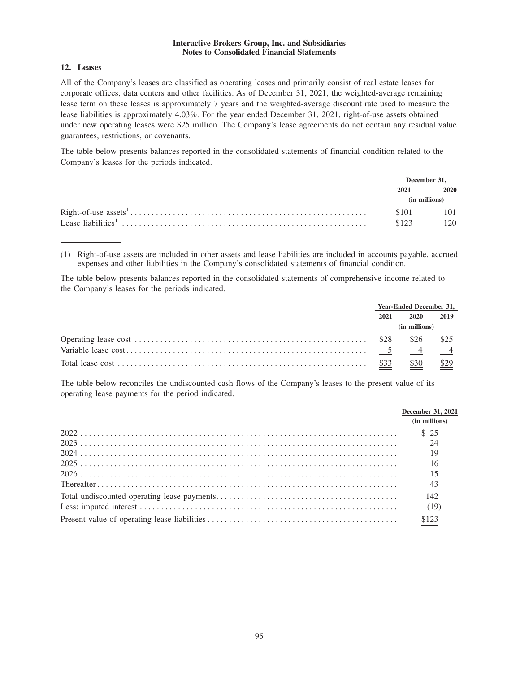# **12. Leases**

All of the Company's leases are classified as operating leases and primarily consist of real estate leases for corporate offices, data centers and other facilities. As of December 31, 2021, the weighted-average remaining lease term on these leases is approximately 7 years and the weighted-average discount rate used to measure the lease liabilities is approximately 4.03%. For the year ended December 31, 2021, right-of-use assets obtained under new operating leases were \$25 million. The Company's lease agreements do not contain any residual value guarantees, restrictions, or covenants.

The table below presents balances reported in the consolidated statements of financial condition related to the Company's leases for the periods indicated.

| December 31.  |      |
|---------------|------|
| 2021          | 2020 |
| (in millions) |      |
| \$101         |      |
| \$123         | 120. |

<sup>(1)</sup> Right-of-use assets are included in other assets and lease liabilities are included in accounts payable, accrued expenses and other liabilities in the Company's consolidated statements of financial condition.

The table below presents balances reported in the consolidated statements of comprehensive income related to the Company's leases for the periods indicated.

| <b>Year-Ended December 31.</b> |               |      |
|--------------------------------|---------------|------|
| 2021                           | 2020          | 2019 |
|                                | (in millions) |      |
|                                | \$26          | S25  |
|                                |               |      |
|                                | \$30          |      |

The table below reconciles the undiscounted cash flows of the Company's leases to the present value of its operating lease payments for the period indicated.

| December 31, 2021 |
|-------------------|
| (in millions)     |
| \$25              |
| 24                |
| - 19              |
| -16               |
|                   |
|                   |
|                   |
|                   |
| \$123             |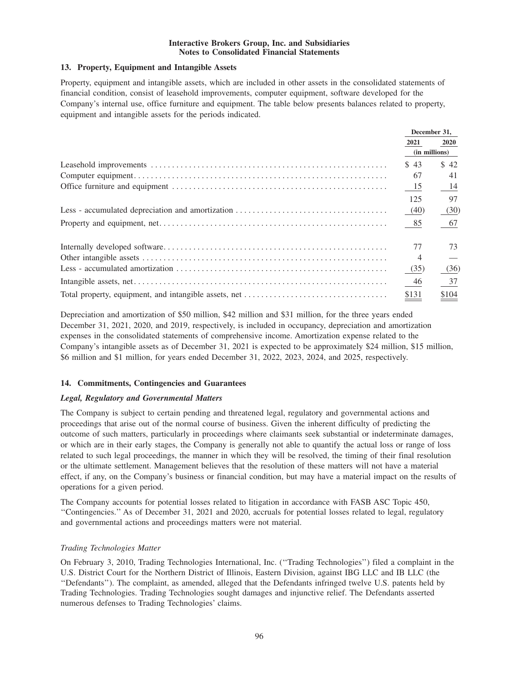# **13. Property, Equipment and Intangible Assets**

Property, equipment and intangible assets, which are included in other assets in the consolidated statements of financial condition, consist of leasehold improvements, computer equipment, software developed for the Company's internal use, office furniture and equipment. The table below presents balances related to property, equipment and intangible assets for the periods indicated.

| December 31,   |               |
|----------------|---------------|
| 2021           | <b>2020</b>   |
|                | (in millions) |
| \$43           | \$42          |
| 67             | 41            |
| 15             | - 14          |
| 125            | 97            |
| (40)           | (30)          |
| 85             | 67            |
| 77             | 73            |
| $\overline{4}$ |               |
| (35)           | (36)          |
| $-46$          | 37            |
| \$131          | \$104         |

Depreciation and amortization of \$50 million, \$42 million and \$31 million, for the three years ended December 31, 2021, 2020, and 2019, respectively, is included in occupancy, depreciation and amortization expenses in the consolidated statements of comprehensive income. Amortization expense related to the Company's intangible assets as of December 31, 2021 is expected to be approximately \$24 million, \$15 million, \$6 million and \$1 million, for years ended December 31, 2022, 2023, 2024, and 2025, respectively.

# **14. Commitments, Contingencies and Guarantees**

## *Legal, Regulatory and Governmental Matters*

The Company is subject to certain pending and threatened legal, regulatory and governmental actions and proceedings that arise out of the normal course of business. Given the inherent difficulty of predicting the outcome of such matters, particularly in proceedings where claimants seek substantial or indeterminate damages, or which are in their early stages, the Company is generally not able to quantify the actual loss or range of loss related to such legal proceedings, the manner in which they will be resolved, the timing of their final resolution or the ultimate settlement. Management believes that the resolution of these matters will not have a material effect, if any, on the Company's business or financial condition, but may have a material impact on the results of operations for a given period.

The Company accounts for potential losses related to litigation in accordance with FASB ASC Topic 450, ''Contingencies.'' As of December 31, 2021 and 2020, accruals for potential losses related to legal, regulatory and governmental actions and proceedings matters were not material.

## *Trading Technologies Matter*

On February 3, 2010, Trading Technologies International, Inc. (''Trading Technologies'') filed a complaint in the U.S. District Court for the Northern District of Illinois, Eastern Division, against IBG LLC and IB LLC (the ''Defendants''). The complaint, as amended, alleged that the Defendants infringed twelve U.S. patents held by Trading Technologies. Trading Technologies sought damages and injunctive relief. The Defendants asserted numerous defenses to Trading Technologies' claims.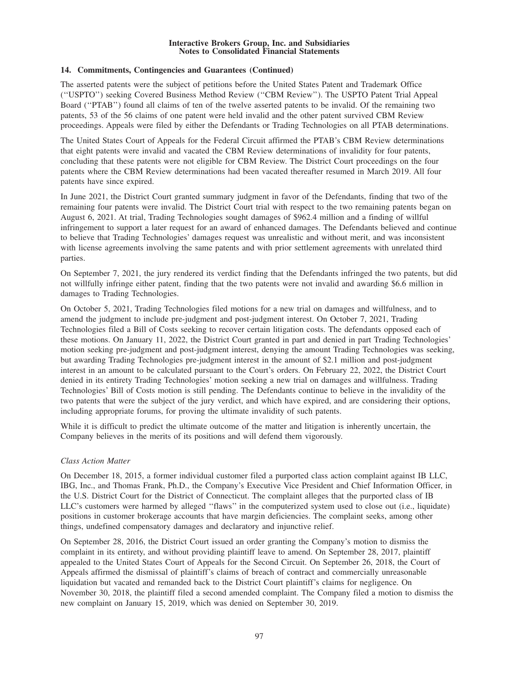### **14. Commitments, Contingencies and Guarantees (Continued)**

The asserted patents were the subject of petitions before the United States Patent and Trademark Office (''USPTO'') seeking Covered Business Method Review (''CBM Review''). The USPTO Patent Trial Appeal Board (''PTAB'') found all claims of ten of the twelve asserted patents to be invalid. Of the remaining two patents, 53 of the 56 claims of one patent were held invalid and the other patent survived CBM Review proceedings. Appeals were filed by either the Defendants or Trading Technologies on all PTAB determinations.

The United States Court of Appeals for the Federal Circuit affirmed the PTAB's CBM Review determinations that eight patents were invalid and vacated the CBM Review determinations of invalidity for four patents, concluding that these patents were not eligible for CBM Review. The District Court proceedings on the four patents where the CBM Review determinations had been vacated thereafter resumed in March 2019. All four patents have since expired.

In June 2021, the District Court granted summary judgment in favor of the Defendants, finding that two of the remaining four patents were invalid. The District Court trial with respect to the two remaining patents began on August 6, 2021. At trial, Trading Technologies sought damages of \$962.4 million and a finding of willful infringement to support a later request for an award of enhanced damages. The Defendants believed and continue to believe that Trading Technologies' damages request was unrealistic and without merit, and was inconsistent with license agreements involving the same patents and with prior settlement agreements with unrelated third parties.

On September 7, 2021, the jury rendered its verdict finding that the Defendants infringed the two patents, but did not willfully infringe either patent, finding that the two patents were not invalid and awarding \$6.6 million in damages to Trading Technologies.

On October 5, 2021, Trading Technologies filed motions for a new trial on damages and willfulness, and to amend the judgment to include pre-judgment and post-judgment interest. On October 7, 2021, Trading Technologies filed a Bill of Costs seeking to recover certain litigation costs. The defendants opposed each of these motions. On January 11, 2022, the District Court granted in part and denied in part Trading Technologies' motion seeking pre-judgment and post-judgment interest, denying the amount Trading Technologies was seeking, but awarding Trading Technologies pre-judgment interest in the amount of \$2.1 million and post-judgment interest in an amount to be calculated pursuant to the Court's orders. On February 22, 2022, the District Court denied in its entirety Trading Technologies' motion seeking a new trial on damages and willfulness. Trading Technologies' Bill of Costs motion is still pending. The Defendants continue to believe in the invalidity of the two patents that were the subject of the jury verdict, and which have expired, and are considering their options, including appropriate forums, for proving the ultimate invalidity of such patents.

While it is difficult to predict the ultimate outcome of the matter and litigation is inherently uncertain, the Company believes in the merits of its positions and will defend them vigorously.

#### *Class Action Matter*

On December 18, 2015, a former individual customer filed a purported class action complaint against IB LLC, IBG, Inc., and Thomas Frank, Ph.D., the Company's Executive Vice President and Chief Information Officer, in the U.S. District Court for the District of Connecticut. The complaint alleges that the purported class of IB LLC's customers were harmed by alleged ''flaws'' in the computerized system used to close out (i.e., liquidate) positions in customer brokerage accounts that have margin deficiencies. The complaint seeks, among other things, undefined compensatory damages and declaratory and injunctive relief.

On September 28, 2016, the District Court issued an order granting the Company's motion to dismiss the complaint in its entirety, and without providing plaintiff leave to amend. On September 28, 2017, plaintiff appealed to the United States Court of Appeals for the Second Circuit. On September 26, 2018, the Court of Appeals affirmed the dismissal of plaintiff's claims of breach of contract and commercially unreasonable liquidation but vacated and remanded back to the District Court plaintiff's claims for negligence. On November 30, 2018, the plaintiff filed a second amended complaint. The Company filed a motion to dismiss the new complaint on January 15, 2019, which was denied on September 30, 2019.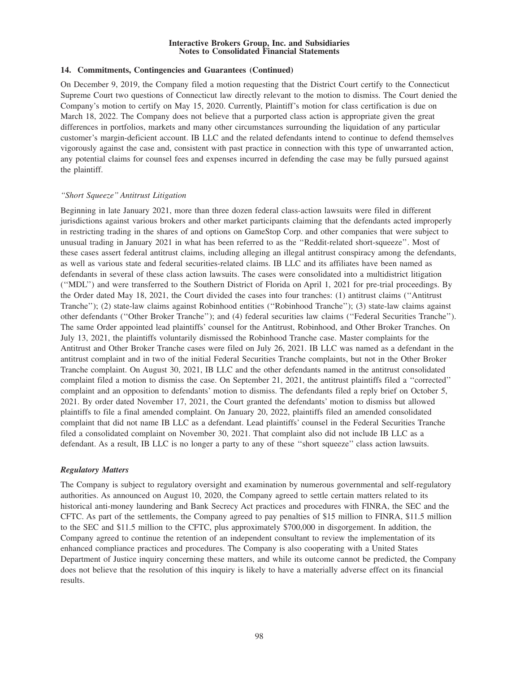# **14. Commitments, Contingencies and Guarantees (Continued)**

On December 9, 2019, the Company filed a motion requesting that the District Court certify to the Connecticut Supreme Court two questions of Connecticut law directly relevant to the motion to dismiss. The Court denied the Company's motion to certify on May 15, 2020. Currently, Plaintiff's motion for class certification is due on March 18, 2022. The Company does not believe that a purported class action is appropriate given the great differences in portfolios, markets and many other circumstances surrounding the liquidation of any particular customer's margin-deficient account. IB LLC and the related defendants intend to continue to defend themselves vigorously against the case and, consistent with past practice in connection with this type of unwarranted action, any potential claims for counsel fees and expenses incurred in defending the case may be fully pursued against the plaintiff.

#### *''Short Squeeze'' Antitrust Litigation*

Beginning in late January 2021, more than three dozen federal class-action lawsuits were filed in different jurisdictions against various brokers and other market participants claiming that the defendants acted improperly in restricting trading in the shares of and options on GameStop Corp. and other companies that were subject to unusual trading in January 2021 in what has been referred to as the ''Reddit-related short-squeeze''. Most of these cases assert federal antitrust claims, including alleging an illegal antitrust conspiracy among the defendants, as well as various state and federal securities-related claims. IB LLC and its affiliates have been named as defendants in several of these class action lawsuits. The cases were consolidated into a multidistrict litigation (''MDL'') and were transferred to the Southern District of Florida on April 1, 2021 for pre-trial proceedings. By the Order dated May 18, 2021, the Court divided the cases into four tranches: (1) antitrust claims (''Antitrust Tranche''); (2) state-law claims against Robinhood entities (''Robinhood Tranche''); (3) state-law claims against other defendants (''Other Broker Tranche''); and (4) federal securities law claims (''Federal Securities Tranche''). The same Order appointed lead plaintiffs' counsel for the Antitrust, Robinhood, and Other Broker Tranches. On July 13, 2021, the plaintiffs voluntarily dismissed the Robinhood Tranche case. Master complaints for the Antitrust and Other Broker Tranche cases were filed on July 26, 2021. IB LLC was named as a defendant in the antitrust complaint and in two of the initial Federal Securities Tranche complaints, but not in the Other Broker Tranche complaint. On August 30, 2021, IB LLC and the other defendants named in the antitrust consolidated complaint filed a motion to dismiss the case. On September 21, 2021, the antitrust plaintiffs filed a ''corrected'' complaint and an opposition to defendants' motion to dismiss. The defendants filed a reply brief on October 5, 2021. By order dated November 17, 2021, the Court granted the defendants' motion to dismiss but allowed plaintiffs to file a final amended complaint. On January 20, 2022, plaintiffs filed an amended consolidated complaint that did not name IB LLC as a defendant. Lead plaintiffs' counsel in the Federal Securities Tranche filed a consolidated complaint on November 30, 2021. That complaint also did not include IB LLC as a defendant. As a result, IB LLC is no longer a party to any of these ''short squeeze'' class action lawsuits.

## *Regulatory Matters*

The Company is subject to regulatory oversight and examination by numerous governmental and self-regulatory authorities. As announced on August 10, 2020, the Company agreed to settle certain matters related to its historical anti-money laundering and Bank Secrecy Act practices and procedures with FINRA, the SEC and the CFTC. As part of the settlements, the Company agreed to pay penalties of \$15 million to FINRA, \$11.5 million to the SEC and \$11.5 million to the CFTC, plus approximately \$700,000 in disgorgement. In addition, the Company agreed to continue the retention of an independent consultant to review the implementation of its enhanced compliance practices and procedures. The Company is also cooperating with a United States Department of Justice inquiry concerning these matters, and while its outcome cannot be predicted, the Company does not believe that the resolution of this inquiry is likely to have a materially adverse effect on its financial results.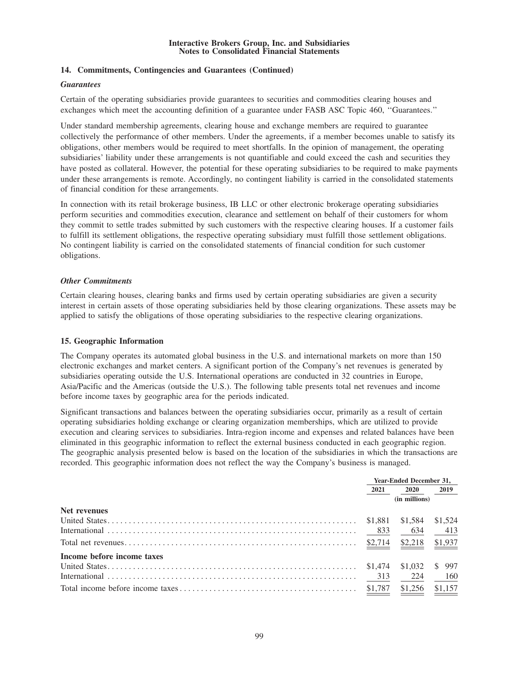# **14. Commitments, Contingencies and Guarantees (Continued)**

### *Guarantees*

Certain of the operating subsidiaries provide guarantees to securities and commodities clearing houses and exchanges which meet the accounting definition of a guarantee under FASB ASC Topic 460, ''Guarantees.''

Under standard membership agreements, clearing house and exchange members are required to guarantee collectively the performance of other members. Under the agreements, if a member becomes unable to satisfy its obligations, other members would be required to meet shortfalls. In the opinion of management, the operating subsidiaries' liability under these arrangements is not quantifiable and could exceed the cash and securities they have posted as collateral. However, the potential for these operating subsidiaries to be required to make payments under these arrangements is remote. Accordingly, no contingent liability is carried in the consolidated statements of financial condition for these arrangements.

In connection with its retail brokerage business, IB LLC or other electronic brokerage operating subsidiaries perform securities and commodities execution, clearance and settlement on behalf of their customers for whom they commit to settle trades submitted by such customers with the respective clearing houses. If a customer fails to fulfill its settlement obligations, the respective operating subsidiary must fulfill those settlement obligations. No contingent liability is carried on the consolidated statements of financial condition for such customer obligations.

#### *Other Commitments*

Certain clearing houses, clearing banks and firms used by certain operating subsidiaries are given a security interest in certain assets of those operating subsidiaries held by those clearing organizations. These assets may be applied to satisfy the obligations of those operating subsidiaries to the respective clearing organizations.

### **15. Geographic Information**

The Company operates its automated global business in the U.S. and international markets on more than 150 electronic exchanges and market centers. A significant portion of the Company's net revenues is generated by subsidiaries operating outside the U.S. International operations are conducted in 32 countries in Europe, Asia/Pacific and the Americas (outside the U.S.). The following table presents total net revenues and income before income taxes by geographic area for the periods indicated.

Significant transactions and balances between the operating subsidiaries occur, primarily as a result of certain operating subsidiaries holding exchange or clearing organization memberships, which are utilized to provide execution and clearing services to subsidiaries. Intra-region income and expenses and related balances have been eliminated in this geographic information to reflect the external business conducted in each geographic region. The geographic analysis presented below is based on the location of the subsidiaries in which the transactions are recorded. This geographic information does not reflect the way the Company's business is managed.

|                            |         | <b>Year-Ended December 31.</b> |         |
|----------------------------|---------|--------------------------------|---------|
|                            | 2021    | 2020                           | 2019    |
|                            |         | (in millions)                  |         |
| Net revenues               |         |                                |         |
|                            | \$1,881 | \$1,584                        | \$1,524 |
|                            |         | 634                            | 413     |
|                            | \$2,714 | \$2,218                        | \$1,937 |
| Income before income taxes |         |                                |         |
|                            | \$1,474 | \$1.032                        | \$997   |
|                            |         | 224                            | 160     |
|                            | \$1,787 | \$1,256                        | \$1,157 |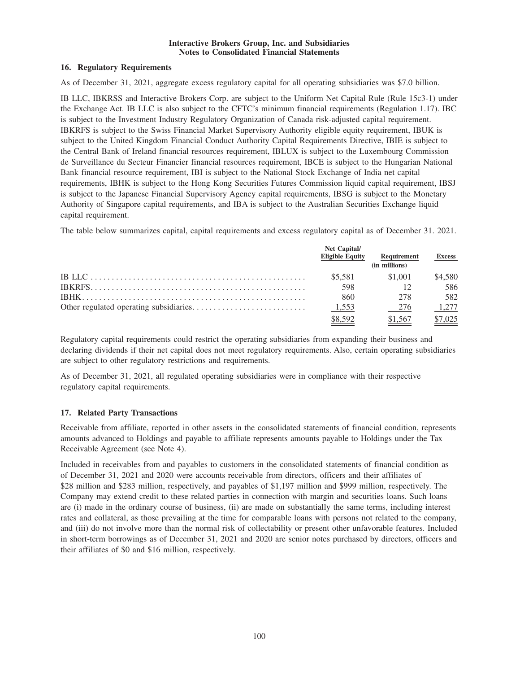## **16. Regulatory Requirements**

As of December 31, 2021, aggregate excess regulatory capital for all operating subsidiaries was \$7.0 billion.

IB LLC, IBKRSS and Interactive Brokers Corp. are subject to the Uniform Net Capital Rule (Rule 15c3-1) under the Exchange Act. IB LLC is also subject to the CFTC's minimum financial requirements (Regulation 1.17). IBC is subject to the Investment Industry Regulatory Organization of Canada risk-adjusted capital requirement. IBKRFS is subject to the Swiss Financial Market Supervisory Authority eligible equity requirement, IBUK is subject to the United Kingdom Financial Conduct Authority Capital Requirements Directive, IBIE is subject to the Central Bank of Ireland financial resources requirement, IBLUX is subject to the Luxembourg Commission de Surveillance du Secteur Financier financial resources requirement, IBCE is subject to the Hungarian National Bank financial resource requirement, IBI is subject to the National Stock Exchange of India net capital requirements, IBHK is subject to the Hong Kong Securities Futures Commission liquid capital requirement, IBSJ is subject to the Japanese Financial Supervisory Agency capital requirements, IBSG is subject to the Monetary Authority of Singapore capital requirements, and IBA is subject to the Australian Securities Exchange liquid capital requirement.

The table below summarizes capital, capital requirements and excess regulatory capital as of December 31. 2021.

| <b>Net Capital/</b><br><b>Eligible Equity</b> | Requirement<br>(in millions) | <b>Excess</b> |
|-----------------------------------------------|------------------------------|---------------|
| \$5.581                                       | \$1.001                      | \$4,580       |
| 598                                           |                              | 586           |
| 860                                           | 278                          | 582           |
| 1.553                                         | 276                          | 1,277         |
| SS 592                                        | \$1,567                      | .025          |

Regulatory capital requirements could restrict the operating subsidiaries from expanding their business and declaring dividends if their net capital does not meet regulatory requirements. Also, certain operating subsidiaries are subject to other regulatory restrictions and requirements.

As of December 31, 2021, all regulated operating subsidiaries were in compliance with their respective regulatory capital requirements.

## **17. Related Party Transactions**

Receivable from affiliate, reported in other assets in the consolidated statements of financial condition, represents amounts advanced to Holdings and payable to affiliate represents amounts payable to Holdings under the Tax Receivable Agreement (see Note 4).

Included in receivables from and payables to customers in the consolidated statements of financial condition as of December 31, 2021 and 2020 were accounts receivable from directors, officers and their affiliates of \$28 million and \$283 million, respectively, and payables of \$1,197 million and \$999 million, respectively. The Company may extend credit to these related parties in connection with margin and securities loans. Such loans are (i) made in the ordinary course of business, (ii) are made on substantially the same terms, including interest rates and collateral, as those prevailing at the time for comparable loans with persons not related to the company, and (iii) do not involve more than the normal risk of collectability or present other unfavorable features. Included in short-term borrowings as of December 31, 2021 and 2020 are senior notes purchased by directors, officers and their affiliates of \$0 and \$16 million, respectively.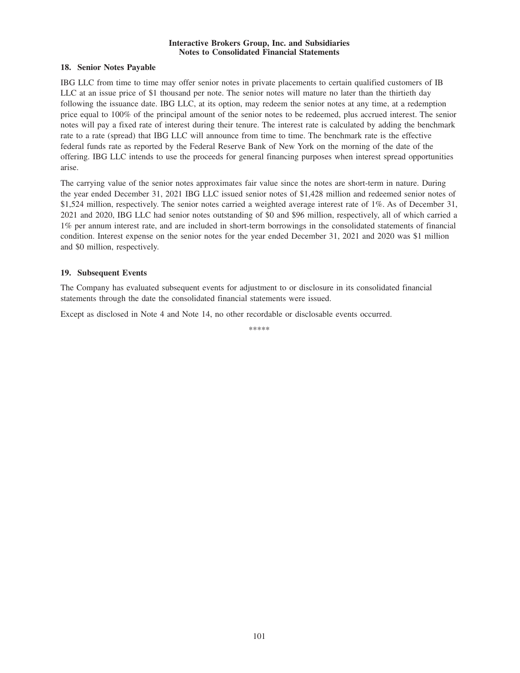## **18. Senior Notes Payable**

IBG LLC from time to time may offer senior notes in private placements to certain qualified customers of IB LLC at an issue price of \$1 thousand per note. The senior notes will mature no later than the thirtieth day following the issuance date. IBG LLC, at its option, may redeem the senior notes at any time, at a redemption price equal to 100% of the principal amount of the senior notes to be redeemed, plus accrued interest. The senior notes will pay a fixed rate of interest during their tenure. The interest rate is calculated by adding the benchmark rate to a rate (spread) that IBG LLC will announce from time to time. The benchmark rate is the effective federal funds rate as reported by the Federal Reserve Bank of New York on the morning of the date of the offering. IBG LLC intends to use the proceeds for general financing purposes when interest spread opportunities arise.

The carrying value of the senior notes approximates fair value since the notes are short-term in nature. During the year ended December 31, 2021 IBG LLC issued senior notes of \$1,428 million and redeemed senior notes of \$1,524 million, respectively. The senior notes carried a weighted average interest rate of 1%. As of December 31, 2021 and 2020, IBG LLC had senior notes outstanding of \$0 and \$96 million, respectively, all of which carried a 1% per annum interest rate, and are included in short-term borrowings in the consolidated statements of financial condition. Interest expense on the senior notes for the year ended December 31, 2021 and 2020 was \$1 million and \$0 million, respectively.

# **19. Subsequent Events**

The Company has evaluated subsequent events for adjustment to or disclosure in its consolidated financial statements through the date the consolidated financial statements were issued.

Except as disclosed in Note 4 and Note 14, no other recordable or disclosable events occurred.

\*\*\*\*\*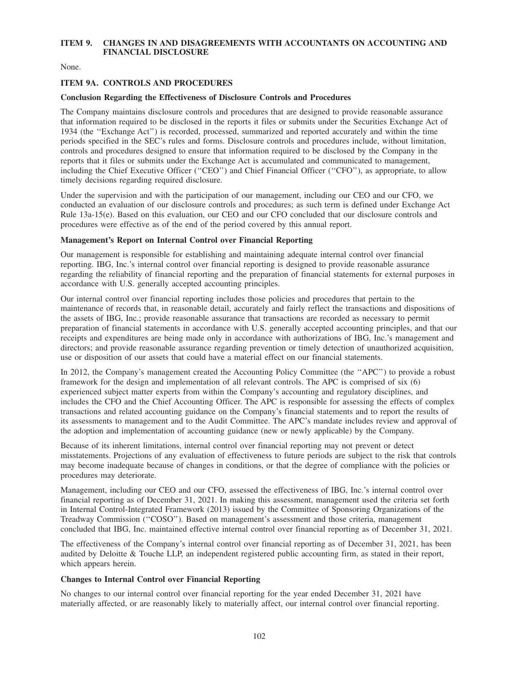## **ITEM 9. CHANGES IN AND DISAGREEMENTS WITH ACCOUNTANTS ON ACCOUNTING AND FINANCIAL DISCLOSURE**

None.

## **ITEM 9A. CONTROLS AND PROCEDURES**

#### **Conclusion Regarding the Effectiveness of Disclosure Controls and Procedures**

The Company maintains disclosure controls and procedures that are designed to provide reasonable assurance that information required to be disclosed in the reports it files or submits under the Securities Exchange Act of 1934 (the ''Exchange Act'') is recorded, processed, summarized and reported accurately and within the time periods specified in the SEC's rules and forms. Disclosure controls and procedures include, without limitation, controls and procedures designed to ensure that information required to be disclosed by the Company in the reports that it files or submits under the Exchange Act is accumulated and communicated to management, including the Chief Executive Officer ("CEO") and Chief Financial Officer ("CFO"), as appropriate, to allow timely decisions regarding required disclosure.

Under the supervision and with the participation of our management, including our CEO and our CFO, we conducted an evaluation of our disclosure controls and procedures; as such term is defined under Exchange Act Rule 13a-15(e). Based on this evaluation, our CEO and our CFO concluded that our disclosure controls and procedures were effective as of the end of the period covered by this annual report.

#### **Management's Report on Internal Control over Financial Reporting**

Our management is responsible for establishing and maintaining adequate internal control over financial reporting. IBG, Inc.'s internal control over financial reporting is designed to provide reasonable assurance regarding the reliability of financial reporting and the preparation of financial statements for external purposes in accordance with U.S. generally accepted accounting principles.

Our internal control over financial reporting includes those policies and procedures that pertain to the maintenance of records that, in reasonable detail, accurately and fairly reflect the transactions and dispositions of the assets of IBG, Inc.; provide reasonable assurance that transactions are recorded as necessary to permit preparation of financial statements in accordance with U.S. generally accepted accounting principles, and that our receipts and expenditures are being made only in accordance with authorizations of IBG, Inc.'s management and directors; and provide reasonable assurance regarding prevention or timely detection of unauthorized acquisition, use or disposition of our assets that could have a material effect on our financial statements.

In 2012, the Company's management created the Accounting Policy Committee (the ''APC'') to provide a robust framework for the design and implementation of all relevant controls. The APC is comprised of six (6) experienced subject matter experts from within the Company's accounting and regulatory disciplines, and includes the CFO and the Chief Accounting Officer. The APC is responsible for assessing the effects of complex transactions and related accounting guidance on the Company's financial statements and to report the results of its assessments to management and to the Audit Committee. The APC's mandate includes review and approval of the adoption and implementation of accounting guidance (new or newly applicable) by the Company.

Because of its inherent limitations, internal control over financial reporting may not prevent or detect misstatements. Projections of any evaluation of effectiveness to future periods are subject to the risk that controls may become inadequate because of changes in conditions, or that the degree of compliance with the policies or procedures may deteriorate.

Management, including our CEO and our CFO, assessed the effectiveness of IBG, Inc.'s internal control over financial reporting as of December 31, 2021. In making this assessment, management used the criteria set forth in Internal Control-Integrated Framework (2013) issued by the Committee of Sponsoring Organizations of the Treadway Commission (''COSO''). Based on management's assessment and those criteria, management concluded that IBG, Inc. maintained effective internal control over financial reporting as of December 31, 2021.

The effectiveness of the Company's internal control over financial reporting as of December 31, 2021, has been audited by Deloitte & Touche LLP, an independent registered public accounting firm, as stated in their report, which appears herein.

## **Changes to Internal Control over Financial Reporting**

No changes to our internal control over financial reporting for the year ended December 31, 2021 have materially affected, or are reasonably likely to materially affect, our internal control over financial reporting.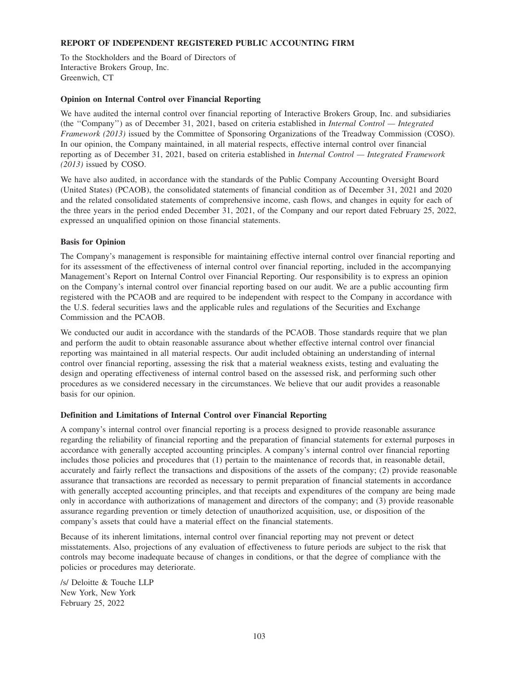#### **REPORT OF INDEPENDENT REGISTERED PUBLIC ACCOUNTING FIRM**

To the Stockholders and the Board of Directors of Interactive Brokers Group, Inc. Greenwich, CT

#### **Opinion on Internal Control over Financial Reporting**

We have audited the internal control over financial reporting of Interactive Brokers Group, Inc. and subsidiaries (the ''Company'') as of December 31, 2021, based on criteria established in *Internal Control — Integrated Framework (2013)* issued by the Committee of Sponsoring Organizations of the Treadway Commission (COSO). In our opinion, the Company maintained, in all material respects, effective internal control over financial reporting as of December 31, 2021, based on criteria established in *Internal Control — Integrated Framework (2013)* issued by COSO.

We have also audited, in accordance with the standards of the Public Company Accounting Oversight Board (United States) (PCAOB), the consolidated statements of financial condition as of December 31, 2021 and 2020 and the related consolidated statements of comprehensive income, cash flows, and changes in equity for each of the three years in the period ended December 31, 2021, of the Company and our report dated February 25, 2022, expressed an unqualified opinion on those financial statements.

#### **Basis for Opinion**

The Company's management is responsible for maintaining effective internal control over financial reporting and for its assessment of the effectiveness of internal control over financial reporting, included in the accompanying Management's Report on Internal Control over Financial Reporting. Our responsibility is to express an opinion on the Company's internal control over financial reporting based on our audit. We are a public accounting firm registered with the PCAOB and are required to be independent with respect to the Company in accordance with the U.S. federal securities laws and the applicable rules and regulations of the Securities and Exchange Commission and the PCAOB.

We conducted our audit in accordance with the standards of the PCAOB. Those standards require that we plan and perform the audit to obtain reasonable assurance about whether effective internal control over financial reporting was maintained in all material respects. Our audit included obtaining an understanding of internal control over financial reporting, assessing the risk that a material weakness exists, testing and evaluating the design and operating effectiveness of internal control based on the assessed risk, and performing such other procedures as we considered necessary in the circumstances. We believe that our audit provides a reasonable basis for our opinion.

## **Definition and Limitations of Internal Control over Financial Reporting**

A company's internal control over financial reporting is a process designed to provide reasonable assurance regarding the reliability of financial reporting and the preparation of financial statements for external purposes in accordance with generally accepted accounting principles. A company's internal control over financial reporting includes those policies and procedures that (1) pertain to the maintenance of records that, in reasonable detail, accurately and fairly reflect the transactions and dispositions of the assets of the company; (2) provide reasonable assurance that transactions are recorded as necessary to permit preparation of financial statements in accordance with generally accepted accounting principles, and that receipts and expenditures of the company are being made only in accordance with authorizations of management and directors of the company; and (3) provide reasonable assurance regarding prevention or timely detection of unauthorized acquisition, use, or disposition of the company's assets that could have a material effect on the financial statements.

Because of its inherent limitations, internal control over financial reporting may not prevent or detect misstatements. Also, projections of any evaluation of effectiveness to future periods are subject to the risk that controls may become inadequate because of changes in conditions, or that the degree of compliance with the policies or procedures may deteriorate.

/s/ Deloitte & Touche LLP New York, New York February 25, 2022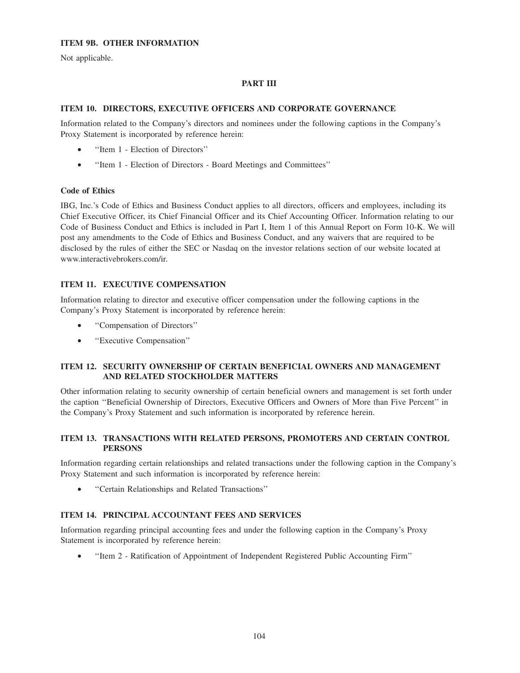### **ITEM 9B. OTHER INFORMATION**

Not applicable.

# **PART III**

## **ITEM 10. DIRECTORS, EXECUTIVE OFFICERS AND CORPORATE GOVERNANCE**

Information related to the Company's directors and nominees under the following captions in the Company's Proxy Statement is incorporated by reference herein:

- ''Item 1 Election of Directors''
- "Item 1 Election of Directors Board Meetings and Committees"

## **Code of Ethics**

IBG, Inc.'s Code of Ethics and Business Conduct applies to all directors, officers and employees, including its Chief Executive Officer, its Chief Financial Officer and its Chief Accounting Officer. Information relating to our Code of Business Conduct and Ethics is included in Part I, Item 1 of this Annual Report on Form 10-K. We will post any amendments to the Code of Ethics and Business Conduct, and any waivers that are required to be disclosed by the rules of either the SEC or Nasdaq on the investor relations section of our website located at www.interactivebrokers.com/ir.

# **ITEM 11. EXECUTIVE COMPENSATION**

Information relating to director and executive officer compensation under the following captions in the Company's Proxy Statement is incorporated by reference herein:

- ''Compensation of Directors''
- ''Executive Compensation''

## **ITEM 12. SECURITY OWNERSHIP OF CERTAIN BENEFICIAL OWNERS AND MANAGEMENT AND RELATED STOCKHOLDER MATTERS**

Other information relating to security ownership of certain beneficial owners and management is set forth under the caption ''Beneficial Ownership of Directors, Executive Officers and Owners of More than Five Percent'' in the Company's Proxy Statement and such information is incorporated by reference herein.

## **ITEM 13. TRANSACTIONS WITH RELATED PERSONS, PROMOTERS AND CERTAIN CONTROL PERSONS**

Information regarding certain relationships and related transactions under the following caption in the Company's Proxy Statement and such information is incorporated by reference herein:

• ''Certain Relationships and Related Transactions''

## **ITEM 14. PRINCIPAL ACCOUNTANT FEES AND SERVICES**

Information regarding principal accounting fees and under the following caption in the Company's Proxy Statement is incorporated by reference herein:

• ''Item 2 - Ratification of Appointment of Independent Registered Public Accounting Firm''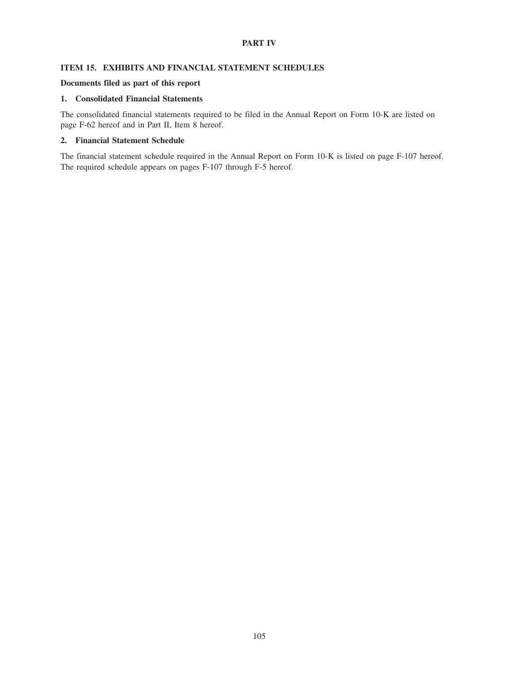## **PART IV**

# **ITEM 15. EXHIBITS AND FINANCIAL STATEMENT SCHEDULES**

### **Documents filed as part of this report**

# **1. Consolidated Financial Statements**

The consolidated financial statements required to be filed in the Annual Report on Form 10-K are listed on page F-62 hereof and in Part II, Item 8 hereof.

# **2. Financial Statement Schedule**

The financial statement schedule required in the Annual Report on Form 10-K is listed on page F-107 hereof. The required schedule appears on pages F-107 through F-5 hereof.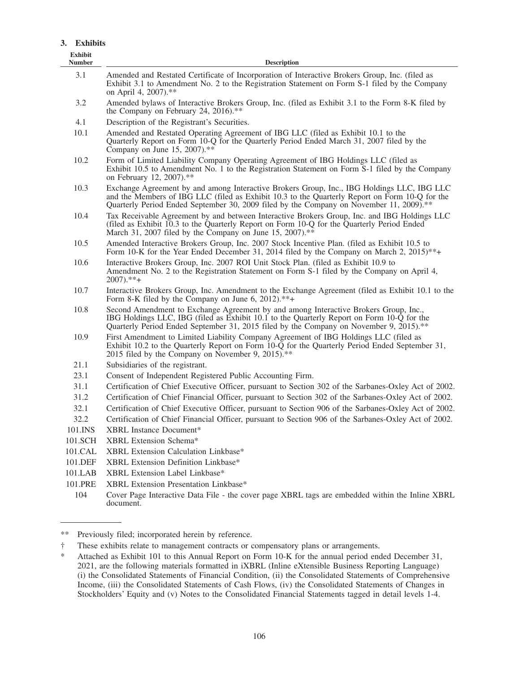#### **3. Exhibits**

| <b>Exhibit</b><br><b>Number</b> | <b>Description</b>                                                                                                                                                                                                                                                                      |
|---------------------------------|-----------------------------------------------------------------------------------------------------------------------------------------------------------------------------------------------------------------------------------------------------------------------------------------|
| 3.1                             | Amended and Restated Certificate of Incorporation of Interactive Brokers Group, Inc. (filed as<br>Exhibit 3.1 to Amendment No. 2 to the Registration Statement on Form S-1 filed by the Company<br>on April 4, 2007).**                                                                 |
| 3.2                             | Amended bylaws of Interactive Brokers Group, Inc. (filed as Exhibit 3.1 to the Form 8-K filed by<br>the Company on February 24, 2016).**                                                                                                                                                |
| 4.1                             | Description of the Registrant's Securities.                                                                                                                                                                                                                                             |
| 10.1                            | Amended and Restated Operating Agreement of IBG LLC (filed as Exhibit 10.1 to the<br>Quarterly Report on Form 10-Q for the Quarterly Period Ended March 31, 2007 filed by the<br>Company on June 15, 2007).**                                                                           |
| 10.2                            | Form of Limited Liability Company Operating Agreement of IBG Holdings LLC (filed as<br>Exhibit 10.5 to Amendment No. 1 to the Registration Statement on Form S-1 filed by the Company<br>on February 12, 2007).**                                                                       |
| 10.3                            | Exchange Agreement by and among Interactive Brokers Group, Inc., IBG Holdings LLC, IBG LLC<br>and the Members of IBG LLC (filed as Exhibit 10.3 to the Quarterly Report on Form 10-Q for the<br>Quarterly Period Ended September 30, 2009 filed by the Company on November 11, 2009).** |
| 10.4                            | Tax Receivable Agreement by and between Interactive Brokers Group, Inc. and IBG Holdings LLC<br>(filed as Exhibit 10.3 to the Quarterly Report on Form 10-Q for the Quarterly Period Ended<br>March 31, 2007 filed by the Company on June 15, 2007).**                                  |
| 10.5                            | Amended Interactive Brokers Group, Inc. 2007 Stock Incentive Plan. (filed as Exhibit 10.5 to<br>Form 10-K for the Year Ended December 31, 2014 filed by the Company on March 2, 2015)**+                                                                                                |
| 10.6                            | Interactive Brokers Group, Inc. 2007 ROI Unit Stock Plan. (filed as Exhibit 10.9 to<br>Amendment No. 2 to the Registration Statement on Form S-1 filed by the Company on April 4,<br>$2007$ ).**+                                                                                       |
| 10.7                            | Interactive Brokers Group, Inc. Amendment to the Exchange Agreement (filed as Exhibit 10.1 to the<br>Form 8-K filed by the Company on June 6, 2012).**+                                                                                                                                 |
| 10.8                            | Second Amendment to Exchange Agreement by and among Interactive Brokers Group, Inc.,<br>IBG Holdings LLC, IBG (filed as Exhibit 10.1 to the Quarterly Report on Form 10-Q for the<br>Quarterly Period Ended September 31, 2015 filed by the Company on November 9, 2015).**             |
| 10.9                            | First Amendment to Limited Liability Company Agreement of IBG Holdings LLC (filed as<br>Exhibit 10.2 to the Quarterly Report on Form 10-Q for the Quarterly Period Ended September 31,<br>2015 filed by the Company on November 9, 2015).**                                             |
| 21.1                            | Subsidiaries of the registrant.                                                                                                                                                                                                                                                         |
| 23.1                            | Consent of Independent Registered Public Accounting Firm.                                                                                                                                                                                                                               |
| 31.1                            | Certification of Chief Executive Officer, pursuant to Section 302 of the Sarbanes-Oxley Act of 2002.                                                                                                                                                                                    |
| 31.2                            | Certification of Chief Financial Officer, pursuant to Section 302 of the Sarbanes-Oxley Act of 2002.                                                                                                                                                                                    |
| 32.1                            | Certification of Chief Executive Officer, pursuant to Section 906 of the Sarbanes-Oxley Act of 2002.                                                                                                                                                                                    |
| 32.2                            | Certification of Chief Financial Officer, pursuant to Section 906 of the Sarbanes-Oxley Act of 2002.                                                                                                                                                                                    |
| 101.INS                         | <b>XBRL</b> Instance Document*                                                                                                                                                                                                                                                          |
| 101.SCH                         | <b>XBRL</b> Extension Schema*                                                                                                                                                                                                                                                           |
| 101.CAL                         | XBRL Extension Calculation Linkbase*                                                                                                                                                                                                                                                    |
| 101.DEF                         | XBRL Extension Definition Linkbase*                                                                                                                                                                                                                                                     |
| 101.LAB                         | XBRL Extension Label Linkbase*                                                                                                                                                                                                                                                          |
| 101.PRE                         | XBRL Extension Presentation Linkbase*                                                                                                                                                                                                                                                   |
| $1 \cap 4$                      | Correspondent Latin Data Ditcher the correspondent VDDI to a com-<br>and added middle the Latine VDDI                                                                                                                                                                                   |

<sup>104</sup> Cover Page Interactive Data File - the cover page XBRL tags are embedded within the Inline XBRL document.

<sup>\*\*</sup> Previously filed; incorporated herein by reference.

<sup>†</sup> These exhibits relate to management contracts or compensatory plans or arrangements.

<sup>\*</sup> Attached as Exhibit 101 to this Annual Report on Form 10-K for the annual period ended December 31, 2021, are the following materials formatted in iXBRL (Inline eXtensible Business Reporting Language) (i) the Consolidated Statements of Financial Condition, (ii) the Consolidated Statements of Comprehensive Income, (iii) the Consolidated Statements of Cash Flows, (iv) the Consolidated Statements of Changes in Stockholders' Equity and (v) Notes to the Consolidated Financial Statements tagged in detail levels 1-4.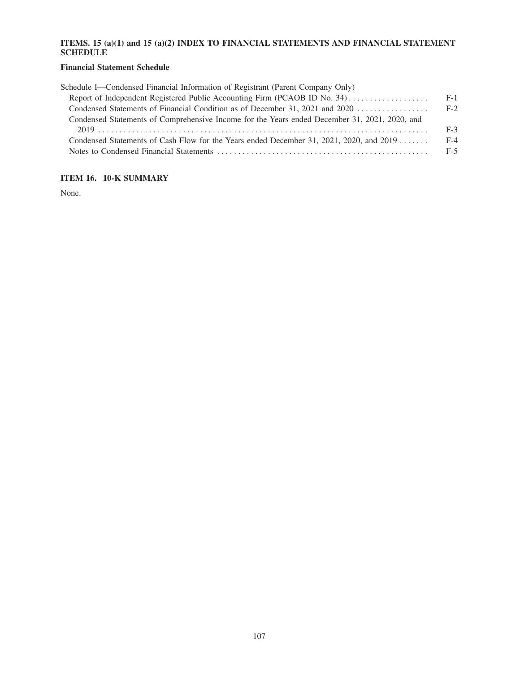## **ITEMS. 15 (a)(1) and 15 (a)(2) INDEX TO FINANCIAL STATEMENTS AND FINANCIAL STATEMENT SCHEDULE**

## **Financial Statement Schedule**

| Schedule I—Condensed Financial Information of Registrant (Parent Company Only)                |       |
|-----------------------------------------------------------------------------------------------|-------|
| Report of Independent Registered Public Accounting Firm (PCAOB ID No. 34)                     | $F-1$ |
| Condensed Statements of Financial Condition as of December 31, 2021 and 2020                  | $F-2$ |
| Condensed Statements of Comprehensive Income for the Years ended December 31, 2021, 2020, and |       |
|                                                                                               | $F-3$ |
| Condensed Statements of Cash Flow for the Years ended December 31, 2021, 2020, and 2019       | $F-4$ |
|                                                                                               | $F-5$ |

# **ITEM 16. 10-K SUMMARY**

None.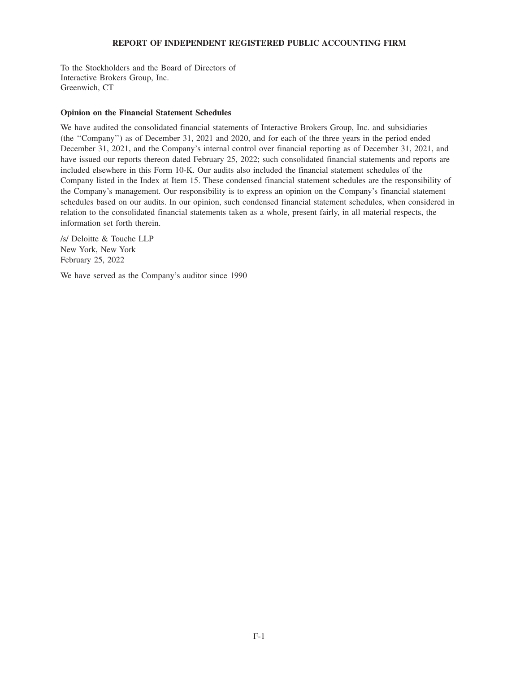### **REPORT OF INDEPENDENT REGISTERED PUBLIC ACCOUNTING FIRM**

To the Stockholders and the Board of Directors of Interactive Brokers Group, Inc. Greenwich, CT

## **Opinion on the Financial Statement Schedules**

We have audited the consolidated financial statements of Interactive Brokers Group, Inc. and subsidiaries (the ''Company'') as of December 31, 2021 and 2020, and for each of the three years in the period ended December 31, 2021, and the Company's internal control over financial reporting as of December 31, 2021, and have issued our reports thereon dated February 25, 2022; such consolidated financial statements and reports are included elsewhere in this Form 10-K. Our audits also included the financial statement schedules of the Company listed in the Index at Item 15. These condensed financial statement schedules are the responsibility of the Company's management. Our responsibility is to express an opinion on the Company's financial statement schedules based on our audits. In our opinion, such condensed financial statement schedules, when considered in relation to the consolidated financial statements taken as a whole, present fairly, in all material respects, the information set forth therein.

/s/ Deloitte & Touche LLP New York, New York February 25, 2022

We have served as the Company's auditor since 1990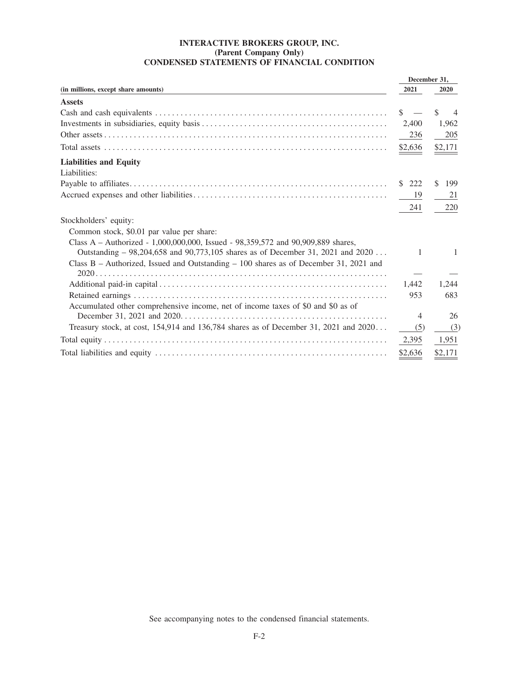## **INTERACTIVE BROKERS GROUP, INC. (Parent Company Only) CONDENSED STATEMENTS OF FINANCIAL CONDITION**

|                                                                                       | December 31,    |                                 |
|---------------------------------------------------------------------------------------|-----------------|---------------------------------|
| (in millions, except share amounts)                                                   | 2021            | 2020                            |
| <b>Assets</b>                                                                         |                 |                                 |
|                                                                                       | $\mathcal{S}$   | <sup>\$</sup><br>$\overline{4}$ |
|                                                                                       | 2,400           | 1,962                           |
|                                                                                       | 236             | 205                             |
|                                                                                       | \$2,636         | \$2,171                         |
| <b>Liabilities and Equity</b>                                                         |                 |                                 |
| Liabilities:                                                                          |                 |                                 |
|                                                                                       | $\frac{1}{222}$ | \$199                           |
|                                                                                       | 19              | 21                              |
|                                                                                       | 241             | 220                             |
| Stockholders' equity:                                                                 |                 |                                 |
| Common stock, \$0.01 par value per share:                                             |                 |                                 |
| Class A – Authorized - 1,000,000,000, Issued - 98,359,572 and 90,909,889 shares,      |                 |                                 |
| Outstanding – 98,204,658 and 90,773,105 shares as of December 31, 2021 and 2020       | 1               | 1                               |
| Class B – Authorized, Issued and Outstanding – 100 shares as of December 31, 2021 and |                 |                                 |
|                                                                                       |                 |                                 |
|                                                                                       | 1.442           | 1.244                           |
|                                                                                       | 953             | 683                             |
| Accumulated other comprehensive income, net of income taxes of \$0 and \$0 as of      |                 |                                 |
|                                                                                       | $\overline{4}$  | 26                              |
| Treasury stock, at cost, 154,914 and 136,784 shares as of December 31, 2021 and 2020  | (5)             | (3)                             |
|                                                                                       | 2,395           | 1,951                           |
|                                                                                       | \$2,636         | \$2,171                         |

See accompanying notes to the condensed financial statements.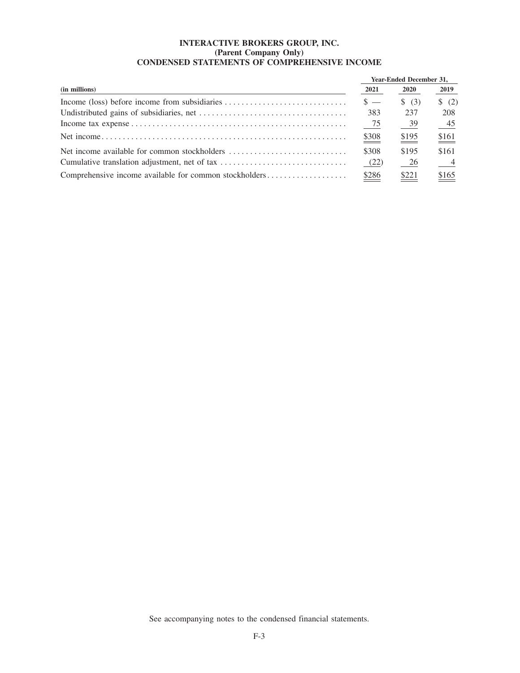## **INTERACTIVE BROKERS GROUP, INC. (Parent Company Only) CONDENSED STATEMENTS OF COMPREHENSIVE INCOME**

|                                                                                                | <b>Year-Ended December 31,</b> |                                 |                                 |
|------------------------------------------------------------------------------------------------|--------------------------------|---------------------------------|---------------------------------|
| (in millions)                                                                                  | 2021                           | <b>2020</b>                     | 2019                            |
| Income (loss) before income from subsidiaries                                                  | $\mathcal{S}$ —                | S(3)                            | \$ (2)                          |
|                                                                                                | 383                            | 237                             | 208                             |
|                                                                                                | 75                             | $-39$                           | $\frac{45}{2}$                  |
|                                                                                                | $\underline{\$308}$            | $\underline{\underline{\$195}}$ | $\underline{\underline{\$161}}$ |
| Net income available for common stockholders $\dots \dots \dots \dots \dots \dots \dots \dots$ | \$308                          | \$195                           | \$161                           |
| Cumulative translation adjustment, net of tax                                                  | (22)                           | 26                              | $\frac{4}{1}$                   |
| Comprehensive income available for common stockholders                                         | $\frac{$286}{2}$               | $\frac{$221}{2}$                | $\underline{\underline{\$165}}$ |

See accompanying notes to the condensed financial statements.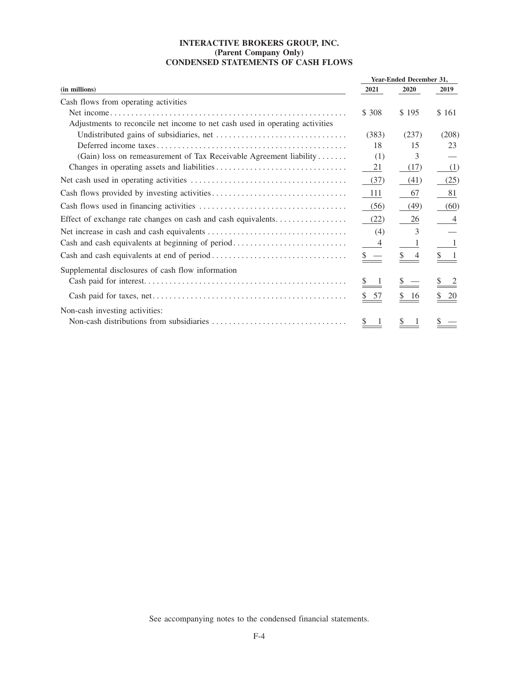## **INTERACTIVE BROKERS GROUP, INC. (Parent Company Only) CONDENSED STATEMENTS OF CASH FLOWS**

|                                                                              | <b>Year-Ended December 31.</b> |                |                |
|------------------------------------------------------------------------------|--------------------------------|----------------|----------------|
| (in millions)                                                                | 2021                           | 2020           | 2019           |
| Cash flows from operating activities                                         |                                |                |                |
|                                                                              | \$ 308                         | \$195          | \$161          |
| Adjustments to reconcile net income to net cash used in operating activities |                                |                |                |
|                                                                              | (383)                          | (237)          | (208)          |
|                                                                              | 18                             | 15             | 23             |
| (Gain) loss on remeasurement of Tax Receivable Agreement liability           | (1)                            | 3              |                |
|                                                                              | 21                             | (17)           | (1)            |
|                                                                              | (37)                           | (41)           | (25)           |
|                                                                              | 111                            | 67             | 81             |
|                                                                              | (56)                           | (49)           | (60)           |
| Effect of exchange rate changes on cash and cash equivalents                 | (22)                           | 26             | $\overline{4}$ |
|                                                                              | (4)                            | 3              |                |
| Cash and cash equivalents at beginning of period                             | 4                              |                |                |
|                                                                              | $s -$                          | $\overline{4}$ |                |
| Supplemental disclosures of cash flow information                            |                                |                |                |
|                                                                              |                                |                |                |
|                                                                              | \$57                           | -16            | <sup>20</sup>  |
| Non-cash investing activities:                                               |                                |                |                |
|                                                                              | $\perp$                        |                |                |

See accompanying notes to the condensed financial statements.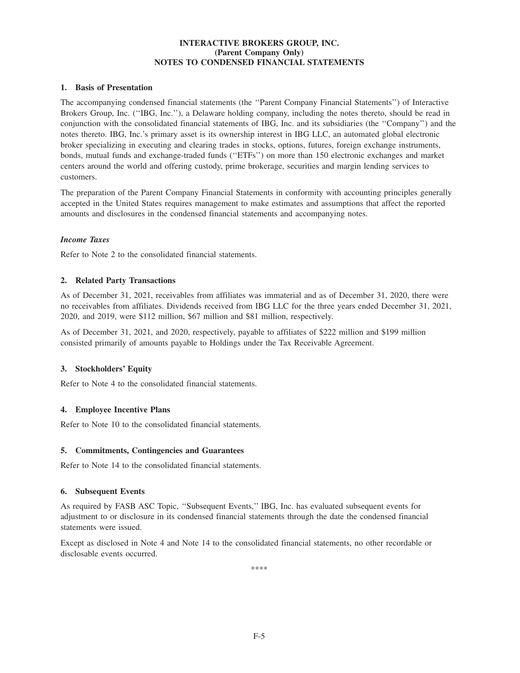## **INTERACTIVE BROKERS GROUP, INC. (Parent Company Only) NOTES TO CONDENSED FINANCIAL STATEMENTS**

## **1. Basis of Presentation**

The accompanying condensed financial statements (the ''Parent Company Financial Statements'') of Interactive Brokers Group, Inc. (''IBG, Inc.''), a Delaware holding company, including the notes thereto, should be read in conjunction with the consolidated financial statements of IBG, Inc. and its subsidiaries (the ''Company'') and the notes thereto. IBG, Inc.'s primary asset is its ownership interest in IBG LLC, an automated global electronic broker specializing in executing and clearing trades in stocks, options, futures, foreign exchange instruments, bonds, mutual funds and exchange-traded funds (''ETFs'') on more than 150 electronic exchanges and market centers around the world and offering custody, prime brokerage, securities and margin lending services to customers.

The preparation of the Parent Company Financial Statements in conformity with accounting principles generally accepted in the United States requires management to make estimates and assumptions that affect the reported amounts and disclosures in the condensed financial statements and accompanying notes.

## *Income Taxes*

Refer to Note 2 to the consolidated financial statements.

## **2. Related Party Transactions**

As of December 31, 2021, receivables from affiliates was immaterial and as of December 31, 2020, there were no receivables from affiliates. Dividends received from IBG LLC for the three years ended December 31, 2021, 2020, and 2019, were \$112 million, \$67 million and \$81 million, respectively.

As of December 31, 2021, and 2020, respectively, payable to affiliates of \$222 million and \$199 million consisted primarily of amounts payable to Holdings under the Tax Receivable Agreement.

## **3. Stockholders' Equity**

Refer to Note 4 to the consolidated financial statements.

## **4. Employee Incentive Plans**

Refer to Note 10 to the consolidated financial statements.

#### **5. Commitments, Contingencies and Guarantees**

Refer to Note 14 to the consolidated financial statements.

#### **6. Subsequent Events**

As required by FASB ASC Topic, ''Subsequent Events,'' IBG, Inc. has evaluated subsequent events for adjustment to or disclosure in its condensed financial statements through the date the condensed financial statements were issued.

Except as disclosed in Note 4 and Note 14 to the consolidated financial statements, no other recordable or disclosable events occurred.

\*\*\*\*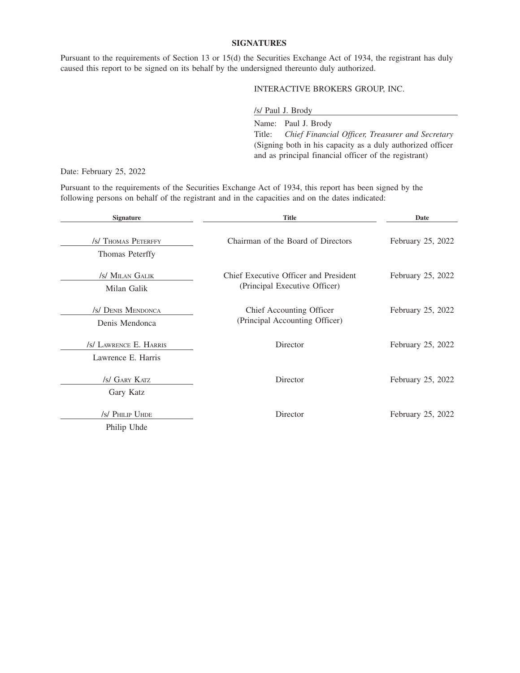### **SIGNATURES**

Pursuant to the requirements of Section 13 or 15(d) the Securities Exchange Act of 1934, the registrant has duly caused this report to be signed on its behalf by the undersigned thereunto duly authorized.

## INTERACTIVE BROKERS GROUP, INC.

/s/ Paul J. Brody

Name: Paul J. Brody Title: *Chief Financial Officer, Treasurer and Secretary* (Signing both in his capacity as a duly authorized officer and as principal financial officer of the registrant)

Date: February 25, 2022

Pursuant to the requirements of the Securities Exchange Act of 1934, this report has been signed by the following persons on behalf of the registrant and in the capacities and on the dates indicated:

| <b>Signature</b>                             | <b>Title</b>                                                           | Date              |
|----------------------------------------------|------------------------------------------------------------------------|-------------------|
| /s/ THOMAS PETERFFY<br>Thomas Peterffy       | Chairman of the Board of Directors                                     | February 25, 2022 |
| /s/ MILAN GALIK<br>Milan Galik               | Chief Executive Officer and President<br>(Principal Executive Officer) | February 25, 2022 |
| /s/ DENIS MENDONCA<br>Denis Mendonca         | Chief Accounting Officer<br>(Principal Accounting Officer)             | February 25, 2022 |
| /s/ LAWRENCE E. HARRIS<br>Lawrence E. Harris | Director                                                               | February 25, 2022 |
| /s/ GARY KATZ<br>Gary Katz                   | Director                                                               | February 25, 2022 |
| /s/ PHILIP UHDE<br>Philip Uhde               | Director                                                               | February 25, 2022 |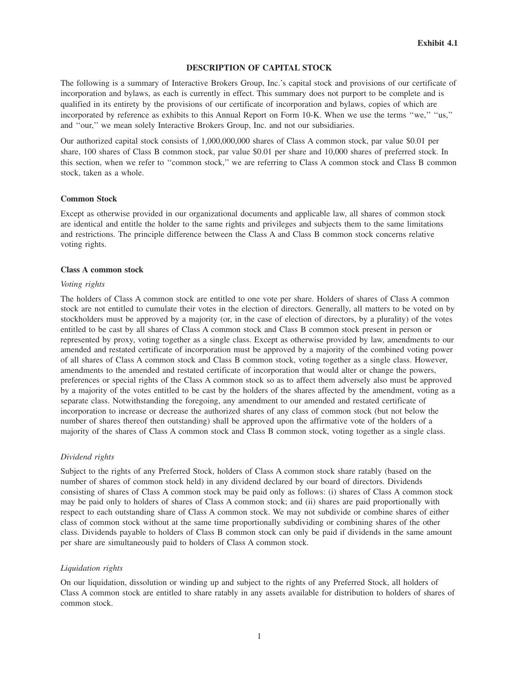#### **DESCRIPTION OF CAPITAL STOCK**

The following is a summary of Interactive Brokers Group, Inc.'s capital stock and provisions of our certificate of incorporation and bylaws, as each is currently in effect. This summary does not purport to be complete and is qualified in its entirety by the provisions of our certificate of incorporation and bylaws, copies of which are incorporated by reference as exhibits to this Annual Report on Form 10-K. When we use the terms ''we,'' ''us,'' and ''our,'' we mean solely Interactive Brokers Group, Inc. and not our subsidiaries.

Our authorized capital stock consists of 1,000,000,000 shares of Class A common stock, par value \$0.01 per share, 100 shares of Class B common stock, par value \$0.01 per share and 10,000 shares of preferred stock. In this section, when we refer to ''common stock,'' we are referring to Class A common stock and Class B common stock, taken as a whole.

#### **Common Stock**

Except as otherwise provided in our organizational documents and applicable law, all shares of common stock are identical and entitle the holder to the same rights and privileges and subjects them to the same limitations and restrictions. The principle difference between the Class A and Class B common stock concerns relative voting rights.

#### **Class A common stock**

#### *Voting rights*

The holders of Class A common stock are entitled to one vote per share. Holders of shares of Class A common stock are not entitled to cumulate their votes in the election of directors. Generally, all matters to be voted on by stockholders must be approved by a majority (or, in the case of election of directors, by a plurality) of the votes entitled to be cast by all shares of Class A common stock and Class B common stock present in person or represented by proxy, voting together as a single class. Except as otherwise provided by law, amendments to our amended and restated certificate of incorporation must be approved by a majority of the combined voting power of all shares of Class A common stock and Class B common stock, voting together as a single class. However, amendments to the amended and restated certificate of incorporation that would alter or change the powers, preferences or special rights of the Class A common stock so as to affect them adversely also must be approved by a majority of the votes entitled to be cast by the holders of the shares affected by the amendment, voting as a separate class. Notwithstanding the foregoing, any amendment to our amended and restated certificate of incorporation to increase or decrease the authorized shares of any class of common stock (but not below the number of shares thereof then outstanding) shall be approved upon the affirmative vote of the holders of a majority of the shares of Class A common stock and Class B common stock, voting together as a single class.

### *Dividend rights*

Subject to the rights of any Preferred Stock, holders of Class A common stock share ratably (based on the number of shares of common stock held) in any dividend declared by our board of directors. Dividends consisting of shares of Class A common stock may be paid only as follows: (i) shares of Class A common stock may be paid only to holders of shares of Class A common stock; and (ii) shares are paid proportionally with respect to each outstanding share of Class A common stock. We may not subdivide or combine shares of either class of common stock without at the same time proportionally subdividing or combining shares of the other class. Dividends payable to holders of Class B common stock can only be paid if dividends in the same amount per share are simultaneously paid to holders of Class A common stock.

#### *Liquidation rights*

On our liquidation, dissolution or winding up and subject to the rights of any Preferred Stock, all holders of Class A common stock are entitled to share ratably in any assets available for distribution to holders of shares of common stock.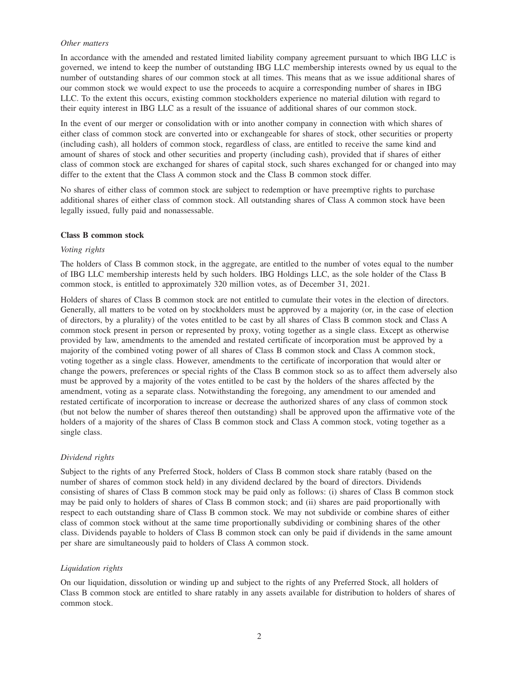### *Other matters*

In accordance with the amended and restated limited liability company agreement pursuant to which IBG LLC is governed, we intend to keep the number of outstanding IBG LLC membership interests owned by us equal to the number of outstanding shares of our common stock at all times. This means that as we issue additional shares of our common stock we would expect to use the proceeds to acquire a corresponding number of shares in IBG LLC. To the extent this occurs, existing common stockholders experience no material dilution with regard to their equity interest in IBG LLC as a result of the issuance of additional shares of our common stock.

In the event of our merger or consolidation with or into another company in connection with which shares of either class of common stock are converted into or exchangeable for shares of stock, other securities or property (including cash), all holders of common stock, regardless of class, are entitled to receive the same kind and amount of shares of stock and other securities and property (including cash), provided that if shares of either class of common stock are exchanged for shares of capital stock, such shares exchanged for or changed into may differ to the extent that the Class A common stock and the Class B common stock differ.

No shares of either class of common stock are subject to redemption or have preemptive rights to purchase additional shares of either class of common stock. All outstanding shares of Class A common stock have been legally issued, fully paid and nonassessable.

#### **Class B common stock**

## *Voting rights*

The holders of Class B common stock, in the aggregate, are entitled to the number of votes equal to the number of IBG LLC membership interests held by such holders. IBG Holdings LLC, as the sole holder of the Class B common stock, is entitled to approximately 320 million votes, as of December 31, 2021.

Holders of shares of Class B common stock are not entitled to cumulate their votes in the election of directors. Generally, all matters to be voted on by stockholders must be approved by a majority (or, in the case of election of directors, by a plurality) of the votes entitled to be cast by all shares of Class B common stock and Class A common stock present in person or represented by proxy, voting together as a single class. Except as otherwise provided by law, amendments to the amended and restated certificate of incorporation must be approved by a majority of the combined voting power of all shares of Class B common stock and Class A common stock, voting together as a single class. However, amendments to the certificate of incorporation that would alter or change the powers, preferences or special rights of the Class B common stock so as to affect them adversely also must be approved by a majority of the votes entitled to be cast by the holders of the shares affected by the amendment, voting as a separate class. Notwithstanding the foregoing, any amendment to our amended and restated certificate of incorporation to increase or decrease the authorized shares of any class of common stock (but not below the number of shares thereof then outstanding) shall be approved upon the affirmative vote of the holders of a majority of the shares of Class B common stock and Class A common stock, voting together as a single class.

## *Dividend rights*

Subject to the rights of any Preferred Stock, holders of Class B common stock share ratably (based on the number of shares of common stock held) in any dividend declared by the board of directors. Dividends consisting of shares of Class B common stock may be paid only as follows: (i) shares of Class B common stock may be paid only to holders of shares of Class B common stock; and (ii) shares are paid proportionally with respect to each outstanding share of Class B common stock. We may not subdivide or combine shares of either class of common stock without at the same time proportionally subdividing or combining shares of the other class. Dividends payable to holders of Class B common stock can only be paid if dividends in the same amount per share are simultaneously paid to holders of Class A common stock.

## *Liquidation rights*

On our liquidation, dissolution or winding up and subject to the rights of any Preferred Stock, all holders of Class B common stock are entitled to share ratably in any assets available for distribution to holders of shares of common stock.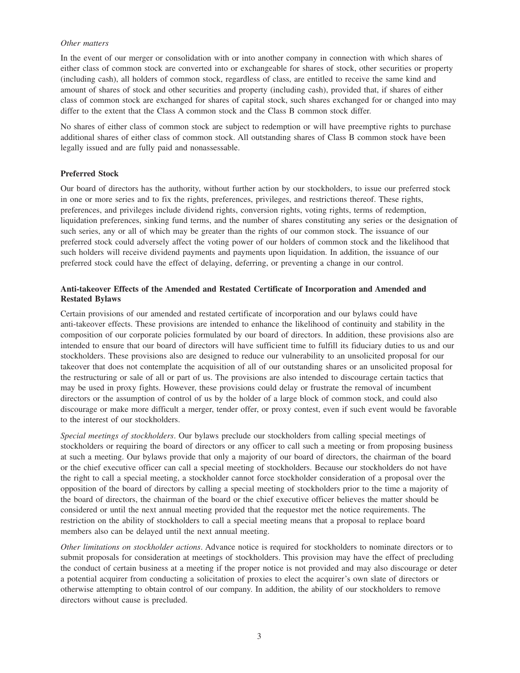### *Other matters*

In the event of our merger or consolidation with or into another company in connection with which shares of either class of common stock are converted into or exchangeable for shares of stock, other securities or property (including cash), all holders of common stock, regardless of class, are entitled to receive the same kind and amount of shares of stock and other securities and property (including cash), provided that, if shares of either class of common stock are exchanged for shares of capital stock, such shares exchanged for or changed into may differ to the extent that the Class A common stock and the Class B common stock differ.

No shares of either class of common stock are subject to redemption or will have preemptive rights to purchase additional shares of either class of common stock. All outstanding shares of Class B common stock have been legally issued and are fully paid and nonassessable.

## **Preferred Stock**

Our board of directors has the authority, without further action by our stockholders, to issue our preferred stock in one or more series and to fix the rights, preferences, privileges, and restrictions thereof. These rights, preferences, and privileges include dividend rights, conversion rights, voting rights, terms of redemption, liquidation preferences, sinking fund terms, and the number of shares constituting any series or the designation of such series, any or all of which may be greater than the rights of our common stock. The issuance of our preferred stock could adversely affect the voting power of our holders of common stock and the likelihood that such holders will receive dividend payments and payments upon liquidation. In addition, the issuance of our preferred stock could have the effect of delaying, deferring, or preventing a change in our control.

## **Anti-takeover Effects of the Amended and Restated Certificate of Incorporation and Amended and Restated Bylaws**

Certain provisions of our amended and restated certificate of incorporation and our bylaws could have anti-takeover effects. These provisions are intended to enhance the likelihood of continuity and stability in the composition of our corporate policies formulated by our board of directors. In addition, these provisions also are intended to ensure that our board of directors will have sufficient time to fulfill its fiduciary duties to us and our stockholders. These provisions also are designed to reduce our vulnerability to an unsolicited proposal for our takeover that does not contemplate the acquisition of all of our outstanding shares or an unsolicited proposal for the restructuring or sale of all or part of us. The provisions are also intended to discourage certain tactics that may be used in proxy fights. However, these provisions could delay or frustrate the removal of incumbent directors or the assumption of control of us by the holder of a large block of common stock, and could also discourage or make more difficult a merger, tender offer, or proxy contest, even if such event would be favorable to the interest of our stockholders.

*Special meetings of stockholders*. Our bylaws preclude our stockholders from calling special meetings of stockholders or requiring the board of directors or any officer to call such a meeting or from proposing business at such a meeting. Our bylaws provide that only a majority of our board of directors, the chairman of the board or the chief executive officer can call a special meeting of stockholders. Because our stockholders do not have the right to call a special meeting, a stockholder cannot force stockholder consideration of a proposal over the opposition of the board of directors by calling a special meeting of stockholders prior to the time a majority of the board of directors, the chairman of the board or the chief executive officer believes the matter should be considered or until the next annual meeting provided that the requestor met the notice requirements. The restriction on the ability of stockholders to call a special meeting means that a proposal to replace board members also can be delayed until the next annual meeting.

*Other limitations on stockholder actions*. Advance notice is required for stockholders to nominate directors or to submit proposals for consideration at meetings of stockholders. This provision may have the effect of precluding the conduct of certain business at a meeting if the proper notice is not provided and may also discourage or deter a potential acquirer from conducting a solicitation of proxies to elect the acquirer's own slate of directors or otherwise attempting to obtain control of our company. In addition, the ability of our stockholders to remove directors without cause is precluded.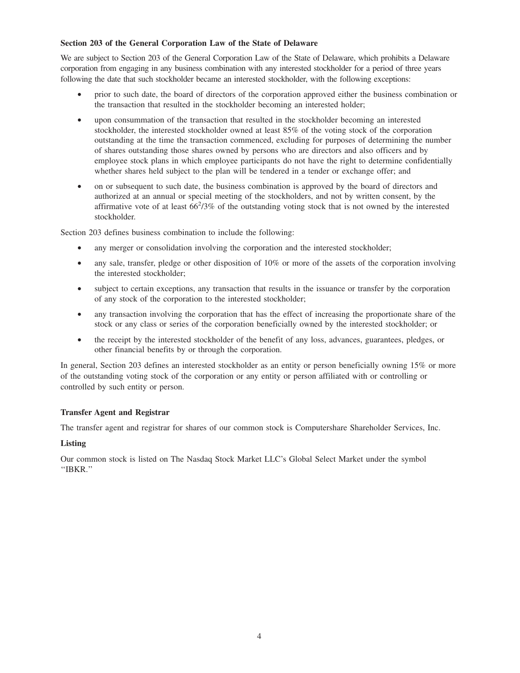## **Section 203 of the General Corporation Law of the State of Delaware**

We are subject to Section 203 of the General Corporation Law of the State of Delaware, which prohibits a Delaware corporation from engaging in any business combination with any interested stockholder for a period of three years following the date that such stockholder became an interested stockholder, with the following exceptions:

- prior to such date, the board of directors of the corporation approved either the business combination or the transaction that resulted in the stockholder becoming an interested holder;
- upon consummation of the transaction that resulted in the stockholder becoming an interested stockholder, the interested stockholder owned at least 85% of the voting stock of the corporation outstanding at the time the transaction commenced, excluding for purposes of determining the number of shares outstanding those shares owned by persons who are directors and also officers and by employee stock plans in which employee participants do not have the right to determine confidentially whether shares held subject to the plan will be tendered in a tender or exchange offer; and
- on or subsequent to such date, the business combination is approved by the board of directors and authorized at an annual or special meeting of the stockholders, and not by written consent, by the affirmative vote of at least  $66<sup>2</sup>/3%$  of the outstanding voting stock that is not owned by the interested stockholder.

Section 203 defines business combination to include the following:

- any merger or consolidation involving the corporation and the interested stockholder;
- any sale, transfer, pledge or other disposition of 10% or more of the assets of the corporation involving the interested stockholder;
- subject to certain exceptions, any transaction that results in the issuance or transfer by the corporation of any stock of the corporation to the interested stockholder;
- any transaction involving the corporation that has the effect of increasing the proportionate share of the stock or any class or series of the corporation beneficially owned by the interested stockholder; or
- the receipt by the interested stockholder of the benefit of any loss, advances, guarantees, pledges, or other financial benefits by or through the corporation.

In general, Section 203 defines an interested stockholder as an entity or person beneficially owning 15% or more of the outstanding voting stock of the corporation or any entity or person affiliated with or controlling or controlled by such entity or person.

## **Transfer Agent and Registrar**

The transfer agent and registrar for shares of our common stock is Computershare Shareholder Services, Inc.

## **Listing**

Our common stock is listed on The Nasdaq Stock Market LLC's Global Select Market under the symbol ''IBKR.''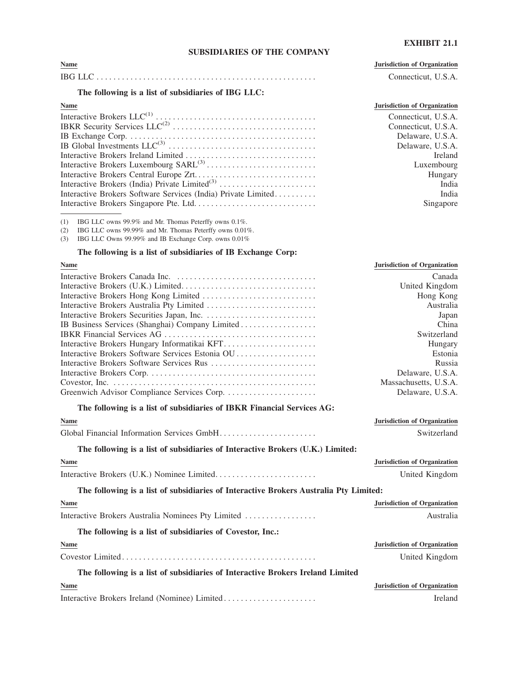## **SUBSIDIARIES OF THE COMPANY**

# IBG LLC . . . . . . . . . . . . . . . . . . . . . . . . . . . . . . . . . . . . . . . . . . . . . . . . . . . . Connecticut, U.S.A.

## **The following is a list of subsidiaries of IBG LLC:**

| Name                                                          | Jurisdiction of Organization |
|---------------------------------------------------------------|------------------------------|
|                                                               | Connecticut, U.S.A.          |
|                                                               | Connecticut, U.S.A.          |
|                                                               | Delaware, U.S.A.             |
|                                                               | Delaware, U.S.A.             |
|                                                               | Ireland                      |
|                                                               | Luxembourg                   |
|                                                               | Hungary                      |
|                                                               | India                        |
| Interactive Brokers Software Services (India) Private Limited | India                        |
|                                                               | Singapore                    |

(1) IBG LLC owns 99.9% and Mr. Thomas Peterffy owns 0.1%.

- (2) IBG LLC owns 99.99% and Mr. Thomas Peterffy owns 0.01%.
- (3) IBG LLC Owns 99.99% and IB Exchange Corp. owns 0.01%

## **The following is a list of subsidiaries of IB Exchange Corp:**

| <b>Name</b>                                                                           | Jurisdiction of Organization |
|---------------------------------------------------------------------------------------|------------------------------|
|                                                                                       | Canada                       |
| Interactive Brokers (U.K.) Limited                                                    | United Kingdom               |
| Interactive Brokers Hong Kong Limited                                                 | Hong Kong                    |
|                                                                                       | Australia                    |
|                                                                                       | Japan                        |
| IB Business Services (Shanghai) Company Limited                                       | China                        |
|                                                                                       | Switzerland                  |
| Interactive Brokers Hungary Informatikai KFT                                          | Hungary                      |
| Interactive Brokers Software Services Estonia OU                                      | Estonia                      |
| Interactive Brokers Software Services Rus                                             | Russia                       |
|                                                                                       | Delaware, U.S.A.             |
|                                                                                       | Massachusetts, U.S.A.        |
| Greenwich Advisor Compliance Services Corp.                                           | Delaware, U.S.A.             |
| The following is a list of subsidiaries of IBKR Financial Services AG:                |                              |
| <b>Name</b>                                                                           | Jurisdiction of Organization |
| Global Financial Information Services GmbH                                            | Switzerland                  |
| The following is a list of subsidiaries of Interactive Brokers (U.K.) Limited:        |                              |
| Name                                                                                  | Jurisdiction of Organization |
| Interactive Brokers (U.K.) Nominee Limited                                            | United Kingdom               |
| The following is a list of subsidiaries of Interactive Brokers Australia Pty Limited: |                              |
| Name                                                                                  | Jurisdiction of Organization |
| Interactive Brokers Australia Nominees Pty Limited                                    | Australia                    |
| The following is a list of subsidiaries of Covestor, Inc.:                            |                              |
| <b>Name</b>                                                                           | Jurisdiction of Organization |
|                                                                                       | United Kingdom               |
| The following is a list of subsidiaries of Interactive Brokers Ireland Limited        |                              |
| <b>Name</b>                                                                           | Jurisdiction of Organization |

Interactive Brokers Ireland (Nominee) Limited . . . . . . . . . . . . . . . . . . . . . . Ireland

#### **Name Jurisdiction of Organization**

| Connecticut, U.S.A. |
|---------------------|
| Connecticut, U.S.A. |
| Delaware, U.S.A.    |
| Delaware, U.S.A.    |
| Ireland             |
| Luxembourg          |
| Hungary             |
| India               |
| India               |
| Singapore           |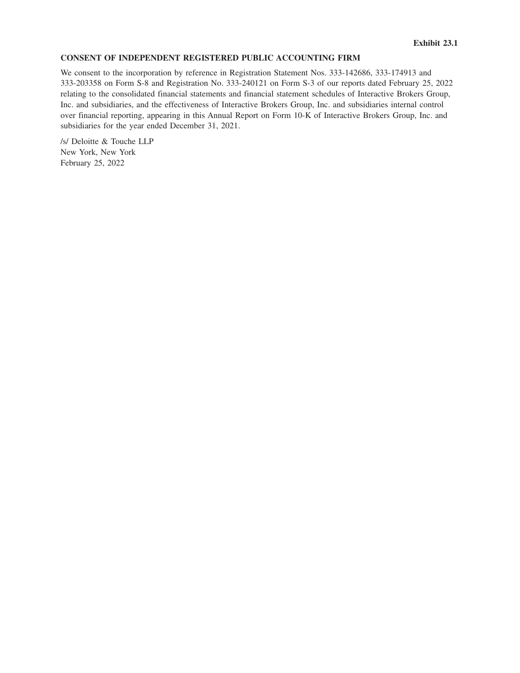## **CONSENT OF INDEPENDENT REGISTERED PUBLIC ACCOUNTING FIRM**

We consent to the incorporation by reference in Registration Statement Nos. 333-142686, 333-174913 and 333-203358 on Form S-8 and Registration No. 333-240121 on Form S-3 of our reports dated February 25, 2022 relating to the consolidated financial statements and financial statement schedules of Interactive Brokers Group, Inc. and subsidiaries, and the effectiveness of Interactive Brokers Group, Inc. and subsidiaries internal control over financial reporting, appearing in this Annual Report on Form 10-K of Interactive Brokers Group, Inc. and subsidiaries for the year ended December 31, 2021.

/s/ Deloitte & Touche LLP New York, New York February 25, 2022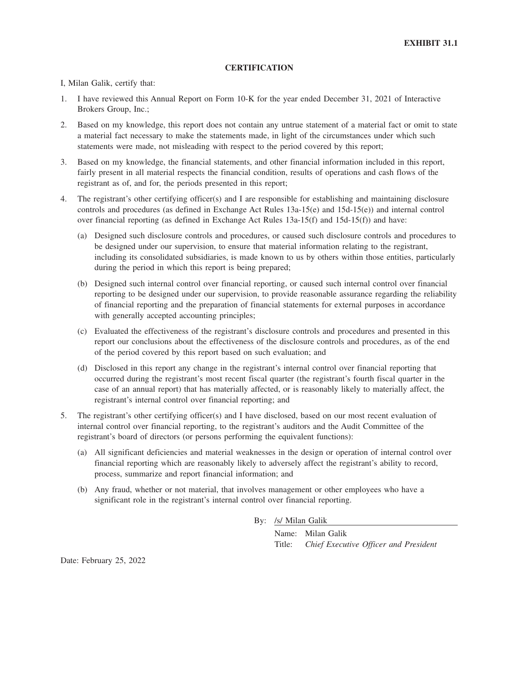I, Milan Galik, certify that:

- 1. I have reviewed this Annual Report on Form 10-K for the year ended December 31, 2021 of Interactive Brokers Group, Inc.;
- 2. Based on my knowledge, this report does not contain any untrue statement of a material fact or omit to state a material fact necessary to make the statements made, in light of the circumstances under which such statements were made, not misleading with respect to the period covered by this report;
- 3. Based on my knowledge, the financial statements, and other financial information included in this report, fairly present in all material respects the financial condition, results of operations and cash flows of the registrant as of, and for, the periods presented in this report;
- 4. The registrant's other certifying officer(s) and I are responsible for establishing and maintaining disclosure controls and procedures (as defined in Exchange Act Rules 13a-15(e) and 15d-15(e)) and internal control over financial reporting (as defined in Exchange Act Rules 13a-15(f) and 15d-15(f)) and have:
	- (a) Designed such disclosure controls and procedures, or caused such disclosure controls and procedures to be designed under our supervision, to ensure that material information relating to the registrant, including its consolidated subsidiaries, is made known to us by others within those entities, particularly during the period in which this report is being prepared;
	- (b) Designed such internal control over financial reporting, or caused such internal control over financial reporting to be designed under our supervision, to provide reasonable assurance regarding the reliability of financial reporting and the preparation of financial statements for external purposes in accordance with generally accepted accounting principles;
	- (c) Evaluated the effectiveness of the registrant's disclosure controls and procedures and presented in this report our conclusions about the effectiveness of the disclosure controls and procedures, as of the end of the period covered by this report based on such evaluation; and
	- (d) Disclosed in this report any change in the registrant's internal control over financial reporting that occurred during the registrant's most recent fiscal quarter (the registrant's fourth fiscal quarter in the case of an annual report) that has materially affected, or is reasonably likely to materially affect, the registrant's internal control over financial reporting; and
- 5. The registrant's other certifying officer(s) and I have disclosed, based on our most recent evaluation of internal control over financial reporting, to the registrant's auditors and the Audit Committee of the registrant's board of directors (or persons performing the equivalent functions):
	- (a) All significant deficiencies and material weaknesses in the design or operation of internal control over financial reporting which are reasonably likely to adversely affect the registrant's ability to record, process, summarize and report financial information; and
	- (b) Any fraud, whether or not material, that involves management or other employees who have a significant role in the registrant's internal control over financial reporting.

By: /s/ Milan Galik

Name: Milan Galik Title: *Chief Executive Officer and President*

Date: February 25, 2022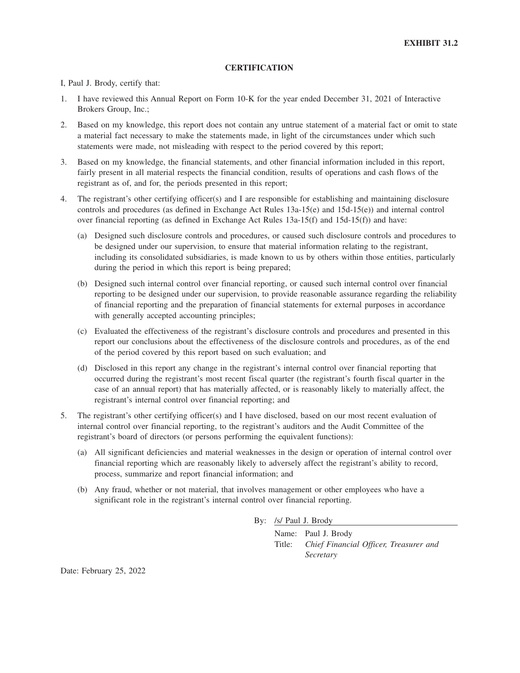I, Paul J. Brody, certify that:

- 1. I have reviewed this Annual Report on Form 10-K for the year ended December 31, 2021 of Interactive Brokers Group, Inc.;
- 2. Based on my knowledge, this report does not contain any untrue statement of a material fact or omit to state a material fact necessary to make the statements made, in light of the circumstances under which such statements were made, not misleading with respect to the period covered by this report;
- 3. Based on my knowledge, the financial statements, and other financial information included in this report, fairly present in all material respects the financial condition, results of operations and cash flows of the registrant as of, and for, the periods presented in this report;
- 4. The registrant's other certifying officer(s) and I are responsible for establishing and maintaining disclosure controls and procedures (as defined in Exchange Act Rules 13a-15(e) and 15d-15(e)) and internal control over financial reporting (as defined in Exchange Act Rules 13a-15(f) and 15d-15(f)) and have:
	- (a) Designed such disclosure controls and procedures, or caused such disclosure controls and procedures to be designed under our supervision, to ensure that material information relating to the registrant, including its consolidated subsidiaries, is made known to us by others within those entities, particularly during the period in which this report is being prepared;
	- (b) Designed such internal control over financial reporting, or caused such internal control over financial reporting to be designed under our supervision, to provide reasonable assurance regarding the reliability of financial reporting and the preparation of financial statements for external purposes in accordance with generally accepted accounting principles;
	- (c) Evaluated the effectiveness of the registrant's disclosure controls and procedures and presented in this report our conclusions about the effectiveness of the disclosure controls and procedures, as of the end of the period covered by this report based on such evaluation; and
	- (d) Disclosed in this report any change in the registrant's internal control over financial reporting that occurred during the registrant's most recent fiscal quarter (the registrant's fourth fiscal quarter in the case of an annual report) that has materially affected, or is reasonably likely to materially affect, the registrant's internal control over financial reporting; and
- 5. The registrant's other certifying officer(s) and I have disclosed, based on our most recent evaluation of internal control over financial reporting, to the registrant's auditors and the Audit Committee of the registrant's board of directors (or persons performing the equivalent functions):
	- (a) All significant deficiencies and material weaknesses in the design or operation of internal control over financial reporting which are reasonably likely to adversely affect the registrant's ability to record, process, summarize and report financial information; and
	- (b) Any fraud, whether or not material, that involves management or other employees who have a significant role in the registrant's internal control over financial reporting.

By: /s/ Paul J. Brody

Name: Paul J. Brody Title: *Chief Financial Officer, Treasurer and Secretary*

Date: February 25, 2022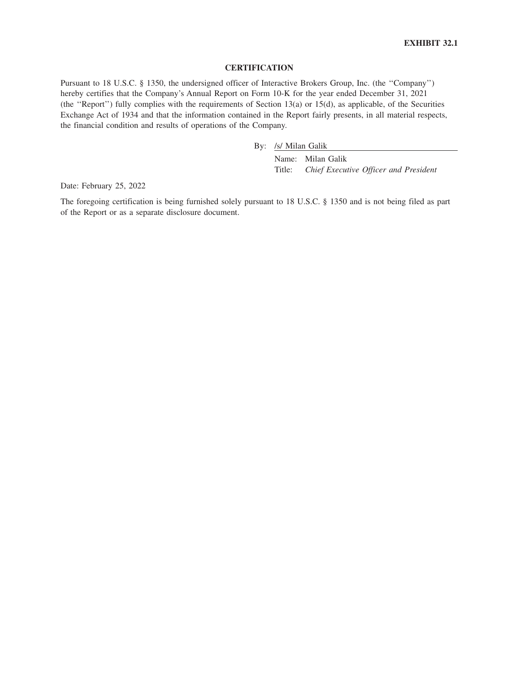Pursuant to 18 U.S.C. § 1350, the undersigned officer of Interactive Brokers Group, Inc. (the ''Company'') hereby certifies that the Company's Annual Report on Form 10-K for the year ended December 31, 2021 (the ''Report'') fully complies with the requirements of Section 13(a) or 15(d), as applicable, of the Securities Exchange Act of 1934 and that the information contained in the Report fairly presents, in all material respects, the financial condition and results of operations of the Company.

By: /s/ Milan Galik

Name: Milan Galik Title: *Chief Executive Officer and President*

Date: February 25, 2022

The foregoing certification is being furnished solely pursuant to 18 U.S.C. § 1350 and is not being filed as part of the Report or as a separate disclosure document.